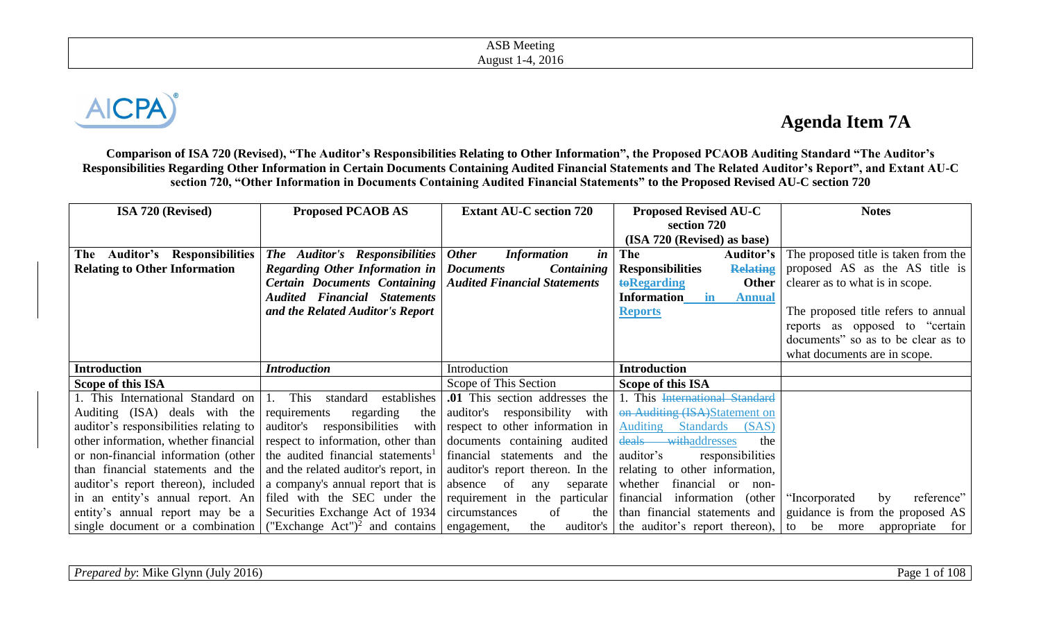

# **Agenda Item 7A**

**Comparison of ISA 720 (Revised), "The Auditor's Responsibilities Relating to Other Information", the Proposed PCAOB Auditing Standard "The Auditor's Responsibilities Regarding Other Information in Certain Documents Containing Audited Financial Statements and The Related Auditor's Report", and Extant AU-C section 720, "Other Information in Documents Containing Audited Financial Statements" to the Proposed Revised AU-C section 720** 

| ISA 720 (Revised)                                                                   | <b>Proposed PCAOB AS</b>                                                                                                                                                                  | <b>Extant AU-C section 720</b>                                                                                    | <b>Proposed Revised AU-C</b>                                                                                                                                        | <b>Notes</b>                                                                                                                                                                                                                                             |
|-------------------------------------------------------------------------------------|-------------------------------------------------------------------------------------------------------------------------------------------------------------------------------------------|-------------------------------------------------------------------------------------------------------------------|---------------------------------------------------------------------------------------------------------------------------------------------------------------------|----------------------------------------------------------------------------------------------------------------------------------------------------------------------------------------------------------------------------------------------------------|
|                                                                                     |                                                                                                                                                                                           |                                                                                                                   | section 720<br>(ISA 720 (Revised) as base)                                                                                                                          |                                                                                                                                                                                                                                                          |
| The Auditor's Responsibilities<br><b>Relating to Other Information</b>              | The Auditor's Responsibilities<br><b>Regarding Other Information in</b><br><b>Certain Documents Containing</b><br><b>Audited Financial Statements</b><br>and the Related Auditor's Report | <b>Other</b><br>in<br><i>Information</i><br><b>Documents</b><br>Containing<br><b>Audited Financial Statements</b> | <b>The</b><br>Auditor's<br><b>Responsibilities</b><br><b>Relating</b><br><b>toRegarding</b><br>Other<br><b>Information</b><br><b>Annual</b><br>in<br><b>Reports</b> | The proposed title is taken from the<br>proposed AS as the AS title is<br>clearer as to what is in scope.<br>The proposed title refers to annual<br>reports as opposed to "certain<br>documents" so as to be clear as to<br>what documents are in scope. |
| <b>Introduction</b>                                                                 | <b>Introduction</b>                                                                                                                                                                       | Introduction                                                                                                      | <b>Introduction</b>                                                                                                                                                 |                                                                                                                                                                                                                                                          |
| Scope of this ISA                                                                   |                                                                                                                                                                                           | Scope of This Section                                                                                             | Scope of this ISA                                                                                                                                                   |                                                                                                                                                                                                                                                          |
| 1. This International Standard on                                                   | This<br>standard<br>establishes                                                                                                                                                           | .01 This section addresses the                                                                                    | 1. This International Standard                                                                                                                                      |                                                                                                                                                                                                                                                          |
| Auditing (ISA) deals with the                                                       | regarding<br>requirements<br>the                                                                                                                                                          | auditor's responsibility with                                                                                     | on Auditing (ISA)Statement on                                                                                                                                       |                                                                                                                                                                                                                                                          |
| auditor's responsibilities relating to                                              | auditor's responsibilities<br>with                                                                                                                                                        | respect to other information in                                                                                   | Auditing Standards<br>(SAS)                                                                                                                                         |                                                                                                                                                                                                                                                          |
| other information, whether financial respect to information, other than             |                                                                                                                                                                                           | documents containing audited                                                                                      | deals withaddresses<br>the                                                                                                                                          |                                                                                                                                                                                                                                                          |
| or non-financial information (other                                                 | the audited financial statements <sup>1</sup>                                                                                                                                             | financial statements and the                                                                                      | auditor's<br>responsibilities                                                                                                                                       |                                                                                                                                                                                                                                                          |
| than financial statements and the                                                   | and the related auditor's report, in                                                                                                                                                      | auditor's report thereon. In the                                                                                  | relating to other information,                                                                                                                                      |                                                                                                                                                                                                                                                          |
| auditor's report thereon), included   a company's annual report that is             |                                                                                                                                                                                           | absence<br>of<br>any<br>separate                                                                                  | whether financial or<br>non-                                                                                                                                        |                                                                                                                                                                                                                                                          |
| in an entity's annual report. An filed with the SEC under the                       |                                                                                                                                                                                           | requirement in the particular                                                                                     | financial information (other                                                                                                                                        | "Incorporated<br>by<br>reference"                                                                                                                                                                                                                        |
| entity's annual report may be a Securities Exchange Act of 1934                     |                                                                                                                                                                                           | circumstances<br>of<br>the                                                                                        | than financial statements and                                                                                                                                       | guidance is from the proposed AS                                                                                                                                                                                                                         |
| single document or a combination $ $ ("Exchange Act") <sup>2</sup> and contains $ $ |                                                                                                                                                                                           | auditor's<br>engagement,<br>the                                                                                   | the auditor's report thereon),   to be more                                                                                                                         | appropriate for                                                                                                                                                                                                                                          |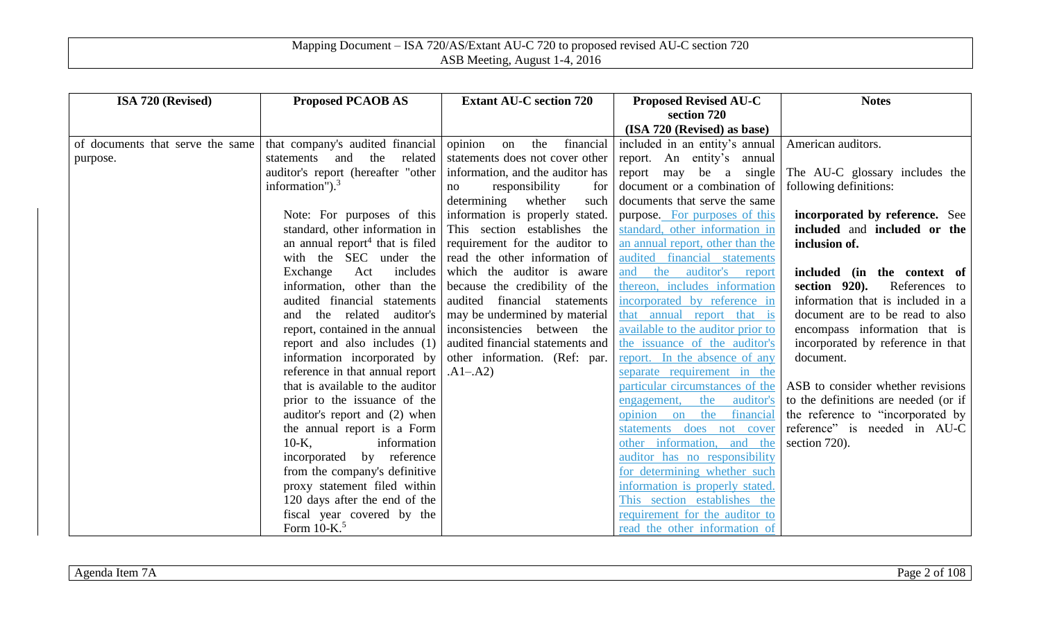| ISA 720 (Revised)                | <b>Proposed PCAOB AS</b>                                              | <b>Extant AU-C section 720</b>                                             | <b>Proposed Revised AU-C</b>      | <b>Notes</b>                         |
|----------------------------------|-----------------------------------------------------------------------|----------------------------------------------------------------------------|-----------------------------------|--------------------------------------|
|                                  |                                                                       |                                                                            | section 720                       |                                      |
|                                  |                                                                       |                                                                            | (ISA 720 (Revised) as base)       |                                      |
| of documents that serve the same | that company's audited financial                                      | opinion<br>the<br>financial<br>on                                          | included in an entity's annual    | American auditors.                   |
| purpose.                         | and the related<br>statements                                         | statements does not cover other                                            | report. An entity's annual        |                                      |
|                                  | auditor's report (hereafter "other   information, and the auditor has |                                                                            | report may be a single            | The AU-C glossary includes the       |
|                                  | information"). $3$                                                    | responsibility<br>for<br>no                                                | document or a combination of      | following definitions:               |
|                                  |                                                                       | determining<br>whether<br>such                                             | documents that serve the same     |                                      |
|                                  |                                                                       | Note: For purposes of this information is properly stated.                 | purpose. For purposes of this     | incorporated by reference. See       |
|                                  | standard, other information in                                        | This section establishes the                                               | standard, other information in    | included and included or the         |
|                                  |                                                                       | an annual report <sup>4</sup> that is filed requirement for the auditor to | an annual report, other than the  | inclusion of.                        |
|                                  | with the SEC under the                                                | read the other information of                                              | audited financial statements      |                                      |
|                                  | Exchange<br>Act<br>includes                                           | which the auditor is aware                                                 | auditor's<br>and the<br>report    | included (in the context of          |
|                                  | information, other than the                                           | because the credibility of the                                             | thereon, includes information     | section $920$ ).<br>References to    |
|                                  | audited financial statements                                          | audited financial statements                                               | incorporated by reference in      | information that is included in a    |
|                                  | the related auditor's<br>and                                          | may be undermined by material                                              | that annual report that is        | document are to be read to also      |
|                                  | report, contained in the annual                                       | inconsistencies between the                                                | available to the auditor prior to | encompass information that is        |
|                                  | report and also includes $(1)$                                        | audited financial statements and                                           | the issuance of the auditor's     | incorporated by reference in that    |
|                                  |                                                                       | information incorporated by other information. (Ref: par.                  | report. In the absence of any     | document.                            |
|                                  | reference in that annual report                                       | $.A1 - A2)$                                                                | separate requirement in the       |                                      |
|                                  | that is available to the auditor                                      |                                                                            | particular circumstances of the   | ASB to consider whether revisions    |
|                                  | prior to the issuance of the                                          |                                                                            | the<br>auditor's<br>engagement,   | to the definitions are needed (or if |
|                                  | auditor's report and (2) when                                         |                                                                            | opinion on the<br>financial       | the reference to "incorporated by"   |
|                                  | the annual report is a Form                                           |                                                                            | statements does not cover         | reference" is needed in AU-C         |
|                                  | $10-K$ ,<br>information                                               |                                                                            | other information, and the        | section 720).                        |
|                                  | incorporated by reference                                             |                                                                            | auditor has no responsibility     |                                      |
|                                  | from the company's definitive                                         |                                                                            | for determining whether such      |                                      |
|                                  | proxy statement filed within                                          |                                                                            | information is properly stated.   |                                      |
|                                  | 120 days after the end of the                                         |                                                                            | This section establishes the      |                                      |
|                                  | fiscal year covered by the                                            |                                                                            | requirement for the auditor to    |                                      |
|                                  | Form $10\text{-K}$ . <sup>5</sup>                                     |                                                                            | read the other information of     |                                      |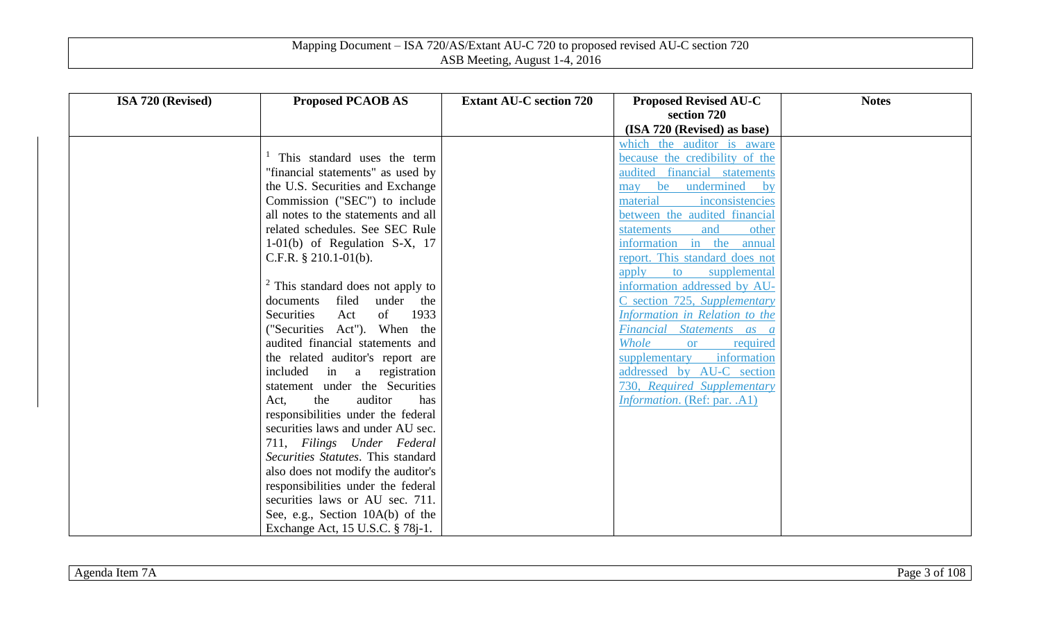| ISA 720 (Revised) | <b>Proposed PCAOB AS</b>                     | <b>Extant AU-C section 720</b> | <b>Proposed Revised AU-C</b><br>section 720 | <b>Notes</b> |
|-------------------|----------------------------------------------|--------------------------------|---------------------------------------------|--------------|
|                   |                                              |                                | (ISA 720 (Revised) as base)                 |              |
|                   |                                              |                                | which the auditor is aware                  |              |
|                   | This standard uses the term                  |                                | because the credibility of the              |              |
|                   | "financial statements" as used by            |                                | audited financial statements                |              |
|                   | the U.S. Securities and Exchange             |                                | may be undermined<br>by                     |              |
|                   | Commission ("SEC") to include                |                                | inconsistencies<br>material                 |              |
|                   | all notes to the statements and all          |                                | between the audited financial               |              |
|                   | related schedules. See SEC Rule              |                                | and<br>other<br>statements                  |              |
|                   | $1-01(b)$ of Regulation S-X, 17              |                                | information in the annual                   |              |
|                   | C.F.R. $§$ 210.1-01(b).                      |                                | report. This standard does not              |              |
|                   |                                              |                                | apply<br>to<br>supplemental                 |              |
|                   | <sup>2</sup> This standard does not apply to |                                | information addressed by AU-                |              |
|                   | under the<br>documents<br>filed              |                                | C section 725, Supplementary                |              |
|                   | of<br>Securities<br>Act<br>1933              |                                | Information in Relation to the              |              |
|                   | ("Securities Act"). When the                 |                                | Financial Statements as a                   |              |
|                   | audited financial statements and             |                                | Whole<br><b>or</b><br>required              |              |
|                   | the related auditor's report are             |                                | supplementary<br>information                |              |
|                   | included in a registration                   |                                | addressed by AU-C section                   |              |
|                   | statement under the Securities               |                                | 730, Required Supplementary                 |              |
|                   | the<br>auditor<br>Act,<br>has                |                                | <i>Information.</i> (Ref: par. .A1)         |              |
|                   | responsibilities under the federal           |                                |                                             |              |
|                   | securities laws and under AU sec.            |                                |                                             |              |
|                   | 711, Filings Under Federal                   |                                |                                             |              |
|                   | Securities Statutes. This standard           |                                |                                             |              |
|                   | also does not modify the auditor's           |                                |                                             |              |
|                   | responsibilities under the federal           |                                |                                             |              |
|                   | securities laws or AU sec. 711.              |                                |                                             |              |
|                   | See, e.g., Section 10A(b) of the             |                                |                                             |              |
|                   | Exchange Act, 15 U.S.C. § 78 <i>j</i> -1.    |                                |                                             |              |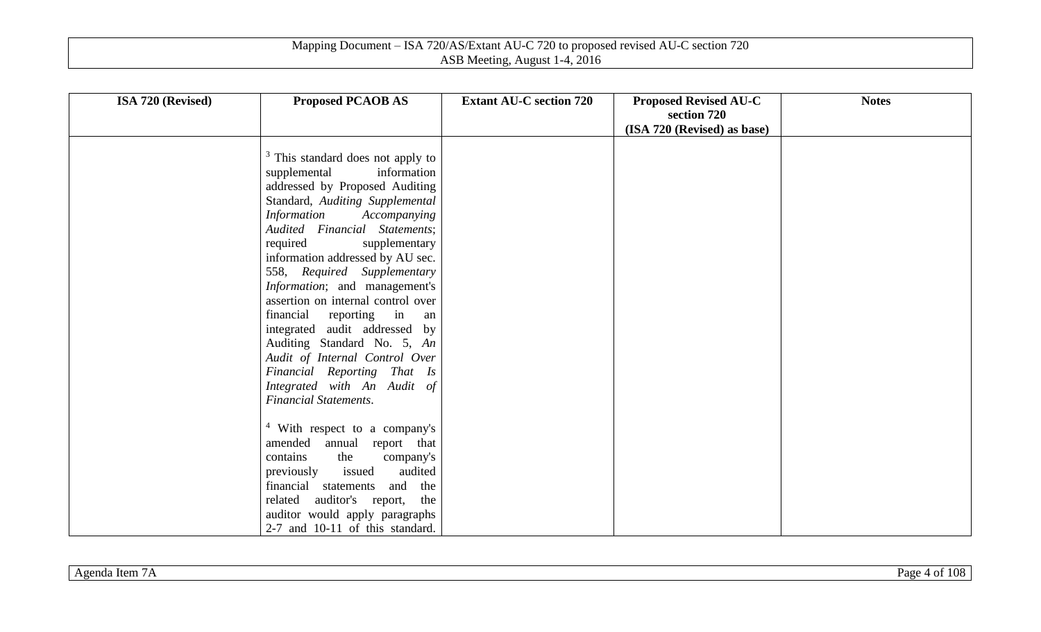| ISA 720 (Revised) | <b>Proposed PCAOB AS</b>                                                    | <b>Extant AU-C section 720</b> | <b>Proposed Revised AU-C</b><br>section 720<br>(ISA 720 (Revised) as base) | <b>Notes</b> |
|-------------------|-----------------------------------------------------------------------------|--------------------------------|----------------------------------------------------------------------------|--------------|
|                   |                                                                             |                                |                                                                            |              |
|                   | <sup>3</sup> This standard does not apply to<br>information<br>supplemental |                                |                                                                            |              |
|                   | addressed by Proposed Auditing                                              |                                |                                                                            |              |
|                   | Standard, Auditing Supplemental                                             |                                |                                                                            |              |
|                   | <b>Information</b><br>Accompanying                                          |                                |                                                                            |              |
|                   | Audited Financial Statements;                                               |                                |                                                                            |              |
|                   | required<br>supplementary                                                   |                                |                                                                            |              |
|                   | information addressed by AU sec.                                            |                                |                                                                            |              |
|                   | 558, Required Supplementary                                                 |                                |                                                                            |              |
|                   | Information; and management's                                               |                                |                                                                            |              |
|                   | assertion on internal control over                                          |                                |                                                                            |              |
|                   | financial reporting in<br>an                                                |                                |                                                                            |              |
|                   | integrated audit addressed by                                               |                                |                                                                            |              |
|                   | Auditing Standard No. 5, An                                                 |                                |                                                                            |              |
|                   | Audit of Internal Control Over                                              |                                |                                                                            |              |
|                   | Financial Reporting That Is                                                 |                                |                                                                            |              |
|                   | Integrated with An Audit of                                                 |                                |                                                                            |              |
|                   | <b>Financial Statements.</b>                                                |                                |                                                                            |              |
|                   |                                                                             |                                |                                                                            |              |
|                   | With respect to a company's                                                 |                                |                                                                            |              |
|                   | amended annual report that                                                  |                                |                                                                            |              |
|                   | contains<br>the<br>company's                                                |                                |                                                                            |              |
|                   | audited<br>issued<br>previously                                             |                                |                                                                            |              |
|                   | financial statements<br>and the                                             |                                |                                                                            |              |
|                   | auditor's report, the<br>related                                            |                                |                                                                            |              |
|                   | auditor would apply paragraphs                                              |                                |                                                                            |              |
|                   | 2-7 and 10-11 of this standard.                                             |                                |                                                                            |              |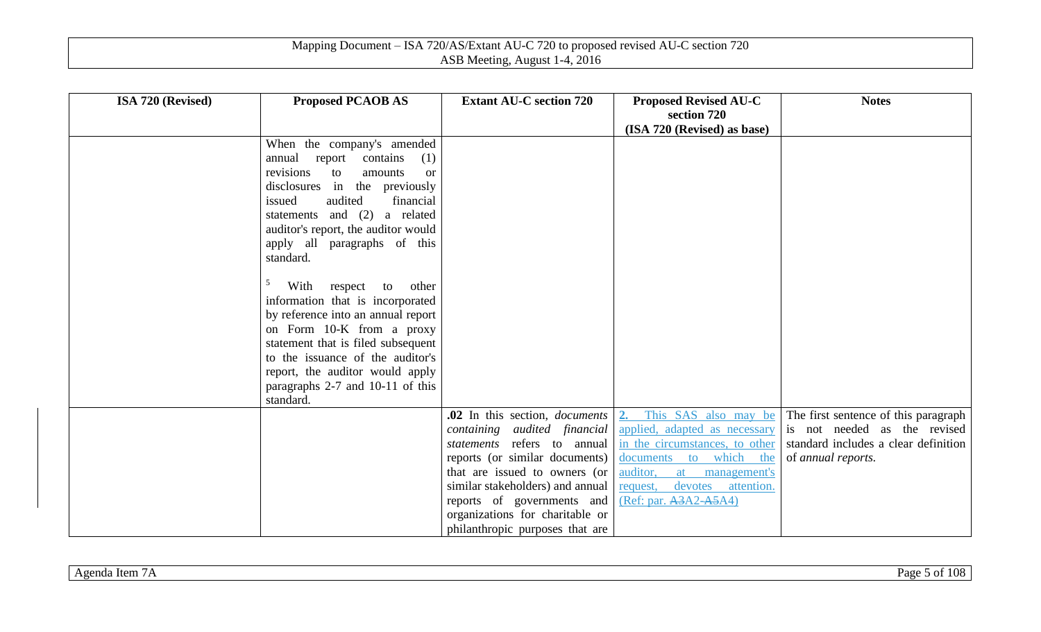| ISA 720 (Revised) | <b>Proposed PCAOB AS</b>                    | <b>Extant AU-C section 720</b>                                | <b>Proposed Revised AU-C</b><br>section 720 | <b>Notes</b>                         |
|-------------------|---------------------------------------------|---------------------------------------------------------------|---------------------------------------------|--------------------------------------|
|                   |                                             |                                                               | (ISA 720 (Revised) as base)                 |                                      |
|                   | When the company's amended                  |                                                               |                                             |                                      |
|                   | report<br>(1)<br>annual<br>contains         |                                                               |                                             |                                      |
|                   | revisions<br>to<br>amounts<br><sub>or</sub> |                                                               |                                             |                                      |
|                   | disclosures in the previously               |                                                               |                                             |                                      |
|                   | audited<br>financial<br>issued              |                                                               |                                             |                                      |
|                   | statements and (2) a related                |                                                               |                                             |                                      |
|                   | auditor's report, the auditor would         |                                                               |                                             |                                      |
|                   | apply all paragraphs of this                |                                                               |                                             |                                      |
|                   | standard.                                   |                                                               |                                             |                                      |
|                   |                                             |                                                               |                                             |                                      |
|                   | 5<br>With respect<br>to<br>other            |                                                               |                                             |                                      |
|                   | information that is incorporated            |                                                               |                                             |                                      |
|                   | by reference into an annual report          |                                                               |                                             |                                      |
|                   | on Form 10-K from a proxy                   |                                                               |                                             |                                      |
|                   | statement that is filed subsequent          |                                                               |                                             |                                      |
|                   | to the issuance of the auditor's            |                                                               |                                             |                                      |
|                   | report, the auditor would apply             |                                                               |                                             |                                      |
|                   | paragraphs 2-7 and 10-11 of this            |                                                               |                                             |                                      |
|                   | standard.                                   |                                                               |                                             |                                      |
|                   |                                             | .02 In this section, <i>documents</i> 2. This SAS also may be |                                             | The first sentence of this paragraph |
|                   |                                             | containing audited financial                                  | applied, adapted as necessary               | is not needed as the revised         |
|                   |                                             | statements refers to annual                                   | in the circumstances, to other              | standard includes a clear definition |
|                   |                                             | reports (or similar documents)                                | documents to which the                      | of annual reports.                   |
|                   |                                             | that are issued to owners (or                                 | auditor,<br>management's<br>at              |                                      |
|                   |                                             | similar stakeholders) and annual                              | request, devotes attention.                 |                                      |
|                   |                                             | reports of governments and                                    | (Ref: par. A3A2-A5A4)                       |                                      |
|                   |                                             | organizations for charitable or                               |                                             |                                      |
|                   |                                             | philanthropic purposes that are                               |                                             |                                      |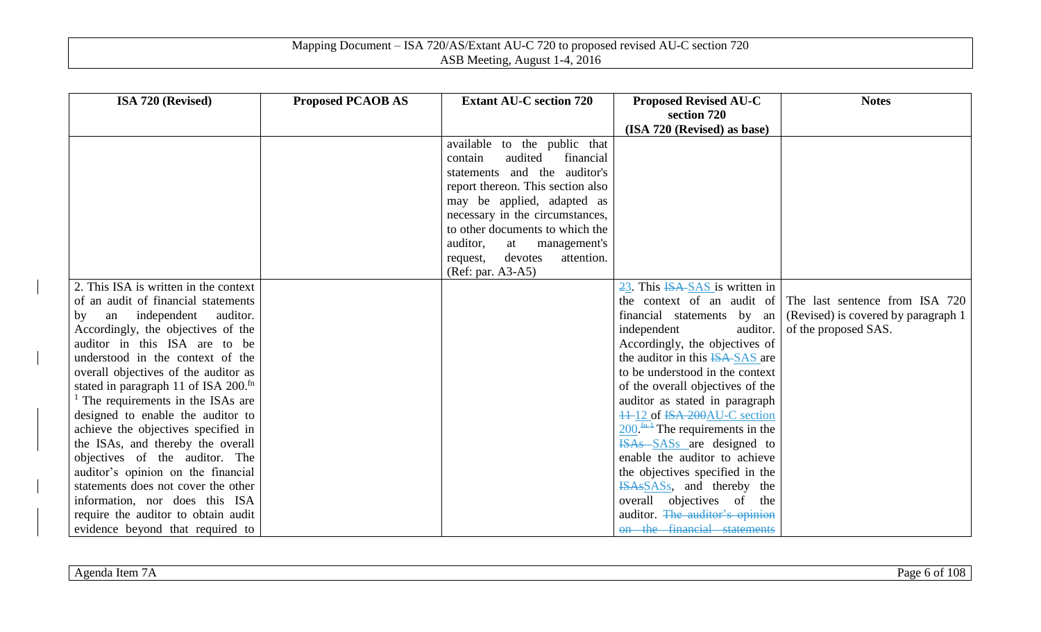| ISA 720 (Revised)                     | <b>Proposed PCAOB AS</b> | <b>Extant AU-C section 720</b>    | <b>Proposed Revised AU-C</b>                | <b>Notes</b>                        |
|---------------------------------------|--------------------------|-----------------------------------|---------------------------------------------|-------------------------------------|
|                                       |                          |                                   | section 720                                 |                                     |
|                                       |                          |                                   | (ISA 720 (Revised) as base)                 |                                     |
|                                       |                          | to the public that<br>available   |                                             |                                     |
|                                       |                          | audited<br>financial<br>contain   |                                             |                                     |
|                                       |                          | statements and the auditor's      |                                             |                                     |
|                                       |                          | report thereon. This section also |                                             |                                     |
|                                       |                          | may be applied, adapted as        |                                             |                                     |
|                                       |                          | necessary in the circumstances,   |                                             |                                     |
|                                       |                          | to other documents to which the   |                                             |                                     |
|                                       |                          | auditor,<br>at management's       |                                             |                                     |
|                                       |                          | attention.<br>devotes<br>request, |                                             |                                     |
|                                       |                          | (Ref: par. A3-A5)                 |                                             |                                     |
| 2. This ISA is written in the context |                          |                                   | 23. This ISA SAS is written in              |                                     |
| of an audit of financial statements   |                          |                                   | the context of an audit of                  | The last sentence from ISA 720      |
| by<br>an independent<br>auditor.      |                          |                                   | financial statements by an                  | (Revised) is covered by paragraph 1 |
| Accordingly, the objectives of the    |                          |                                   | auditor.<br>independent                     | of the proposed SAS.                |
| auditor in this ISA are to be         |                          |                                   | Accordingly, the objectives of              |                                     |
| understood in the context of the      |                          |                                   | the auditor in this ISA-SAS are             |                                     |
| overall objectives of the auditor as  |                          |                                   | to be understood in the context             |                                     |
| stated in paragraph 11 of ISA 200.fn  |                          |                                   | of the overall objectives of the            |                                     |
| The requirements in the ISAs are      |                          |                                   | auditor as stated in paragraph              |                                     |
| designed to enable the auditor to     |                          |                                   | 14-12 of ISA 200AU-C section                |                                     |
| achieve the objectives specified in   |                          |                                   | $200$ . $\text{fm}$ The requirements in the |                                     |
| the ISAs, and thereby the overall     |                          |                                   | <b>ISAs-SASs</b> are designed to            |                                     |
| objectives of the auditor. The        |                          |                                   | enable the auditor to achieve               |                                     |
| auditor's opinion on the financial    |                          |                                   | the objectives specified in the             |                                     |
| statements does not cover the other   |                          |                                   | ISAsSAS <sub>s</sub> , and thereby the      |                                     |
| information, nor does this ISA        |                          |                                   | overall objectives of<br>the                |                                     |
| require the auditor to obtain audit   |                          |                                   | auditor. The auditor's opinion              |                                     |
| evidence beyond that required to      |                          |                                   | on the financial statements                 |                                     |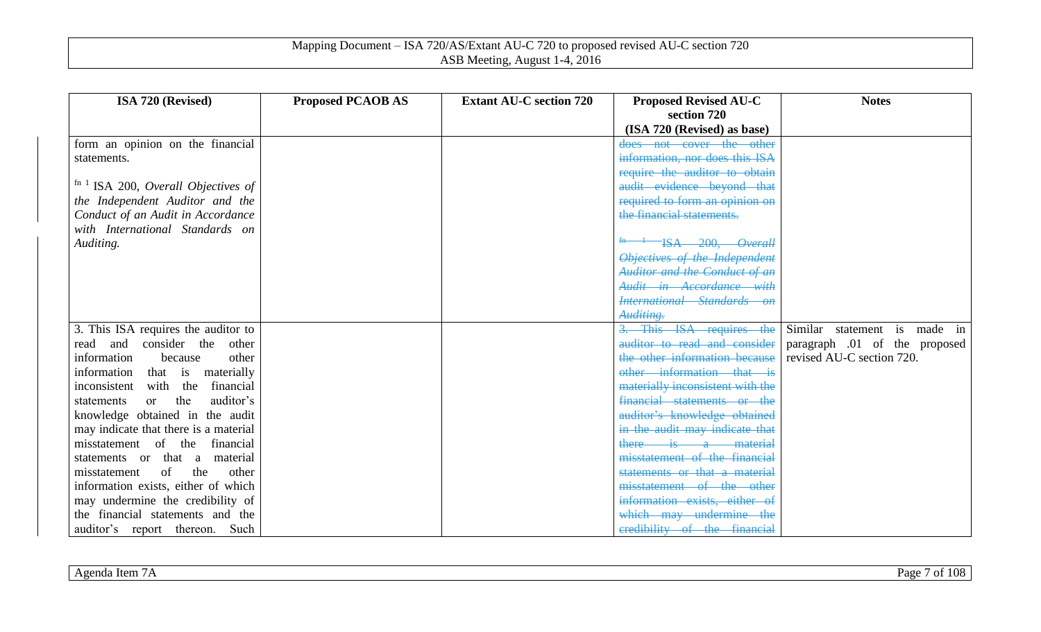| ISA 720 (Revised)                                               | <b>Proposed PCAOB AS</b> | <b>Extant AU-C section 720</b> | <b>Proposed Revised AU-C</b><br>section 720<br>(ISA 720 (Revised) as base) | <b>Notes</b>                    |
|-----------------------------------------------------------------|--------------------------|--------------------------------|----------------------------------------------------------------------------|---------------------------------|
| form an opinion on the financial                                |                          |                                | does not cover the other                                                   |                                 |
| statements.                                                     |                          |                                | information, nor does this ISA                                             |                                 |
|                                                                 |                          |                                | require the auditor to obtain                                              |                                 |
| $\frac{f_{\text{in}}}{1}$ ISA 200, <i>Overall Objectives of</i> |                          |                                | audit evidence beyond that                                                 |                                 |
| the Independent Auditor and the                                 |                          |                                | required to form an opinion on                                             |                                 |
| Conduct of an Audit in Accordance                               |                          |                                | the financial statements.                                                  |                                 |
| with International Standards on                                 |                          |                                |                                                                            |                                 |
| Auditing.                                                       |                          |                                | $\frac{fn-1}{LSA}$ 200, Overall                                            |                                 |
|                                                                 |                          |                                | Objectives of the Independent                                              |                                 |
|                                                                 |                          |                                | Auditor and the Conduct of an                                              |                                 |
|                                                                 |                          |                                | Audit in Accordance with                                                   |                                 |
|                                                                 |                          |                                | International Standards on                                                 |                                 |
|                                                                 |                          |                                | Auditing.                                                                  |                                 |
| 3. This ISA requires the auditor to                             |                          |                                | 3. This ISA requires the                                                   | Similar<br>statement is made in |
| read and consider the<br>other                                  |                          |                                | auditor to read and consider                                               | paragraph .01 of the proposed   |
| other<br>information<br>because                                 |                          |                                | the other information because                                              | revised AU-C section 720.       |
| materially<br>information<br>that is                            |                          |                                | other information that is                                                  |                                 |
| with<br>the<br>financial<br>inconsistent                        |                          |                                | materially inconsistent with the                                           |                                 |
| auditor's<br>the<br>statements<br>or                            |                          |                                | financial statements or the                                                |                                 |
| knowledge obtained in the audit                                 |                          |                                | auditor's knowledge obtained                                               |                                 |
| may indicate that there is a material                           |                          |                                | in the audit may indicate that                                             |                                 |
| misstatement of the financial                                   |                          |                                | there is a material                                                        |                                 |
| statements or that a<br>material                                |                          |                                | misstatement of the financial                                              |                                 |
| of<br>the<br>other<br>misstatement                              |                          |                                | statements or that a material                                              |                                 |
| information exists, either of which                             |                          |                                | misstatement of the other                                                  |                                 |
| may undermine the credibility of                                |                          |                                | information exists, either of                                              |                                 |
| the financial statements and the                                |                          |                                | which may undermine the                                                    |                                 |
| auditor's report thereon. Such                                  |                          |                                | credibility of the financial                                               |                                 |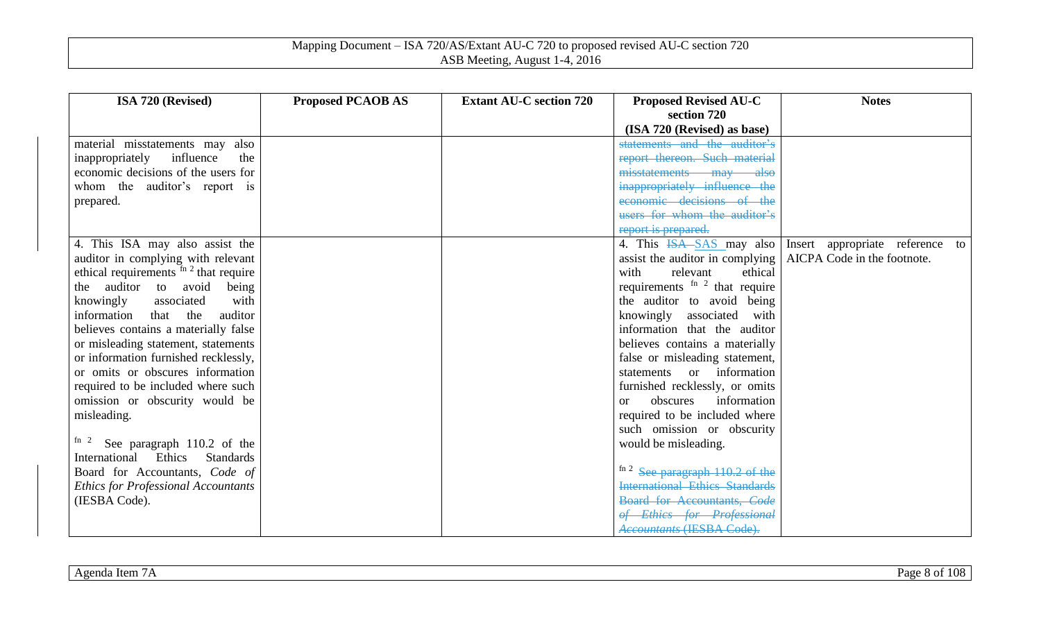| ISA 720 (Revised)                                 | <b>Proposed PCAOB AS</b> | <b>Extant AU-C section 720</b> | <b>Proposed Revised AU-C</b><br>section 720 | <b>Notes</b>                    |
|---------------------------------------------------|--------------------------|--------------------------------|---------------------------------------------|---------------------------------|
|                                                   |                          |                                | (ISA 720 (Revised) as base)                 |                                 |
| material misstatements may also                   |                          |                                | statements and the auditor's                |                                 |
| influence<br>inappropriately<br>the               |                          |                                | report thereon. Such material               |                                 |
| economic decisions of the users for               |                          |                                | misstatements may also                      |                                 |
| whom the auditor's report is                      |                          |                                | inappropriately influence the               |                                 |
| prepared.                                         |                          |                                | economic decisions of the                   |                                 |
|                                                   |                          |                                | users for whom the auditor's                |                                 |
|                                                   |                          |                                | report is prepared.                         |                                 |
| 4. This ISA may also assist the                   |                          |                                | 4. This <del>ISA SAS</del> may also         | Insert appropriate reference to |
| auditor in complying with relevant                |                          |                                | assist the auditor in complying             | AICPA Code in the footnote.     |
| ethical requirements <sup>fn 2</sup> that require |                          |                                | with<br>relevant<br>ethical                 |                                 |
| the auditor to avoid<br>being                     |                          |                                | requirements $\frac{fn}{2}$ that require    |                                 |
| associated<br>knowingly<br>with                   |                          |                                | the auditor to avoid being                  |                                 |
| information that the<br>auditor                   |                          |                                | knowingly associated<br>with                |                                 |
| believes contains a materially false              |                          |                                | information that the auditor                |                                 |
| or misleading statement, statements               |                          |                                | believes contains a materially              |                                 |
| or information furnished recklessly,              |                          |                                | false or misleading statement,              |                                 |
| or omits or obscures information                  |                          |                                | statements or information                   |                                 |
| required to be included where such                |                          |                                | furnished recklessly, or omits              |                                 |
| omission or obscurity would be                    |                          |                                | information<br>obscures<br>0r               |                                 |
| misleading.                                       |                          |                                | required to be included where               |                                 |
|                                                   |                          |                                | such omission or obscurity                  |                                 |
| fn $2$<br>See paragraph 110.2 of the              |                          |                                | would be misleading.                        |                                 |
| Ethics<br><b>Standards</b><br>International       |                          |                                |                                             |                                 |
| Board for Accountants, Code of                    |                          |                                | fn 2 See paragraph 110.2 of the             |                                 |
| <b>Ethics for Professional Accountants</b>        |                          |                                | <b>International Ethics Standards</b>       |                                 |
| (IESBA Code).                                     |                          |                                | <b>Board for Accountants, Code</b>          |                                 |
|                                                   |                          |                                | of Ethics for Professional                  |                                 |
|                                                   |                          |                                | Accountants (IESBA Code).                   |                                 |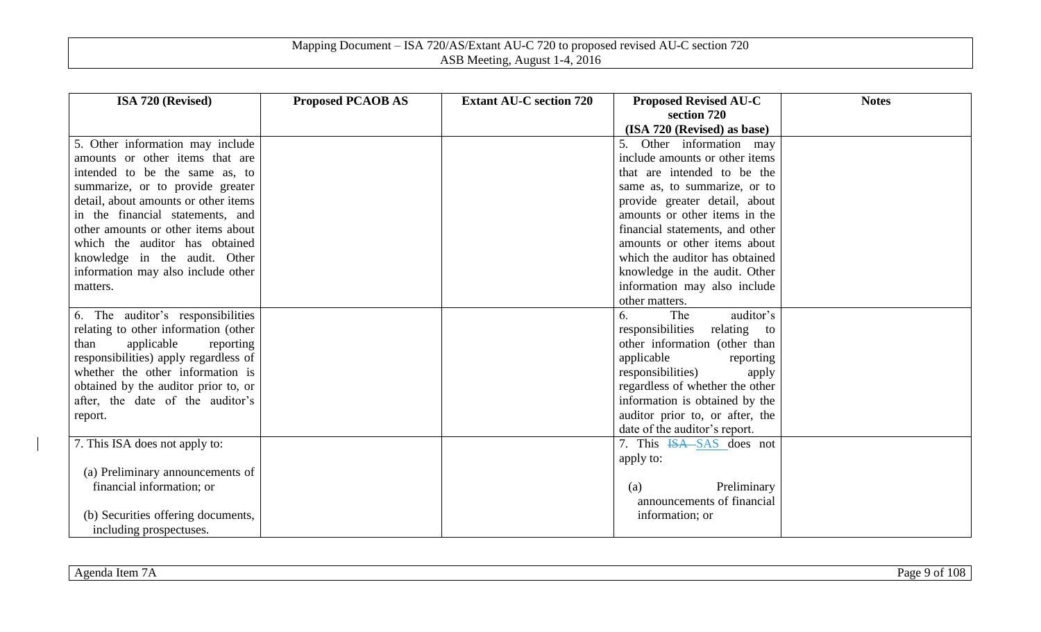| ISA 720 (Revised)                     | <b>Proposed PCAOB AS</b> | <b>Extant AU-C section 720</b> | <b>Proposed Revised AU-C</b>        | <b>Notes</b> |
|---------------------------------------|--------------------------|--------------------------------|-------------------------------------|--------------|
|                                       |                          |                                | section 720                         |              |
|                                       |                          |                                | (ISA 720 (Revised) as base)         |              |
| 5. Other information may include      |                          |                                | 5. Other information may            |              |
| amounts or other items that are       |                          |                                | include amounts or other items      |              |
| intended to be the same as, to        |                          |                                | that are intended to be the         |              |
| summarize, or to provide greater      |                          |                                | same as, to summarize, or to        |              |
| detail, about amounts or other items  |                          |                                | provide greater detail, about       |              |
| in the financial statements, and      |                          |                                | amounts or other items in the       |              |
| other amounts or other items about    |                          |                                | financial statements, and other     |              |
| which the auditor has obtained        |                          |                                | amounts or other items about        |              |
| knowledge in the audit. Other         |                          |                                | which the auditor has obtained      |              |
| information may also include other    |                          |                                | knowledge in the audit. Other       |              |
| matters.                              |                          |                                | information may also include        |              |
|                                       |                          |                                | other matters.                      |              |
| 6. The auditor's responsibilities     |                          |                                | auditor's<br>6.<br>The              |              |
| relating to other information (other  |                          |                                | responsibilities<br>relating<br>to  |              |
| applicable<br>reporting<br>than       |                          |                                | other information (other than       |              |
| responsibilities) apply regardless of |                          |                                | applicable<br>reporting             |              |
| whether the other information is      |                          |                                | responsibilities)<br>apply          |              |
| obtained by the auditor prior to, or  |                          |                                | regardless of whether the other     |              |
| after, the date of the auditor's      |                          |                                | information is obtained by the      |              |
| report.                               |                          |                                | auditor prior to, or after, the     |              |
|                                       |                          |                                | date of the auditor's report.       |              |
| 7. This ISA does not apply to:        |                          |                                | 7. This <del>ISA</del> SAS does not |              |
|                                       |                          |                                | apply to:                           |              |
| (a) Preliminary announcements of      |                          |                                |                                     |              |
| financial information; or             |                          |                                | Preliminary<br>(a)                  |              |
|                                       |                          |                                | announcements of financial          |              |
| (b) Securities offering documents,    |                          |                                | information; or                     |              |
| including prospectuses.               |                          |                                |                                     |              |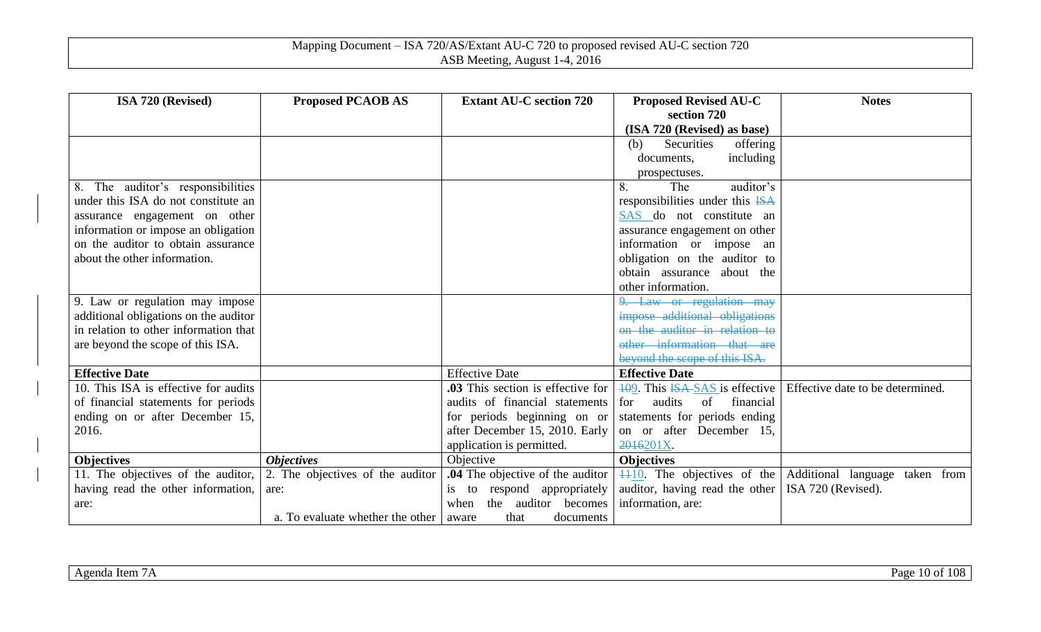| ISA 720 (Revised)                     | <b>Proposed PCAOB AS</b>                 | <b>Extant AU-C section 720</b>    | <b>Proposed Revised AU-C</b>                           | <b>Notes</b>                      |
|---------------------------------------|------------------------------------------|-----------------------------------|--------------------------------------------------------|-----------------------------------|
|                                       |                                          |                                   | section 720                                            |                                   |
|                                       |                                          |                                   | (ISA 720 (Revised) as base)                            |                                   |
|                                       |                                          |                                   | offering<br>Securities<br>(b)                          |                                   |
|                                       |                                          |                                   | including<br>documents,                                |                                   |
|                                       |                                          |                                   | prospectuses.                                          |                                   |
| 8. The auditor's responsibilities     |                                          |                                   | 8.<br>The<br>auditor's                                 |                                   |
| under this ISA do not constitute an   |                                          |                                   | responsibilities under this ISA                        |                                   |
| assurance engagement on other         |                                          |                                   | SAS do not constitute an                               |                                   |
| information or impose an obligation   |                                          |                                   | assurance engagement on other                          |                                   |
| on the auditor to obtain assurance    |                                          |                                   | information or impose an                               |                                   |
| about the other information.          |                                          |                                   | obligation on the auditor to                           |                                   |
|                                       |                                          |                                   | obtain assurance about the                             |                                   |
|                                       |                                          |                                   | other information.                                     |                                   |
| 9. Law or regulation may impose       |                                          |                                   | 9. Law or regulation may                               |                                   |
| additional obligations on the auditor |                                          |                                   | impose additional obligations                          |                                   |
| in relation to other information that |                                          |                                   | on the auditor in relation to                          |                                   |
| are beyond the scope of this ISA.     |                                          |                                   | other information that are                             |                                   |
|                                       |                                          |                                   | beyond the scope of this ISA.                          |                                   |
| <b>Effective Date</b>                 |                                          | <b>Effective Date</b>             | <b>Effective Date</b>                                  |                                   |
| 10. This ISA is effective for audits  |                                          | .03 This section is effective for | $\frac{109}{2}$ . This $\frac{1}{54}$ SAS is effective | Effective date to be determined.  |
| of financial statements for periods   |                                          | audits of financial statements    | of<br>audits<br>financial<br>for                       |                                   |
| ending on or after December 15,       |                                          | for periods beginning on or       | statements for periods ending                          |                                   |
| 2016.                                 |                                          | after December 15, 2010. Early    | on or after December 15,                               |                                   |
|                                       |                                          | application is permitted.         | 2016201X.                                              |                                   |
| <b>Objectives</b>                     | <b>Objectives</b>                        | Objective                         | <b>Objectives</b>                                      |                                   |
| 11. The objectives of the auditor,    | 2. The objectives of the auditor         | .04 The objective of the auditor  | $\frac{1110}{111}$ . The objectives of the             | Additional language<br>taken from |
| having read the other information,    | are:                                     | is to respond appropriately       | auditor, having read the other                         | ISA 720 (Revised).                |
| are:                                  |                                          | auditor becomes<br>the<br>when    | information, are:                                      |                                   |
|                                       | a. To evaluate whether the other   aware | that<br>documents                 |                                                        |                                   |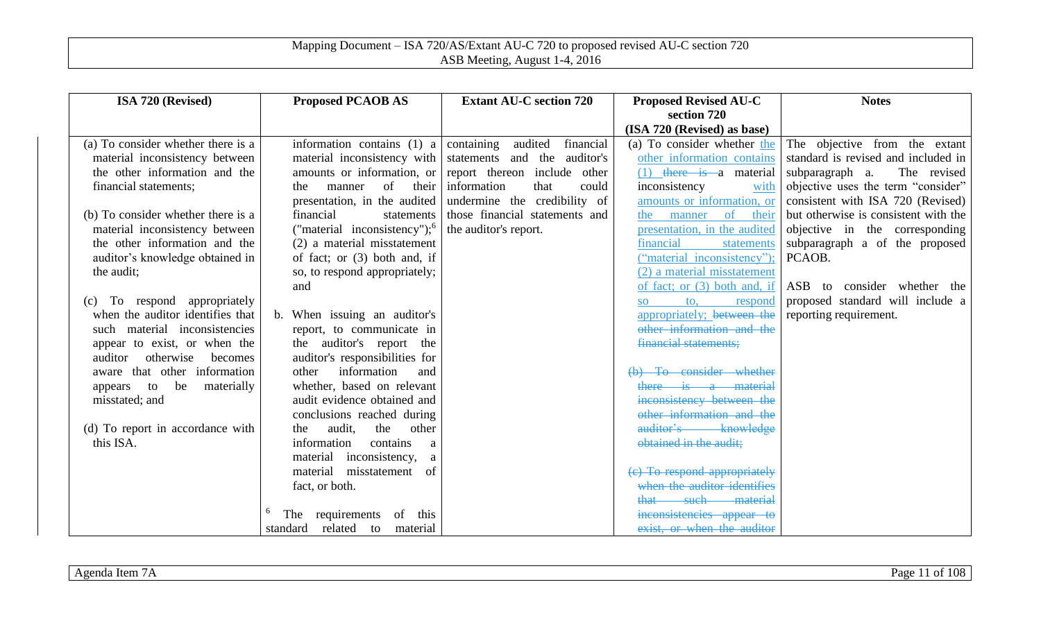| ISA 720 (Revised)                  | <b>Proposed PCAOB AS</b>                  | <b>Extant AU-C section 720</b> | <b>Proposed Revised AU-C</b>         | <b>Notes</b>                         |
|------------------------------------|-------------------------------------------|--------------------------------|--------------------------------------|--------------------------------------|
|                                    |                                           |                                | section 720                          |                                      |
|                                    |                                           |                                | (ISA 720 (Revised) as base)          |                                      |
| (a) To consider whether there is a | information contains $(1)$ a containing   | audited<br>financial           | (a) To consider whether the          | The objective from the extant        |
| material inconsistency between     | material inconsistency with               | statements and the auditor's   | other information contains           | standard is revised and included in  |
| the other information and the      | amounts or information, or                | report thereon include other   | $(1)$ there is a material            | The revised<br>subparagraph a.       |
| financial statements;              | of<br>their<br>manner<br>the              | information<br>could<br>that   | inconsistency<br>with                | objective uses the term "consider"   |
|                                    | presentation, in the audited              | undermine the credibility of   | amounts or information, or           | consistent with ISA 720 (Revised)    |
| (b) To consider whether there is a | financial<br>statements                   | those financial statements and | <sub>of</sub><br>the manner<br>their | but otherwise is consistent with the |
| material inconsistency between     | ("material inconsistency"); $6 \mid$      | the auditor's report.          | presentation, in the audited         | objective in the corresponding       |
| the other information and the      | (2) a material misstatement               |                                | financial<br>statements              | subparagraph a of the proposed       |
| auditor's knowledge obtained in    | of fact; or $(3)$ both and, if            |                                | ("material inconsistency");          | PCAOB.                               |
| the audit;                         | so, to respond appropriately;             |                                | (2) a material misstatement          |                                      |
|                                    | and                                       |                                | of fact; or (3) both and, if         | ASB to consider whether the          |
| To respond appropriately<br>(c)    |                                           |                                | to,<br>respond<br>SO <sub>2</sub>    | proposed standard will include a     |
| when the auditor identifies that   | When issuing an auditor's<br>b.           |                                | appropriately; between the           | reporting requirement.               |
| such material inconsistencies      | report, to communicate in                 |                                | other information and the            |                                      |
| appear to exist, or when the       | the auditor's report the                  |                                | financial statements;                |                                      |
| auditor<br>otherwise<br>becomes    | auditor's responsibilities for            |                                |                                      |                                      |
| aware that other information       | information<br>other<br>and               |                                | (b) To consider whether              |                                      |
| be<br>materially<br>to<br>appears  | whether, based on relevant                |                                | there is a material                  |                                      |
| misstated; and                     | audit evidence obtained and               |                                | inconsistency between the            |                                      |
|                                    | conclusions reached during                |                                | other information and the            |                                      |
| (d) To report in accordance with   | audit,<br>other<br>the<br>the             |                                | auditor's knowledge                  |                                      |
| this ISA.                          | information<br>contains<br>a              |                                | obtained in the audit;               |                                      |
|                                    | material<br>inconsistency,<br>a           |                                |                                      |                                      |
|                                    | material<br>misstatement<br><sub>of</sub> |                                | (c) To respond appropriately         |                                      |
|                                    | fact, or both.                            |                                | when the auditor identifies          |                                      |
|                                    |                                           |                                | that such material                   |                                      |
|                                    | requirements<br>of<br>The<br>this         |                                | inconsistencies appear to            |                                      |
|                                    | standard<br>related to<br>material        |                                | exist, or when the auditor           |                                      |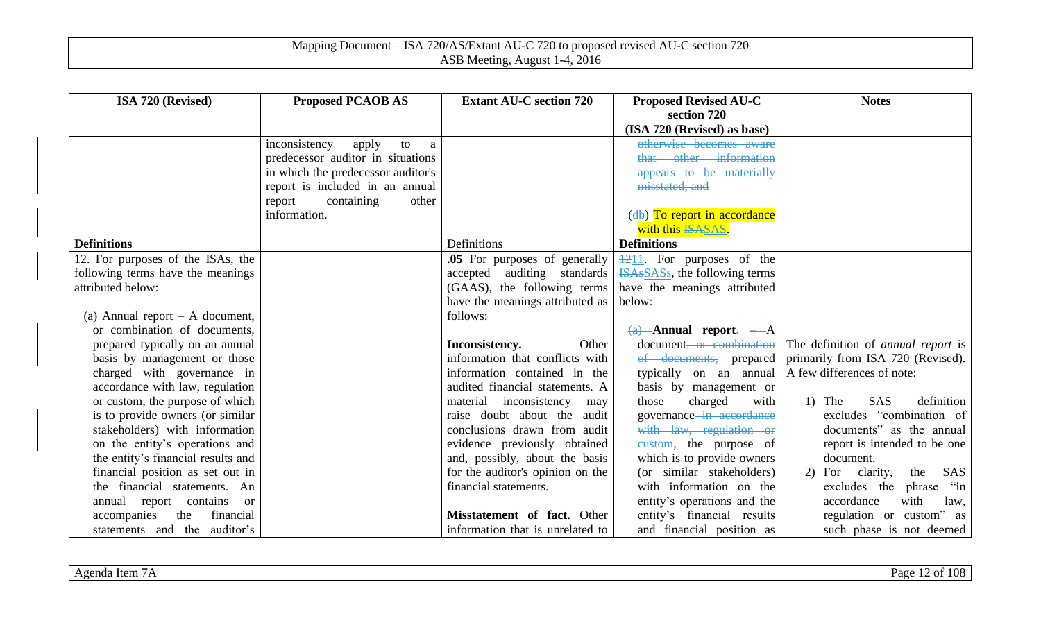| ISA 720 (Revised)                             | <b>Proposed PCAOB AS</b>           | <b>Extant AU-C section 720</b>   | <b>Proposed Revised AU-C</b><br>section 720<br>(ISA 720 (Revised) as base) | <b>Notes</b>                              |
|-----------------------------------------------|------------------------------------|----------------------------------|----------------------------------------------------------------------------|-------------------------------------------|
|                                               | apply<br>inconsistency<br>to<br>a  |                                  | otherwise becomes aware                                                    |                                           |
|                                               | predecessor auditor in situations  |                                  | that other information                                                     |                                           |
|                                               | in which the predecessor auditor's |                                  | appears to be materially                                                   |                                           |
|                                               | report is included in an annual    |                                  | misstated; and                                                             |                                           |
|                                               | containing<br>other<br>report      |                                  |                                                                            |                                           |
|                                               | information.                       |                                  | $\frac{d}{d}$ ) To report in accordance                                    |                                           |
|                                               |                                    |                                  | with this ISASAS.                                                          |                                           |
| <b>Definitions</b>                            |                                    | Definitions                      | <b>Definitions</b>                                                         |                                           |
| 12. For purposes of the ISAs, the             |                                    | .05 For purposes of generally    | $\frac{1211}{2}$ . For purposes of the                                     |                                           |
| following terms have the meanings             |                                    | auditing standards<br>accepted   | <b>ISAsSASs</b> , the following terms                                      |                                           |
| attributed below:                             |                                    | (GAAS), the following terms      | have the meanings attributed                                               |                                           |
|                                               |                                    | have the meanings attributed as  | below:                                                                     |                                           |
| (a) Annual report $-$ A document,             |                                    | follows:                         |                                                                            |                                           |
| or combination of documents,                  |                                    |                                  | $(a)$ Annual report. $-A$                                                  |                                           |
| prepared typically on an annual               |                                    | Inconsistency.<br>Other          | document, or combination                                                   | The definition of <i>annual report</i> is |
| basis by management or those                  |                                    | information that conflicts with  | of documents, prepared                                                     | primarily from ISA 720 (Revised).         |
| charged with governance in                    |                                    | information contained in the     | typically on an annual                                                     | A few differences of note:                |
| accordance with law, regulation               |                                    | audited financial statements. A  | basis by management or                                                     |                                           |
| or custom, the purpose of which               |                                    | material inconsistency<br>may    | charged<br>with<br>those                                                   | <b>SAS</b><br>definition<br>$1)$ The      |
| is to provide owners (or similar              |                                    | raise doubt about the<br>audit   | governance in accordance                                                   | excludes "combination of                  |
| stakeholders) with information                |                                    | conclusions drawn from audit     | with law, regulation or                                                    | documents" as the annual                  |
| on the entity's operations and                |                                    | evidence previously obtained     | eustom, the purpose of                                                     | report is intended to be one              |
| the entity's financial results and            |                                    | and, possibly, about the basis   | which is to provide owners                                                 | document.                                 |
| financial position as set out in              |                                    | for the auditor's opinion on the | (or similar stakeholders)                                                  | 2) For clarity,<br><b>SAS</b><br>the      |
| the financial statements. An                  |                                    | financial statements.            | with information on the                                                    | phrase "in<br>excludes the                |
| contains<br>annual<br>report<br><sub>or</sub> |                                    |                                  | entity's operations and the                                                | with<br>accordance<br>law.                |
| financial<br>accompanies<br>the               |                                    | Misstatement of fact. Other      | entity's financial results                                                 | regulation or custom" as                  |
| statements and the auditor's                  |                                    | information that is unrelated to | and financial position as                                                  | such phase is not deemed                  |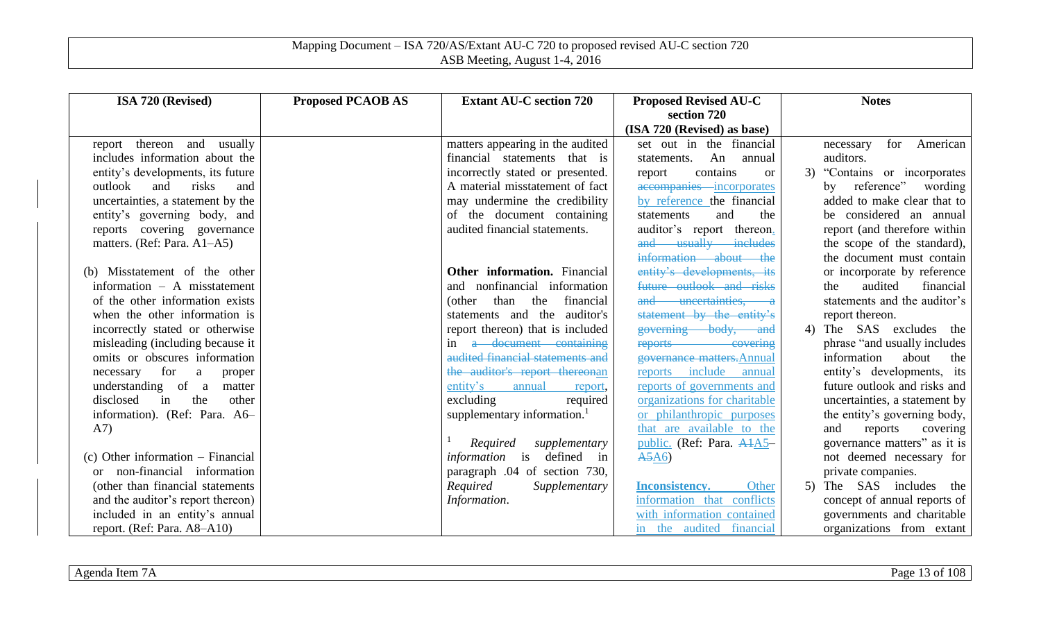| ISA 720 (Revised)                   | <b>Proposed PCAOB AS</b> | <b>Extant AU-C section 720</b>          | <b>Proposed Revised AU-C</b>                        | <b>Notes</b>                  |
|-------------------------------------|--------------------------|-----------------------------------------|-----------------------------------------------------|-------------------------------|
|                                     |                          |                                         | section 720                                         |                               |
|                                     |                          |                                         | (ISA 720 (Revised) as base)                         |                               |
| thereon and usually<br>report       |                          | matters appearing in the audited        | set out in the financial                            | for American<br>necessary     |
| includes information about the      |                          | financial statements that is            | An<br>statements.<br>annual                         | auditors.                     |
| entity's developments, its future   |                          | incorrectly stated or presented.        | contains<br>report<br><sub>or</sub>                 | 3) "Contains or incorporates  |
| outlook<br>risks<br>and<br>and      |                          | A material misstatement of fact         | accompanies incorporates                            | reference"<br>wording<br>by   |
| uncertainties, a statement by the   |                          | may undermine the credibility           | by reference the financial                          | added to make clear that to   |
| entity's governing body, and        |                          | of the document containing              | the<br>statements<br>and                            | be considered an annual       |
| reports covering governance         |                          | audited financial statements.           | auditor's report thereon.                           | report (and therefore within  |
| matters. (Ref: Para. A1–A5)         |                          |                                         | and usually includes                                | the scope of the standard),   |
|                                     |                          |                                         | information about<br><del>the</del>                 | the document must contain     |
| Misstatement of the other<br>(b)    |                          | Other information. Financial            | entity's developments, its                          | or incorporate by reference   |
| information $-$ A misstatement      |                          | and nonfinancial information            | future outlook and risks                            | audited<br>financial<br>the   |
| of the other information exists     |                          | financial<br>than<br>the<br>(other)     | uncertainties.<br>and                               | statements and the auditor's  |
| when the other information is       |                          | statements and the auditor's            | statement by the entity's                           | report thereon.               |
| incorrectly stated or otherwise     |                          | report thereon) that is included        | governing body,<br><del>and</del>                   | The SAS excludes the<br>4)    |
| misleading (including because it)   |                          | in a document containing                | reports <u>example</u><br>covering                  | phrase "and usually includes" |
| omits or obscures information       |                          | audited financial statements and        | governance matters.Annual                           | information<br>about<br>the   |
| for<br>necessary<br>a<br>proper     |                          | the auditor's report thereonan          | reports include<br>annual                           | entity's developments, its    |
| understanding of<br>matter<br>a     |                          | entity's<br>annual<br>report.           | reports of governments and                          | future outlook and risks and  |
| disclosed<br>the<br>other<br>in     |                          | required<br>excluding                   | organizations for charitable                        | uncertainties, a statement by |
| information). (Ref: Para. A6-       |                          | supplementary information. <sup>1</sup> | or philanthropic purposes                           | the entity's governing body,  |
| (A7)                                |                          |                                         | that are available to the                           | and<br>reports<br>covering    |
|                                     |                          | supplementary<br>Required               | public. (Ref: Para. A <sub>1</sub> A <sub>5</sub> – | governance matters" as it is  |
| $(c)$ Other information – Financial |                          | information<br>defined<br>is<br>in      | A5A6                                                | not deemed necessary for      |
| non-financial information           |                          | paragraph .04 of section 730,           |                                                     | private companies.            |
| (other than financial statements)   |                          | Supplementary<br>Required               | <b>Inconsistency.</b><br>Other                      | The SAS includes the<br>5)    |
| and the auditor's report thereon)   |                          | Information.                            | information that conflicts                          | concept of annual reports of  |
| included in an entity's annual      |                          |                                         | with information contained                          | governments and charitable    |
| report. (Ref: Para. A8-A10)         |                          |                                         | in the audited financial                            | organizations from extant     |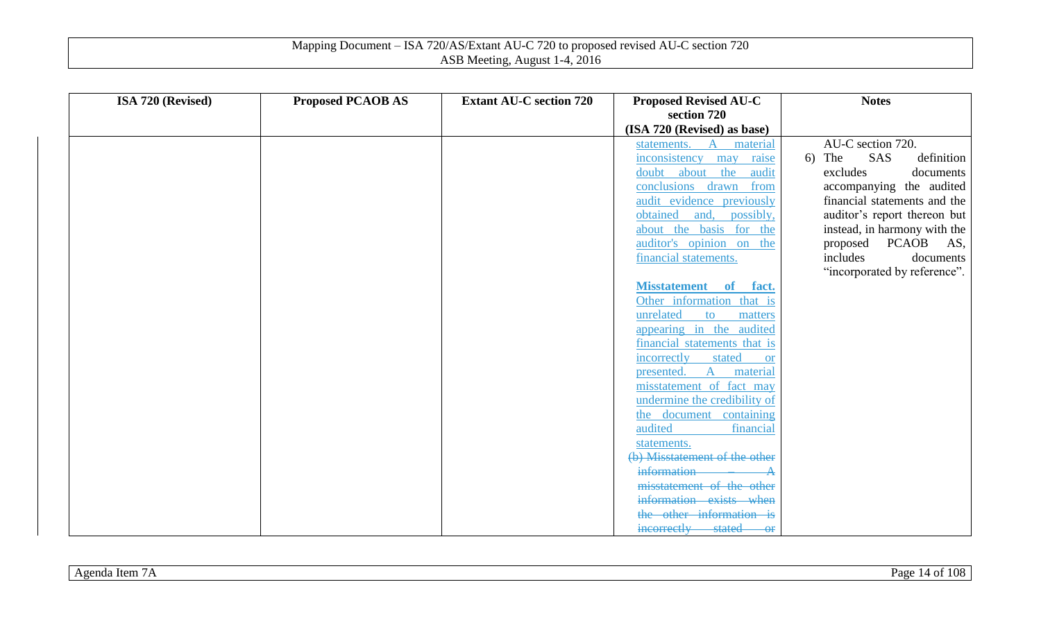| Mapping Document – ISA 720/AS/Extant AU-C 720 to proposed revised AU-C section 720 |  |
|------------------------------------------------------------------------------------|--|
| ASB Meeting, August 1-4, 2016                                                      |  |

| ISA 720 (Revised) | <b>Proposed PCAOB AS</b> | <b>Extant AU-C section 720</b> | <b>Proposed Revised AU-C</b><br>section 720<br>(ISA 720 (Revised) as base)                                                                                                                                                                                                                                                                                                                                                                                                                                                                                                                                                                                                                                                                                                           | <b>Notes</b>                                                                                                                                                                                                                                                                            |
|-------------------|--------------------------|--------------------------------|--------------------------------------------------------------------------------------------------------------------------------------------------------------------------------------------------------------------------------------------------------------------------------------------------------------------------------------------------------------------------------------------------------------------------------------------------------------------------------------------------------------------------------------------------------------------------------------------------------------------------------------------------------------------------------------------------------------------------------------------------------------------------------------|-----------------------------------------------------------------------------------------------------------------------------------------------------------------------------------------------------------------------------------------------------------------------------------------|
|                   |                          |                                | statements. A<br>material<br>inconsistency may<br>raise<br>doubt about the<br>audit<br>conclusions drawn<br>from<br>audit evidence previously<br>and, possibly,<br>obtained<br>about the basis for the<br>auditor's opinion on the<br>financial statements.<br>Misstatement of fact.<br>Other information that is<br>unrelated<br>to<br>matters<br>appearing in the audited<br>financial statements that is<br>incorrectly<br>stated<br><b>or</b><br>A material<br>presented.<br>misstatement of fact may<br>undermine the credibility of<br>the document containing<br>audited<br>financial<br>statements.<br>(b) Misstatement of the other<br>information<br>misstatement of the other<br>information exists when<br>the other information is<br>incorrectly stated<br>$-\theta$ f | AU-C section 720.<br>SAS<br>The<br>6)<br>definition<br>excludes<br>documents<br>accompanying the audited<br>financial statements and the<br>auditor's report thereon but<br>instead, in harmony with the<br>proposed PCAOB AS,<br>includes<br>documents<br>"incorporated by reference". |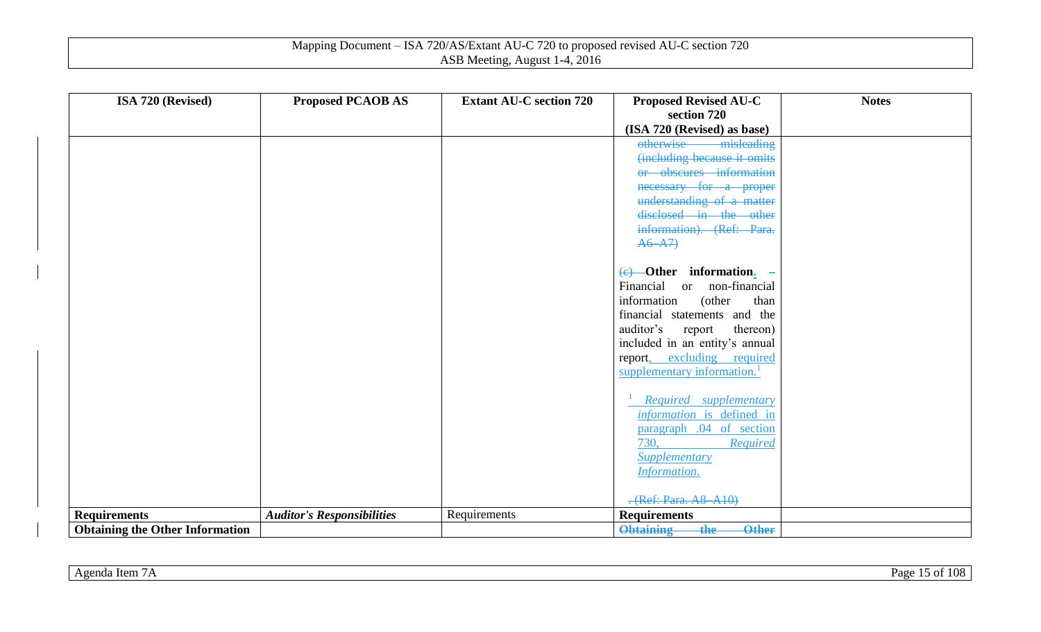| Mapping Document – ISA 720/AS/Extant AU-C 720 to proposed revised AU-C section 720 |
|------------------------------------------------------------------------------------|
| ASB Meeting, August 1-4, 2016                                                      |

| otherwise misleading<br>(including because it omits<br>or obscures information<br>necessary for a proper<br>understanding of a matter<br>disclosed in the other<br>information). (Ref: Para.<br>$A6 - A7$<br>$\overline{(e)}$ Other information. -<br>Financial or non-financial<br>information<br>(other<br>than<br>financial statements and the<br>auditor's report<br>thereon)<br>included in an entity's annual<br>report, excluding required<br>supplementary information. <sup>1</sup><br>Required supplementary<br>information is defined in<br>paragraph .04 of section<br>730.<br>Required<br>Supplementary<br>Information.<br>. (Ref: Para. A8-A10)<br><b>Auditor's Responsibilities</b><br><b>Requirements</b><br>Requirements<br><b>Requirements</b> | ISA 720 (Revised) | <b>Proposed PCAOB AS</b> | <b>Extant AU-C section 720</b> | <b>Proposed Revised AU-C</b><br>section 720<br>(ISA 720 (Revised) as base) | <b>Notes</b> |
|------------------------------------------------------------------------------------------------------------------------------------------------------------------------------------------------------------------------------------------------------------------------------------------------------------------------------------------------------------------------------------------------------------------------------------------------------------------------------------------------------------------------------------------------------------------------------------------------------------------------------------------------------------------------------------------------------------------------------------------------------------------|-------------------|--------------------------|--------------------------------|----------------------------------------------------------------------------|--------------|
|                                                                                                                                                                                                                                                                                                                                                                                                                                                                                                                                                                                                                                                                                                                                                                  |                   |                          |                                |                                                                            |              |
|                                                                                                                                                                                                                                                                                                                                                                                                                                                                                                                                                                                                                                                                                                                                                                  |                   |                          |                                |                                                                            |              |
|                                                                                                                                                                                                                                                                                                                                                                                                                                                                                                                                                                                                                                                                                                                                                                  |                   |                          |                                |                                                                            |              |
|                                                                                                                                                                                                                                                                                                                                                                                                                                                                                                                                                                                                                                                                                                                                                                  |                   |                          |                                |                                                                            |              |
|                                                                                                                                                                                                                                                                                                                                                                                                                                                                                                                                                                                                                                                                                                                                                                  |                   |                          |                                |                                                                            |              |
|                                                                                                                                                                                                                                                                                                                                                                                                                                                                                                                                                                                                                                                                                                                                                                  |                   |                          |                                |                                                                            |              |
| <b>Obtaining</b><br><b>Obtaining the Other Information</b><br>the-<br><b>Other</b>                                                                                                                                                                                                                                                                                                                                                                                                                                                                                                                                                                                                                                                                               |                   |                          |                                |                                                                            |              |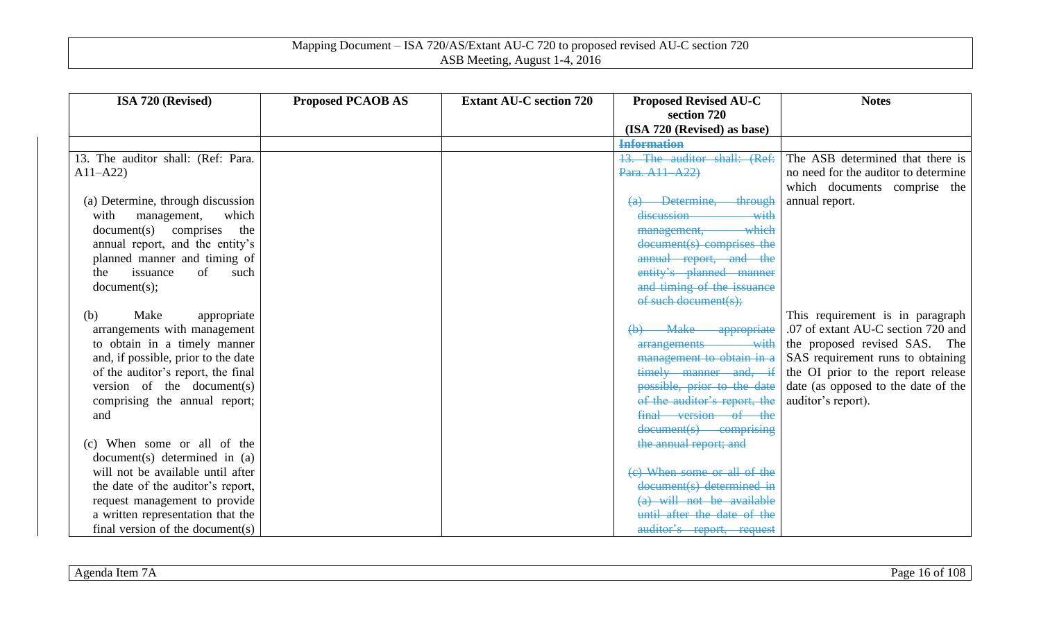| ISA 720 (Revised)                                                                                                                                                                                                                                   | <b>Proposed PCAOB AS</b> | <b>Extant AU-C section 720</b> | <b>Proposed Revised AU-C</b><br>section 720<br>(ISA 720 (Revised) as base)                                                                                                                                                                                    | <b>Notes</b>                                                                                                                                                                                                                                    |
|-----------------------------------------------------------------------------------------------------------------------------------------------------------------------------------------------------------------------------------------------------|--------------------------|--------------------------------|---------------------------------------------------------------------------------------------------------------------------------------------------------------------------------------------------------------------------------------------------------------|-------------------------------------------------------------------------------------------------------------------------------------------------------------------------------------------------------------------------------------------------|
|                                                                                                                                                                                                                                                     |                          |                                | <b>Information</b>                                                                                                                                                                                                                                            |                                                                                                                                                                                                                                                 |
| 13. The auditor shall: (Ref: Para.<br>$A11 - A22$                                                                                                                                                                                                   |                          |                                | 13. The auditor shall: (Ref:<br>Para. A11 A22)                                                                                                                                                                                                                | The ASB determined that there is<br>no need for the auditor to determine<br>which documents comprise the                                                                                                                                        |
| (a) Determine, through discussion<br>which<br>with<br>management,<br>document(s) comprises the<br>annual report, and the entity's<br>planned manner and timing of<br>of<br>issuance<br>the<br>such<br>document(s);                                  |                          |                                | Determine,<br>through<br>with<br>discussion<br><b>which</b><br>management,<br>document(s) comprises the<br>annual report, and the<br>entity's planned manner<br>and timing of the issuance                                                                    | annual report.                                                                                                                                                                                                                                  |
| Make<br>(b)<br>appropriate<br>arrangements with management<br>to obtain in a timely manner<br>and, if possible, prior to the date<br>of the auditor's report, the final<br>version of the document(s)<br>comprising the annual report;<br>and       |                          |                                | of such document(s);<br><b>Make</b><br>appropriate<br>arrangements<br><del>-with</del><br>management to obtain in a<br>timely manner and, if<br>possible, prior to the date<br>of the auditor's report, the<br>final version of the<br>document(s) comprising | This requirement is in paragraph<br>.07 of extant AU-C section 720 and<br>the proposed revised SAS. The<br>SAS requirement runs to obtaining<br>the OI prior to the report release<br>date (as opposed to the date of the<br>auditor's report). |
| When some or all of the<br>(c)<br>document(s) determined in (a)<br>will not be available until after<br>the date of the auditor's report,<br>request management to provide<br>a written representation that the<br>final version of the document(s) |                          |                                | the annual report; and<br>(e) When some or all of the<br>document(s) determined in<br>(a) will not be available<br>until after the date of the<br>auditor's report, request                                                                                   |                                                                                                                                                                                                                                                 |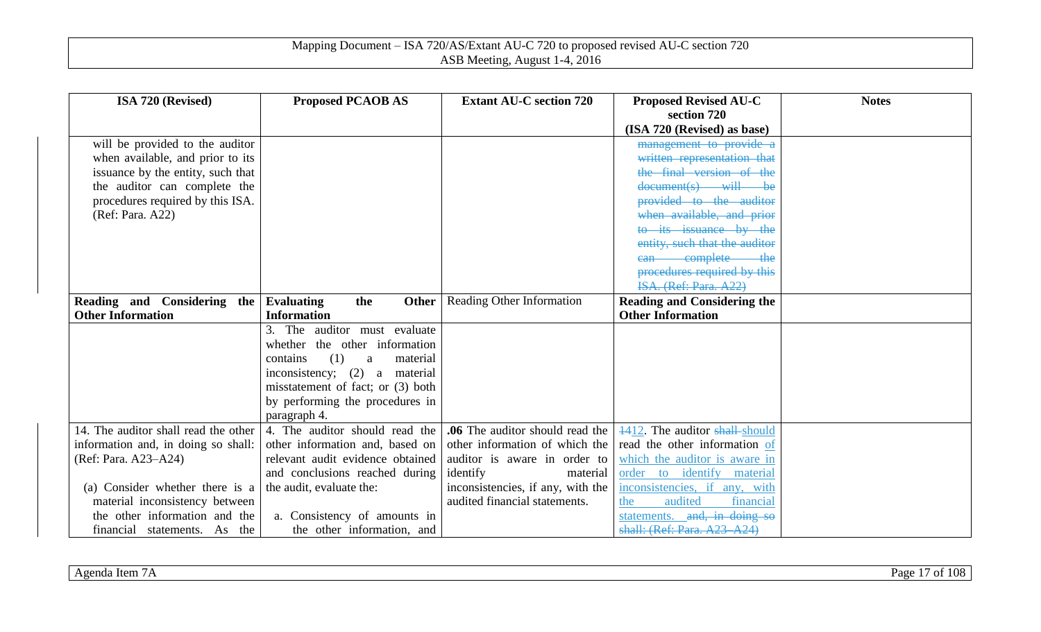| ISA 720 (Revised)                    | <b>Proposed PCAOB AS</b>                 | <b>Extant AU-C section 720</b>    | <b>Proposed Revised AU-C</b><br>section 720 | <b>Notes</b> |
|--------------------------------------|------------------------------------------|-----------------------------------|---------------------------------------------|--------------|
|                                      |                                          |                                   | (ISA 720 (Revised) as base)                 |              |
| will be provided to the auditor      |                                          |                                   | management to provide a                     |              |
| when available, and prior to its     |                                          |                                   | written representation that                 |              |
| issuance by the entity, such that    |                                          |                                   | the final version of the                    |              |
| the auditor can complete the         |                                          |                                   | document(s) will be                         |              |
| procedures required by this ISA.     |                                          |                                   | provided to the auditor                     |              |
| (Ref: Para. A22)                     |                                          |                                   | when available, and prior                   |              |
|                                      |                                          |                                   | to its issuance by the                      |              |
|                                      |                                          |                                   | entity, such that the auditor               |              |
|                                      |                                          |                                   | can complete the                            |              |
|                                      |                                          |                                   | procedures required by this                 |              |
|                                      |                                          |                                   | ISA. (Ref: Para. A22)                       |              |
| Reading and Considering the          | <b>Evaluating</b><br>the<br><b>Other</b> | <b>Reading Other Information</b>  | <b>Reading and Considering the</b>          |              |
| <b>Other Information</b>             | <b>Information</b>                       |                                   | <b>Other Information</b>                    |              |
|                                      | 3. The auditor must evaluate             |                                   |                                             |              |
|                                      | the other information<br>whether         |                                   |                                             |              |
|                                      | (1)<br>contains<br>material<br>a         |                                   |                                             |              |
|                                      | inconsistency; (2) a material            |                                   |                                             |              |
|                                      | misstatement of fact; or (3) both        |                                   |                                             |              |
|                                      | by performing the procedures in          |                                   |                                             |              |
|                                      | paragraph 4.                             |                                   |                                             |              |
| 14. The auditor shall read the other | 4. The auditor should read the           | .06 The auditor should read the   | 4412. The auditor shall-should              |              |
| information and, in doing so shall:  | other information and, based on          | other information of which the    | read the other information of               |              |
| (Ref: Para. A23–A24)                 | relevant audit evidence obtained         | auditor is aware in order to      | which the auditor is aware in               |              |
|                                      | and conclusions reached during           | identify<br>material              | order to identify material                  |              |
| (a) Consider whether there is a      | the audit, evaluate the:                 | inconsistencies, if any, with the | inconsistencies, if any, with               |              |
| material inconsistency between       |                                          | audited financial statements.     | audited<br>the<br>financial                 |              |
| the other information and the        | a. Consistency of amounts in             |                                   | statements. and, in doing so                |              |
| financial statements. As the         | the other information, and               |                                   | shall: (Ref: Para. A23 A24)                 |              |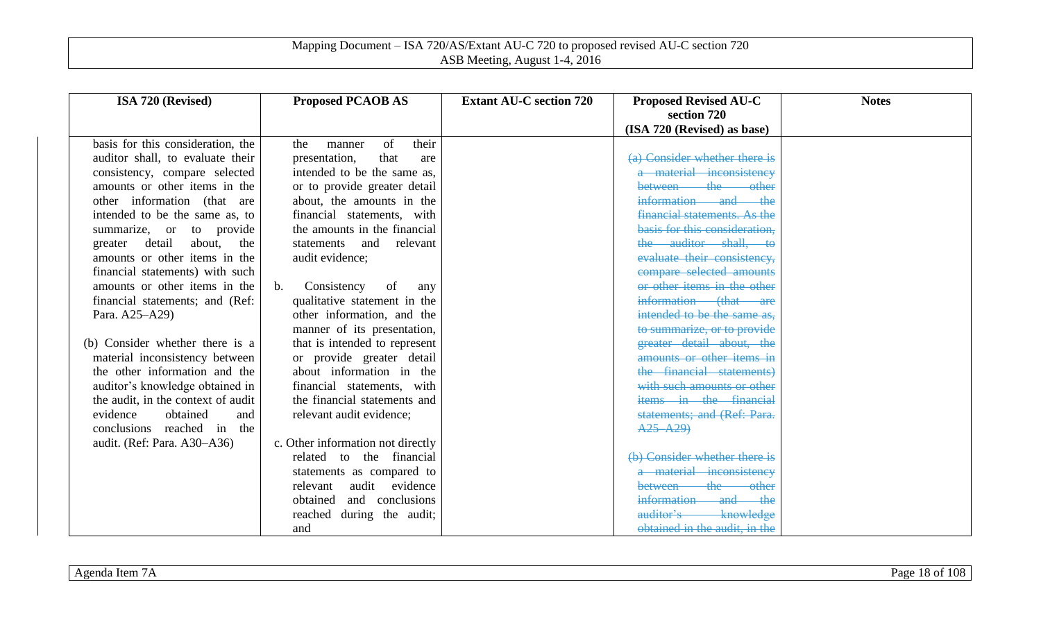| ISA 720 (Revised)                  | <b>Proposed PCAOB AS</b>                   | <b>Extant AU-C section 720</b> | <b>Proposed Revised AU-C</b>    | <b>Notes</b> |
|------------------------------------|--------------------------------------------|--------------------------------|---------------------------------|--------------|
|                                    |                                            |                                | section 720                     |              |
|                                    |                                            |                                | (ISA 720 (Revised) as base)     |              |
| basis for this consideration, the  | their<br>of<br>the<br>manner               |                                |                                 |              |
| auditor shall, to evaluate their   | that<br>presentation,<br>are               |                                | (a) Consider whether there is   |              |
| consistency, compare selected      | intended to be the same as,                |                                | a material inconsistency        |              |
| amounts or other items in the      | or to provide greater detail               |                                | $-$ the<br>other<br>between-    |              |
| other information (that are        | about, the amounts in the                  |                                | information and<br>$-$ the      |              |
| intended to be the same as, to     | financial statements, with                 |                                | financial statements. As the    |              |
| summarize, or to provide           | the amounts in the financial               |                                | basis for this consideration,   |              |
| detail<br>about,<br>the<br>greater | and<br>relevant<br>statements              |                                | the auditor shall, to           |              |
| amounts or other items in the      | audit evidence;                            |                                | evaluate their consistency.     |              |
| financial statements) with such    |                                            |                                | compare selected amounts        |              |
| amounts or other items in the      | Consistency<br>$\mathbf{b}$ .<br>of<br>any |                                | or other items in the other     |              |
| financial statements; and (Ref:    | qualitative statement in the               |                                | information (that are           |              |
| Para. A25-A29)                     | other information, and the                 |                                | intended to be the same as,     |              |
|                                    | manner of its presentation,                |                                | to summarize, or to provide     |              |
| (b) Consider whether there is a    | that is intended to represent              |                                | greater detail about, the       |              |
| material inconsistency between     | or provide greater detail                  |                                | amounts or other items in       |              |
| the other information and the      | about information in the                   |                                | the financial statements)       |              |
| auditor's knowledge obtained in    | financial statements, with                 |                                | with such amounts or other      |              |
| the audit, in the context of audit | the financial statements and               |                                | items in the financial          |              |
| evidence<br>obtained<br>and        | relevant audit evidence;                   |                                | statements; and (Ref: Para.     |              |
| conclusions reached in<br>the      |                                            |                                | A <sub>25</sub> A <sub>29</sub> |              |
| audit. (Ref: Para. A30-A36)        | c. Other information not directly          |                                |                                 |              |
|                                    | related to the financial                   |                                | (b) Consider whether there is   |              |
|                                    | statements as compared to                  |                                | a material inconsistency        |              |
|                                    | audit<br>evidence<br>relevant              |                                | $-$ the<br>-other<br>between    |              |
|                                    | and conclusions<br>obtained                |                                | and<br>information<br>the       |              |
|                                    | reached during the audit;                  |                                | knowledge<br>auditor's          |              |
|                                    | and                                        |                                | obtained in the audit, in the   |              |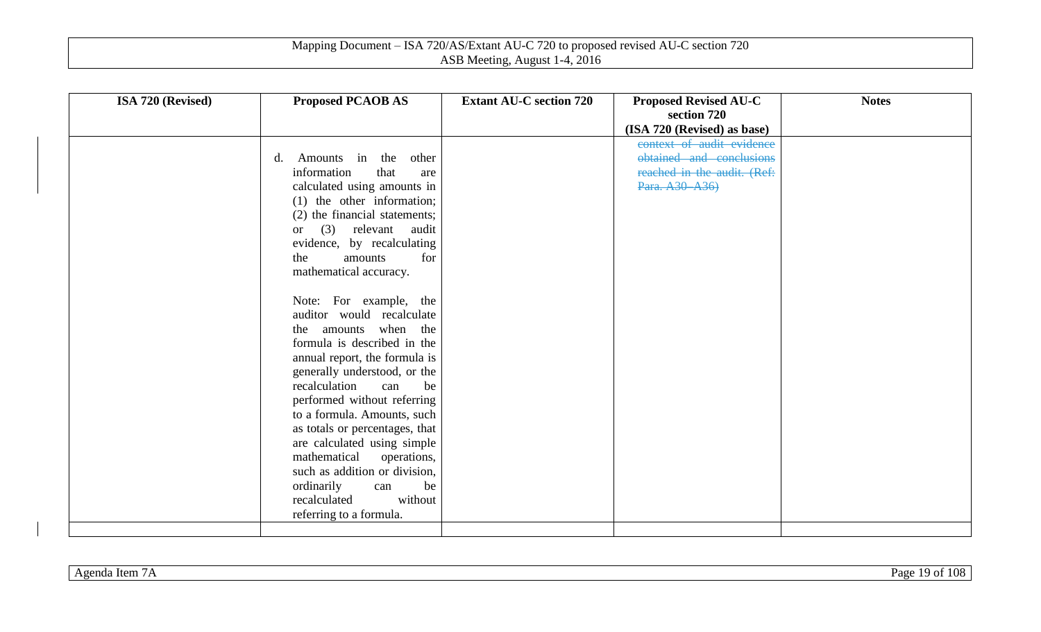| ISA 720 (Revised) | <b>Proposed PCAOB AS</b>                                                                                                                                                                                                                                                                                                                                                                                                                                                                        | <b>Extant AU-C section 720</b> | <b>Proposed Revised AU-C</b><br>section 720<br>(ISA 720 (Revised) as base)                             | <b>Notes</b> |
|-------------------|-------------------------------------------------------------------------------------------------------------------------------------------------------------------------------------------------------------------------------------------------------------------------------------------------------------------------------------------------------------------------------------------------------------------------------------------------------------------------------------------------|--------------------------------|--------------------------------------------------------------------------------------------------------|--------------|
|                   | Amounts in the<br>other<br>d.<br>information<br>that<br>are<br>calculated using amounts in<br>(1) the other information;<br>(2) the financial statements;<br>(3)<br>relevant audit<br><b>or</b><br>evidence, by recalculating<br>for<br>the<br>amounts<br>mathematical accuracy.                                                                                                                                                                                                                |                                | context of audit evidence<br>obtained and conclusions<br>reached in the audit. (Ref:<br>Para. A30-A36) |              |
|                   | Note: For example, the<br>auditor would recalculate<br>when the<br>amounts<br>the<br>formula is described in the<br>annual report, the formula is<br>generally understood, or the<br>recalculation<br>can<br>be<br>performed without referring<br>to a formula. Amounts, such<br>as totals or percentages, that<br>are calculated using simple<br>mathematical<br>operations,<br>such as addition or division,<br>ordinarily<br>be<br>can<br>recalculated<br>without<br>referring to a formula. |                                |                                                                                                        |              |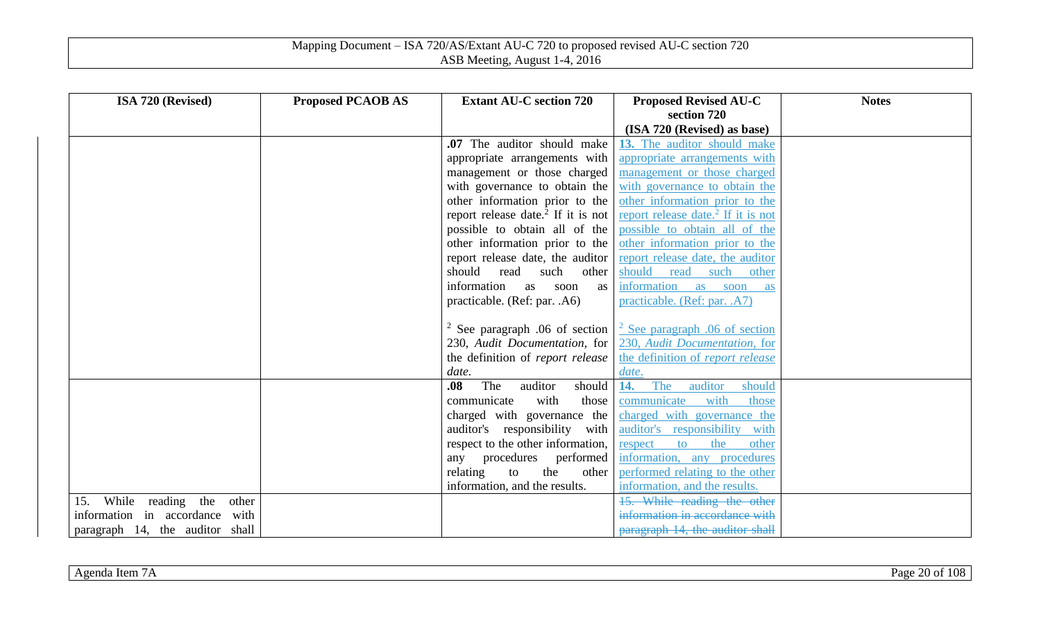| Mapping Document – ISA 720/AS/Extant AU-C 720 to proposed revised AU-C section 720 |  |
|------------------------------------------------------------------------------------|--|
| ASB Meeting, August 1-4, 2016                                                      |  |

| <b>ISA 720 (Revised)</b>          | <b>Proposed PCAOB AS</b> | <b>Extant AU-C section 720</b>                 | <b>Proposed Revised AU-C</b>                   | <b>Notes</b> |
|-----------------------------------|--------------------------|------------------------------------------------|------------------------------------------------|--------------|
|                                   |                          |                                                | section 720                                    |              |
|                                   |                          |                                                | (ISA 720 (Revised) as base)                    |              |
|                                   |                          | .07 The auditor should make                    | 13. The auditor should make                    |              |
|                                   |                          | appropriate arrangements with                  | appropriate arrangements with                  |              |
|                                   |                          | management or those charged                    | management or those charged                    |              |
|                                   |                          | with governance to obtain the                  | with governance to obtain the                  |              |
|                                   |                          | other information prior to the                 | other information prior to the                 |              |
|                                   |                          | report release date. <sup>2</sup> If it is not | report release date. <sup>2</sup> If it is not |              |
|                                   |                          | possible to obtain all of the                  | possible to obtain all of the                  |              |
|                                   |                          | other information prior to the $\vert$         | other information prior to the                 |              |
|                                   |                          | report release date, the auditor               | report release date, the auditor               |              |
|                                   |                          | should<br>read<br>such<br>other                | should read such other                         |              |
|                                   |                          | information<br>as<br>soon<br>as                | information as soon<br>as                      |              |
|                                   |                          | practicable. (Ref: par. .A6)                   | practicable. (Ref: par. .A7)                   |              |
|                                   |                          |                                                |                                                |              |
|                                   |                          | <sup>2</sup> See paragraph .06 of section      | $\frac{2}{3}$ See paragraph .06 of section     |              |
|                                   |                          | 230, Audit Documentation, for                  | 230, Audit Documentation, for                  |              |
|                                   |                          | the definition of <i>report release</i>        | the definition of <i>report release</i>        |              |
|                                   |                          | date.                                          | date.                                          |              |
|                                   |                          | .08<br>The<br>auditor<br>should                | 14. The auditor<br>should                      |              |
|                                   |                          | with<br>communicate<br>those                   | communicate<br>with<br>those                   |              |
|                                   |                          | charged with governance the                    | charged with governance the                    |              |
|                                   |                          | auditor's responsibility with                  | auditor's responsibility with                  |              |
|                                   |                          | respect to the other information,              | respect<br>to<br>the<br>other                  |              |
|                                   |                          | any procedures performed                       | information, any procedures                    |              |
|                                   |                          | relating<br>to<br>the<br>other                 | performed relating to the other                |              |
|                                   |                          | information, and the results.                  | information, and the results.                  |              |
| While reading the<br>other<br>15. |                          |                                                | 15. While reading the other                    |              |
| information in accordance with    |                          |                                                | information in accordance with                 |              |
| paragraph 14, the auditor shall   |                          |                                                | paragraph 14, the auditor shall                |              |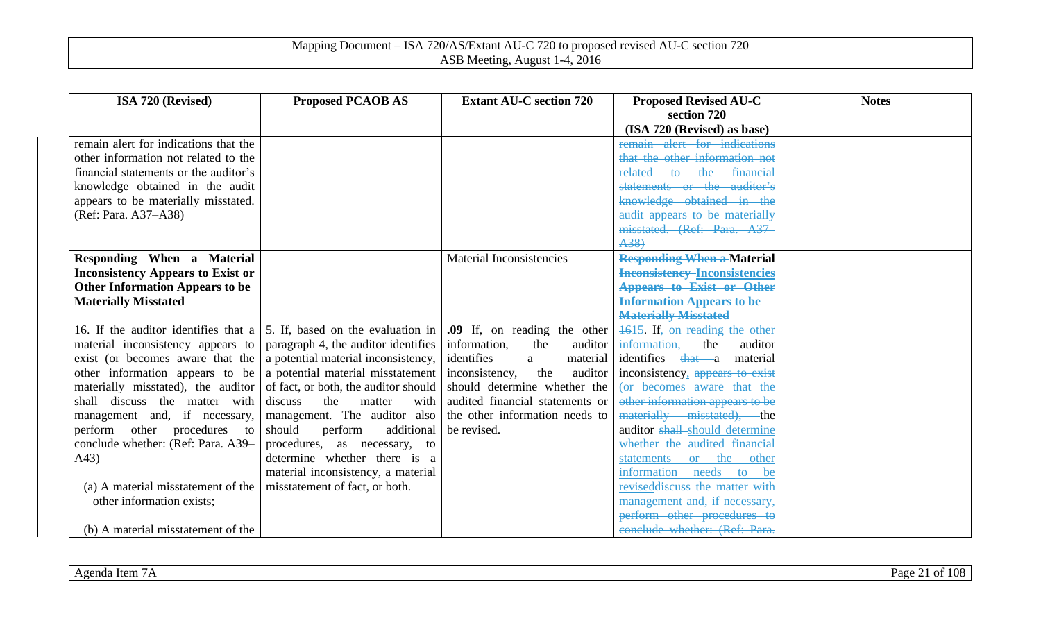| ISA 720 (Revised)                        | <b>Proposed PCAOB AS</b>             | <b>Extant AU-C section 720</b>   | <b>Proposed Revised AU-C</b>                                | <b>Notes</b> |
|------------------------------------------|--------------------------------------|----------------------------------|-------------------------------------------------------------|--------------|
|                                          |                                      |                                  | section 720                                                 |              |
| remain alert for indications that the    |                                      |                                  | (ISA 720 (Revised) as base)<br>remain alert for indications |              |
| other information not related to the     |                                      |                                  | that the other information not                              |              |
| financial statements or the auditor's    |                                      |                                  | related to the financial                                    |              |
|                                          |                                      |                                  | statements or the auditor's                                 |              |
| knowledge obtained in the audit          |                                      |                                  | knowledge obtained in the                                   |              |
| appears to be materially misstated.      |                                      |                                  |                                                             |              |
| (Ref: Para. A37–A38)                     |                                      |                                  | audit appears to be materially                              |              |
|                                          |                                      |                                  | misstated. (Ref: Para. A37                                  |              |
|                                          |                                      |                                  | A38                                                         |              |
| Responding When a Material               |                                      | <b>Material Inconsistencies</b>  | <b>Responding When a Material</b>                           |              |
| <b>Inconsistency Appears to Exist or</b> |                                      |                                  | <b>Inconsistency-Inconsistencies</b>                        |              |
| <b>Other Information Appears to be</b>   |                                      |                                  | <b>Appears to Exist or Other</b>                            |              |
| <b>Materially Misstated</b>              |                                      |                                  | <b>Information Appears to be</b>                            |              |
|                                          |                                      |                                  | <b>Materially Misstated</b>                                 |              |
| 16. If the auditor identifies that a     | 5. If, based on the evaluation in    | .09 If, on reading the other     | 4615. If, on reading the other                              |              |
| material inconsistency appears to        | paragraph 4, the auditor identifies  | information,<br>auditor<br>the   | information,<br>auditor<br>the                              |              |
| exist (or becomes aware that the         | a potential material inconsistency,  | identifies<br>material<br>a      | identifies <del>that</del> a<br>material                    |              |
| other information appears to be          | a potential material misstatement    | the<br>inconsistency,<br>auditor | inconsistency, appears to exist                             |              |
| materially misstated), the auditor       | of fact, or both, the auditor should | should determine whether the     | (or becomes aware that the                                  |              |
| shall discuss the matter with            | discuss<br>the<br>matter<br>with     | audited financial statements or  | other information appears to be                             |              |
| management and, if necessary,            | management. The auditor also         | the other information needs to   | materially misstated), the                                  |              |
| perform other procedures<br>to           | should<br>perform<br>additional      | be revised.                      | auditor shall should determine                              |              |
| conclude whether: (Ref: Para. A39-       | procedures, as necessary, to         |                                  | whether the audited financial                               |              |
| A43)                                     | determine whether there is a         |                                  | the<br><b>or</b><br>other<br>statements                     |              |
|                                          | material inconsistency, a material   |                                  | needs to<br>information<br>be                               |              |
| (a) A material misstatement of the       | misstatement of fact, or both.       |                                  | reviseddiscuss the matter with                              |              |
| other information exists;                |                                      |                                  | management and, if necessary,                               |              |
|                                          |                                      |                                  | perform other procedures to                                 |              |
| (b) A material misstatement of the       |                                      |                                  | conclude whether: (Ref: Para.                               |              |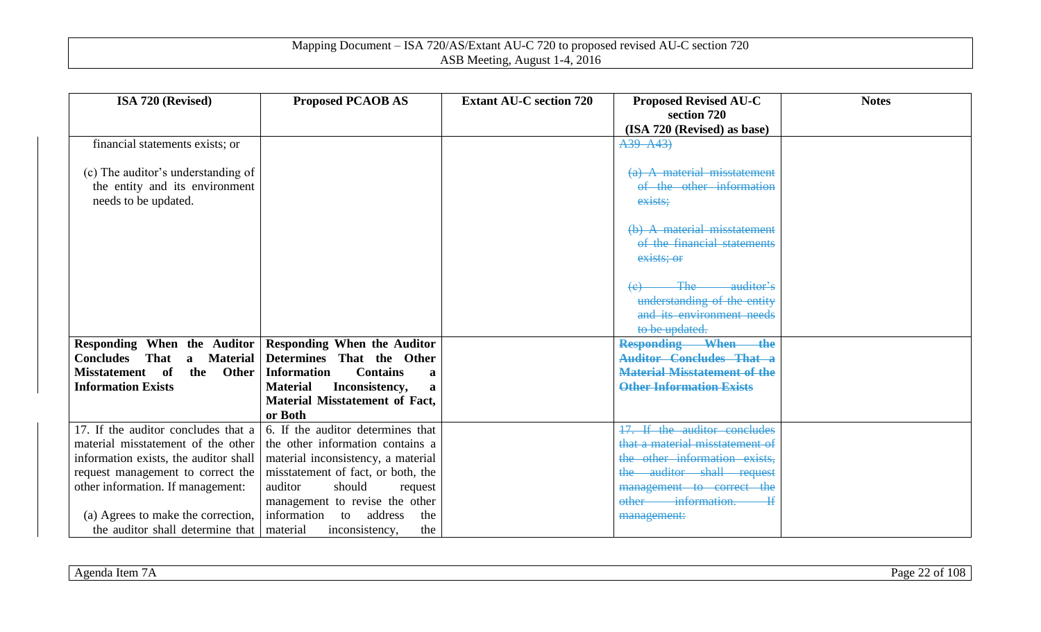| ISA 720 (Revised)                                                  | <b>Proposed PCAOB AS</b>                   | <b>Extant AU-C section 720</b> | <b>Proposed Revised AU-C</b>        | <b>Notes</b> |
|--------------------------------------------------------------------|--------------------------------------------|--------------------------------|-------------------------------------|--------------|
|                                                                    |                                            |                                | section 720                         |              |
|                                                                    |                                            |                                | (ISA 720 (Revised) as base)         |              |
| financial statements exists; or                                    |                                            |                                | A39 A43)                            |              |
|                                                                    |                                            |                                |                                     |              |
| (c) The auditor's understanding of                                 |                                            |                                | (a) A material misstatement         |              |
| the entity and its environment                                     |                                            |                                | of the other information            |              |
| needs to be updated.                                               |                                            |                                | exists:                             |              |
|                                                                    |                                            |                                |                                     |              |
|                                                                    |                                            |                                | (b) A material misstatement         |              |
|                                                                    |                                            |                                | of the financial statements         |              |
|                                                                    |                                            |                                | exists; or                          |              |
|                                                                    |                                            |                                |                                     |              |
|                                                                    |                                            |                                | The auditor's                       |              |
|                                                                    |                                            |                                | understanding of the entity         |              |
|                                                                    |                                            |                                | and its environment needs           |              |
|                                                                    |                                            |                                | to be updated.                      |              |
| Responding When the Auditor                                        | <b>Responding When the Auditor</b>         |                                | Responding When the                 |              |
| <b>Concludes</b><br><b>Material</b><br><b>That</b><br>$\mathbf{a}$ | Determines That the Other                  |                                | Auditor Concludes That a            |              |
| the<br><b>Other</b><br>Misstatement of                             | <b>Contains</b><br><b>Information</b><br>a |                                | <b>Material Misstatement of the</b> |              |
| <b>Information Exists</b>                                          | <b>Material</b><br>Inconsistency,<br>a     |                                | <b>Other Information Exists</b>     |              |
|                                                                    | <b>Material Misstatement of Fact,</b>      |                                |                                     |              |
|                                                                    | or Both                                    |                                |                                     |              |
| 17. If the auditor concludes that a                                | 6. If the auditor determines that          |                                | 17. If the auditor concludes        |              |
| material misstatement of the other                                 | the other information contains a           |                                | that a material misstatement of     |              |
| information exists, the auditor shall                              | material inconsistency, a material         |                                | the other information exists,       |              |
| request management to correct the                                  | misstatement of fact, or both, the         |                                | the auditor shall request           |              |
| other information. If management:                                  | should<br>auditor<br>request               |                                | management to correct the           |              |
|                                                                    | management to revise the other             |                                | other information.                  |              |
| (a) Agrees to make the correction,                                 | information<br>address<br>to<br>the        |                                | management:                         |              |
| the auditor shall determine that                                   | material<br>inconsistency,<br>the          |                                |                                     |              |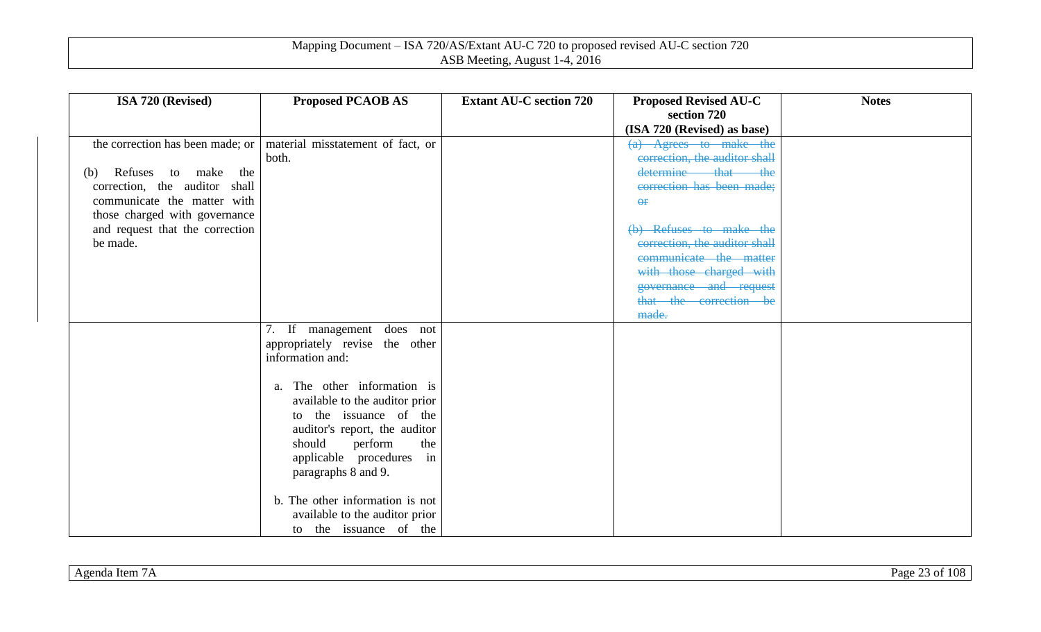| ISA 720 (Revised)                | <b>Proposed PCAOB AS</b>          | <b>Extant AU-C section 720</b> | <b>Proposed Revised AU-C</b>  | <b>Notes</b> |
|----------------------------------|-----------------------------------|--------------------------------|-------------------------------|--------------|
|                                  |                                   |                                | section 720                   |              |
|                                  |                                   |                                | (ISA 720 (Revised) as base)   |              |
| the correction has been made; or | material misstatement of fact, or |                                | (a) Agrees to make the        |              |
|                                  | both.                             |                                | correction, the auditor shall |              |
| Refuses to<br>make the<br>(b)    |                                   |                                | determine that the            |              |
| correction, the auditor shall    |                                   |                                | correction has been made;     |              |
| communicate the matter with      |                                   |                                | $\Theta$ <b>F</b>             |              |
| those charged with governance    |                                   |                                |                               |              |
| and request that the correction  |                                   |                                | Refuses to make the           |              |
| be made.                         |                                   |                                | correction, the auditor shall |              |
|                                  |                                   |                                | communicate the matter        |              |
|                                  |                                   |                                | with those charged with       |              |
|                                  |                                   |                                | governance and request        |              |
|                                  |                                   |                                | that the correction be        |              |
|                                  |                                   |                                | made.                         |              |
|                                  | 7. If management does not         |                                |                               |              |
|                                  | appropriately revise the other    |                                |                               |              |
|                                  | information and:                  |                                |                               |              |
|                                  |                                   |                                |                               |              |
|                                  | The other information is<br>a.    |                                |                               |              |
|                                  | available to the auditor prior    |                                |                               |              |
|                                  | the issuance of the<br>to         |                                |                               |              |
|                                  | auditor's report, the auditor     |                                |                               |              |
|                                  | perform<br>should<br>the          |                                |                               |              |
|                                  | applicable procedures<br>in       |                                |                               |              |
|                                  | paragraphs 8 and 9.               |                                |                               |              |
|                                  |                                   |                                |                               |              |
|                                  | b. The other information is not   |                                |                               |              |
|                                  |                                   |                                |                               |              |
|                                  | available to the auditor prior    |                                |                               |              |
|                                  | to the issuance of the            |                                |                               |              |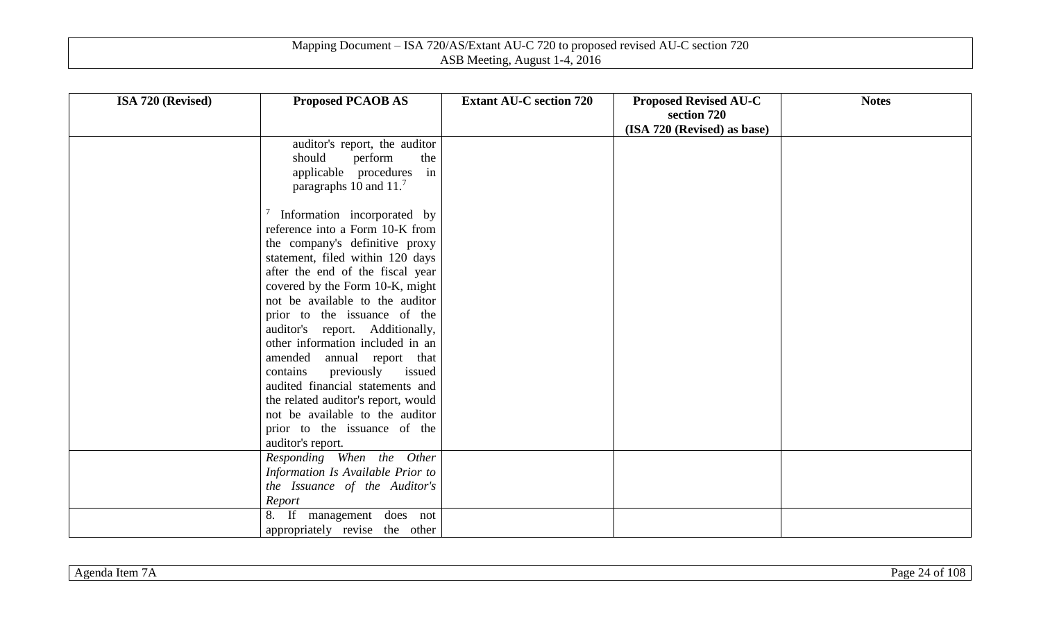| Mapping Document – ISA 720/AS/Extant AU-C 720 to proposed revised AU-C section 720 |
|------------------------------------------------------------------------------------|
| ASB Meeting, August 1-4, 2016                                                      |

| ISA 720 (Revised) | <b>Proposed PCAOB AS</b>            | <b>Extant AU-C section 720</b> | <b>Proposed Revised AU-C</b><br>section 720<br>(ISA 720 (Revised) as base) | <b>Notes</b> |
|-------------------|-------------------------------------|--------------------------------|----------------------------------------------------------------------------|--------------|
|                   | auditor's report, the auditor       |                                |                                                                            |              |
|                   | should<br>perform<br>the            |                                |                                                                            |              |
|                   | applicable procedures in            |                                |                                                                            |              |
|                   | paragraphs 10 and 11.7              |                                |                                                                            |              |
|                   |                                     |                                |                                                                            |              |
|                   | Information incorporated by         |                                |                                                                            |              |
|                   | reference into a Form 10-K from     |                                |                                                                            |              |
|                   | the company's definitive proxy      |                                |                                                                            |              |
|                   | statement, filed within 120 days    |                                |                                                                            |              |
|                   | after the end of the fiscal year    |                                |                                                                            |              |
|                   | covered by the Form 10-K, might     |                                |                                                                            |              |
|                   | not be available to the auditor     |                                |                                                                            |              |
|                   | prior to the issuance of the        |                                |                                                                            |              |
|                   | auditor's report. Additionally,     |                                |                                                                            |              |
|                   | other information included in an    |                                |                                                                            |              |
|                   | amended annual report that          |                                |                                                                            |              |
|                   | previously<br>issued<br>contains    |                                |                                                                            |              |
|                   | audited financial statements and    |                                |                                                                            |              |
|                   | the related auditor's report, would |                                |                                                                            |              |
|                   | not be available to the auditor     |                                |                                                                            |              |
|                   | prior to the issuance of the        |                                |                                                                            |              |
|                   | auditor's report.                   |                                |                                                                            |              |
|                   | Responding When the Other           |                                |                                                                            |              |
|                   | Information Is Available Prior to   |                                |                                                                            |              |
|                   | the Issuance of the Auditor's       |                                |                                                                            |              |
|                   | Report                              |                                |                                                                            |              |
|                   | 8. If management does not           |                                |                                                                            |              |
|                   | appropriately revise the other      |                                |                                                                            |              |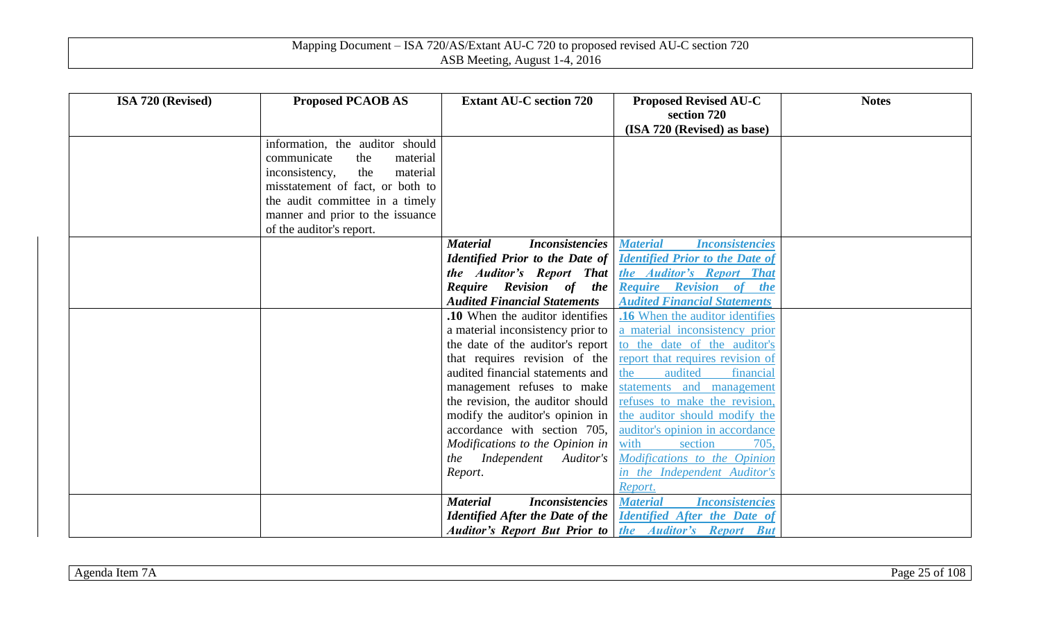| ISA 720 (Revised) | <b>Proposed PCAOB AS</b>          | <b>Extant AU-C section 720</b>                                  | <b>Proposed Revised AU-C</b>              | <b>Notes</b> |
|-------------------|-----------------------------------|-----------------------------------------------------------------|-------------------------------------------|--------------|
|                   |                                   |                                                                 | section 720                               |              |
|                   |                                   |                                                                 | (ISA 720 (Revised) as base)               |              |
|                   | information, the auditor should   |                                                                 |                                           |              |
|                   | material<br>communicate<br>the    |                                                                 |                                           |              |
|                   | inconsistency,<br>material<br>the |                                                                 |                                           |              |
|                   | misstatement of fact, or both to  |                                                                 |                                           |              |
|                   | the audit committee in a timely   |                                                                 |                                           |              |
|                   | manner and prior to the issuance  |                                                                 |                                           |              |
|                   | of the auditor's report.          |                                                                 |                                           |              |
|                   |                                   | <b>Inconsistencies</b><br><b>Material</b>                       | <b>Material</b><br><b>Inconsistencies</b> |              |
|                   |                                   | <b>Identified Prior to the Date of</b>                          | <b>Identified Prior to the Date of</b>    |              |
|                   |                                   | <b>the Auditor's Report That the Auditor's Report That</b>      |                                           |              |
|                   |                                   | <b>Require</b> Revision of the                                  | <b>Require Revision of the</b>            |              |
|                   |                                   | <b>Audited Financial Statements</b>                             | <b>Audited Financial Statements</b>       |              |
|                   |                                   | .10 When the auditor identifies                                 | .16 When the auditor identifies           |              |
|                   |                                   | a material inconsistency prior to                               | a material inconsistency prior            |              |
|                   |                                   | the date of the auditor's report                                | to the date of the auditor's              |              |
|                   |                                   | that requires revision of the                                   | report that requires revision of          |              |
|                   |                                   | audited financial statements and                                | audited<br>financial<br>the               |              |
|                   |                                   | management refuses to make                                      | statements and management                 |              |
|                   |                                   | the revision, the auditor should                                | refuses to make the revision,             |              |
|                   |                                   | modify the auditor's opinion in                                 | the auditor should modify the             |              |
|                   |                                   | accordance with section 705,                                    | auditor's opinion in accordance           |              |
|                   |                                   | Modifications to the Opinion in                                 | section<br>with<br>705.                   |              |
|                   |                                   | the Independent Auditor's                                       | Modifications to the Opinion              |              |
|                   |                                   | Report.                                                         | in the Independent Auditor's              |              |
|                   |                                   |                                                                 | Report.                                   |              |
|                   |                                   | <b>Material</b><br><b>Inconsistencies</b>                       | <b>Material</b><br><b>Inconsistencies</b> |              |
|                   |                                   | <b>Identified After the Date of the</b>                         | <b>Identified After the Date of</b>       |              |
|                   |                                   | <b>Auditor's Report But Prior to   the Auditor's Report But</b> |                                           |              |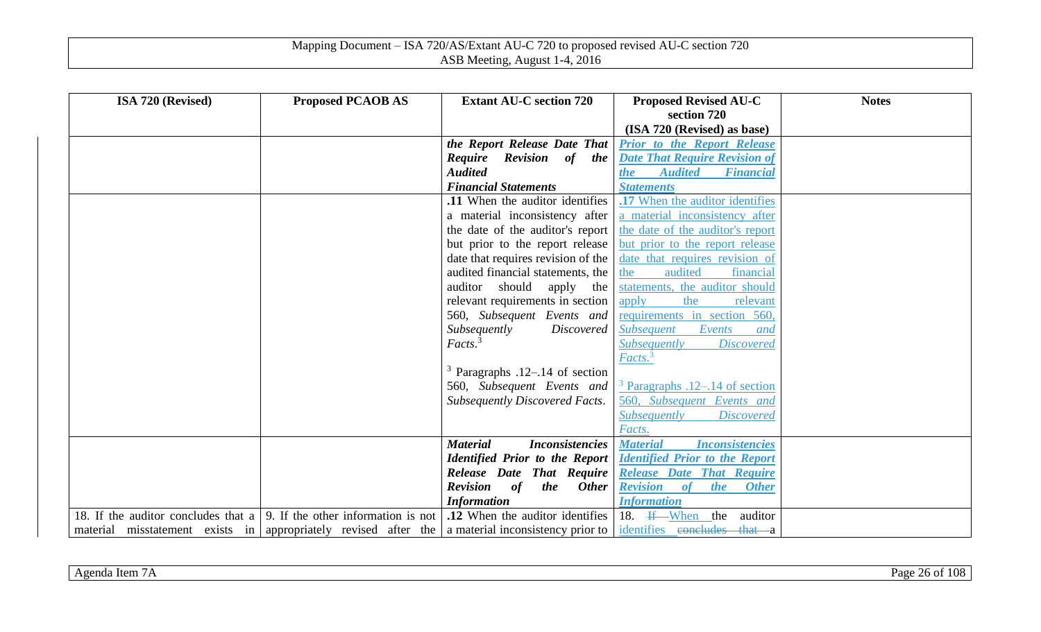| ISA 720 (Revised)                                                                                                              | <b>Proposed PCAOB AS</b> | <b>Extant AU-C section 720</b>                                  | <b>Proposed Revised AU-C</b>                               | <b>Notes</b> |
|--------------------------------------------------------------------------------------------------------------------------------|--------------------------|-----------------------------------------------------------------|------------------------------------------------------------|--------------|
|                                                                                                                                |                          |                                                                 | section 720                                                |              |
|                                                                                                                                |                          |                                                                 | (ISA 720 (Revised) as base)                                |              |
|                                                                                                                                |                          | the Report Release Date That                                    | <b>Prior to the Report Release</b>                         |              |
|                                                                                                                                |                          | <b>Require</b> Revision of the                                  | <b>Date That Require Revision of</b>                       |              |
|                                                                                                                                |                          | <b>Audited</b>                                                  | <b>Audited</b><br><b>Financial</b><br><i>the</i>           |              |
|                                                                                                                                |                          | <b>Financial Statements</b>                                     | <b>Statements</b>                                          |              |
|                                                                                                                                |                          | .11 When the auditor identifies                                 | .17 When the auditor identifies                            |              |
|                                                                                                                                |                          | a material inconsistency after                                  | a material inconsistency after                             |              |
|                                                                                                                                |                          | the date of the auditor's report                                | the date of the auditor's report                           |              |
|                                                                                                                                |                          | but prior to the report release but prior to the report release |                                                            |              |
|                                                                                                                                |                          | date that requires revision of the                              | date that requires revision of                             |              |
|                                                                                                                                |                          | audited financial statements, the                               | audited<br>the<br>financial                                |              |
|                                                                                                                                |                          | auditor should apply the                                        | statements, the auditor should                             |              |
|                                                                                                                                |                          | relevant requirements in section                                | apply<br>the<br>relevant                                   |              |
|                                                                                                                                |                          | 560, Subsequent Events and                                      | requirements in section 560,                               |              |
|                                                                                                                                |                          | Subsequently<br><i>Discovered</i>                               | <b>Subsequent</b><br>Events<br>and                         |              |
|                                                                                                                                |                          | Factors. <sup>3</sup>                                           | Subsequently<br><b>Discovered</b>                          |              |
|                                                                                                                                |                          |                                                                 | Facts. <sup>3</sup>                                        |              |
|                                                                                                                                |                          | $3$ Paragraphs .12–.14 of section                               |                                                            |              |
|                                                                                                                                |                          | 560, Subsequent Events and                                      | $3$ Paragraphs .12–.14 of section                          |              |
|                                                                                                                                |                          | Subsequently Discovered Facts.                                  | 560, Subsequent Events and                                 |              |
|                                                                                                                                |                          |                                                                 | Subsequently<br><b>Discovered</b>                          |              |
|                                                                                                                                |                          |                                                                 | Facts.                                                     |              |
|                                                                                                                                |                          | <b>Material</b><br><b>Inconsistencies</b>                       | <b>Material</b><br><b>Inconsistencies</b>                  |              |
|                                                                                                                                |                          | <b>Identified Prior to the Report</b>                           | <b>Identified Prior to the Report</b>                      |              |
|                                                                                                                                |                          | Release Date That Require                                       | <b>Release Date That Require</b>                           |              |
|                                                                                                                                |                          | <b>Revision</b><br>of<br><i>the</i><br><b>Other</b>             | <b>Revision</b><br><b>of</b><br><i>the</i><br><b>Other</b> |              |
|                                                                                                                                |                          | <b>Information</b>                                              | <b>Information</b>                                         |              |
| 18. If the auditor concludes that a $\vert$ 9. If the other information is not                                                 |                          | .12 When the auditor identifies                                 | 18. $H$ When<br>auditor<br>the                             |              |
| material misstatement exists in appropriately revised after the a material inconsistency prior to didentifies concludes that a |                          |                                                                 |                                                            |              |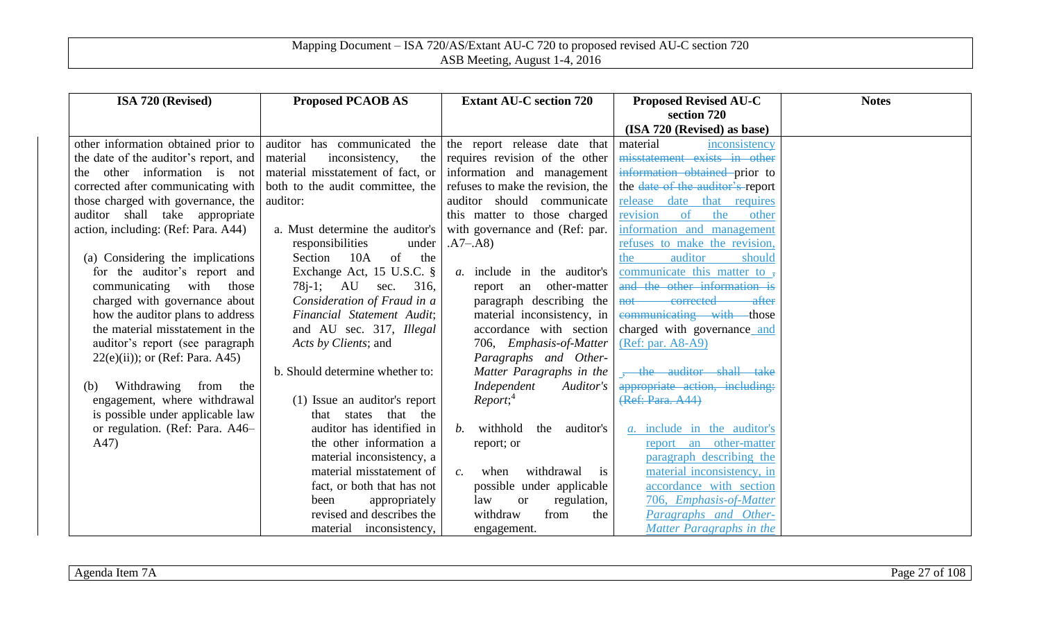| ISA 720 (Revised)                     | <b>Proposed PCAOB AS</b>          | <b>Extant AU-C section 720</b>                         | <b>Proposed Revised AU-C</b>        | <b>Notes</b> |
|---------------------------------------|-----------------------------------|--------------------------------------------------------|-------------------------------------|--------------|
|                                       |                                   |                                                        | section 720                         |              |
|                                       |                                   |                                                        | (ISA 720 (Revised) as base)         |              |
| other information obtained prior to   | auditor has communicated the      | the report release date that                           | material<br>inconsistency           |              |
| the date of the auditor's report, and | material<br>inconsistency,<br>the | requires revision of the other                         | misstatement exists in other        |              |
| other information is not<br>the       | material misstatement of fact, or | information and management                             | information obtained prior to       |              |
| corrected after communicating with    | both to the audit committee, the  | refuses to make the revision, the                      | the date of the auditor's report    |              |
| those charged with governance, the    | auditor:                          | auditor should communicate                             | release date that requires          |              |
| auditor shall take appropriate        |                                   | this matter to those charged                           | revision<br>of<br>the<br>other      |              |
| action, including: (Ref: Para. A44)   | a. Must determine the auditor's   | with governance and (Ref: par.                         | information and management          |              |
|                                       | responsibilities<br>under         | $.A7 - .A8)$                                           | refuses to make the revision,       |              |
| (a) Considering the implications      | 10A<br>of<br>Section<br>the       |                                                        | auditor<br>the<br>should            |              |
| for the auditor's report and          | Exchange Act, 15 U.S.C. §         | <i>a</i> . include in the auditor's                    | communicate this matter to -        |              |
| communicating with<br>those           | 316,<br>$78j-1$ ; AU sec.         | report an other-matter                                 | and the other information is        |              |
| charged with governance about         | Consideration of Fraud in a       | paragraph describing the                               | corrected<br>after<br>not           |              |
| how the auditor plans to address      | Financial Statement Audit;        | material inconsistency, in                             | communicating with those            |              |
| the material misstatement in the      | and AU sec. 317, Illegal          | accordance with section                                | charged with governance and         |              |
| auditor's report (see paragraph)      | Acts by Clients; and              | 706, Emphasis-of-Matter                                | (Ref: par. A8-A9)                   |              |
| $22(e)(ii)$ ; or (Ref: Para. A45)     |                                   | Paragraphs and Other-                                  |                                     |              |
|                                       | b. Should determine whether to:   | Matter Paragraphs in the                               | <del>, the auditor shall take</del> |              |
| Withdrawing<br>from<br>the<br>(b)     |                                   | Independent<br>Auditor's                               | appropriate action, including:      |              |
| engagement, where withdrawal          | (1) Issue an auditor's report     | $Report;$ <sup>4</sup>                                 | (Ref: Para. A44)                    |              |
| is possible under applicable law      | that<br>states<br>the<br>that     |                                                        |                                     |              |
| or regulation. (Ref: Para. A46-       | auditor has identified in         | withhold<br>auditor's<br>the<br>$b$ .                  | <i>a</i> . include in the auditor's |              |
| A47)                                  | the other information a           | report; or                                             | report an other-matter              |              |
|                                       | material inconsistency, a         |                                                        | paragraph describing the            |              |
|                                       | material misstatement of          | withdrawal<br>when<br><sup>is</sup><br>$\mathcal{C}$ . | material inconsistency, in          |              |
|                                       | fact, or both that has not        | possible under applicable                              | accordance with section             |              |
|                                       | appropriately<br>been             | regulation,<br>law<br><b>or</b>                        | 706, Emphasis-of-Matter             |              |
|                                       | revised and describes the         | withdraw<br>from<br>the                                | Paragraphs and Other-               |              |
|                                       | material inconsistency,           | engagement.                                            | Matter Paragraphs in the            |              |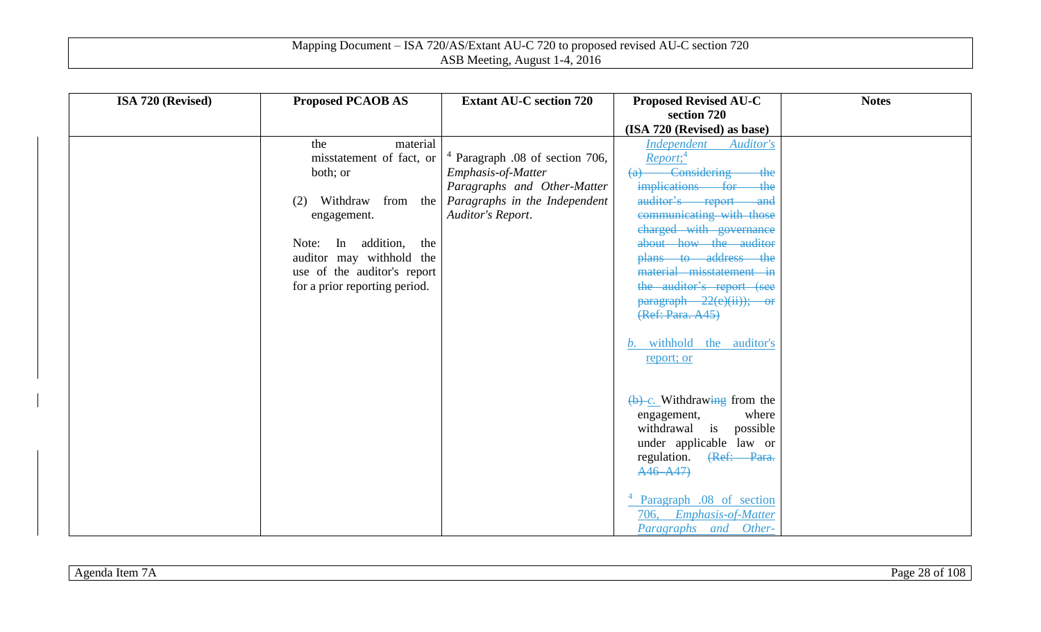| ISA 720 (Revised) | <b>Proposed PCAOB AS</b>                                                                                                                                                                                                   | <b>Extant AU-C section 720</b>                                                                                                                          | <b>Proposed Revised AU-C</b><br>section 720<br>(ISA 720 (Revised) as base)                                                                                                                                                                                                                                                                                                                                                               | <b>Notes</b> |
|-------------------|----------------------------------------------------------------------------------------------------------------------------------------------------------------------------------------------------------------------------|---------------------------------------------------------------------------------------------------------------------------------------------------------|------------------------------------------------------------------------------------------------------------------------------------------------------------------------------------------------------------------------------------------------------------------------------------------------------------------------------------------------------------------------------------------------------------------------------------------|--------------|
|                   | material<br>the<br>misstatement of fact, or<br>both; or<br>Withdraw<br>from<br>(2)<br>engagement.<br>Note: In addition,<br>the<br>auditor may withhold the<br>use of the auditor's report<br>for a prior reporting period. | $4$ Paragraph .08 of section 706,<br>Emphasis-of-Matter<br>Paragraphs and Other-Matter<br>the <i>Paragraphs in the Independent</i><br>Auditor's Report. | Auditor's<br><i>Independent</i><br>$Report;$ <sup>4</sup><br>(a) Considering<br><b>the</b><br>implications for<br>the<br>auditor's report<br>and<br>communicating with those<br>charged with governance<br>about how the auditor<br>plans to address the<br>material misstatement in<br>the auditor's report (see<br>$\overline{\text{pargraph}}$ 22(e)(ii));<br>$-or$<br>(Ref: Para. A45)<br>withhold the auditor's<br>b.<br>report; or |              |
|                   |                                                                                                                                                                                                                            |                                                                                                                                                         | $\overline{(b)}-c$ . Withdrawing from the<br>where<br>engagement,<br>withdrawal is possible<br>under applicable law or<br>regulation.<br>(Ref: Para.<br>$A46 - A47$<br>Paragraph .08 of section<br>706, Emphasis-of-Matter<br>Paragraphs and Other-                                                                                                                                                                                      |              |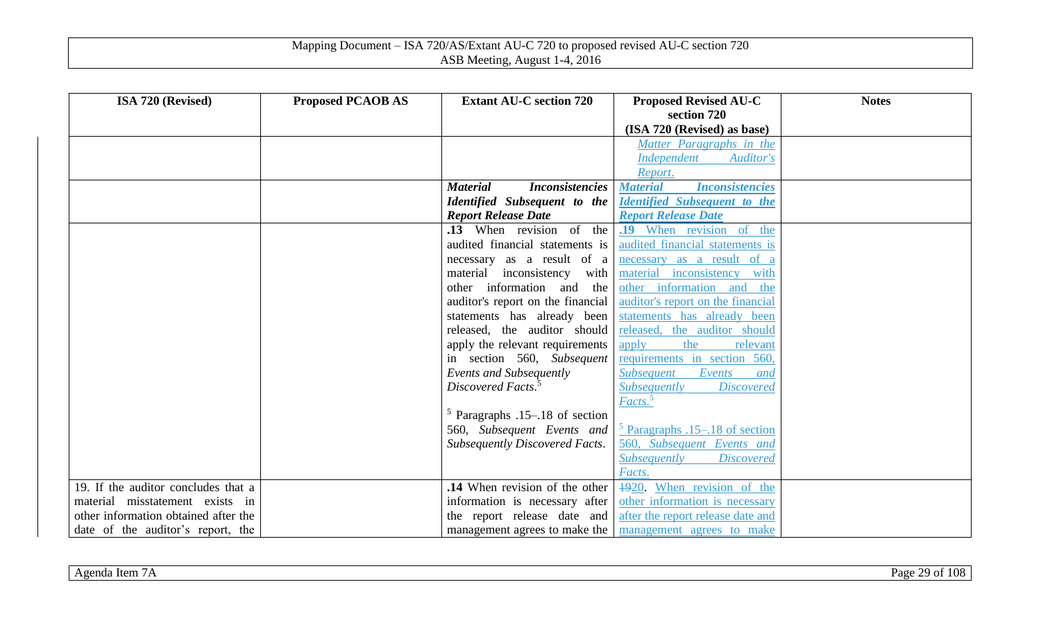| ISA 720 (Revised)                    | <b>Proposed PCAOB AS</b> | <b>Extant AU-C section 720</b>                            | <b>Proposed Revised AU-C</b>              | <b>Notes</b> |
|--------------------------------------|--------------------------|-----------------------------------------------------------|-------------------------------------------|--------------|
|                                      |                          |                                                           | section 720                               |              |
|                                      |                          |                                                           | (ISA 720 (Revised) as base)               |              |
|                                      |                          |                                                           | Matter Paragraphs in the                  |              |
|                                      |                          |                                                           | Independent<br>Auditor's                  |              |
|                                      |                          |                                                           | Report.                                   |              |
|                                      |                          | <b>Material</b><br><b>Inconsistencies</b>                 | <b>Material</b><br><b>Inconsistencies</b> |              |
|                                      |                          | Identified Subsequent to the                              | <b>Identified Subsequent to the</b>       |              |
|                                      |                          | <b>Report Release Date</b>                                | <b>Report Release Date</b>                |              |
|                                      |                          | .13 When revision of the                                  | .19 When revision of the                  |              |
|                                      |                          | audited financial statements is                           | audited financial statements is           |              |
|                                      |                          | necessary as a result of a                                | necessary as a result of a                |              |
|                                      |                          | material inconsistency with                               | material inconsistency with               |              |
|                                      |                          | other information and the                                 | other information and the                 |              |
|                                      |                          | auditor's report on the financial                         | auditor's report on the financial         |              |
|                                      |                          | statements has already been                               | statements has already been               |              |
|                                      |                          | released, the auditor should                              | released, the auditor should              |              |
|                                      |                          | apply the relevant requirements                           | apply<br>the<br>relevant                  |              |
|                                      |                          | in section 560, Subsequent                                | requirements in section 560,              |              |
|                                      |                          | Events and Subsequently                                   | Subsequent<br>Events<br>and               |              |
|                                      |                          | Discovered Facts. <sup>5</sup>                            | Subsequently<br><b>Discovered</b>         |              |
|                                      |                          |                                                           | Facts. <sup>5</sup>                       |              |
|                                      |                          | <sup>5</sup> Paragraphs .15–.18 of section                |                                           |              |
|                                      |                          | 560, Subsequent Events and                                | $5$ Paragraphs .15–.18 of section         |              |
|                                      |                          | Subsequently Discovered Facts.                            | 560, Subsequent Events and                |              |
|                                      |                          |                                                           | Subsequently<br><b>Discovered</b>         |              |
|                                      |                          |                                                           | Facts.                                    |              |
| 19. If the auditor concludes that a  |                          | .14 When revision of the other                            | 4920. When revision of the                |              |
| material misstatement exists in      |                          | information is necessary after                            | other information is necessary            |              |
| other information obtained after the |                          | the report release date and                               | after the report release date and         |              |
| date of the auditor's report, the    |                          | management agrees to make the   management agrees to make |                                           |              |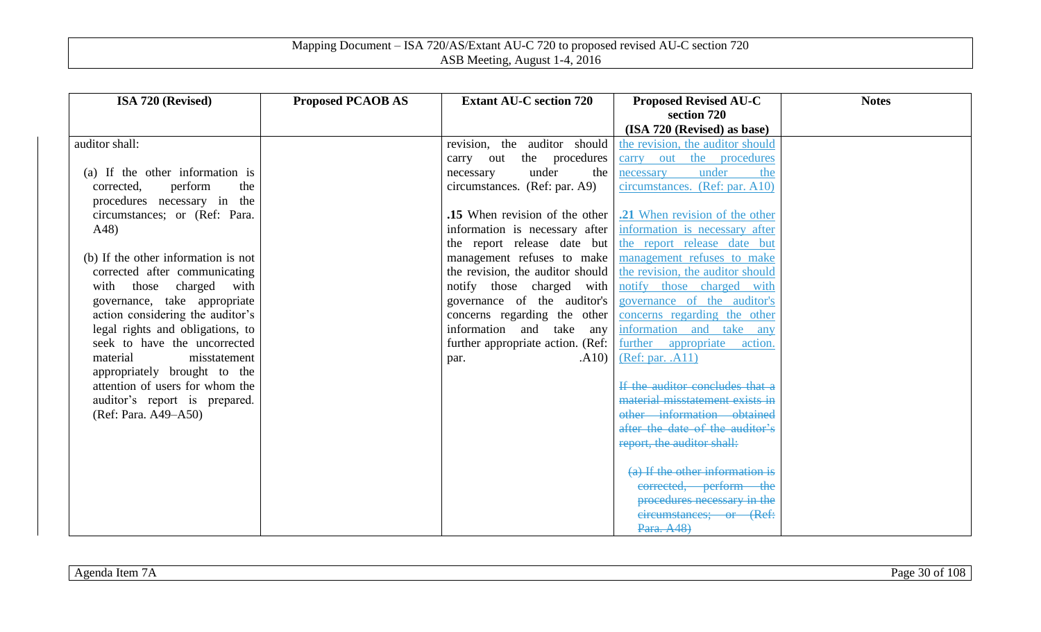| ISA 720 (Revised)                   | <b>Proposed PCAOB AS</b> | <b>Extant AU-C section 720</b>    | <b>Proposed Revised AU-C</b><br>section 720 | <b>Notes</b> |
|-------------------------------------|--------------------------|-----------------------------------|---------------------------------------------|--------------|
|                                     |                          |                                   | (ISA 720 (Revised) as base)                 |              |
| auditor shall:                      |                          | revision, the auditor should      | the revision, the auditor should            |              |
|                                     |                          | the procedures<br>carry out       | carry out the procedures                    |              |
| (a) If the other information is     |                          | under<br>the<br>necessary         | under<br>the<br>necessary                   |              |
| perform<br>corrected,<br>the        |                          | circumstances. (Ref: par. A9)     | circumstances. (Ref: par. A10)              |              |
| procedures necessary in the         |                          |                                   |                                             |              |
| circumstances; or (Ref: Para.       |                          | .15 When revision of the other    | .21 When revision of the other              |              |
| A48                                 |                          | information is necessary after    | information is necessary after              |              |
|                                     |                          | the report release date but       | the report release date but                 |              |
| (b) If the other information is not |                          | management refuses to make        | management refuses to make                  |              |
| corrected after communicating       |                          | the revision, the auditor should  | the revision, the auditor should            |              |
| with those charged with             |                          | notify those charged with         | notify those charged with                   |              |
| governance, take appropriate        |                          | governance of the auditor's       | governance of the auditor's                 |              |
| action considering the auditor's    |                          | concerns regarding the other      | concerns regarding the other                |              |
| legal rights and obligations, to    |                          | information and take any          | information and take any                    |              |
| seek to have the uncorrected        |                          | further appropriate action. (Ref: | further appropriate action.                 |              |
| material<br>misstatement            |                          | . A10)<br>par.                    | (Ref: par. . A11)                           |              |
| appropriately brought to the        |                          |                                   |                                             |              |
| attention of users for whom the     |                          |                                   | If the auditor concludes that a             |              |
| auditor's report is prepared.       |                          |                                   | material misstatement exists in             |              |
| (Ref: Para. A49–A50)                |                          |                                   | other information obtained                  |              |
|                                     |                          |                                   | after the date of the auditor's             |              |
|                                     |                          |                                   | report, the auditor shall:                  |              |
|                                     |                          |                                   |                                             |              |
|                                     |                          |                                   | (a) If the other information is             |              |
|                                     |                          |                                   | corrected, perform the                      |              |
|                                     |                          |                                   | procedures necessary in the                 |              |
|                                     |                          |                                   | eireumstances; or (Ref:                     |              |
|                                     |                          |                                   | Para. A48)                                  |              |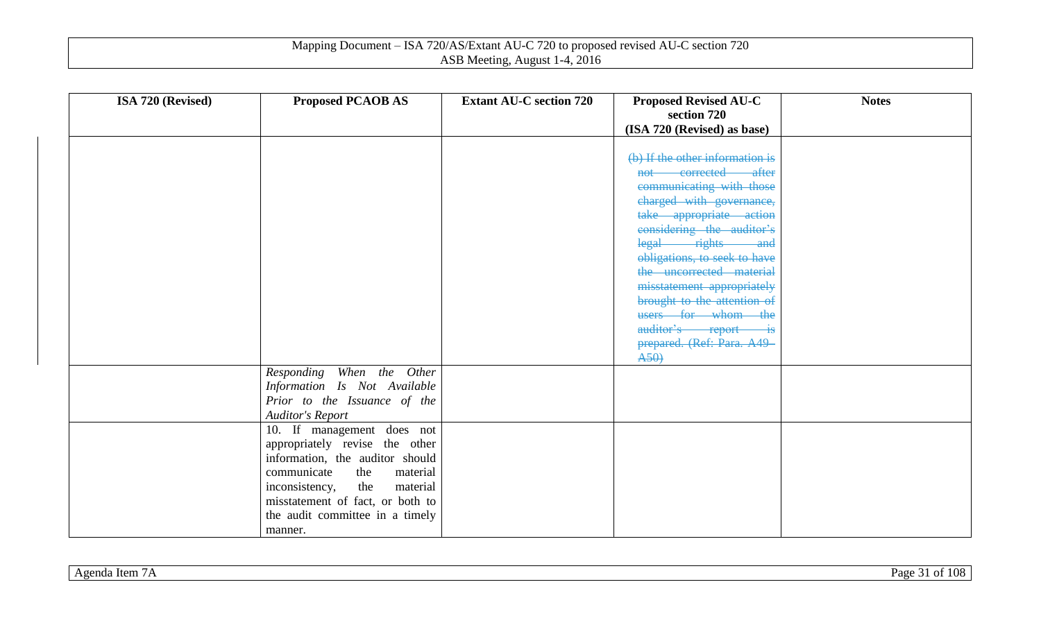| Mapping Document – ISA 720/AS/Extant AU-C 720 to proposed revised AU-C section 720 |  |
|------------------------------------------------------------------------------------|--|
| ASB Meeting, August 1-4, 2016                                                      |  |

| ISA 720 (Revised) | <b>Proposed PCAOB AS</b>                                                                                                                                                                                                                                 | <b>Extant AU-C section 720</b> | <b>Proposed Revised AU-C</b><br>section 720<br>(ISA 720 (Revised) as base)                                                                                                                                                                                                                                                                                                                     | <b>Notes</b> |
|-------------------|----------------------------------------------------------------------------------------------------------------------------------------------------------------------------------------------------------------------------------------------------------|--------------------------------|------------------------------------------------------------------------------------------------------------------------------------------------------------------------------------------------------------------------------------------------------------------------------------------------------------------------------------------------------------------------------------------------|--------------|
|                   |                                                                                                                                                                                                                                                          |                                | (b) If the other information is<br>not corrected after<br>communicating with those<br>charged with governance,<br>take appropriate action<br>considering the auditor's<br>legal rights and<br>obligations, to seek to have<br>the uncorrected material<br>misstatement appropriately<br>brought to the attention of<br>users for whom the<br>auditor's report is<br>prepared. (Ref: Para. A49- |              |
|                   | Responding When the Other<br>Information Is Not Available<br>Prior to the Issuance of the<br><b>Auditor's Report</b>                                                                                                                                     |                                | A50                                                                                                                                                                                                                                                                                                                                                                                            |              |
|                   | 10. If management does not<br>appropriately revise the other<br>information, the auditor should<br>material<br>communicate<br>the<br>inconsistency,<br>material<br>the<br>misstatement of fact, or both to<br>the audit committee in a timely<br>manner. |                                |                                                                                                                                                                                                                                                                                                                                                                                                |              |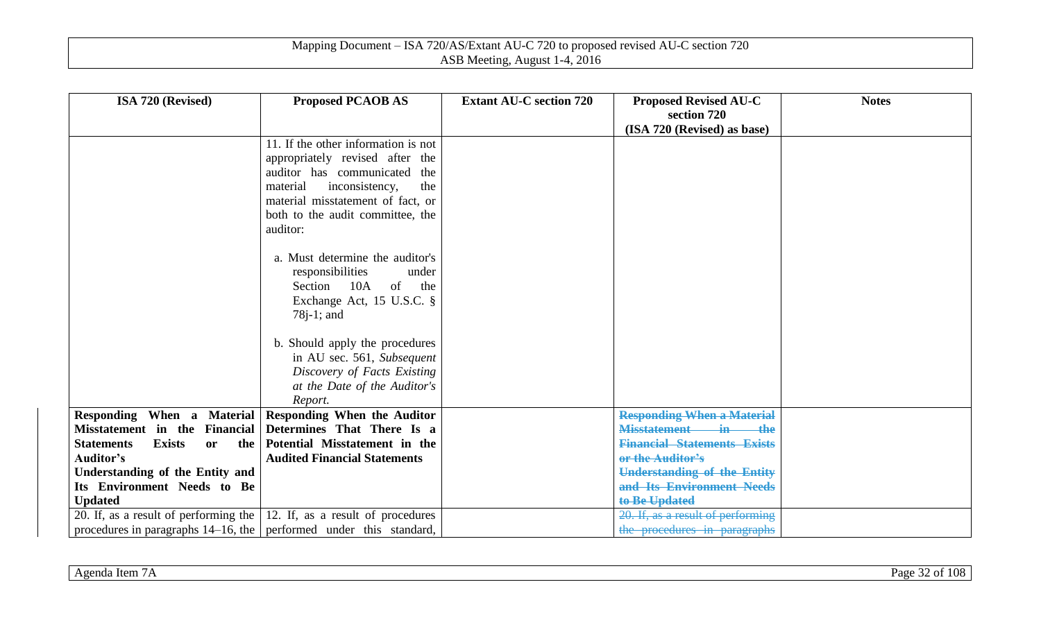| ISA 720 (Revised)                                                               | <b>Proposed PCAOB AS</b>            | <b>Extant AU-C section 720</b> | <b>Proposed Revised AU-C</b>       | <b>Notes</b> |
|---------------------------------------------------------------------------------|-------------------------------------|--------------------------------|------------------------------------|--------------|
|                                                                                 |                                     |                                | section 720                        |              |
|                                                                                 |                                     |                                | (ISA 720 (Revised) as base)        |              |
|                                                                                 | 11. If the other information is not |                                |                                    |              |
|                                                                                 | appropriately revised after the     |                                |                                    |              |
|                                                                                 | auditor has communicated the        |                                |                                    |              |
|                                                                                 | material<br>the<br>inconsistency,   |                                |                                    |              |
|                                                                                 | material misstatement of fact, or   |                                |                                    |              |
|                                                                                 | both to the audit committee, the    |                                |                                    |              |
|                                                                                 | auditor:                            |                                |                                    |              |
|                                                                                 |                                     |                                |                                    |              |
|                                                                                 | a. Must determine the auditor's     |                                |                                    |              |
|                                                                                 | responsibilities<br>under           |                                |                                    |              |
|                                                                                 | 10A<br>of the<br>Section            |                                |                                    |              |
|                                                                                 | Exchange Act, 15 U.S.C. §           |                                |                                    |              |
|                                                                                 | $78j-1$ ; and                       |                                |                                    |              |
|                                                                                 |                                     |                                |                                    |              |
|                                                                                 | b. Should apply the procedures      |                                |                                    |              |
|                                                                                 | in AU sec. 561, Subsequent          |                                |                                    |              |
|                                                                                 | Discovery of Facts Existing         |                                |                                    |              |
|                                                                                 | at the Date of the Auditor's        |                                |                                    |              |
|                                                                                 | Report.                             |                                |                                    |              |
| <b>Responding</b><br>When a Material                                            | <b>Responding When the Auditor</b>  |                                | <b>Responding When a Material</b>  |              |
| Misstatement in the Financial                                                   | Determines That There Is a          |                                | Misstatement in the                |              |
| <b>Exists</b><br>the<br><b>Statements</b><br><b>or</b>                          | Potential Misstatement in the       |                                | <b>Financial Statements Exists</b> |              |
| Auditor's                                                                       | <b>Audited Financial Statements</b> |                                | or the Auditor's                   |              |
| Understanding of the Entity and                                                 |                                     |                                | <b>Understanding of the Entity</b> |              |
| Its Environment Needs to Be                                                     |                                     |                                | and Its Environment Needs          |              |
| <b>Updated</b>                                                                  |                                     |                                | to Be Updated                      |              |
| 20. If, as a result of performing the $\vert$ 12. If, as a result of procedures |                                     |                                | 20. If, as a result of performing  |              |
| procedures in paragraphs $14-16$ , the performed under this standard,           |                                     |                                | the procedures in paragraphs       |              |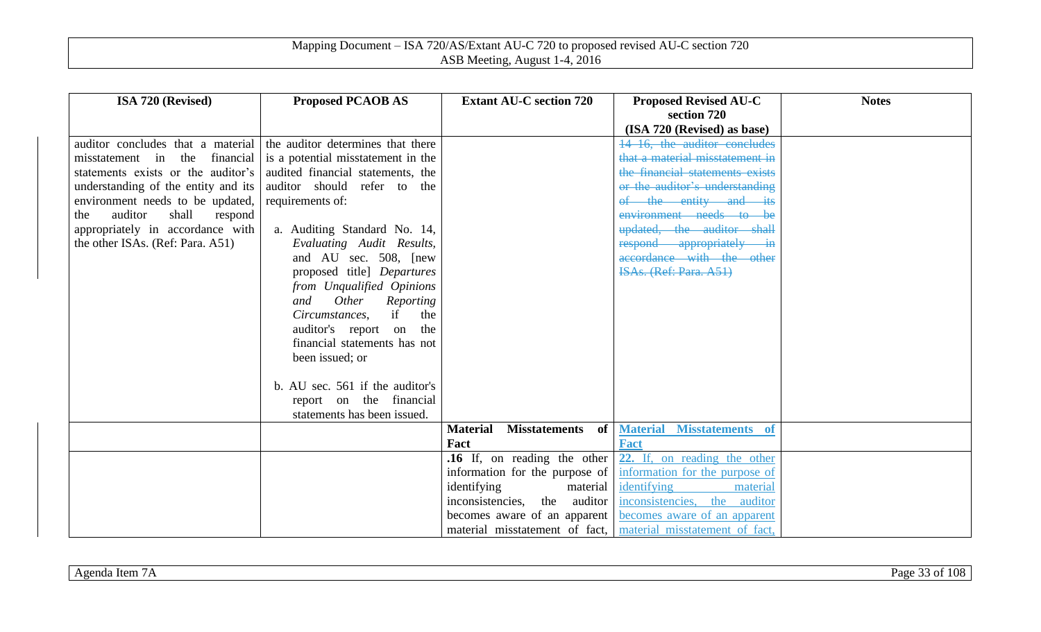| ISA 720 (Revised)                   | <b>Proposed PCAOB AS</b>           | <b>Extant AU-C section 720</b>                                | <b>Proposed Revised AU-C</b><br>section 720 | <b>Notes</b> |
|-------------------------------------|------------------------------------|---------------------------------------------------------------|---------------------------------------------|--------------|
|                                     |                                    |                                                               | (ISA 720 (Revised) as base)                 |              |
| auditor concludes that a material   | the auditor determines that there  |                                                               | 14 16, the auditor concludes                |              |
| misstatement in the financial       | is a potential misstatement in the |                                                               | that a material misstatement in             |              |
| statements exists or the auditor's  | audited financial statements, the  |                                                               | the financial statements exists             |              |
| understanding of the entity and its | auditor should refer to the        |                                                               | or the auditor's understanding              |              |
| environment needs to be updated,    | requirements of:                   |                                                               | of the entity and its                       |              |
| auditor<br>shall<br>respond<br>the  |                                    |                                                               | environment needs to be                     |              |
| appropriately in accordance with    | a. Auditing Standard No. 14,       |                                                               | updated, the auditor shall                  |              |
| the other ISAs. (Ref: Para. A51)    | Evaluating Audit Results,          |                                                               | respond appropriately in                    |              |
|                                     | and AU sec. 508, [new              |                                                               | accordance with the other                   |              |
|                                     | proposed title] Departures         |                                                               | ISAs. (Ref: Para. A51)                      |              |
|                                     | from Unqualified Opinions          |                                                               |                                             |              |
|                                     | Other<br>Reporting<br>and          |                                                               |                                             |              |
|                                     | if<br>Circumstances,<br>the        |                                                               |                                             |              |
|                                     | auditor's report on<br>the         |                                                               |                                             |              |
|                                     | financial statements has not       |                                                               |                                             |              |
|                                     | been issued; or                    |                                                               |                                             |              |
|                                     | b. AU sec. 561 if the auditor's    |                                                               |                                             |              |
|                                     | report on the financial            |                                                               |                                             |              |
|                                     | statements has been issued.        |                                                               |                                             |              |
|                                     |                                    | <b>Material</b><br>Misstatements of                           | <b>Material</b><br>Misstatements of         |              |
|                                     |                                    | Fact                                                          | <b>Fact</b>                                 |              |
|                                     |                                    | .16 If, on reading the other                                  | 22. If, on reading the other                |              |
|                                     |                                    | information for the purpose of                                | information for the purpose of              |              |
|                                     |                                    | identifying<br>material                                       | identifying<br>material                     |              |
|                                     |                                    | inconsistencies, the auditor                                  | inconsistencies, the auditor                |              |
|                                     |                                    | becomes aware of an apparent                                  | becomes aware of an apparent                |              |
|                                     |                                    | material misstatement of fact, material misstatement of fact, |                                             |              |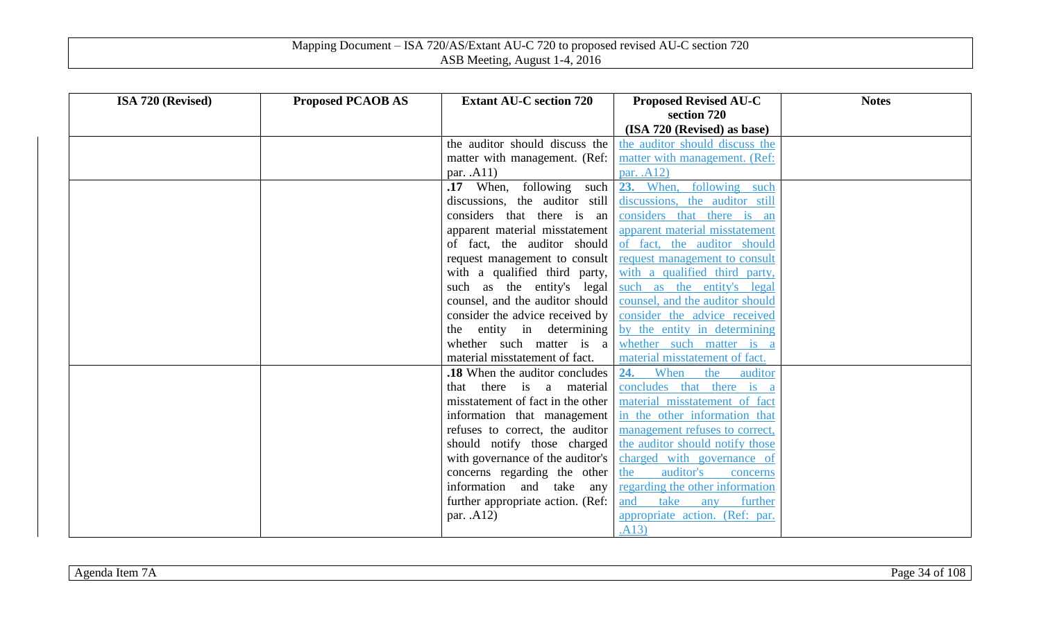| ISA 720 (Revised) | <b>Proposed PCAOB AS</b> | <b>Extant AU-C section 720</b>                                     | <b>Proposed Revised AU-C</b>               | <b>Notes</b> |
|-------------------|--------------------------|--------------------------------------------------------------------|--------------------------------------------|--------------|
|                   |                          |                                                                    | section 720<br>(ISA 720 (Revised) as base) |              |
|                   |                          | the auditor should discuss the                                     | the auditor should discuss the             |              |
|                   |                          | matter with management. (Ref:                                      | matter with management. (Ref:              |              |
|                   |                          | par. $.A11)$                                                       | par. .A12)                                 |              |
|                   |                          | .17 When, following such                                           | 23. When, following such                   |              |
|                   |                          | discussions, the auditor still discussions, the auditor still      |                                            |              |
|                   |                          | considers that there is an considers that there is an              |                                            |              |
|                   |                          | apparent material misstatement apparent material misstatement      |                                            |              |
|                   |                          | of fact, the auditor should of fact, the auditor should            |                                            |              |
|                   |                          | request management to consult <u>request management to consult</u> |                                            |              |
|                   |                          | with a qualified third party, with a qualified third party,        |                                            |              |
|                   |                          | such as the entity's legal such as the entity's legal              |                                            |              |
|                   |                          | counsel, and the auditor should   counsel, and the auditor should  |                                            |              |
|                   |                          | consider the advice received by consider the advice received       |                                            |              |
|                   |                          | the entity in determining by the entity in determining             |                                            |              |
|                   |                          | whether such matter is a whether such matter is a                  |                                            |              |
|                   |                          | material misstatement of fact.                                     | material misstatement of fact.             |              |
|                   |                          | .18 When the auditor concludes                                     | 24. When<br>the<br>auditor                 |              |
|                   |                          | that there is a material                                           | concludes that there is a                  |              |
|                   |                          | misstatement of fact in the other                                  | material misstatement of fact              |              |
|                   |                          | information that management                                        | in the other information that              |              |
|                   |                          | refuses to correct, the auditor                                    | management refuses to correct,             |              |
|                   |                          | should notify those charged                                        | the auditor should notify those            |              |
|                   |                          | with governance of the auditor's                                   | charged with governance of                 |              |
|                   |                          | concerns regarding the other                                       | auditor's<br>the<br>concerns               |              |
|                   |                          | information and take any                                           | regarding the other information            |              |
|                   |                          | further appropriate action. (Ref:                                  | and<br>take<br>any<br>further              |              |
|                   |                          | par. .A12)                                                         | appropriate action. (Ref: par.             |              |
|                   |                          |                                                                    | A13)                                       |              |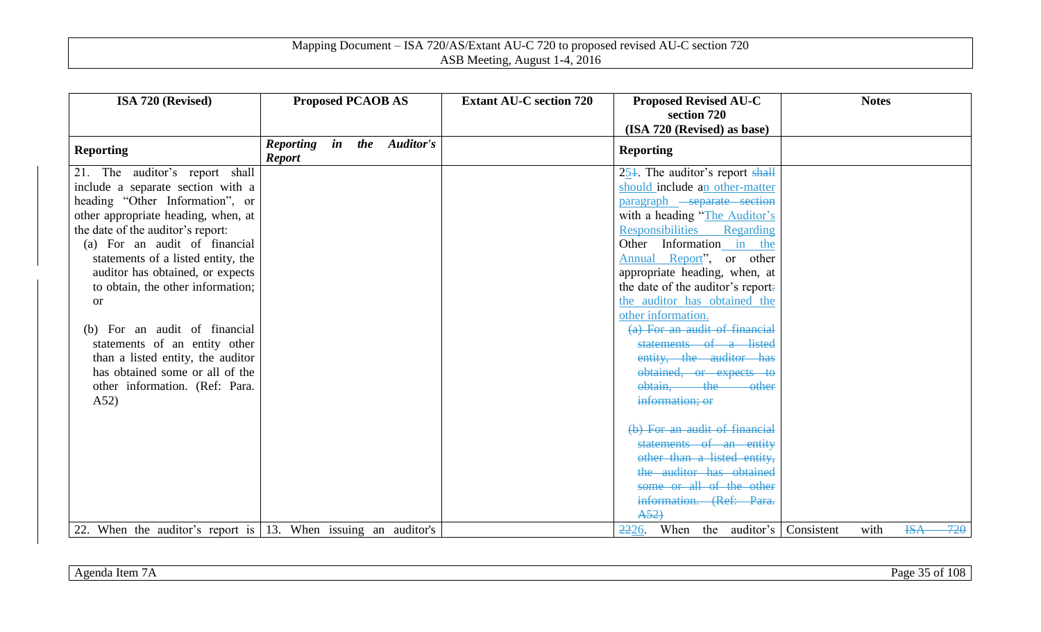| ISA 720 (Revised)                                                                                                                                                                                                                                                                                                                                                                                                                                             | <b>Proposed PCAOB AS</b>                                                                  | <b>Extant AU-C section 720</b> | <b>Proposed Revised AU-C</b><br>section 720<br>(ISA 720 (Revised) as base)                                                                                                                                                                                                                                                                                                                                                                              | <b>Notes</b>              |
|---------------------------------------------------------------------------------------------------------------------------------------------------------------------------------------------------------------------------------------------------------------------------------------------------------------------------------------------------------------------------------------------------------------------------------------------------------------|-------------------------------------------------------------------------------------------|--------------------------------|---------------------------------------------------------------------------------------------------------------------------------------------------------------------------------------------------------------------------------------------------------------------------------------------------------------------------------------------------------------------------------------------------------------------------------------------------------|---------------------------|
| <b>Reporting</b>                                                                                                                                                                                                                                                                                                                                                                                                                                              | <b>Auditor's</b><br>$\boldsymbol{i}$ n<br><b>Reporting</b><br><i>the</i><br><b>Report</b> |                                | <b>Reporting</b>                                                                                                                                                                                                                                                                                                                                                                                                                                        |                           |
| 21. The auditor's report shall<br>include a separate section with a<br>heading "Other Information", or<br>other appropriate heading, when, at<br>the date of the auditor's report:<br>(a) For an audit of financial<br>statements of a listed entity, the<br>auditor has obtained, or expects<br>to obtain, the other information;<br><sub>or</sub><br>For an audit of financial<br>(b)<br>statements of an entity other<br>than a listed entity, the auditor |                                                                                           |                                | $25\frac{1}{2}$ . The auditor's report shall<br>should include an other-matter<br>paragraph - separate section<br>with a heading "The Auditor's<br>Responsibilities Regarding<br>Other Information in the<br>Annual Report", or other<br>appropriate heading, when, at<br>the date of the auditor's report-<br>the auditor has obtained the<br>other information.<br>(a) For an audit of financial<br>statements of a listed<br>entity, the auditor has |                           |
| has obtained some or all of the<br>other information. (Ref: Para.<br>A52)<br>22. When the auditor's report is $\boxed{13}$ . When issuing an auditor's                                                                                                                                                                                                                                                                                                        |                                                                                           |                                | obtained, or expects to<br>obtain, the other<br>information; or<br>(b) For an audit of financial<br>statements of an entity<br>other than a listed entity,<br>the auditor has obtained<br>some or all of the other<br>information. (Ref: Para.<br>A52<br>$\frac{2226}{5}$ . When the auditor's Consistent                                                                                                                                               | 720<br><b>ISA</b><br>with |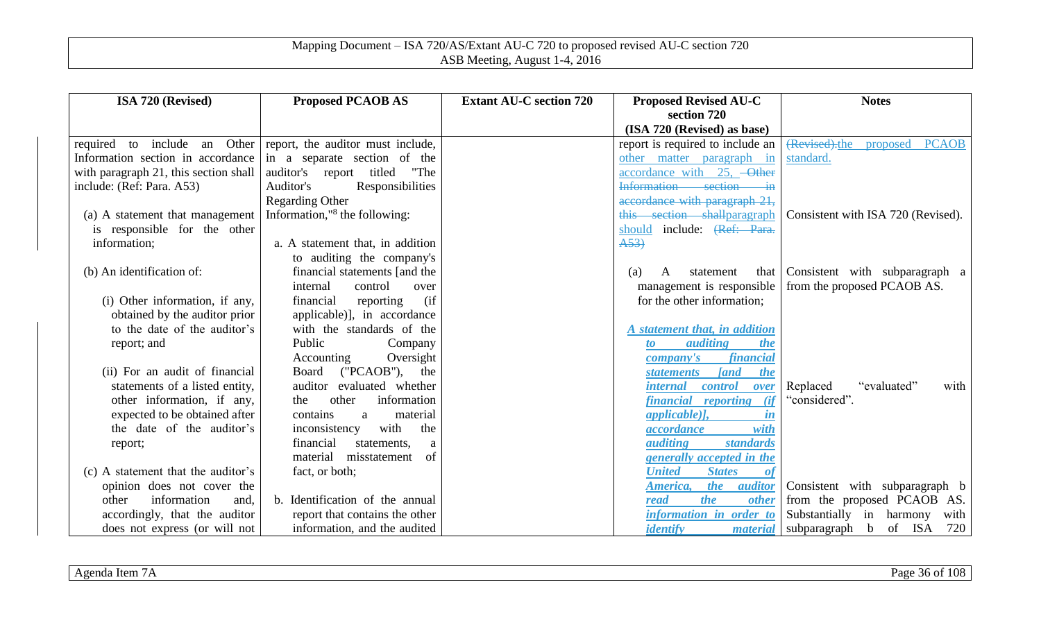| ISA 720 (Revised)                     | <b>Proposed PCAOB AS</b>                  | <b>Extant AU-C section 720</b> | <b>Proposed Revised AU-C</b>                          | <b>Notes</b>                              |
|---------------------------------------|-------------------------------------------|--------------------------------|-------------------------------------------------------|-------------------------------------------|
|                                       |                                           |                                | section 720                                           |                                           |
|                                       |                                           |                                | (ISA 720 (Revised) as base)                           |                                           |
| to include<br>an Other<br>required    | report, the auditor must include,         |                                | report is required to include an                      | (Revised).the<br><b>PCAOB</b><br>proposed |
| Information section in accordance     | in a separate section of the              |                                | other matter paragraph in                             | standard.                                 |
| with paragraph 21, this section shall | auditor's report titled<br>"The           |                                | accordance with 25, -Other                            |                                           |
| include: (Ref: Para. A53)             | Auditor's<br>Responsibilities             |                                | <b>Information</b><br>section                         |                                           |
|                                       | <b>Regarding Other</b>                    |                                | accordance with paragraph 21,                         |                                           |
| (a) A statement that management       | Information," <sup>8</sup> the following: |                                | this section shallparagraph                           | Consistent with ISA 720 (Revised).        |
| is responsible for the other          |                                           |                                | should include: (Ref: Para.                           |                                           |
| information;                          | a. A statement that, in addition          |                                | A53                                                   |                                           |
|                                       | to auditing the company's                 |                                |                                                       |                                           |
| (b) An identification of:             | financial statements [and the             |                                | statement<br>(a)<br>A<br>that                         | Consistent with subparagraph a            |
|                                       | internal<br>control<br>over               |                                | management is responsible                             | from the proposed PCAOB AS.               |
| (i) Other information, if any,        | (i f)<br>financial<br>reporting           |                                | for the other information;                            |                                           |
| obtained by the auditor prior         | applicable)], in accordance               |                                |                                                       |                                           |
| to the date of the auditor's          | with the standards of the                 |                                | A statement that, in addition                         |                                           |
| report; and                           | Public<br>Company                         |                                | <i>auditing</i><br><i>the</i><br>to                   |                                           |
|                                       | Oversight<br>Accounting                   |                                | financial<br>company's                                |                                           |
| (ii) For an audit of financial        | ("PCAOB"),<br>the<br>Board                |                                | <b><i><u>Iand</u></i></b><br>the<br><i>statements</i> |                                           |
| statements of a listed entity,        | auditor evaluated whether                 |                                | <i>internal</i><br>control<br>over                    | "evaluated"<br>Replaced<br>with           |
| other information, if any,            | information<br>other<br>the               |                                | financial<br>reporting<br>(if                         | "considered".                             |
| expected to be obtained after         | contains<br>material<br>a                 |                                | $appliedble$ ],<br>$\mathbf{1}$                       |                                           |
| the date of the auditor's             | with<br>the<br>inconsistency              |                                | with<br><i>accordance</i>                             |                                           |
| report;                               | financial<br>statements,<br>a             |                                | <b>standards</b><br><i>auditing</i>                   |                                           |
|                                       | material<br>misstatement<br>of            |                                | generally accepted in the                             |                                           |
| (c) A statement that the auditor's    | fact, or both;                            |                                | <b>United</b><br><b>States</b><br>0t                  |                                           |
| opinion does not cover the            |                                           |                                | <i>auditor</i><br><i>the</i><br>America,              | Consistent with subparagraph b            |
| other<br>information<br>and,          | b. Identification of the annual           |                                | the<br>read<br><i>other</i>                           | from the proposed PCAOB AS.               |
| accordingly, that the auditor         | report that contains the other            |                                | information in order to                               | Substantially in<br>harmony<br>with       |
| does not express (or will not         | information, and the audited              |                                | <i>identify</i><br>material                           | of ISA<br>720<br>subparagraph<br>b        |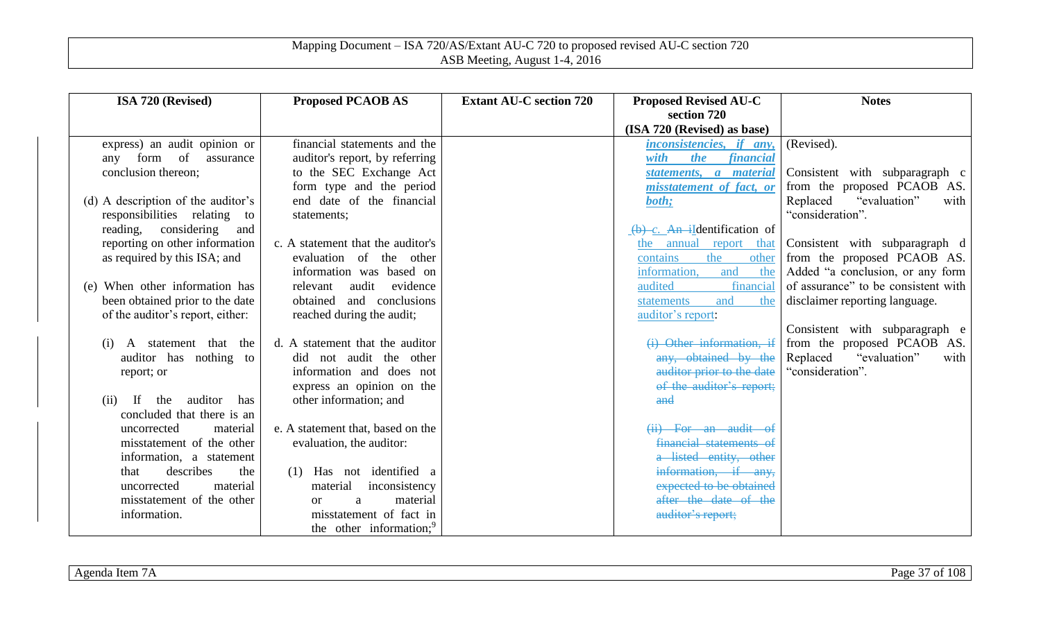| ISA 720 (Revised)                    | <b>Proposed PCAOB AS</b>            | <b>Extant AU-C section 720</b> | <b>Proposed Revised AU-C</b>       | <b>Notes</b>                        |
|--------------------------------------|-------------------------------------|--------------------------------|------------------------------------|-------------------------------------|
|                                      |                                     |                                | section 720                        |                                     |
|                                      |                                     |                                | (ISA 720 (Revised) as base)        |                                     |
| express) an audit opinion or         | financial statements and the        |                                | <i>inconsistencies, if</i><br>any, | (Revised).                          |
| form<br>of<br>any<br>assurance       | auditor's report, by referring      |                                | with<br>the<br>financial           |                                     |
| conclusion thereon;                  | to the SEC Exchange Act             |                                | statements, a material             | Consistent with subparagraph c      |
|                                      | form type and the period            |                                | misstatement of fact, or           | from the proposed PCAOB AS.         |
| (d) A description of the auditor's   | end date of the financial           |                                | both;                              | "evaluation"<br>Replaced<br>with    |
| responsibilities relating to         | statements;                         |                                |                                    | "consideration".                    |
| reading, considering<br>and          |                                     |                                | $(b)$ -c. An ildentification of    |                                     |
| reporting on other information       | c. A statement that the auditor's   |                                | the annual report<br>that          | Consistent with subparagraph d      |
| as required by this ISA; and         | evaluation<br>of<br>the<br>other    |                                | the<br>contains<br>other           | from the proposed PCAOB AS.         |
|                                      | information was based on            |                                | information.<br>the<br>and         | Added "a conclusion, or any form    |
| When other information has<br>(e)    | audit<br>evidence<br>relevant       |                                | audited<br>financial               | of assurance" to be consistent with |
| been obtained prior to the date      | and conclusions<br>obtained         |                                | and<br>the<br>statements           | disclaimer reporting language.      |
| of the auditor's report, either:     | reached during the audit;           |                                | auditor's report:                  |                                     |
|                                      |                                     |                                |                                    | Consistent with subparagraph e      |
| statement that the<br>A<br>(i)       | d. A statement that the auditor     |                                | (i) Other information, if          | from the proposed PCAOB AS.         |
| auditor has nothing to               | did not audit the other             |                                | any, obtained by the               | "evaluation"<br>Replaced<br>with    |
| report; or                           | information and does not            |                                | auditor prior to the date          | "consideration".                    |
|                                      | express an opinion on the           |                                | of the auditor's report;           |                                     |
| auditor<br>-If<br>the<br>has<br>(ii) | other information; and              |                                | and                                |                                     |
| concluded that there is an           |                                     |                                |                                    |                                     |
| uncorrected<br>material              | e. A statement that, based on the   |                                | $(ii)$ For an audit of             |                                     |
| misstatement of the other            | evaluation, the auditor:            |                                | financial statements of            |                                     |
| information, a statement             |                                     |                                | a listed entity, other             |                                     |
| describes<br>the<br>that             | Has not identified a<br>(1)         |                                | information, if any,               |                                     |
| uncorrected<br>material              | inconsistency<br>material           |                                | expected to be obtained            |                                     |
| misstatement of the other            | material<br>a<br><sub>or</sub>      |                                | after the date of the              |                                     |
| information.                         | misstatement of fact in             |                                | auditor's report;                  |                                     |
|                                      | the other information; <sup>9</sup> |                                |                                    |                                     |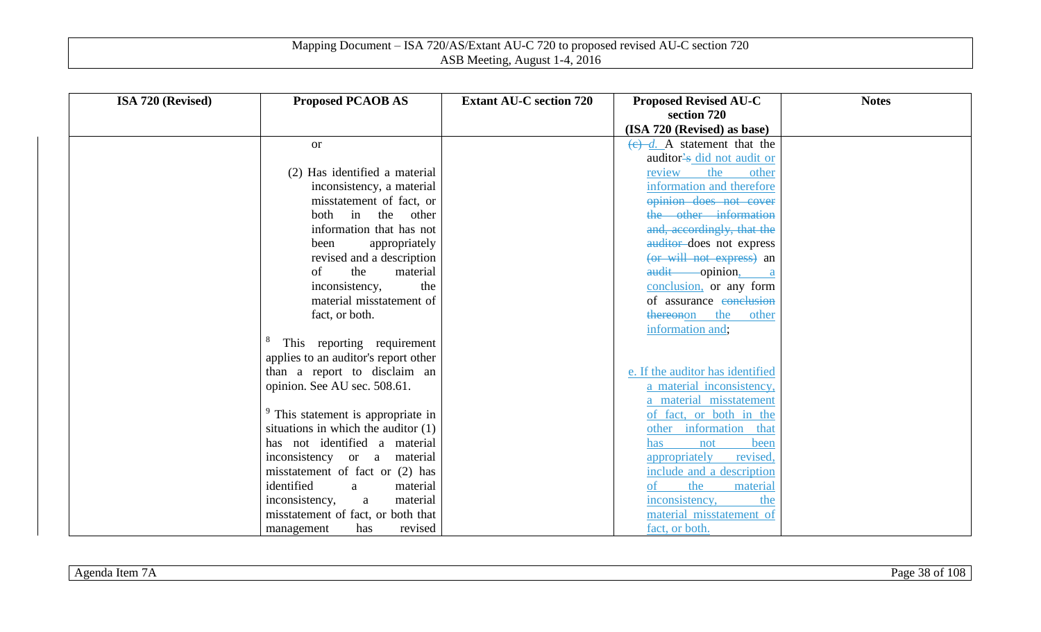| Mapping Document – ISA 720/AS/Extant AU-C 720 to proposed revised AU-C section 720 |
|------------------------------------------------------------------------------------|
| ASB Meeting, August 1-4, 2016                                                      |

| ISA 720 (Revised) | <b>Proposed PCAOB AS</b>                      | <b>Extant AU-C section 720</b> | <b>Proposed Revised AU-C</b><br>section 720        | <b>Notes</b> |
|-------------------|-----------------------------------------------|--------------------------------|----------------------------------------------------|--------------|
|                   |                                               |                                | (ISA 720 (Revised) as base)                        |              |
|                   | <b>or</b>                                     |                                | $(e)$ -d. A statement that the                     |              |
|                   |                                               |                                | auditor's did not audit or                         |              |
|                   | (2) Has identified a material                 |                                | the<br>review<br>other                             |              |
|                   | inconsistency, a material                     |                                | information and therefore                          |              |
|                   | misstatement of fact, or                      |                                | opinion does not cover                             |              |
|                   | both in<br>the other                          |                                | the other information                              |              |
|                   | information that has not                      |                                | and, accordingly, that the                         |              |
|                   | appropriately<br>been                         |                                | auditor-does not express                           |              |
|                   | revised and a description                     |                                | (or will not express) an                           |              |
|                   | of<br>the<br>material                         |                                | audit opinion,<br><sub>a</sub>                     |              |
|                   | the<br>inconsistency,                         |                                | conclusion, or any form<br>of assurance conclusion |              |
|                   | material misstatement of                      |                                |                                                    |              |
|                   | fact, or both.                                |                                | thereonon the<br>other                             |              |
|                   |                                               |                                | information and;                                   |              |
|                   | This reporting requirement                    |                                |                                                    |              |
|                   | applies to an auditor's report other          |                                | e. If the auditor has identified                   |              |
|                   | than a report to disclaim an                  |                                | a material inconsistency,                          |              |
|                   | opinion. See AU sec. 508.61.                  |                                | a material misstatement                            |              |
|                   | <sup>9</sup> This statement is appropriate in |                                | of fact, or both in the                            |              |
|                   | situations in which the auditor $(1)$         |                                | other information that                             |              |
|                   | has not identified a material                 |                                | not<br>been<br>has.                                |              |
|                   | inconsistency or a material                   |                                | appropriately<br>revised.                          |              |
|                   | misstatement of fact or $(2)$ has             |                                | include and a description                          |              |
|                   | identified<br>material<br>a                   |                                | the<br>material<br>οť                              |              |
|                   | material<br>inconsistency,<br>a               |                                | inconsistency,<br>the                              |              |
|                   | misstatement of fact, or both that            |                                | material misstatement of                           |              |
|                   | has<br>revised                                |                                | fact, or both.                                     |              |
|                   | management                                    |                                |                                                    |              |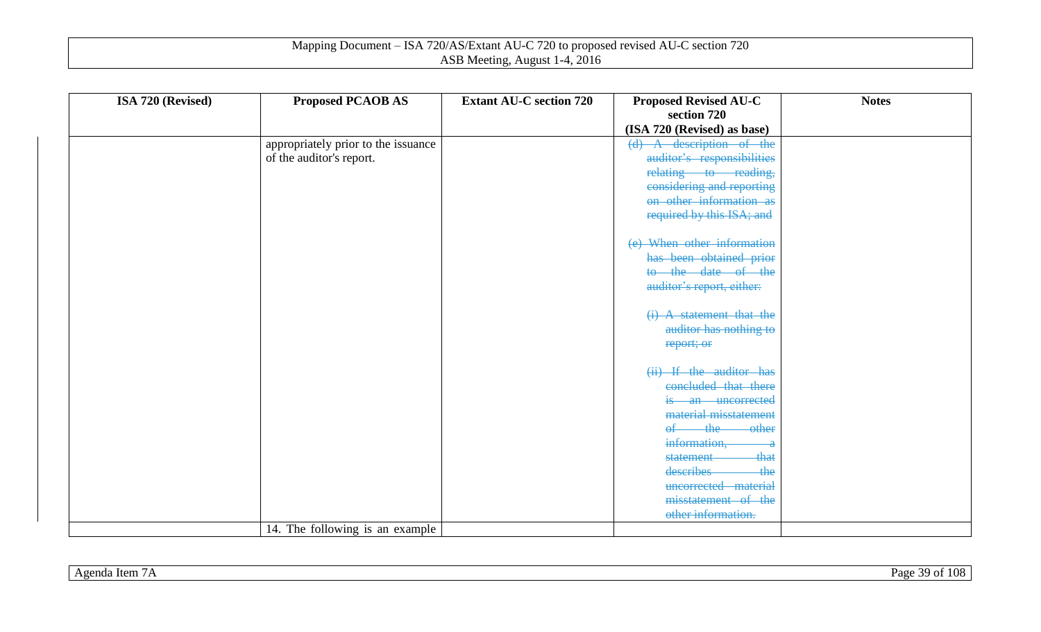| Mapping Document – ISA 720/AS/Extant AU-C 720 to proposed revised AU-C section 720 |
|------------------------------------------------------------------------------------|
| ASB Meeting, August 1-4, 2016                                                      |

| ISA 720 (Revised) | <b>Proposed PCAOB AS</b>            | <b>Extant AU-C section 720</b> | <b>Proposed Revised AU-C</b> | <b>Notes</b> |
|-------------------|-------------------------------------|--------------------------------|------------------------------|--------------|
|                   |                                     |                                | section 720                  |              |
|                   |                                     |                                | (ISA 720 (Revised) as base)  |              |
|                   | appropriately prior to the issuance |                                | (d) A description of the     |              |
|                   | of the auditor's report.            |                                | auditor's responsibilities   |              |
|                   |                                     |                                | relating to reading,         |              |
|                   |                                     |                                | considering and reporting    |              |
|                   |                                     |                                | on other information as      |              |
|                   |                                     |                                | required by this ISA; and    |              |
|                   |                                     |                                |                              |              |
|                   |                                     |                                | (e) When other information   |              |
|                   |                                     |                                | has been obtained prior      |              |
|                   |                                     |                                | to the date of the           |              |
|                   |                                     |                                | auditor's report, either:    |              |
|                   |                                     |                                | (i) A statement that the     |              |
|                   |                                     |                                | auditor has nothing to       |              |
|                   |                                     |                                | report; or                   |              |
|                   |                                     |                                |                              |              |
|                   |                                     |                                | (ii) If the auditor has      |              |
|                   |                                     |                                | concluded that there         |              |
|                   |                                     |                                | is an uncorrected            |              |
|                   |                                     |                                | material misstatement        |              |
|                   |                                     |                                | of the other                 |              |
|                   |                                     |                                | information,                 |              |
|                   |                                     |                                | that<br>statement            |              |
|                   |                                     |                                | describes-<br>the            |              |
|                   |                                     |                                | uncorrected material         |              |
|                   |                                     |                                | misstatement of the          |              |
|                   |                                     |                                | other information.           |              |
|                   | 14. The following is an example     |                                |                              |              |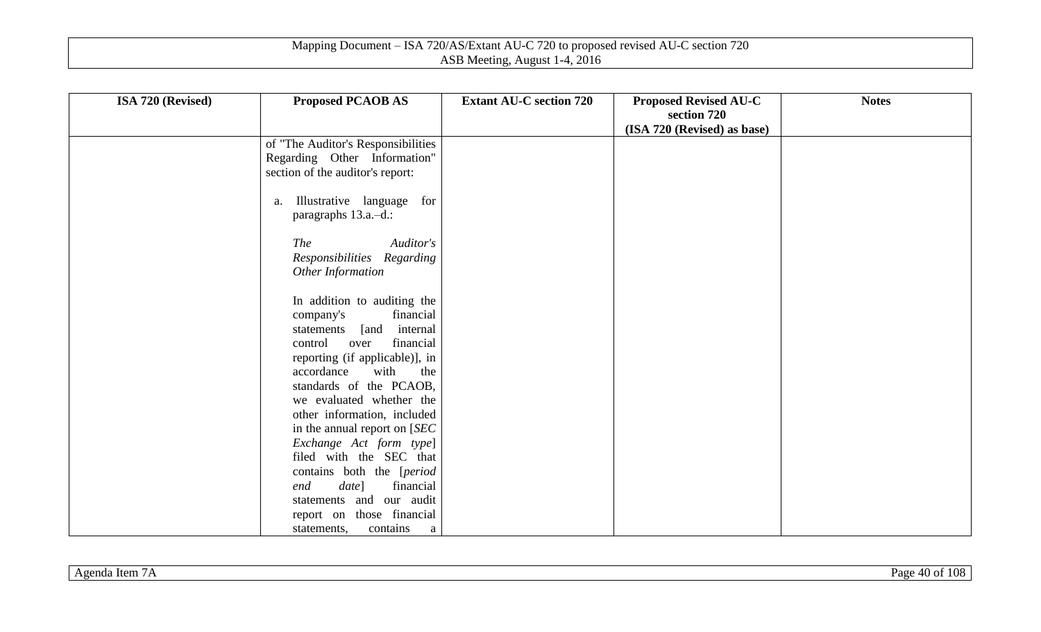| Mapping Document – ISA 720/AS/Extant AU-C 720 to proposed revised AU-C section 720 |
|------------------------------------------------------------------------------------|
| ASB Meeting, August 1-4, 2016                                                      |

| ISA 720 (Revised) | <b>Proposed PCAOB AS</b>                                | <b>Extant AU-C section 720</b> | <b>Proposed Revised AU-C</b><br>section 720<br>(ISA 720 (Revised) as base) | <b>Notes</b> |
|-------------------|---------------------------------------------------------|--------------------------------|----------------------------------------------------------------------------|--------------|
|                   | of "The Auditor's Responsibilities                      |                                |                                                                            |              |
|                   | Regarding Other Information"                            |                                |                                                                            |              |
|                   | section of the auditor's report:                        |                                |                                                                            |              |
|                   | Illustrative language for<br>a.<br>paragraphs 13.a.-d.: |                                |                                                                            |              |
|                   | Auditor's<br><i>The</i>                                 |                                |                                                                            |              |
|                   | Responsibilities Regarding                              |                                |                                                                            |              |
|                   | Other Information                                       |                                |                                                                            |              |
|                   |                                                         |                                |                                                                            |              |
|                   | In addition to auditing the                             |                                |                                                                            |              |
|                   | company's<br>financial                                  |                                |                                                                            |              |
|                   | [and<br>internal<br>statements                          |                                |                                                                            |              |
|                   | control<br>financial<br>over                            |                                |                                                                            |              |
|                   | reporting (if applicable)], in                          |                                |                                                                            |              |
|                   | accordance<br>with<br>the                               |                                |                                                                            |              |
|                   | standards of the PCAOB,                                 |                                |                                                                            |              |
|                   | we evaluated whether the                                |                                |                                                                            |              |
|                   | other information, included                             |                                |                                                                            |              |
|                   | in the annual report on [SEC]                           |                                |                                                                            |              |
|                   | Exchange Act form type]                                 |                                |                                                                            |              |
|                   | filed with the SEC that                                 |                                |                                                                            |              |
|                   | contains both the [period                               |                                |                                                                            |              |
|                   | date]<br>financial<br>end                               |                                |                                                                            |              |
|                   | statements and our audit                                |                                |                                                                            |              |
|                   | report on those financial                               |                                |                                                                            |              |
|                   | contains<br>statements,<br>a                            |                                |                                                                            |              |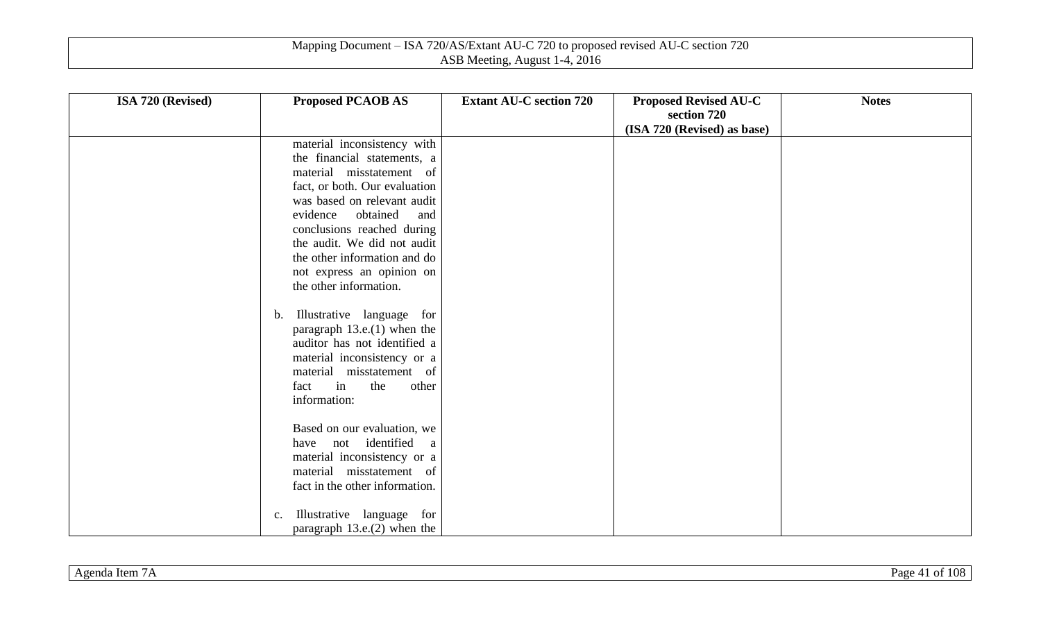| Mapping Document – ISA 720/AS/Extant AU-C 720 to proposed revised AU-C section 720 |
|------------------------------------------------------------------------------------|
| ASB Meeting, August 1-4, 2016                                                      |

| ISA 720 (Revised) | <b>Proposed PCAOB AS</b>                                                                                                                                                                                  | <b>Extant AU-C section 720</b> | <b>Proposed Revised AU-C</b><br>section 720<br>(ISA 720 (Revised) as base) | <b>Notes</b> |
|-------------------|-----------------------------------------------------------------------------------------------------------------------------------------------------------------------------------------------------------|--------------------------------|----------------------------------------------------------------------------|--------------|
|                   | material inconsistency with                                                                                                                                                                               |                                |                                                                            |              |
|                   | the financial statements, a<br>material misstatement of                                                                                                                                                   |                                |                                                                            |              |
|                   | fact, or both. Our evaluation                                                                                                                                                                             |                                |                                                                            |              |
|                   | was based on relevant audit                                                                                                                                                                               |                                |                                                                            |              |
|                   | obtained<br>evidence<br>and                                                                                                                                                                               |                                |                                                                            |              |
|                   | conclusions reached during                                                                                                                                                                                |                                |                                                                            |              |
|                   | the audit. We did not audit                                                                                                                                                                               |                                |                                                                            |              |
|                   | the other information and do                                                                                                                                                                              |                                |                                                                            |              |
|                   | not express an opinion on                                                                                                                                                                                 |                                |                                                                            |              |
|                   | the other information.                                                                                                                                                                                    |                                |                                                                            |              |
|                   | Illustrative language for<br>b.<br>paragraph $13.e.(1)$ when the<br>auditor has not identified a<br>material inconsistency or a<br>material misstatement of<br>in<br>the<br>other<br>fact<br>information: |                                |                                                                            |              |
|                   | Based on our evaluation, we<br>have not identified a<br>material inconsistency or a<br>material misstatement of<br>fact in the other information.                                                         |                                |                                                                            |              |
|                   | Illustrative language for<br>$\mathbf{c}$ .                                                                                                                                                               |                                |                                                                            |              |
|                   | paragraph $13.e.(2)$ when the                                                                                                                                                                             |                                |                                                                            |              |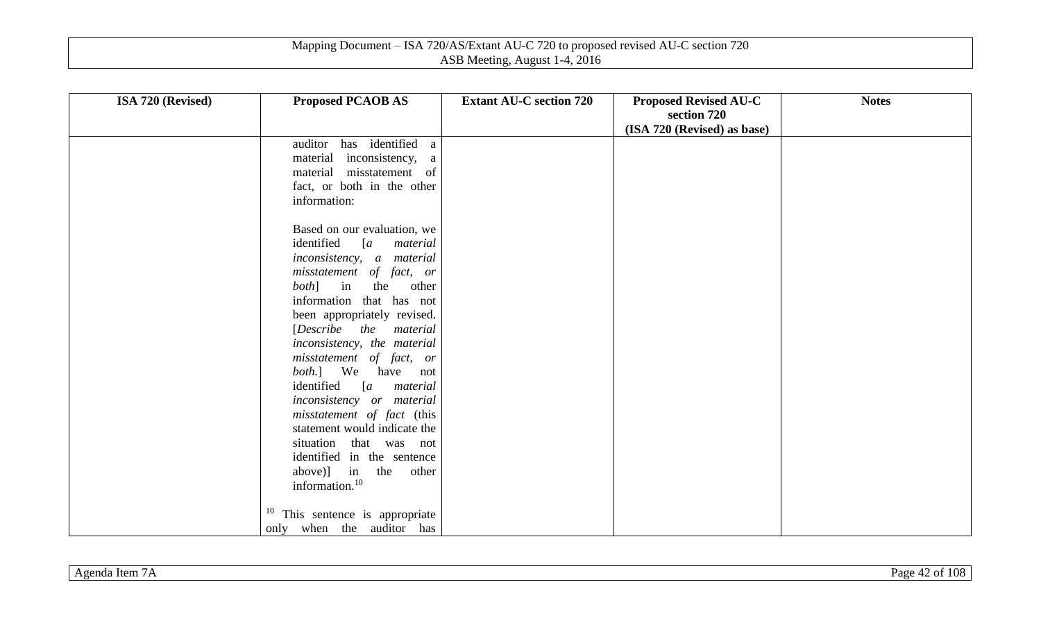| <b>ISA 720 (Revised)</b> | <b>Proposed PCAOB AS</b>                   | <b>Extant AU-C section 720</b> | <b>Proposed Revised AU-C</b><br>section 720<br>(ISA 720 (Revised) as base) | <b>Notes</b> |
|--------------------------|--------------------------------------------|--------------------------------|----------------------------------------------------------------------------|--------------|
|                          | has identified a<br>auditor                |                                |                                                                            |              |
|                          | material<br>inconsistency,<br>a            |                                |                                                                            |              |
|                          | material misstatement of                   |                                |                                                                            |              |
|                          | fact, or both in the other                 |                                |                                                                            |              |
|                          | information:                               |                                |                                                                            |              |
|                          | Based on our evaluation, we                |                                |                                                                            |              |
|                          | identified<br>[a material]                 |                                |                                                                            |              |
|                          | inconsistency, a material                  |                                |                                                                            |              |
|                          | misstatement of fact, or                   |                                |                                                                            |              |
|                          | $\dot{m}$<br>the<br><i>both</i> ]<br>other |                                |                                                                            |              |
|                          | information that has not                   |                                |                                                                            |              |
|                          | been appropriately revised.                |                                |                                                                            |              |
|                          | [Describe the<br>material                  |                                |                                                                            |              |
|                          | inconsistency, the material                |                                |                                                                            |              |
|                          | misstatement of fact, or                   |                                |                                                                            |              |
|                          | <i>both</i> .] We<br>have not              |                                |                                                                            |              |
|                          | identified<br>[a material]                 |                                |                                                                            |              |
|                          | inconsistency or material                  |                                |                                                                            |              |
|                          | misstatement of fact (this                 |                                |                                                                            |              |
|                          | statement would indicate the               |                                |                                                                            |              |
|                          | that was not<br>situation                  |                                |                                                                            |              |
|                          | identified in the sentence                 |                                |                                                                            |              |
|                          | above)] in<br>the<br>other                 |                                |                                                                            |              |
|                          | information. <sup>10</sup>                 |                                |                                                                            |              |
|                          |                                            |                                |                                                                            |              |
|                          | 10<br>This sentence is appropriate         |                                |                                                                            |              |
|                          | only when the auditor has                  |                                |                                                                            |              |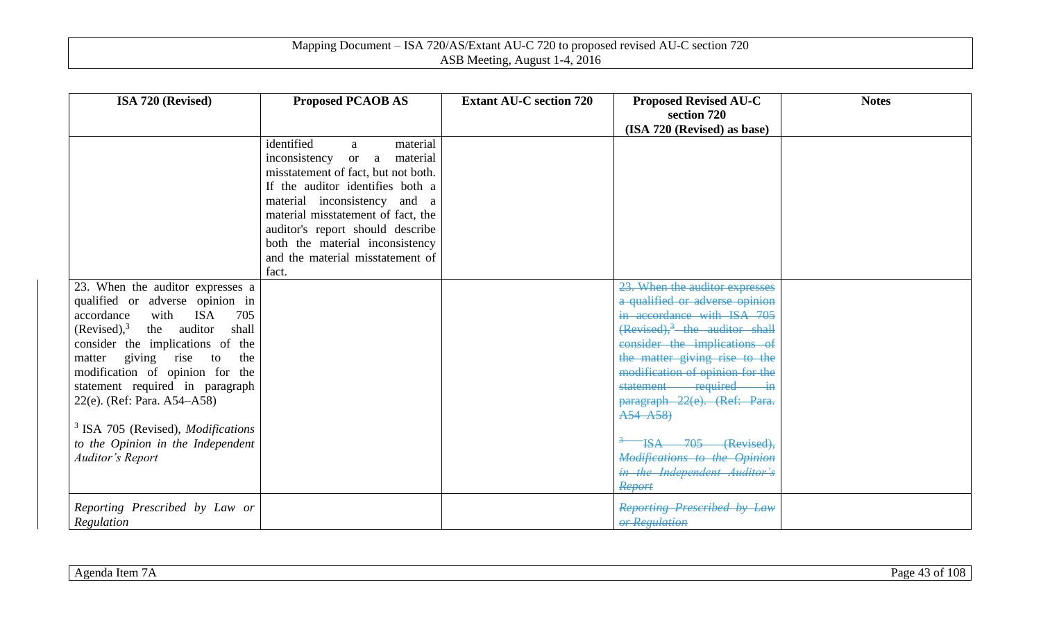| ISA 720 (Revised)                                    | <b>Proposed PCAOB AS</b>            | <b>Extant AU-C section 720</b> | <b>Proposed Revised AU-C</b>                 | <b>Notes</b> |
|------------------------------------------------------|-------------------------------------|--------------------------------|----------------------------------------------|--------------|
|                                                      |                                     |                                | section 720                                  |              |
|                                                      |                                     |                                | (ISA 720 (Revised) as base)                  |              |
|                                                      | identified<br>material<br>a         |                                |                                              |              |
|                                                      | inconsistency or a<br>material      |                                |                                              |              |
|                                                      | misstatement of fact, but not both. |                                |                                              |              |
|                                                      | If the auditor identifies both a    |                                |                                              |              |
|                                                      | material inconsistency and a        |                                |                                              |              |
|                                                      | material misstatement of fact, the  |                                |                                              |              |
|                                                      | auditor's report should describe    |                                |                                              |              |
|                                                      | both the material inconsistency     |                                |                                              |              |
|                                                      | and the material misstatement of    |                                |                                              |              |
|                                                      | fact.                               |                                |                                              |              |
| 23. When the auditor expresses a                     |                                     |                                | 23. When the auditor expresses               |              |
| qualified or adverse opinion in                      |                                     |                                | a qualified or adverse opinion               |              |
| accordance<br>with<br><b>ISA</b><br>705              |                                     |                                | in accordance with ISA 705                   |              |
| $(Revised),$ <sup>3</sup><br>the auditor<br>shall    |                                     |                                | $(Revised)$ , <sup>3</sup> the auditor shall |              |
| consider the implications of the                     |                                     |                                | consider the implications of                 |              |
| matter giving rise to<br>the                         |                                     |                                | the matter giving rise to the                |              |
| modification of opinion for the                      |                                     |                                | modification of opinion for the              |              |
| statement required in paragraph                      |                                     |                                | statement required<br>$\frac{1}{10}$         |              |
| 22(e). (Ref: Para. A54–A58)                          |                                     |                                | paragraph 22(e). (Ref: Para.                 |              |
|                                                      |                                     |                                | A54-A58)                                     |              |
| <sup>3</sup> ISA 705 (Revised), <i>Modifications</i> |                                     |                                |                                              |              |
| to the Opinion in the Independent                    |                                     |                                | <b>ISA</b> 705 (Revised).                    |              |
| <b>Auditor's Report</b>                              |                                     |                                | <b>Modifications to the Opinion</b>          |              |
|                                                      |                                     |                                | in the Independent Auditor's                 |              |
|                                                      |                                     |                                | Report                                       |              |
| Reporting Prescribed by Law or                       |                                     |                                | Reporting Prescribed by Law                  |              |
| Regulation                                           |                                     |                                | or Regulation                                |              |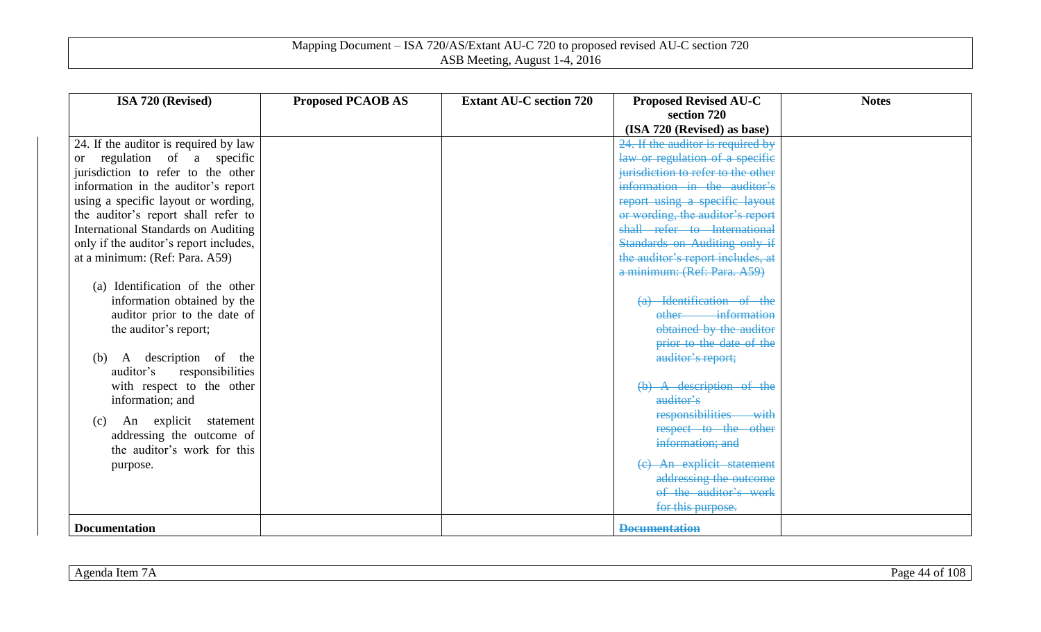| ISA 720 (Revised)                                   | <b>Proposed PCAOB AS</b> | <b>Extant AU-C section 720</b> | <b>Proposed Revised AU-C</b>               | <b>Notes</b> |
|-----------------------------------------------------|--------------------------|--------------------------------|--------------------------------------------|--------------|
|                                                     |                          |                                | section 720<br>(ISA 720 (Revised) as base) |              |
| 24. If the auditor is required by law               |                          |                                | 24. If the auditor is required by          |              |
| regulation of a specific                            |                          |                                | law or regulation of a specific            |              |
| <sub>or</sub><br>jurisdiction to refer to the other |                          |                                | jurisdiction to refer to the other         |              |
| information in the auditor's report                 |                          |                                | information in the auditor's               |              |
|                                                     |                          |                                |                                            |              |
| using a specific layout or wording,                 |                          |                                | report using a specific layout             |              |
| the auditor's report shall refer to                 |                          |                                | or wording, the auditor's report           |              |
| <b>International Standards on Auditing</b>          |                          |                                | shall refer to International               |              |
| only if the auditor's report includes,              |                          |                                | <b>Standards on Auditing only if</b>       |              |
| at a minimum: (Ref: Para. A59)                      |                          |                                | the auditor's report includes, at          |              |
|                                                     |                          |                                | a minimum: (Ref: Para. A59)                |              |
| (a) Identification of the other                     |                          |                                |                                            |              |
| information obtained by the                         |                          |                                | (a) Identification of the                  |              |
| auditor prior to the date of                        |                          |                                | other information                          |              |
| the auditor's report;                               |                          |                                | obtained by the auditor                    |              |
|                                                     |                          |                                | prior to the date of the                   |              |
| A description of the<br>(b)                         |                          |                                | auditor's report;                          |              |
| auditor's<br>responsibilities                       |                          |                                |                                            |              |
| with respect to the other                           |                          |                                | (b) A description of the                   |              |
| information; and                                    |                          |                                | auditor's                                  |              |
|                                                     |                          |                                | responsibilities with                      |              |
| An explicit<br>statement<br>(c)                     |                          |                                | respect to the other                       |              |
| addressing the outcome of                           |                          |                                | information; and                           |              |
| the auditor's work for this                         |                          |                                |                                            |              |
| purpose.                                            |                          |                                | (e) An explicit statement                  |              |
|                                                     |                          |                                | addressing the outcome                     |              |
|                                                     |                          |                                | of the auditor's work                      |              |
|                                                     |                          |                                | for this purpose.                          |              |
| <b>Documentation</b>                                |                          |                                | <b>Documentation</b>                       |              |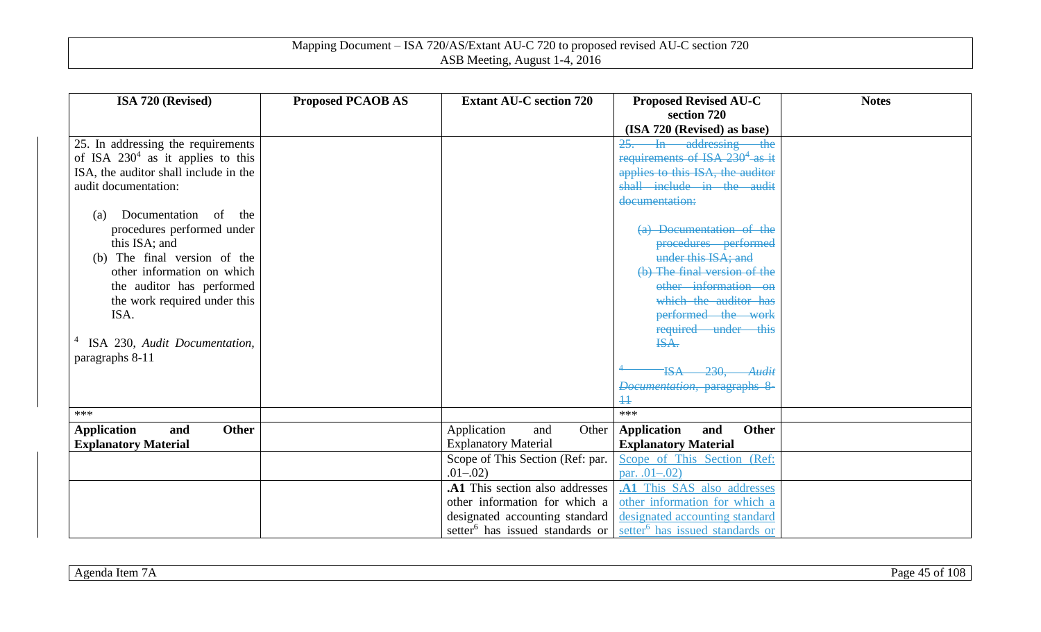| ISA 720 (Revised)                         | <b>Proposed PCAOB AS</b> | <b>Extant AU-C section 720</b>              | <b>Proposed Revised AU-C</b><br>section 720 | <b>Notes</b> |
|-------------------------------------------|--------------------------|---------------------------------------------|---------------------------------------------|--------------|
|                                           |                          |                                             | (ISA 720 (Revised) as base)                 |              |
| 25. In addressing the requirements        |                          |                                             | $25.$ In addressing<br>the                  |              |
| of ISA $230^4$ as it applies to this      |                          |                                             | requirements of ISA 230 <sup>4</sup> as it  |              |
| ISA, the auditor shall include in the     |                          |                                             | applies to this ISA, the auditor            |              |
| audit documentation:                      |                          |                                             | shall include in the audit                  |              |
|                                           |                          |                                             | documentation:                              |              |
| Documentation of the<br>(a)               |                          |                                             |                                             |              |
| procedures performed under                |                          |                                             | (a) Documentation of the                    |              |
| this ISA; and                             |                          |                                             | procedures performed                        |              |
| The final version of the<br>(b)           |                          |                                             | under this ISA: and                         |              |
| other information on which                |                          |                                             | (b) The final version of the                |              |
| the auditor has performed                 |                          |                                             | other information on                        |              |
| the work required under this              |                          |                                             | which the auditor has                       |              |
| ISA.                                      |                          |                                             | performed the work                          |              |
|                                           |                          |                                             | required under this                         |              |
| ISA 230, Audit Documentation,             |                          |                                             | ISA.                                        |              |
| paragraphs 8-11                           |                          |                                             |                                             |              |
|                                           |                          |                                             | 230, Audit<br>-ISA                          |              |
|                                           |                          |                                             | Documentation, paragraphs 8-                |              |
|                                           |                          |                                             | $\overline{11}$                             |              |
| ***                                       |                          |                                             | ***                                         |              |
| <b>Other</b><br><b>Application</b><br>and |                          | Other<br>Application<br>and                 | <b>Other</b><br>and<br><b>Application</b>   |              |
| <b>Explanatory Material</b>               |                          | <b>Explanatory Material</b>                 | <b>Explanatory Material</b>                 |              |
|                                           |                          | Scope of This Section (Ref: par.            | Scope of This Section (Ref:                 |              |
|                                           |                          | $.01 - .02)$                                | par. $.01-.02$ )                            |              |
|                                           |                          | A1 This section also addresses              | .A1 This SAS also addresses                 |              |
|                                           |                          | other information for which a               | other information for which a               |              |
|                                           |                          | designated accounting standard              | designated accounting standard              |              |
|                                           |                          | setter <sup>6</sup> has issued standards or | setter <sup>6</sup> has issued standards or |              |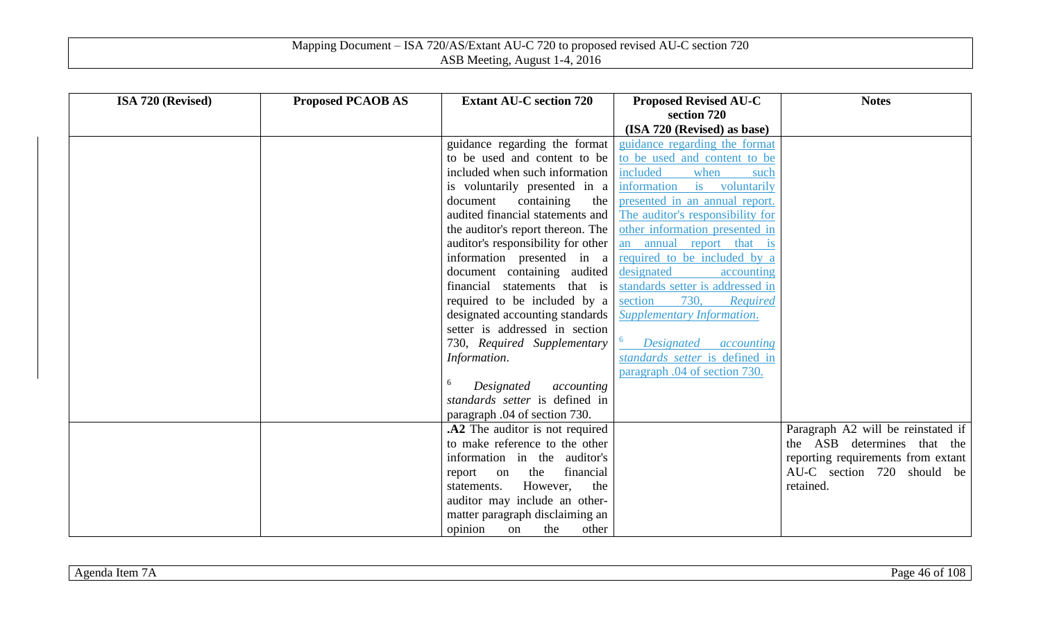| Mapping Document – ISA 720/AS/Extant AU-C 720 to proposed revised AU-C section 720 |
|------------------------------------------------------------------------------------|
| ASB Meeting, August 1-4, 2016                                                      |

| <b>ISA 720 (Revised)</b> | <b>Proposed PCAOB AS</b> | <b>Extant AU-C section 720</b>                                   | <b>Proposed Revised AU-C</b><br>section 720<br>(ISA 720 (Revised) as base) | <b>Notes</b>                       |
|--------------------------|--------------------------|------------------------------------------------------------------|----------------------------------------------------------------------------|------------------------------------|
|                          |                          | guidance regarding the format                                    | guidance regarding the format                                              |                                    |
|                          |                          | to be used and content to be                                     | to be used and content to be                                               |                                    |
|                          |                          | included when such information                                   | included<br>when<br>such                                                   |                                    |
|                          |                          | is voluntarily presented in a                                    | is voluntarily<br>information                                              |                                    |
|                          |                          | containing<br>document                                           | the presented in an annual report.                                         |                                    |
|                          |                          | audited financial statements and                                 | The auditor's responsibility for                                           |                                    |
|                          |                          | the auditor's report thereon. The other information presented in |                                                                            |                                    |
|                          |                          | auditor's responsibility for other an annual report that is      |                                                                            |                                    |
|                          |                          | information presented in a                                       | required to be included by a                                               |                                    |
|                          |                          | document containing audited                                      | designated<br>accounting                                                   |                                    |
|                          |                          | financial statements that is                                     | standards setter is addressed in                                           |                                    |
|                          |                          | required to be included by a                                     | 730,<br>section<br>Required                                                |                                    |
|                          |                          | designated accounting standards                                  | <b>Supplementary Information.</b>                                          |                                    |
|                          |                          | setter is addressed in section                                   |                                                                            |                                    |
|                          |                          | 730, Required Supplementary                                      | 6<br>Designated<br><i>accounting</i>                                       |                                    |
|                          |                          | Information.                                                     | standards setter is defined in                                             |                                    |
|                          |                          |                                                                  | paragraph .04 of section 730.                                              |                                    |
|                          |                          | Designated<br>accounting                                         |                                                                            |                                    |
|                          |                          | standards setter is defined in                                   |                                                                            |                                    |
|                          |                          | paragraph .04 of section 730.                                    |                                                                            |                                    |
|                          |                          | .A2 The auditor is not required                                  |                                                                            | Paragraph A2 will be reinstated if |
|                          |                          | to make reference to the other                                   |                                                                            | the ASB determines that the        |
|                          |                          | information in the auditor's                                     |                                                                            | reporting requirements from extant |
|                          |                          | financial<br>the<br>report on                                    |                                                                            | AU-C section 720 should be         |
|                          |                          | However,<br>statements.<br>the                                   |                                                                            | retained.                          |
|                          |                          | auditor may include an other-                                    |                                                                            |                                    |
|                          |                          | matter paragraph disclaiming an                                  |                                                                            |                                    |
|                          |                          | opinion<br>other<br>the<br><sub>on</sub>                         |                                                                            |                                    |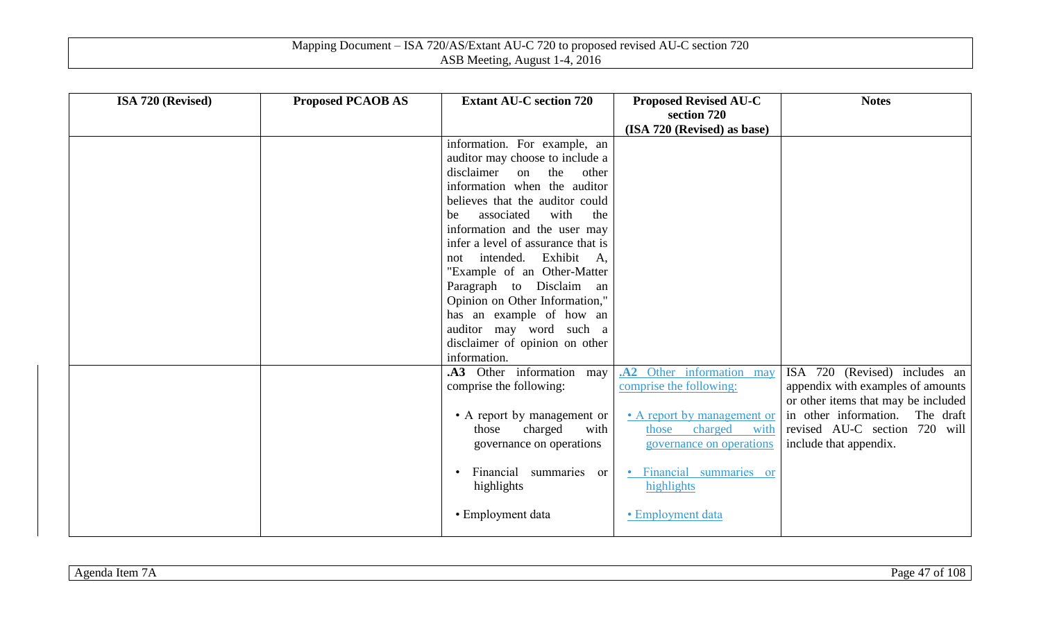| Mapping Document – ISA 720/AS/Extant AU-C 720 to proposed revised AU-C section 720 |
|------------------------------------------------------------------------------------|
| ASB Meeting, August 1-4, 2016                                                      |

| ISA 720 (Revised) | <b>Proposed PCAOB AS</b> | <b>Extant AU-C section 720</b>     | <b>Proposed Revised AU-C</b><br>section 720 | <b>Notes</b>                        |
|-------------------|--------------------------|------------------------------------|---------------------------------------------|-------------------------------------|
|                   |                          |                                    | (ISA 720 (Revised) as base)                 |                                     |
|                   |                          | information. For example, an       |                                             |                                     |
|                   |                          | auditor may choose to include a    |                                             |                                     |
|                   |                          | disclaimer<br>the<br>other<br>on   |                                             |                                     |
|                   |                          | information when the auditor       |                                             |                                     |
|                   |                          | believes that the auditor could    |                                             |                                     |
|                   |                          | associated<br>with<br>the<br>be    |                                             |                                     |
|                   |                          | information and the user may       |                                             |                                     |
|                   |                          | infer a level of assurance that is |                                             |                                     |
|                   |                          | Exhibit<br>intended.<br>A,<br>not  |                                             |                                     |
|                   |                          | "Example of an Other-Matter        |                                             |                                     |
|                   |                          | Paragraph to Disclaim<br>an        |                                             |                                     |
|                   |                          | Opinion on Other Information,"     |                                             |                                     |
|                   |                          | has an example of how an           |                                             |                                     |
|                   |                          | auditor may word such a            |                                             |                                     |
|                   |                          | disclaimer of opinion on other     |                                             |                                     |
|                   |                          | information.                       |                                             |                                     |
|                   |                          | .A3 Other information<br>may       | .A2 Other information may                   | ISA 720 (Revised) includes an       |
|                   |                          | comprise the following:            | comprise the following:                     | appendix with examples of amounts   |
|                   |                          |                                    |                                             | or other items that may be included |
|                   |                          | • A report by management or        | • A report by management or                 | in other information. The draft     |
|                   |                          | charged<br>with<br>those           | charged<br>those<br>with                    | revised AU-C section 720 will       |
|                   |                          | governance on operations           | governance on operations                    | include that appendix.              |
|                   |                          |                                    |                                             |                                     |
|                   |                          | Financial<br>summaries or          | Financial summaries or                      |                                     |
|                   |                          | highlights                         | highlights                                  |                                     |
|                   |                          |                                    |                                             |                                     |
|                   |                          | • Employment data                  | • Employment data                           |                                     |
|                   |                          |                                    |                                             |                                     |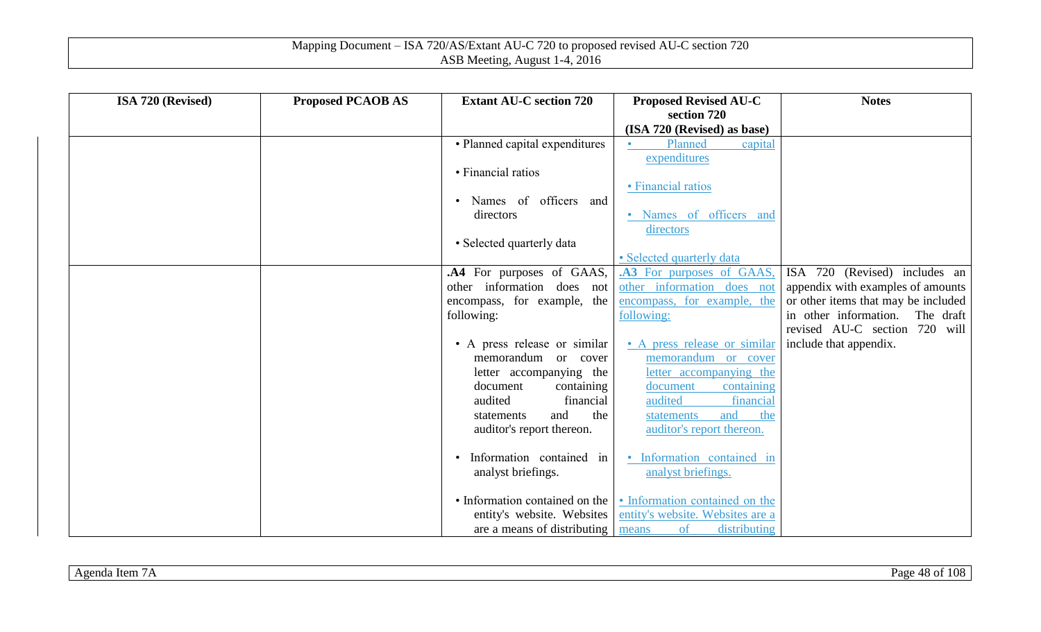| ISA 720 (Revised) | <b>Proposed PCAOB AS</b> | <b>Extant AU-C section 720</b>      | <b>Proposed Revised AU-C</b>                                    | <b>Notes</b>                        |
|-------------------|--------------------------|-------------------------------------|-----------------------------------------------------------------|-------------------------------------|
|                   |                          |                                     | section 720                                                     |                                     |
|                   |                          |                                     | (ISA 720 (Revised) as base)                                     |                                     |
|                   |                          | • Planned capital expenditures      | Planned<br>capital                                              |                                     |
|                   |                          |                                     | expenditures                                                    |                                     |
|                   |                          | • Financial ratios                  |                                                                 |                                     |
|                   |                          |                                     | • Financial ratios                                              |                                     |
|                   |                          | Names of officers and               |                                                                 |                                     |
|                   |                          | directors                           | • Names of officers and                                         |                                     |
|                   |                          |                                     | directors                                                       |                                     |
|                   |                          | • Selected quarterly data           |                                                                 |                                     |
|                   |                          |                                     | • Selected quarterly data                                       |                                     |
|                   |                          | .A4 For purposes of GAAS,           | .A3 For purposes of GAAS,                                       | ISA 720 (Revised) includes an       |
|                   |                          | other information does not          | other information does not                                      | appendix with examples of amounts   |
|                   |                          | encompass, for example, the         | encompass, for example, the                                     | or other items that may be included |
|                   |                          | following:                          | following:                                                      | in other information. The draft     |
|                   |                          |                                     |                                                                 | revised AU-C section<br>720 will    |
|                   |                          | • A press release or similar        | • A press release or similar                                    | include that appendix.              |
|                   |                          | memorandum or cover                 | memorandum or cover                                             |                                     |
|                   |                          | letter accompanying the             | letter accompanying the                                         |                                     |
|                   |                          | document<br>containing              | document<br>containing                                          |                                     |
|                   |                          | audited<br>financial                | audited<br>financial                                            |                                     |
|                   |                          | the<br>and<br>statements            | and<br>the<br>statements                                        |                                     |
|                   |                          | auditor's report thereon.           | auditor's report thereon.                                       |                                     |
|                   |                          |                                     |                                                                 |                                     |
|                   |                          | Information contained in            | · Information contained in                                      |                                     |
|                   |                          | analyst briefings.                  | analyst briefings.                                              |                                     |
|                   |                          |                                     |                                                                 |                                     |
|                   |                          |                                     | • Information contained on the   • Information contained on the |                                     |
|                   |                          | entity's website. Websites          | entity's website. Websites are a                                |                                     |
|                   |                          | are a means of distributing   means | <sub>of</sub><br>distributing                                   |                                     |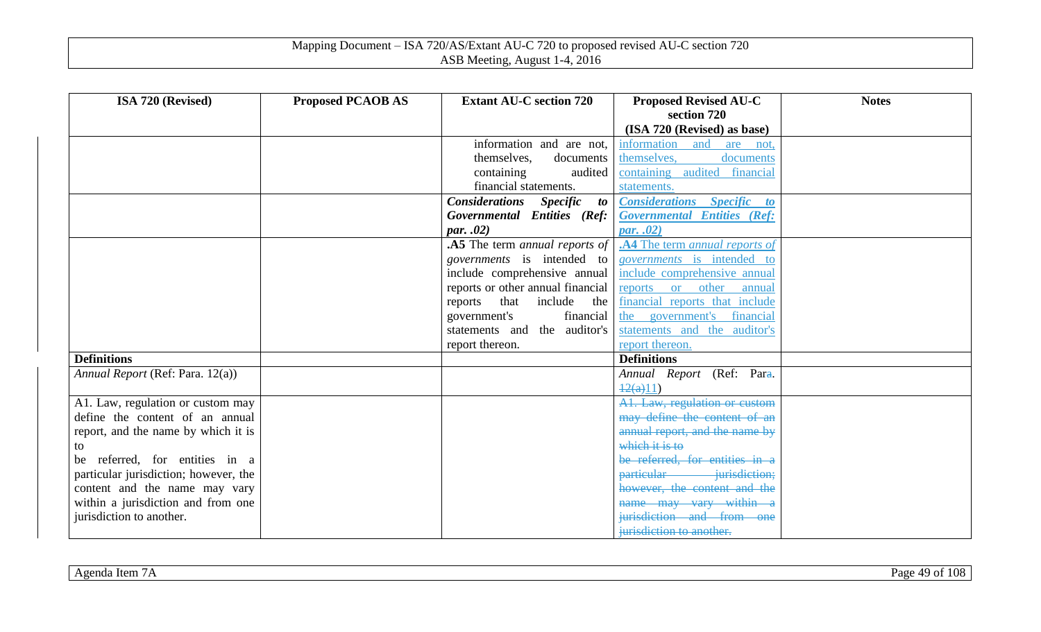| ISA 720 (Revised)                     | <b>Proposed PCAOB AS</b> | <b>Extant AU-C section 720</b>       | <b>Proposed Revised AU-C</b>                | <b>Notes</b> |
|---------------------------------------|--------------------------|--------------------------------------|---------------------------------------------|--------------|
|                                       |                          |                                      | section 720                                 |              |
|                                       |                          |                                      | (ISA 720 (Revised) as base)                 |              |
|                                       |                          | information and are not.             | information and<br>are<br>not.              |              |
|                                       |                          | themselves.<br>documents             | themselves,<br>documents                    |              |
|                                       |                          | containing<br>audited                | containing audited financial                |              |
|                                       |                          | financial statements.                | statements.                                 |              |
|                                       |                          | <b>Considerations</b> Specific<br>to | <b>Considerations</b> Specific<br><i>to</i> |              |
|                                       |                          | Governmental Entities (Ref:          | <b>Governmental Entities (Ref:</b>          |              |
|                                       |                          | par. $.02)$                          | par. $.02)$                                 |              |
|                                       |                          | A5 The term annual reports of        | .A4 The term annual reports of              |              |
|                                       |                          | <i>governments</i> is intended to    | <i>governments</i> is intended to           |              |
|                                       |                          | include comprehensive annual         | include comprehensive annual                |              |
|                                       |                          | reports or other annual financial    | reports or other annual                     |              |
|                                       |                          | reports that include<br>the          | financial reports that include              |              |
|                                       |                          | government's<br>financial            | the government's financial                  |              |
|                                       |                          | statements and the auditor's         | statements and the auditor's                |              |
|                                       |                          | report thereon.                      | report thereon.                             |              |
| <b>Definitions</b>                    |                          |                                      | <b>Definitions</b>                          |              |
| Annual Report (Ref: Para. 12(a))      |                          |                                      | Annual Report (Ref: Para.                   |              |
|                                       |                          |                                      | $\frac{12(a)}{11}$                          |              |
| A1. Law, regulation or custom may     |                          |                                      | A1. Law, regulation or custom               |              |
| define the content of an annual       |                          |                                      | may define the content of an                |              |
| report, and the name by which it is   |                          |                                      | annual report, and the name by              |              |
| to                                    |                          |                                      | which it is to                              |              |
| be referred, for entities in a        |                          |                                      | be referred, for entities in a              |              |
| particular jurisdiction; however, the |                          |                                      | particular jurisdiction;                    |              |
| content and the name may vary         |                          |                                      | however, the content and the                |              |
| within a jurisdiction and from one    |                          |                                      | name may vary within a                      |              |
| jurisdiction to another.              |                          |                                      | jurisdiction and from one                   |              |
|                                       |                          |                                      | jurisdiction to another.                    |              |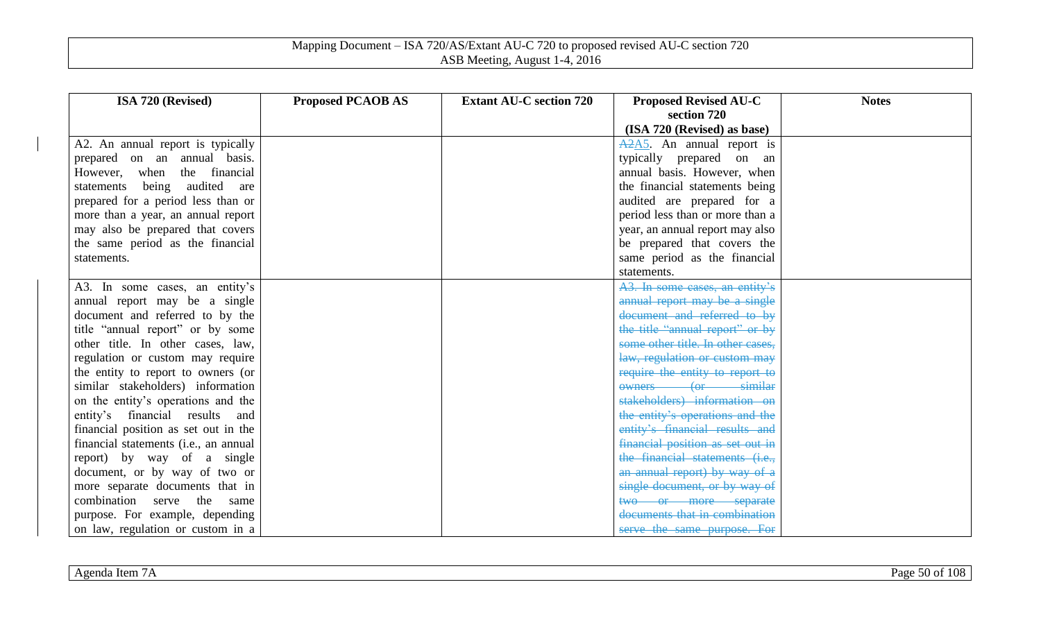| ISA 720 (Revised)                     | <b>Proposed PCAOB AS</b> | <b>Extant AU-C section 720</b> | <b>Proposed Revised AU-C</b>            | <b>Notes</b> |
|---------------------------------------|--------------------------|--------------------------------|-----------------------------------------|--------------|
|                                       |                          |                                | section 720                             |              |
|                                       |                          |                                | (ISA 720 (Revised) as base)             |              |
| A2. An annual report is typically     |                          |                                | $\overline{A2A5}$ . An annual report is |              |
| prepared on an annual basis.          |                          |                                | typically prepared on an                |              |
| However, when the financial           |                          |                                | annual basis. However, when             |              |
| being audited<br>statements<br>are    |                          |                                | the financial statements being          |              |
| prepared for a period less than or    |                          |                                | audited are prepared for a              |              |
| more than a year, an annual report    |                          |                                | period less than or more than a         |              |
| may also be prepared that covers      |                          |                                | year, an annual report may also         |              |
| the same period as the financial      |                          |                                | be prepared that covers the             |              |
| statements.                           |                          |                                | same period as the financial            |              |
|                                       |                          |                                | statements.                             |              |
| A3. In some cases, an entity's        |                          |                                | A3. In some cases, an entity's          |              |
| annual report may be a single         |                          |                                | annual report may be a single           |              |
| document and referred to by the       |                          |                                | document and referred to by             |              |
| title "annual report" or by some      |                          |                                | the title "annual report" or by         |              |
| other title. In other cases, law,     |                          |                                | some other title. In other cases.       |              |
| regulation or custom may require      |                          |                                | law, regulation or custom may           |              |
| the entity to report to owners (or    |                          |                                | require the entity to report to         |              |
| similar stakeholders) information     |                          |                                | owners (or similar                      |              |
| on the entity's operations and the    |                          |                                | stakeholders) information on            |              |
| entity's financial results and        |                          |                                | the entity's operations and the         |              |
| financial position as set out in the  |                          |                                | entity's financial results and          |              |
| financial statements (i.e., an annual |                          |                                | financial position as set out in        |              |
| report) by way of a single            |                          |                                | the financial statements (i.e.,         |              |
| document, or by way of two or         |                          |                                | an annual report) by way of a           |              |
| more separate documents that in       |                          |                                | single document, or by way of           |              |
| combination serve the same            |                          |                                | two or more separate                    |              |
| purpose. For example, depending       |                          |                                | documents that in combination           |              |
| on law, regulation or custom in a     |                          |                                | serve the same purpose. For             |              |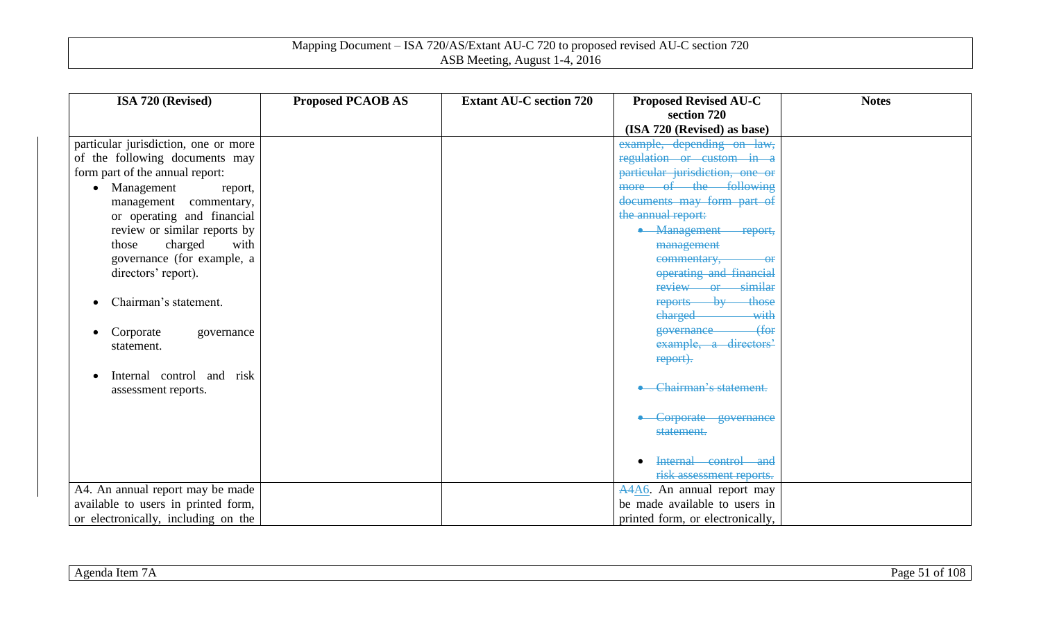| ISA 720 (Revised)                    | <b>Proposed PCAOB AS</b> | <b>Extant AU-C section 720</b> | <b>Proposed Revised AU-C</b>          | <b>Notes</b> |
|--------------------------------------|--------------------------|--------------------------------|---------------------------------------|--------------|
|                                      |                          |                                | section 720                           |              |
|                                      |                          |                                | (ISA 720 (Revised) as base)           |              |
| particular jurisdiction, one or more |                          |                                | example, depending on law,            |              |
| of the following documents may       |                          |                                | regulation or custom in a             |              |
| form part of the annual report:      |                          |                                | particular jurisdiction, one or       |              |
| Management<br>$\bullet$<br>report,   |                          |                                | more of the following                 |              |
| management commentary,               |                          |                                | documents may form part of            |              |
| or operating and financial           |                          |                                | the annual report:                    |              |
| review or similar reports by         |                          |                                | • Management -<br>-report,            |              |
| charged<br>with<br>those             |                          |                                | management                            |              |
| governance (for example, a           |                          |                                | commentary,<br>$-\Theta$ $\mathbf{f}$ |              |
| directors' report).                  |                          |                                | operating and financial               |              |
|                                      |                          |                                | review or similar                     |              |
| Chairman's statement.                |                          |                                | those<br>reports by                   |              |
|                                      |                          |                                | charged<br>with                       |              |
| Corporate<br>governance              |                          |                                | $-$ (for<br>governance                |              |
| statement.                           |                          |                                | example, a directors'                 |              |
|                                      |                          |                                | report).                              |              |
| Internal control and risk            |                          |                                |                                       |              |
| assessment reports.                  |                          |                                | Chairman's statement.                 |              |
|                                      |                          |                                |                                       |              |
|                                      |                          |                                | Corporate governance                  |              |
|                                      |                          |                                | statement.                            |              |
|                                      |                          |                                |                                       |              |
|                                      |                          |                                | Internal control and                  |              |
|                                      |                          |                                | risk assessment reports.              |              |
| A4. An annual report may be made     |                          |                                | A4A6. An annual report may            |              |
| available to users in printed form,  |                          |                                | be made available to users in         |              |
| or electronically, including on the  |                          |                                | printed form, or electronically,      |              |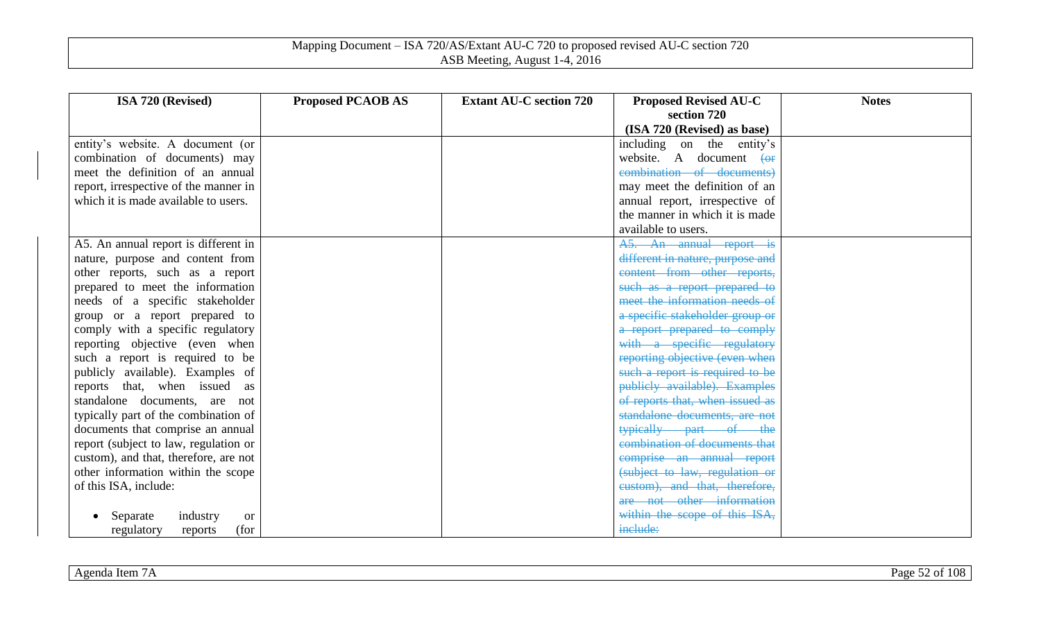| ISA 720 (Revised)                     | <b>Proposed PCAOB AS</b> | <b>Extant AU-C section 720</b> | <b>Proposed Revised AU-C</b><br>section 720 | <b>Notes</b> |
|---------------------------------------|--------------------------|--------------------------------|---------------------------------------------|--------------|
|                                       |                          |                                | (ISA 720 (Revised) as base)                 |              |
| entity's website. A document (or      |                          |                                | including on the entity's                   |              |
| combination of documents) may         |                          |                                | website. A document $\overline{\omega}$     |              |
| meet the definition of an annual      |                          |                                | combination of documents)                   |              |
| report, irrespective of the manner in |                          |                                | may meet the definition of an               |              |
| which it is made available to users.  |                          |                                | annual report, irrespective of              |              |
|                                       |                          |                                | the manner in which it is made              |              |
|                                       |                          |                                | available to users.                         |              |
| A5. An annual report is different in  |                          |                                | A5. An annual report is                     |              |
| nature, purpose and content from      |                          |                                | different in nature, purpose and            |              |
| other reports, such as a report       |                          |                                | content from other reports,                 |              |
| prepared to meet the information      |                          |                                | such as a report prepared to                |              |
| needs of a specific stakeholder       |                          |                                | meet the information needs of               |              |
| group or a report prepared to         |                          |                                | a specific stakeholder group or             |              |
| comply with a specific regulatory     |                          |                                | a report prepared to comply                 |              |
| reporting objective (even when        |                          |                                | with a specific regulatory                  |              |
| such a report is required to be       |                          |                                | reporting objective (even when              |              |
| publicly available). Examples of      |                          |                                | such a report is required to be             |              |
| reports that, when issued as          |                          |                                | publicly available). Examples               |              |
| standalone documents, are<br>not      |                          |                                | of reports that, when issued as             |              |
| typically part of the combination of  |                          |                                | standalone documents, are not               |              |
| documents that comprise an annual     |                          |                                | typically part of the                       |              |
| report (subject to law, regulation or |                          |                                | combination of documents that               |              |
| custom), and that, therefore, are not |                          |                                | comprise an annual report                   |              |
| other information within the scope    |                          |                                | (subject to law, regulation or              |              |
| of this ISA, include:                 |                          |                                | eustom), and that, therefore,               |              |
|                                       |                          |                                | are not other information                   |              |
| Separate<br>industry<br><b>or</b>     |                          |                                | within the scope of this ISA,               |              |
| (for<br>regulatory<br>reports         |                          |                                | include:                                    |              |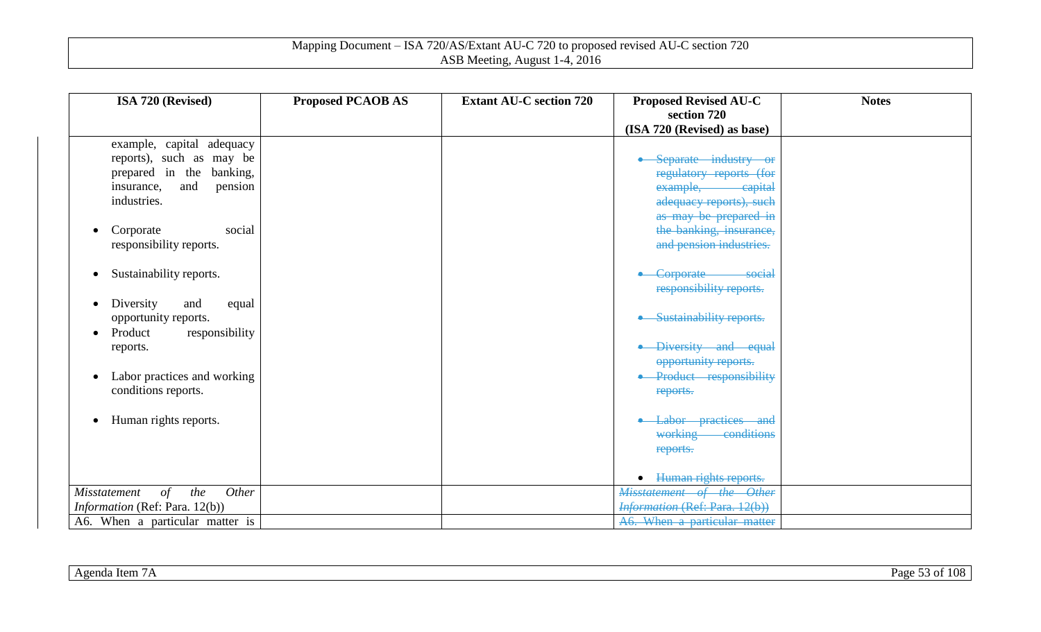| ISA 720 (Revised)                                                                                                                                          | <b>Proposed PCAOB AS</b> | <b>Extant AU-C section 720</b> | <b>Proposed Revised AU-C</b>                                                                                                                       | <b>Notes</b> |
|------------------------------------------------------------------------------------------------------------------------------------------------------------|--------------------------|--------------------------------|----------------------------------------------------------------------------------------------------------------------------------------------------|--------------|
|                                                                                                                                                            |                          |                                | section 720<br>(ISA 720 (Revised) as base)                                                                                                         |              |
| example, capital adequacy<br>reports), such as may be<br>prepared in the<br>banking,<br>insurance,<br>and<br>pension<br>industries.<br>Corporate<br>social |                          |                                | Separate industry or<br>regulatory reports (for<br>example, capital<br>adequacy reports), such<br>as may be prepared in<br>the banking, insurance, |              |
| responsibility reports.                                                                                                                                    |                          |                                | and pension industries.                                                                                                                            |              |
| Sustainability reports.                                                                                                                                    |                          |                                | Corporate<br><del>social</del><br>responsibility reports.                                                                                          |              |
| Diversity<br>and<br>equal<br>opportunity reports.<br>responsibility<br>Product<br>reports.                                                                 |                          |                                | Sustainability reports.<br>Diversity and equal<br>opportunity reports.                                                                             |              |
| Labor practices and working<br>conditions reports.                                                                                                         |                          |                                | Product responsibility<br>reports.                                                                                                                 |              |
| Human rights reports.                                                                                                                                      |                          |                                | Labor practices and<br>working<br>conditions<br>reports.<br>Human rights reports.                                                                  |              |
| Other<br>the<br>$\sigma f$<br><b>Misstatement</b>                                                                                                          |                          |                                | Misstatement of the<br>$-\theta$ ther                                                                                                              |              |
| <i>Information</i> (Ref: Para. 12(b))                                                                                                                      |                          |                                | Information (Ref: Para, 12(b))                                                                                                                     |              |
| A6. When a particular matter is                                                                                                                            |                          |                                | A6. When a particular matter                                                                                                                       |              |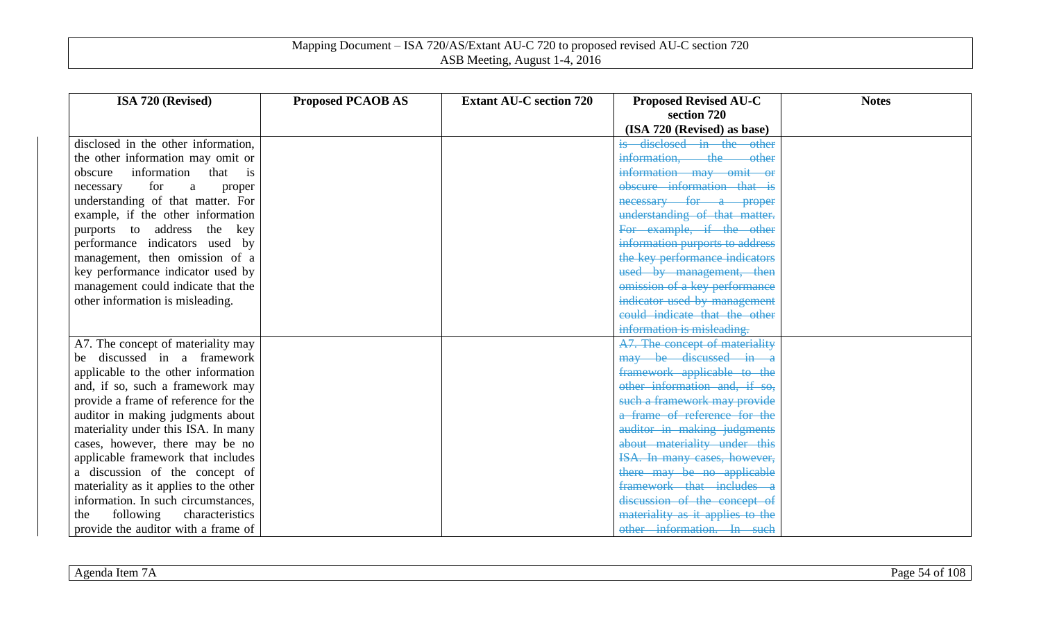| ISA 720 (Revised)                      | <b>Proposed PCAOB AS</b> | <b>Extant AU-C section 720</b> | <b>Proposed Revised AU-C</b>     | <b>Notes</b> |
|----------------------------------------|--------------------------|--------------------------------|----------------------------------|--------------|
|                                        |                          |                                | section 720                      |              |
|                                        |                          |                                | (ISA 720 (Revised) as base)      |              |
| disclosed in the other information,    |                          |                                | is disclosed in the other        |              |
| the other information may omit or      |                          |                                | information, the other           |              |
| information<br>obscure<br>that is      |                          |                                | information may omit or          |              |
| for<br>necessary<br>a<br>proper        |                          |                                | obscure information that is      |              |
| understanding of that matter. For      |                          |                                | necessary for a proper           |              |
| example, if the other information      |                          |                                | understanding of that matter.    |              |
| purports to address the key            |                          |                                | For example, if the other        |              |
| performance indicators used by         |                          |                                | information purports to address  |              |
| management, then omission of a         |                          |                                | the key performance indicators   |              |
| key performance indicator used by      |                          |                                | used by management, then         |              |
| management could indicate that the     |                          |                                | omission of a key performance    |              |
| other information is misleading.       |                          |                                | indicator used by management     |              |
|                                        |                          |                                | could indicate that the other    |              |
|                                        |                          |                                | information is misleading.       |              |
| A7. The concept of materiality may     |                          |                                | A7. The concept of materiality   |              |
| be discussed in a framework            |                          |                                | may be discussed in a            |              |
| applicable to the other information    |                          |                                | framework applicable to the      |              |
| and, if so, such a framework may       |                          |                                | other information and, if so,    |              |
| provide a frame of reference for the   |                          |                                | such a framework may provide     |              |
| auditor in making judgments about      |                          |                                | a frame of reference for the     |              |
| materiality under this ISA. In many    |                          |                                | auditor in making judgments      |              |
| cases, however, there may be no        |                          |                                | about materiality under this     |              |
| applicable framework that includes     |                          |                                | ISA. In many cases, however,     |              |
| a discussion of the concept of         |                          |                                | there may be no applicable       |              |
| materiality as it applies to the other |                          |                                | framework that includes a        |              |
| information. In such circumstances,    |                          |                                | discussion of the concept of     |              |
| following<br>characteristics<br>the    |                          |                                | materiality as it applies to the |              |
| provide the auditor with a frame of    |                          |                                | other information. In such       |              |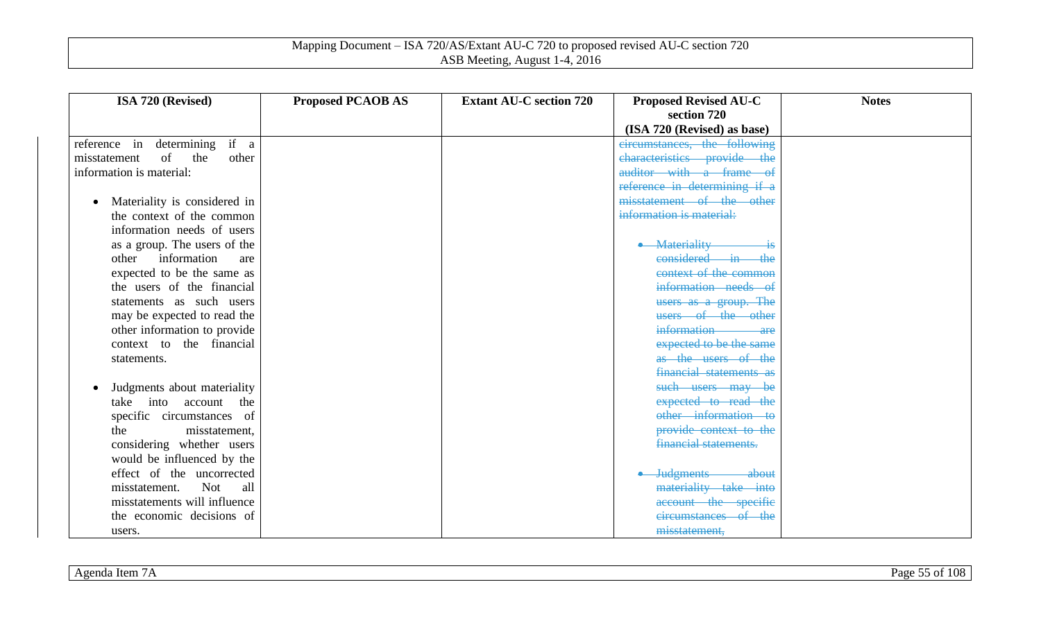| ISA 720 (Revised)                         | <b>Proposed PCAOB AS</b> | <b>Extant AU-C section 720</b> | <b>Proposed Revised AU-C</b>          | <b>Notes</b> |
|-------------------------------------------|--------------------------|--------------------------------|---------------------------------------|--------------|
|                                           |                          |                                | section 720                           |              |
|                                           |                          |                                | (ISA 720 (Revised) as base)           |              |
| if a<br>determining<br>reference in       |                          |                                | eircumstances, the following          |              |
| of<br>the<br>misstatement<br>other        |                          |                                | characteristics provide the           |              |
| information is material:                  |                          |                                | auditor with a frame of               |              |
|                                           |                          |                                | reference in determining if a         |              |
| Materiality is considered in<br>$\bullet$ |                          |                                | misstatement of the other             |              |
| the context of the common                 |                          |                                | information is material:              |              |
| information needs of users                |                          |                                |                                       |              |
| as a group. The users of the              |                          |                                | <b>Materiality</b><br>$-$ is          |              |
| information<br>other<br>are               |                          |                                | considered in<br>$-$ the              |              |
| expected to be the same as                |                          |                                | context of the common                 |              |
| the users of the financial                |                          |                                | information needs of                  |              |
| statements as such users                  |                          |                                | users as a group. The                 |              |
| may be expected to read the               |                          |                                | users of the other                    |              |
| other information to provide              |                          |                                | information <b>information</b><br>are |              |
| context to the financial                  |                          |                                | expected to be the same               |              |
| statements.                               |                          |                                | as the users of the                   |              |
|                                           |                          |                                | financial statements as               |              |
| Judgments about materiality               |                          |                                | such users may be                     |              |
| into<br>account<br>the<br>take            |                          |                                | expected to read the                  |              |
| specific circumstances of                 |                          |                                | other information to                  |              |
| the<br>misstatement,                      |                          |                                | provide context to the                |              |
| considering whether users                 |                          |                                | financial statements.                 |              |
| would be influenced by the                |                          |                                |                                       |              |
| effect of the uncorrected                 |                          |                                | Judgments about                       |              |
| <b>Not</b><br>all<br>misstatement.        |                          |                                | materiality take into                 |              |
| misstatements will influence              |                          |                                | account the specific                  |              |
| the economic decisions of                 |                          |                                | circumstances of the                  |              |
| users.                                    |                          |                                | misstatement.                         |              |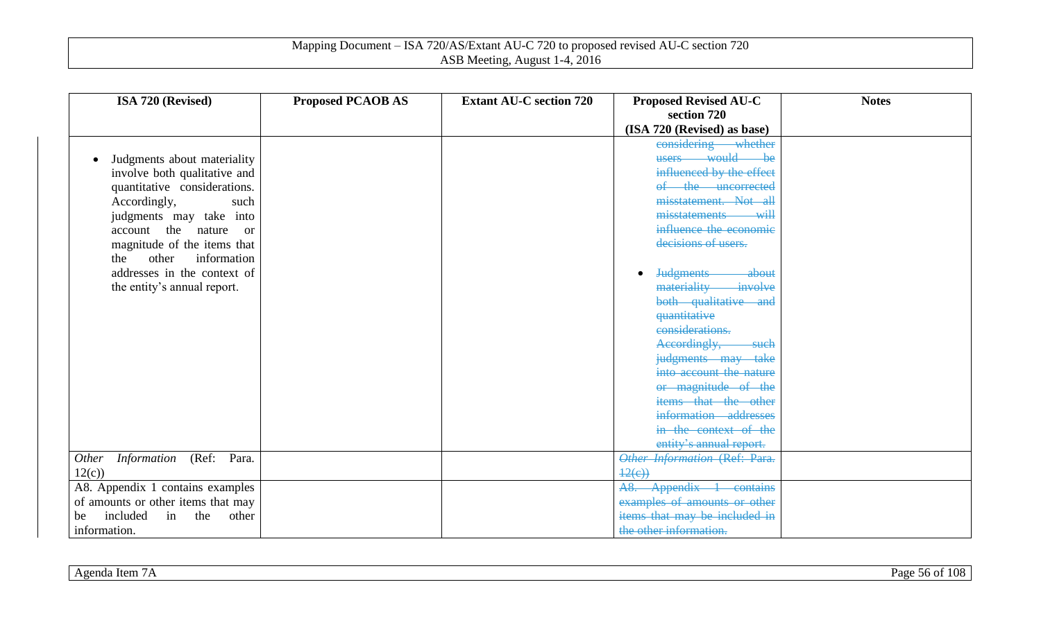| Mapping Document – ISA 720/AS/Extant AU-C 720 to proposed revised AU-C section 720 |  |
|------------------------------------------------------------------------------------|--|
| ASB Meeting, August 1-4, 2016                                                      |  |

| ISA 720 (Revised)                    | <b>Proposed PCAOB AS</b> | <b>Extant AU-C section 720</b> | <b>Proposed Revised AU-C</b>     | <b>Notes</b> |
|--------------------------------------|--------------------------|--------------------------------|----------------------------------|--------------|
|                                      |                          |                                | section 720                      |              |
|                                      |                          |                                | (ISA 720 (Revised) as base)      |              |
|                                      |                          |                                | considering whether              |              |
| Judgments about materiality          |                          |                                | users would be                   |              |
| involve both qualitative and         |                          |                                | influenced by the effect         |              |
| quantitative considerations.         |                          |                                | of the uncorrected               |              |
| Accordingly,<br>such                 |                          |                                | misstatement. Not all            |              |
| judgments may take into              |                          |                                | misstatements will               |              |
| account the nature<br>$\alpha$       |                          |                                | influence the economic           |              |
| magnitude of the items that          |                          |                                | decisions of users.              |              |
| other<br>information<br>the          |                          |                                |                                  |              |
| addresses in the context of          |                          |                                | <b>Judgments</b><br><u>about</u> |              |
| the entity's annual report.          |                          |                                | materiality involve              |              |
|                                      |                          |                                | both qualitative and             |              |
|                                      |                          |                                | quantitative                     |              |
|                                      |                          |                                | considerations.                  |              |
|                                      |                          |                                | Accordingly, such                |              |
|                                      |                          |                                | judgments may take               |              |
|                                      |                          |                                | into account the nature          |              |
|                                      |                          |                                | or magnitude of the              |              |
|                                      |                          |                                | items that the other             |              |
|                                      |                          |                                | information addresses            |              |
|                                      |                          |                                | in the context of the            |              |
|                                      |                          |                                | entity's annual report.          |              |
| Other Information<br>(Ref: Para.     |                          |                                | Other Information (Ref: Para.    |              |
| 12(c)                                |                          |                                | 42(e)                            |              |
| A8. Appendix 1 contains examples     |                          |                                | A8. Appendix 1 contains          |              |
| of amounts or other items that may   |                          |                                | examples of amounts or other     |              |
| included<br>in<br>other<br>the<br>be |                          |                                | items that may be included in    |              |
| information.                         |                          |                                | the other information.           |              |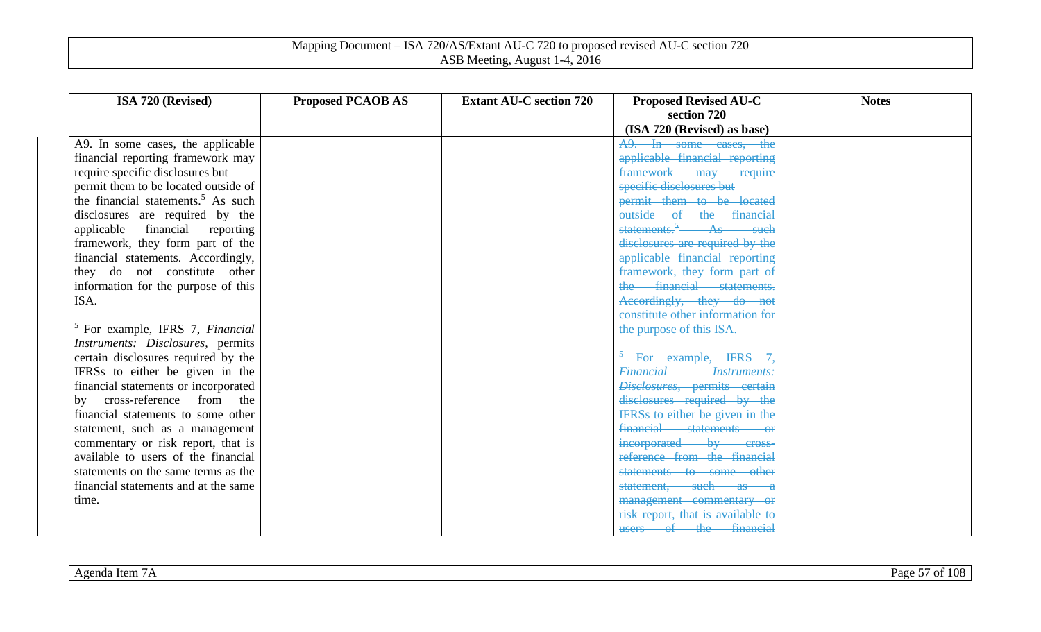| ISA 720 (Revised)                                  | <b>Proposed PCAOB AS</b> | <b>Extant AU-C section 720</b> | <b>Proposed Revised AU-C</b><br>section 720 | <b>Notes</b> |
|----------------------------------------------------|--------------------------|--------------------------------|---------------------------------------------|--------------|
|                                                    |                          |                                | (ISA 720 (Revised) as base)                 |              |
| A9. In some cases, the applicable                  |                          |                                | A9. In some cases, the                      |              |
| financial reporting framework may                  |                          |                                | applicable financial reporting              |              |
| require specific disclosures but                   |                          |                                | framework may require                       |              |
| permit them to be located outside of               |                          |                                | specific disclosures but                    |              |
| the financial statements. <sup>5</sup> As such     |                          |                                | permit them to be located                   |              |
| disclosures are required by the                    |                          |                                | outside of the financial                    |              |
| applicable financial reporting                     |                          |                                | statements. <sup>5</sup> As such            |              |
| framework, they form part of the                   |                          |                                | disclosures are required by the             |              |
| financial statements. Accordingly,                 |                          |                                | applicable financial reporting              |              |
| they do not constitute other                       |                          |                                | framework, they form part of                |              |
| information for the purpose of this                |                          |                                | the financial statements.                   |              |
| ISA.                                               |                          |                                | Accordingly, they do not                    |              |
|                                                    |                          |                                | constitute other information for            |              |
| <sup>5</sup> For example, IFRS 7, <i>Financial</i> |                          |                                | the purpose of this ISA.                    |              |
| Instruments: Disclosures, permits                  |                          |                                |                                             |              |
| certain disclosures required by the                |                          |                                | $5$ For example, IFRS 7,                    |              |
| IFRS <sub>s</sub> to either be given in the        |                          |                                | Financial Instruments:                      |              |
| financial statements or incorporated               |                          |                                | Disclosures, permits certain                |              |
| by cross-reference from<br>the                     |                          |                                | disclosures required by the                 |              |
| financial statements to some other                 |                          |                                | IFRSs to either be given in the             |              |
| statement, such as a management                    |                          |                                | financial statements or                     |              |
| commentary or risk report, that is                 |                          |                                | incorporated by cross-                      |              |
| available to users of the financial                |                          |                                | reference from the financial                |              |
| statements on the same terms as the                |                          |                                | statements to some other                    |              |
| financial statements and at the same               |                          |                                | statement, such as a                        |              |
| time.                                              |                          |                                | management commentary or                    |              |
|                                                    |                          |                                | risk report, that is available to           |              |
|                                                    |                          |                                | users of the financial                      |              |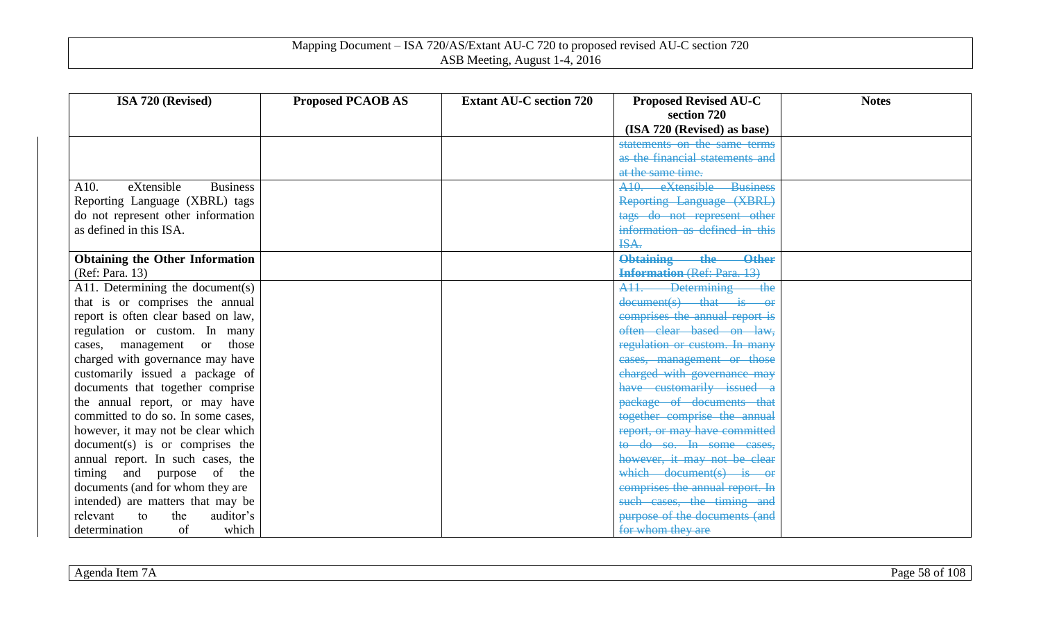| ISA 720 (Revised)                      | <b>Proposed PCAOB AS</b> | <b>Extant AU-C section 720</b> | <b>Proposed Revised AU-C</b><br>section 720 | <b>Notes</b> |
|----------------------------------------|--------------------------|--------------------------------|---------------------------------------------|--------------|
|                                        |                          |                                | (ISA 720 (Revised) as base)                 |              |
|                                        |                          |                                | statements on the same terms                |              |
|                                        |                          |                                | as the financial statements and             |              |
|                                        |                          |                                | at the same time.                           |              |
| eXtensible<br><b>Business</b><br>A10.  |                          |                                | <b>Business</b><br>A10. eXtensible          |              |
| Reporting Language (XBRL) tags         |                          |                                | Reporting Language (XBRL)                   |              |
| do not represent other information     |                          |                                | tags do not represent other                 |              |
| as defined in this ISA.                |                          |                                | information as defined in this              |              |
|                                        |                          |                                | ISA.                                        |              |
| <b>Obtaining the Other Information</b> |                          |                                | <b>Obtaining</b><br>the Other               |              |
| (Ref: Para. 13)                        |                          |                                | <b>Information (Ref: Para. 13)</b>          |              |
| A11. Determining the document(s)       |                          |                                | A11. Determining<br>the                     |              |
| that is or comprises the annual        |                          |                                | $d$ ocument $(s)$ that is or                |              |
| report is often clear based on law,    |                          |                                | comprises the annual report is              |              |
| regulation or custom. In many          |                          |                                | often clear based on law.                   |              |
| cases, management or those             |                          |                                | regulation or custom. In many               |              |
| charged with governance may have       |                          |                                | cases, management or those                  |              |
| customarily issued a package of        |                          |                                | charged with governance may                 |              |
| documents that together comprise       |                          |                                | have customarily issued a                   |              |
| the annual report, or may have         |                          |                                | package of documents that                   |              |
| committed to do so. In some cases,     |                          |                                | together comprise the annual                |              |
| however, it may not be clear which     |                          |                                | report, or may have committed               |              |
| document(s) is or comprises the        |                          |                                | to do so. In some cases,                    |              |
| annual report. In such cases, the      |                          |                                | however, it may not be clear                |              |
| timing and purpose of<br>the           |                          |                                | which document(s) is or                     |              |
| documents (and for whom they are       |                          |                                | comprises the annual report. In             |              |
| intended) are matters that may be      |                          |                                | such cases, the timing and                  |              |
| auditor's<br>relevant<br>the<br>to     |                          |                                | purpose of the documents (and               |              |
| which<br>determination<br>of           |                          |                                | for whom they are                           |              |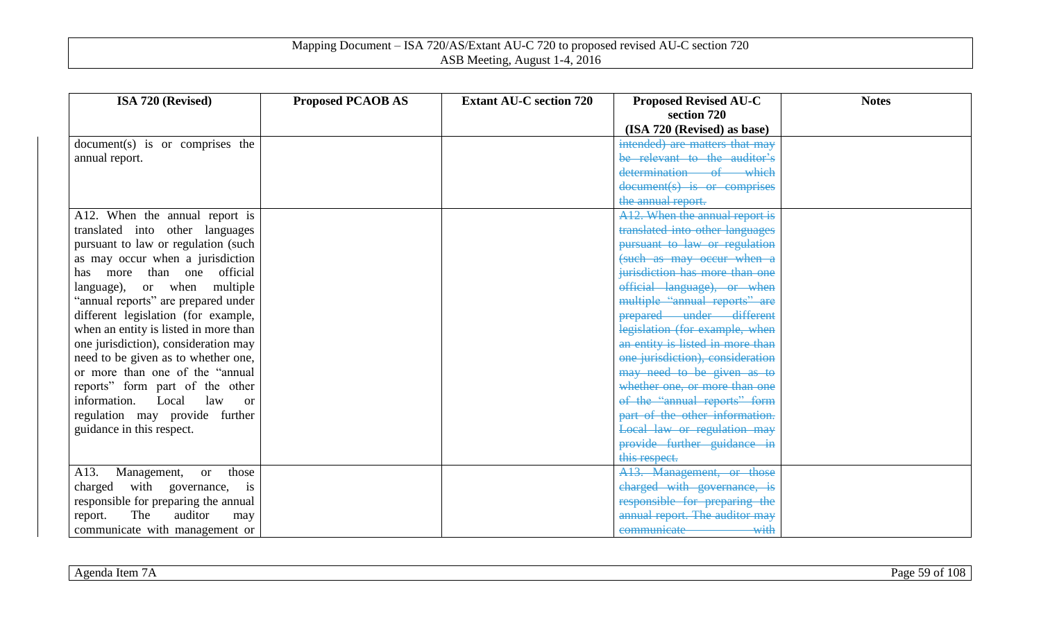| ISA 720 (Revised)                             | <b>Proposed PCAOB AS</b> | <b>Extant AU-C section 720</b> | <b>Proposed Revised AU-C</b><br>section 720 | <b>Notes</b> |
|-----------------------------------------------|--------------------------|--------------------------------|---------------------------------------------|--------------|
|                                               |                          |                                | (ISA 720 (Revised) as base)                 |              |
| document(s) is or comprises the               |                          |                                | intended) are matters that may              |              |
| annual report.                                |                          |                                | be relevant to the auditor's                |              |
|                                               |                          |                                | determination of which                      |              |
|                                               |                          |                                | document(s) is or comprises                 |              |
|                                               |                          |                                | the annual report.                          |              |
| A12. When the annual report is                |                          |                                | A12. When the annual report is              |              |
| translated into other languages               |                          |                                | translated into other languages             |              |
| pursuant to law or regulation (such           |                          |                                | pursuant to law or regulation               |              |
| as may occur when a jurisdiction              |                          |                                | (such as may occur when a                   |              |
| has more than one official                    |                          |                                | jurisdiction has more than one              |              |
| language), or when multiple                   |                          |                                | official language), or when                 |              |
| "annual reports" are prepared under           |                          |                                | multiple "annual reports" are               |              |
| different legislation (for example,           |                          |                                | prepared under different                    |              |
| when an entity is listed in more than         |                          |                                | legislation (for example, when              |              |
| one jurisdiction), consideration may          |                          |                                | an entity is listed in more than            |              |
| need to be given as to whether one,           |                          |                                | one jurisdiction), consideration            |              |
| or more than one of the "annual"              |                          |                                | may need to be given as to                  |              |
| reports" form part of the other               |                          |                                | whether one, or more than one               |              |
| information. Local<br>law<br><sub>or</sub>    |                          |                                | of the "annual reports" form                |              |
| regulation may provide further                |                          |                                | part of the other information.              |              |
| guidance in this respect.                     |                          |                                | Local law or regulation may                 |              |
|                                               |                          |                                | provide further guidance in                 |              |
|                                               |                          |                                | this respect.                               |              |
| A13.<br>those<br>Management,<br><sub>or</sub> |                          |                                | A13. Management, or those                   |              |
| charged<br>with governance,<br>1S             |                          |                                | charged with governance, is                 |              |
| responsible for preparing the annual          |                          |                                | responsible for preparing the               |              |
| auditor<br>The<br>report.<br>may              |                          |                                | annual report. The auditor may              |              |
| communicate with management or                |                          |                                | communicate example<br>with                 |              |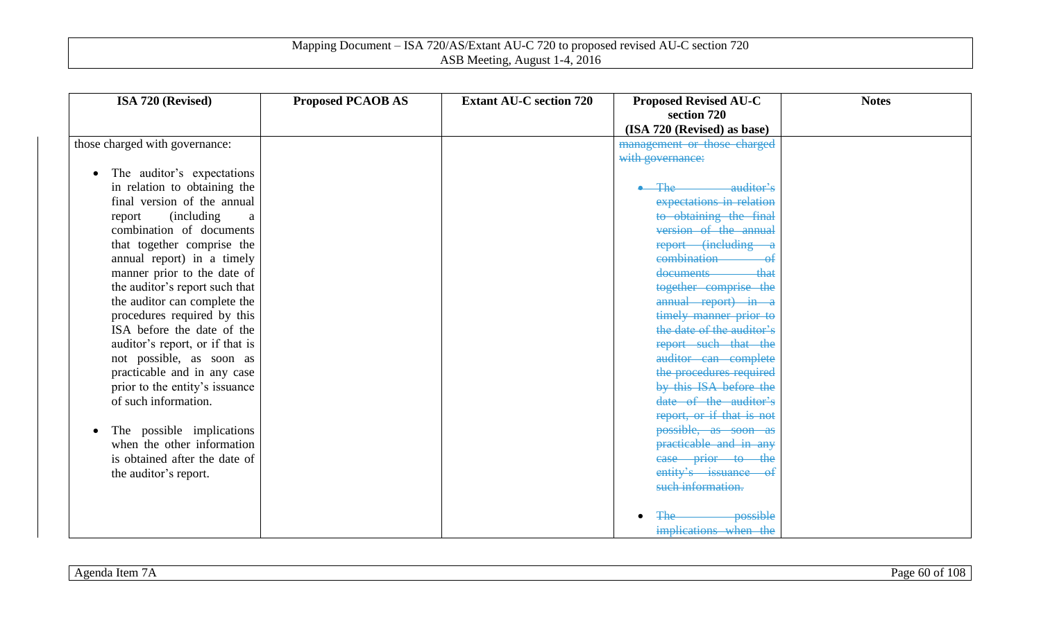| ISA 720 (Revised)                 | <b>Proposed PCAOB AS</b> | <b>Extant AU-C section 720</b> | <b>Proposed Revised AU-C</b><br>section 720<br>(ISA 720 (Revised) as base) | <b>Notes</b> |
|-----------------------------------|--------------------------|--------------------------------|----------------------------------------------------------------------------|--------------|
| those charged with governance:    |                          |                                | management or those charged                                                |              |
|                                   |                          |                                | with governance:                                                           |              |
| The auditor's expectations        |                          |                                |                                                                            |              |
| in relation to obtaining the      |                          |                                | The auditor's                                                              |              |
| final version of the annual       |                          |                                | expectations in relation                                                   |              |
| <i>(including)</i><br>report<br>a |                          |                                | to obtaining the final                                                     |              |
| combination of documents          |                          |                                | version of the annual                                                      |              |
| that together comprise the        |                          |                                | report (including                                                          |              |
| annual report) in a timely        |                          |                                | combination-                                                               |              |
| manner prior to the date of       |                          |                                | documents <b>suppliers</b><br><u>that</u>                                  |              |
| the auditor's report such that    |                          |                                | together comprise the                                                      |              |
| the auditor can complete the      |                          |                                | annual report) in a                                                        |              |
| procedures required by this       |                          |                                | timely manner prior to                                                     |              |
| ISA before the date of the        |                          |                                | the date of the auditor's                                                  |              |
| auditor's report, or if that is   |                          |                                | report such that the                                                       |              |
| not possible, as soon as          |                          |                                | auditor can complete                                                       |              |
| practicable and in any case       |                          |                                | the procedures required                                                    |              |
| prior to the entity's issuance    |                          |                                | by this ISA before the                                                     |              |
| of such information.              |                          |                                | date of the auditor's                                                      |              |
|                                   |                          |                                | report, or if that is not                                                  |              |
| The possible implications         |                          |                                | possible, as soon as                                                       |              |
| when the other information        |                          |                                | practicable and in any                                                     |              |
| is obtained after the date of     |                          |                                | ease prior to the                                                          |              |
| the auditor's report.             |                          |                                | entity's issuance of                                                       |              |
|                                   |                          |                                | such information.                                                          |              |
|                                   |                          |                                |                                                                            |              |
|                                   |                          |                                | <b>possible</b><br><del>The-</del>                                         |              |
|                                   |                          |                                | implications when the                                                      |              |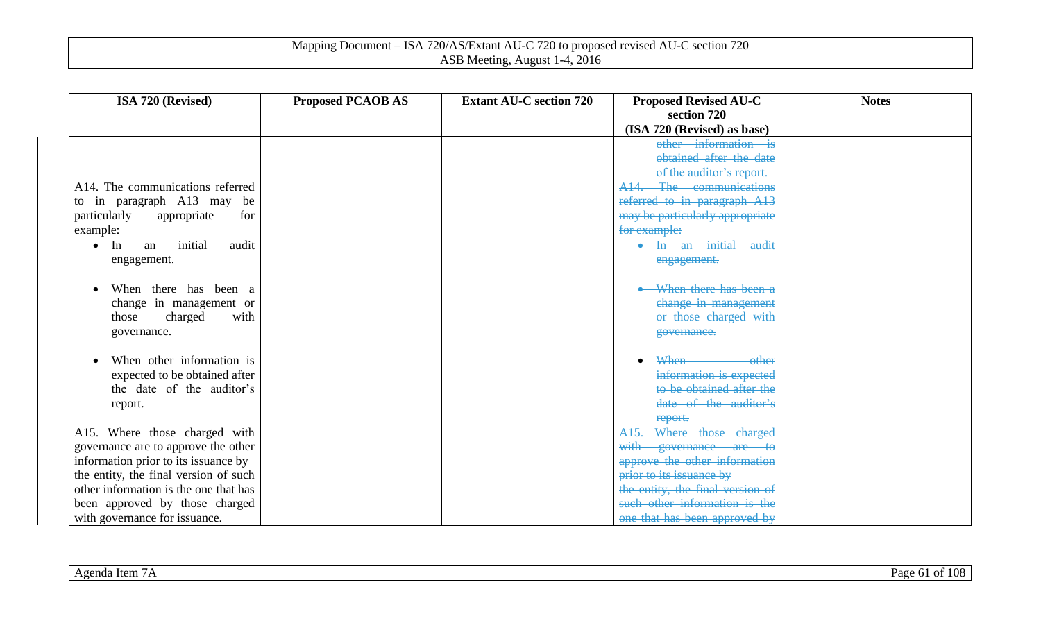| ISA 720 (Revised)                                                                                                                                                                                                                                                 | <b>Proposed PCAOB AS</b> | <b>Extant AU-C section 720</b> | <b>Proposed Revised AU-C</b><br>section 720<br>(ISA 720 (Revised) as base)                                                                                                                                               | <b>Notes</b> |
|-------------------------------------------------------------------------------------------------------------------------------------------------------------------------------------------------------------------------------------------------------------------|--------------------------|--------------------------------|--------------------------------------------------------------------------------------------------------------------------------------------------------------------------------------------------------------------------|--------------|
|                                                                                                                                                                                                                                                                   |                          |                                | other information is<br>obtained after the date<br>of the auditor's report.                                                                                                                                              |              |
| A14. The communications referred<br>to in paragraph A13 may be<br>particularly<br>appropriate<br>for<br>example:<br>initial<br>audit<br>In<br>an<br>$\bullet$<br>engagement.                                                                                      |                          |                                | The communications<br>A <sub>14</sub> .<br>referred to in paragraph A13<br>may be particularly appropriate<br>for example:<br>• In an initial audit<br>engagement.                                                       |              |
| When there has been a<br>$\bullet$<br>change in management or<br>charged<br>with<br>those<br>governance.                                                                                                                                                          |                          |                                | When there has been a<br>change in management<br>or those charged with<br>governance.                                                                                                                                    |              |
| When other information is<br>expected to be obtained after<br>the date of the auditor's<br>report.                                                                                                                                                                |                          |                                | When other<br>information is expected<br>to be obtained after the<br>date of the auditor's<br>report.                                                                                                                    |              |
| A15. Where those charged with<br>governance are to approve the other<br>information prior to its issuance by<br>the entity, the final version of such<br>other information is the one that has<br>been approved by those charged<br>with governance for issuance. |                          |                                | Where those charged<br>A15.<br>with governance are to<br>approve the other information<br>prior to its issuance by<br>the entity, the final version of<br>such other information is the<br>one that has been approved by |              |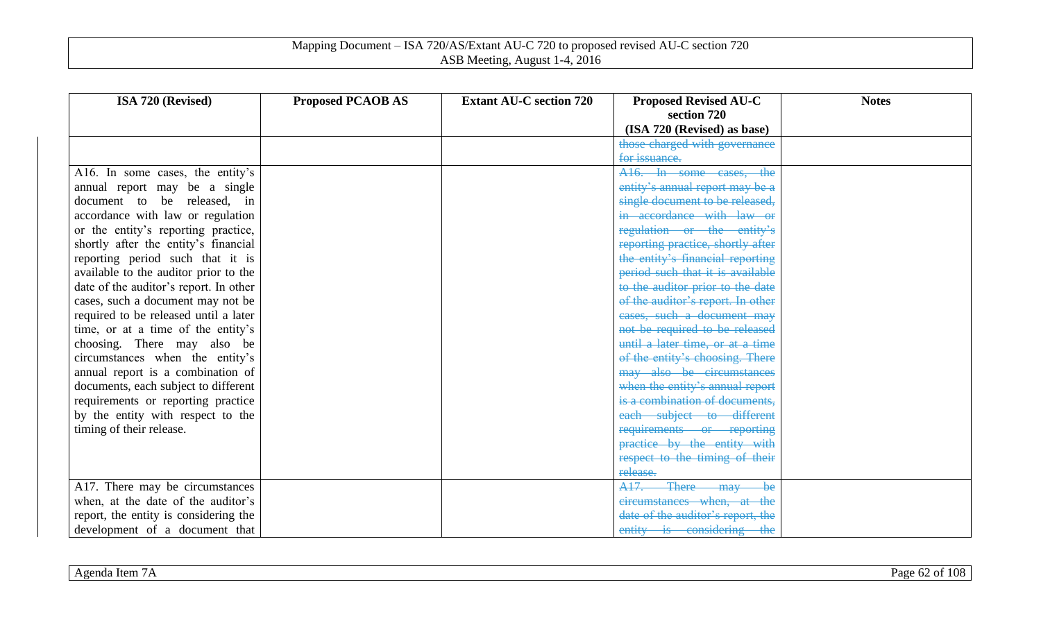| ISA 720 (Revised)                      | <b>Proposed PCAOB AS</b> | <b>Extant AU-C section 720</b> | <b>Proposed Revised AU-C</b>             | <b>Notes</b> |
|----------------------------------------|--------------------------|--------------------------------|------------------------------------------|--------------|
|                                        |                          |                                | section 720                              |              |
|                                        |                          |                                | (ISA 720 (Revised) as base)              |              |
|                                        |                          |                                | those charged with governance            |              |
|                                        |                          |                                | for issuance.                            |              |
| A16. In some cases, the entity's       |                          |                                | A16. In some cases, the                  |              |
| annual report may be a single          |                          |                                | entity's annual report may be a          |              |
| document to be released, in            |                          |                                | single document to be released,          |              |
| accordance with law or regulation      |                          |                                | in accordance with law or                |              |
| or the entity's reporting practice,    |                          |                                | regulation or the entity's               |              |
| shortly after the entity's financial   |                          |                                | reporting practice, shortly after        |              |
| reporting period such that it is       |                          |                                | the entity's financial reporting         |              |
| available to the auditor prior to the  |                          |                                | period such that it is available         |              |
| date of the auditor's report. In other |                          |                                | to the auditor prior to the date         |              |
| cases, such a document may not be      |                          |                                | of the auditor's report. In other        |              |
| required to be released until a later  |                          |                                | cases, such a document may               |              |
| time, or at a time of the entity's     |                          |                                | not be required to be released           |              |
| choosing. There may also be            |                          |                                | until a later time, or at a time         |              |
| circumstances when the entity's        |                          |                                | of the entity's choosing. There          |              |
| annual report is a combination of      |                          |                                | may also be circumstances                |              |
| documents, each subject to different   |                          |                                | when the entity's annual report          |              |
| requirements or reporting practice     |                          |                                | is a combination of documents,           |              |
| by the entity with respect to the      |                          |                                | each subject to different                |              |
| timing of their release.               |                          |                                | requirements or reporting                |              |
|                                        |                          |                                | practice by the entity with              |              |
|                                        |                          |                                | respect to the timing of their           |              |
|                                        |                          |                                | release.                                 |              |
| A17. There may be circumstances        |                          |                                | <b>There</b><br>A17.<br>be<br><b>may</b> |              |
| when, at the date of the auditor's     |                          |                                | circumstances when, at the               |              |
| report, the entity is considering the  |                          |                                | date of the auditor's report, the        |              |
| development of a document that         |                          |                                | entity is considering the                |              |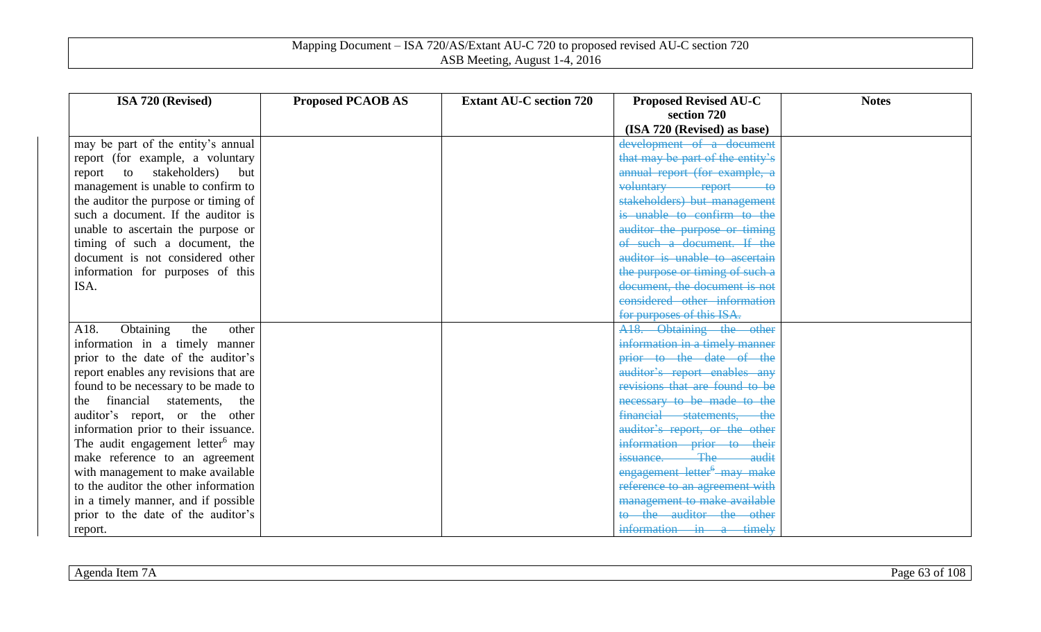| ISA 720 (Revised)                            | <b>Proposed PCAOB AS</b> | <b>Extant AU-C section 720</b> | <b>Proposed Revised AU-C</b>             | <b>Notes</b> |
|----------------------------------------------|--------------------------|--------------------------------|------------------------------------------|--------------|
|                                              |                          |                                | section 720                              |              |
|                                              |                          |                                | (ISA 720 (Revised) as base)              |              |
| may be part of the entity's annual           |                          |                                | development of a document                |              |
| report (for example, a voluntary             |                          |                                | that may be part of the entity's         |              |
| report to stakeholders)<br>but               |                          |                                | annual report (for example, a            |              |
| management is unable to confirm to           |                          |                                | voluntary-<br><u>report</u>              |              |
| the auditor the purpose or timing of         |                          |                                | stakeholders) but management             |              |
| such a document. If the auditor is           |                          |                                | is unable to confirm to the              |              |
| unable to ascertain the purpose or           |                          |                                | auditor the purpose or timing            |              |
| timing of such a document, the               |                          |                                | of such a document. If the               |              |
| document is not considered other             |                          |                                | auditor is unable to ascertain           |              |
| information for purposes of this             |                          |                                | the purpose or timing of such a          |              |
| ISA.                                         |                          |                                | document, the document is not            |              |
|                                              |                          |                                | considered other information             |              |
|                                              |                          |                                | for purposes of this ISA.                |              |
| Obtaining<br>A18.<br>other<br>the            |                          |                                | A18. Obtaining the other                 |              |
| information in a timely manner               |                          |                                | information in a timely manner           |              |
| prior to the date of the auditor's           |                          |                                | prior to the date of the                 |              |
| report enables any revisions that are        |                          |                                | auditor's report enables any             |              |
| found to be necessary to be made to          |                          |                                | revisions that are found to be           |              |
| financial statements,<br>the<br>the          |                          |                                | necessary to be made to the              |              |
| auditor's report, or the other               |                          |                                | financial statements,                    |              |
| information prior to their issuance.         |                          |                                | auditor's report, or the other           |              |
| The audit engagement letter <sup>6</sup> may |                          |                                | information prior to their               |              |
| make reference to an agreement               |                          |                                | issuance. The audit                      |              |
| with management to make available            |                          |                                | engagement letter <sup>6</sup> -may make |              |
| to the auditor the other information         |                          |                                | reference to an agreement with           |              |
| in a timely manner, and if possible          |                          |                                | management to make available             |              |
| prior to the date of the auditor's           |                          |                                | to the auditor the other                 |              |
| report.                                      |                          |                                | information in a timely                  |              |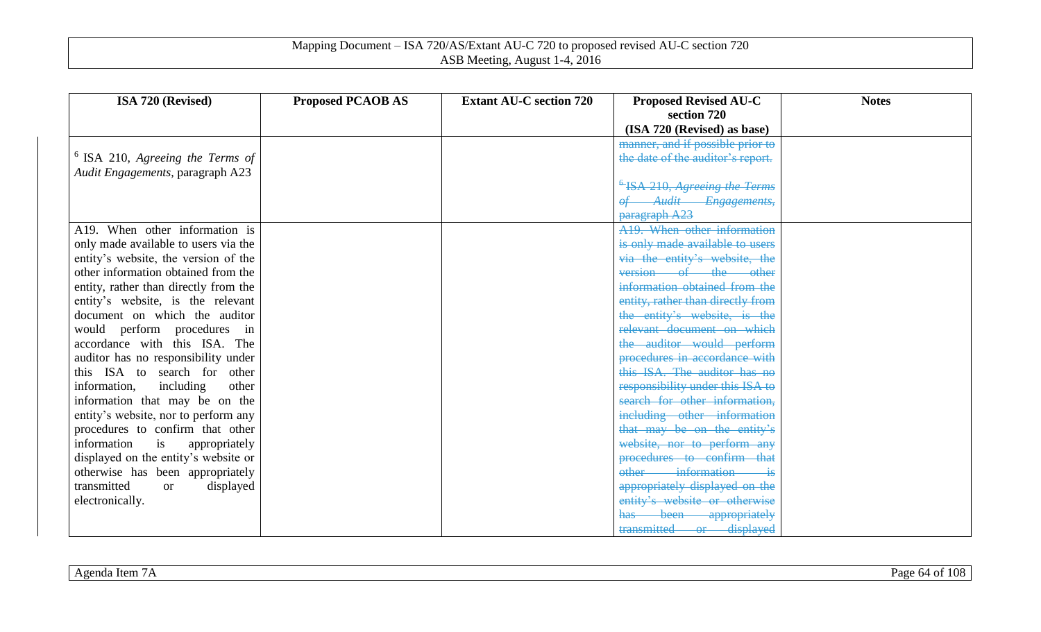| ISA 720 (Revised)                         | <b>Proposed PCAOB AS</b> | <b>Extant AU-C section 720</b> | <b>Proposed Revised AU-C</b>             | <b>Notes</b> |
|-------------------------------------------|--------------------------|--------------------------------|------------------------------------------|--------------|
|                                           |                          |                                | section 720                              |              |
|                                           |                          |                                | (ISA 720 (Revised) as base)              |              |
|                                           |                          |                                | manner, and if possible prior to         |              |
| $6$ ISA 210, Agreeing the Terms of        |                          |                                | the date of the auditor's report.        |              |
| Audit Engagements, paragraph A23          |                          |                                |                                          |              |
|                                           |                          |                                | <sup>6</sup> ISA 210, Agreeing the Terms |              |
|                                           |                          |                                | of Audit Engagements,                    |              |
|                                           |                          |                                | paragraph A23                            |              |
| A19. When other information is            |                          |                                | A19. When other information              |              |
| only made available to users via the      |                          |                                | is only made available to users          |              |
| entity's website, the version of the      |                          |                                | via the entity's website, the            |              |
| other information obtained from the       |                          |                                | version of the other                     |              |
| entity, rather than directly from the     |                          |                                | information obtained from the            |              |
| entity's website, is the relevant         |                          |                                | entity, rather than directly from        |              |
| document on which the auditor             |                          |                                | the entity's website, is the             |              |
| would perform procedures in               |                          |                                | relevant document on which               |              |
| accordance with this ISA. The             |                          |                                | the auditor would perform                |              |
| auditor has no responsibility under       |                          |                                | procedures in accordance with            |              |
| this ISA to search for other              |                          |                                | this ISA. The auditor has no             |              |
| information,<br>including<br>other        |                          |                                | responsibility under this ISA to         |              |
| information that may be on the            |                          |                                | search for other information,            |              |
| entity's website, nor to perform any      |                          |                                | including other information              |              |
| procedures to confirm that other          |                          |                                | that may be on the entity's              |              |
| information<br>is appropriately           |                          |                                | website, nor to perform any              |              |
| displayed on the entity's website or      |                          |                                | procedures to confirm that               |              |
| otherwise has been appropriately          |                          |                                | other information                        |              |
| transmitted<br>displayed<br><sub>or</sub> |                          |                                | appropriately displayed on the           |              |
| electronically.                           |                          |                                | entity's website or otherwise            |              |
|                                           |                          |                                | has been appropriately                   |              |
|                                           |                          |                                | transmitted or displayed                 |              |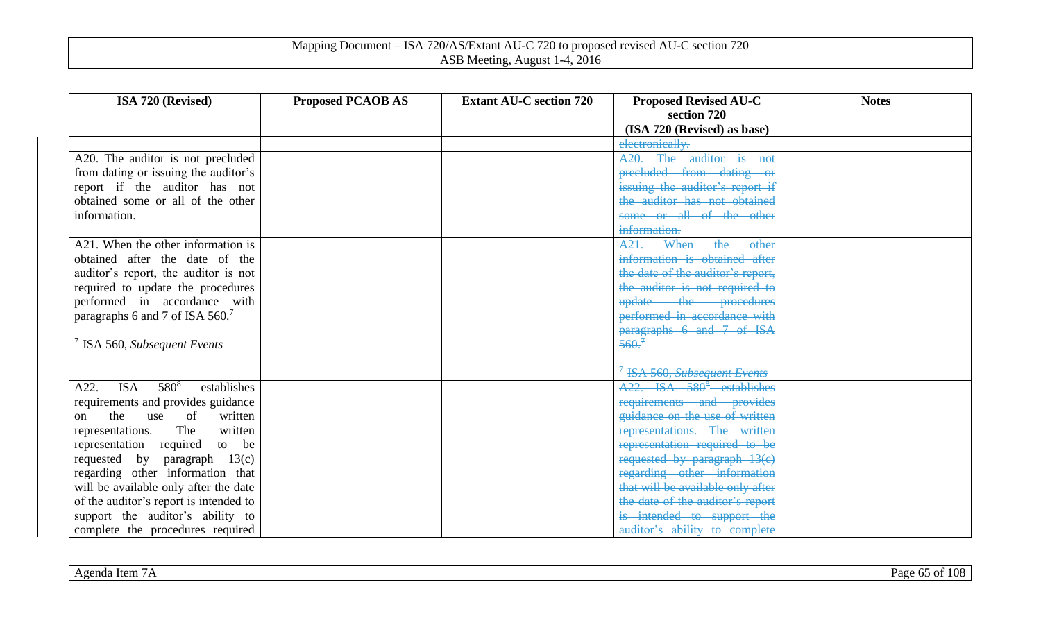| ISA 720 (Revised)                                     | <b>Proposed PCAOB AS</b> | <b>Extant AU-C section 720</b> | <b>Proposed Revised AU-C</b>            | <b>Notes</b> |
|-------------------------------------------------------|--------------------------|--------------------------------|-----------------------------------------|--------------|
|                                                       |                          |                                | section 720                             |              |
|                                                       |                          |                                | (ISA 720 (Revised) as base)             |              |
|                                                       |                          |                                | electronically.                         |              |
| A20. The auditor is not precluded                     |                          |                                | A20. The auditor is not                 |              |
| from dating or issuing the auditor's                  |                          |                                | precluded from dating or                |              |
| report if the auditor has not                         |                          |                                | issuing the auditor's report if         |              |
| obtained some or all of the other                     |                          |                                | the auditor has not obtained            |              |
| information.                                          |                          |                                | some or all of the other                |              |
|                                                       |                          |                                | information.                            |              |
| A21. When the other information is                    |                          |                                | A21. When the other                     |              |
| obtained after the date of the                        |                          |                                | information is obtained after           |              |
| auditor's report, the auditor is not                  |                          |                                | the date of the auditor's report,       |              |
| required to update the procedures                     |                          |                                | the auditor is not required to          |              |
| performed in accordance with                          |                          |                                | update the procedures                   |              |
| paragraphs 6 and 7 of ISA 560.7                       |                          |                                | performed in accordance with            |              |
|                                                       |                          |                                | paragraphs 6 and 7 of ISA               |              |
| ISA 560, Subsequent Events                            |                          |                                | $560^{-7}$                              |              |
|                                                       |                          |                                |                                         |              |
|                                                       |                          |                                | <sup>7</sup> ISA 560, Subsequent Events |              |
| <b>ISA</b><br>580 <sup>8</sup><br>establishes<br>A22. |                          |                                | A22. ISA 580 <sup>8</sup> establishes   |              |
| requirements and provides guidance                    |                          |                                | requirements and provides               |              |
| the<br>use<br>of<br>written<br>on                     |                          |                                | guidance on the use of written          |              |
| The<br>written<br>representations.                    |                          |                                | representations. The written            |              |
| representation required<br>to be                      |                          |                                | representation required to be           |              |
| requested by paragraph $13(c)$                        |                          |                                | requested by paragraph 13(c)            |              |
| regarding other information that                      |                          |                                | regarding other information             |              |
| will be available only after the date                 |                          |                                | that will be available only after       |              |
| of the auditor's report is intended to                |                          |                                | the date of the auditor's report        |              |
| support the auditor's ability to                      |                          |                                | is intended to support the              |              |
| complete the procedures required                      |                          |                                | auditor's ability to complete           |              |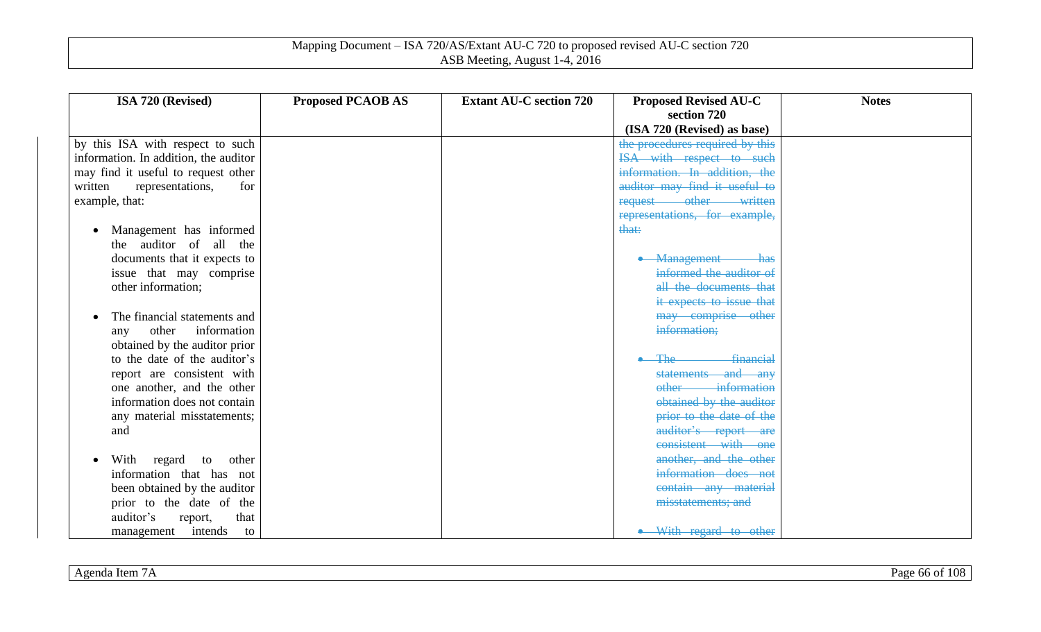| ISA 720 (Revised)                     | <b>Proposed PCAOB AS</b> | <b>Extant AU-C section 720</b> | <b>Proposed Revised AU-C</b><br>section 720 | <b>Notes</b> |
|---------------------------------------|--------------------------|--------------------------------|---------------------------------------------|--------------|
|                                       |                          |                                | (ISA 720 (Revised) as base)                 |              |
| by this ISA with respect to such      |                          |                                | the procedures required by this             |              |
| information. In addition, the auditor |                          |                                | ISA with respect to such                    |              |
| may find it useful to request other   |                          |                                | information. In addition, the               |              |
| written<br>representations,<br>for    |                          |                                | auditor may find it useful to               |              |
| example, that:                        |                          |                                | request other written                       |              |
|                                       |                          |                                | representations, for example,               |              |
| Management has informed               |                          |                                | that:                                       |              |
| the auditor of all the                |                          |                                |                                             |              |
| documents that it expects to          |                          |                                | Management has                              |              |
| issue that may comprise               |                          |                                | informed the auditor of                     |              |
| other information;                    |                          |                                | all the documents that                      |              |
|                                       |                          |                                | it expects to issue that                    |              |
| The financial statements and          |                          |                                | may comprise other                          |              |
| information<br>other<br>any           |                          |                                | information;                                |              |
| obtained by the auditor prior         |                          |                                |                                             |              |
| to the date of the auditor's          |                          |                                | The financial                               |              |
| report are consistent with            |                          |                                | statements and any                          |              |
| one another, and the other            |                          |                                | other information                           |              |
| information does not contain          |                          |                                | obtained by the auditor                     |              |
| any material misstatements;           |                          |                                | prior to the date of the                    |              |
| and                                   |                          |                                | auditor's report are                        |              |
|                                       |                          |                                | consistent with one                         |              |
| With regard to other                  |                          |                                | another, and the other                      |              |
| information that has not              |                          |                                | information does not                        |              |
| been obtained by the auditor          |                          |                                | contain any material                        |              |
| prior to the date of the              |                          |                                | misstatements; and                          |              |
| auditor's<br>that<br>report,          |                          |                                |                                             |              |
| management intends<br>to              |                          |                                | • With regard to other                      |              |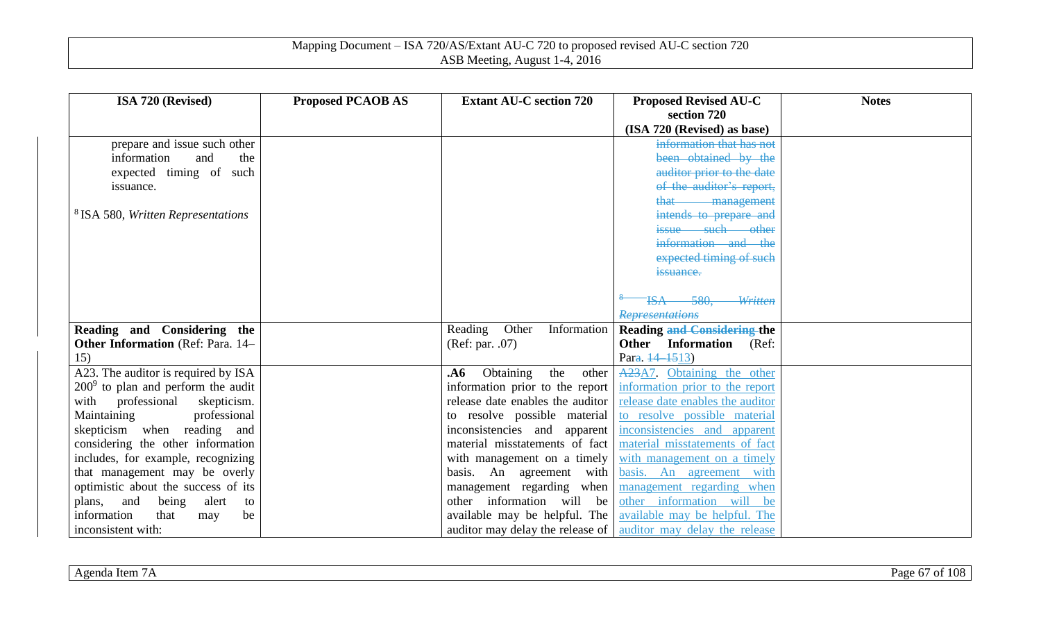| ISA 720 (Revised)                             | <b>Proposed PCAOB AS</b> | <b>Extant AU-C section 720</b>                                        | <b>Proposed Revised AU-C</b>       | <b>Notes</b> |
|-----------------------------------------------|--------------------------|-----------------------------------------------------------------------|------------------------------------|--------------|
|                                               |                          |                                                                       | section 720                        |              |
|                                               |                          |                                                                       | (ISA 720 (Revised) as base)        |              |
| prepare and issue such other                  |                          |                                                                       | information that has not           |              |
| information<br>and<br>the                     |                          |                                                                       | been obtained by the               |              |
| expected timing of such                       |                          |                                                                       | auditor prior to the date          |              |
| issuance.                                     |                          |                                                                       | of the auditor's report,           |              |
|                                               |                          |                                                                       | that management                    |              |
| <sup>8</sup> ISA 580, Written Representations |                          |                                                                       | intends to prepare and             |              |
|                                               |                          |                                                                       | issue such other                   |              |
|                                               |                          |                                                                       | information and the                |              |
|                                               |                          |                                                                       | expected timing of such            |              |
|                                               |                          |                                                                       | <i>issuance.</i>                   |              |
|                                               |                          |                                                                       |                                    |              |
|                                               |                          |                                                                       | $-580.$<br>Written<br><b>ISA</b>   |              |
|                                               |                          |                                                                       | <b>Representations</b>             |              |
| Reading and Considering the                   |                          | Other<br>Information<br>Reading                                       | <b>Reading and Considering the</b> |              |
| <b>Other Information</b> (Ref: Para. 14–      |                          | (Ref: par. .07)                                                       | Other Information<br>(Ref:         |              |
| 15)                                           |                          |                                                                       | Para $\frac{14 - 1513}{2}$         |              |
| A23. The auditor is required by ISA           |                          | Obtaining<br>the<br>other<br>.A6                                      | A23A7. Obtaining the other         |              |
| $200^9$ to plan and perform the audit         |                          | information prior to the report                                       | information prior to the report    |              |
| with<br>professional<br>skepticism.           |                          | release date enables the auditor                                      | release date enables the auditor   |              |
| Maintaining<br>professional                   |                          | to resolve possible material                                          | to resolve possible material       |              |
| skepticism when reading and                   |                          | inconsistencies and apparent inconsistencies and apparent             |                                    |              |
| considering the other information             |                          | material misstatements of fact                                        | material misstatements of fact     |              |
| includes, for example, recognizing            |                          | with management on a timely                                           | with management on a timely        |              |
| that management may be overly                 |                          | basis. An agreement with                                              | basis. An agreement<br>with        |              |
| optimistic about the success of its           |                          | management regarding when                                             | management regarding when          |              |
| plans, and<br>being<br>alert<br>to            |                          | other information will be                                             | other information will be          |              |
| information<br>that<br>be<br>may              |                          | available may be helpful. The                                         | available may be helpful. The      |              |
| inconsistent with:                            |                          | auditor may delay the release of <u>auditor</u> may delay the release |                                    |              |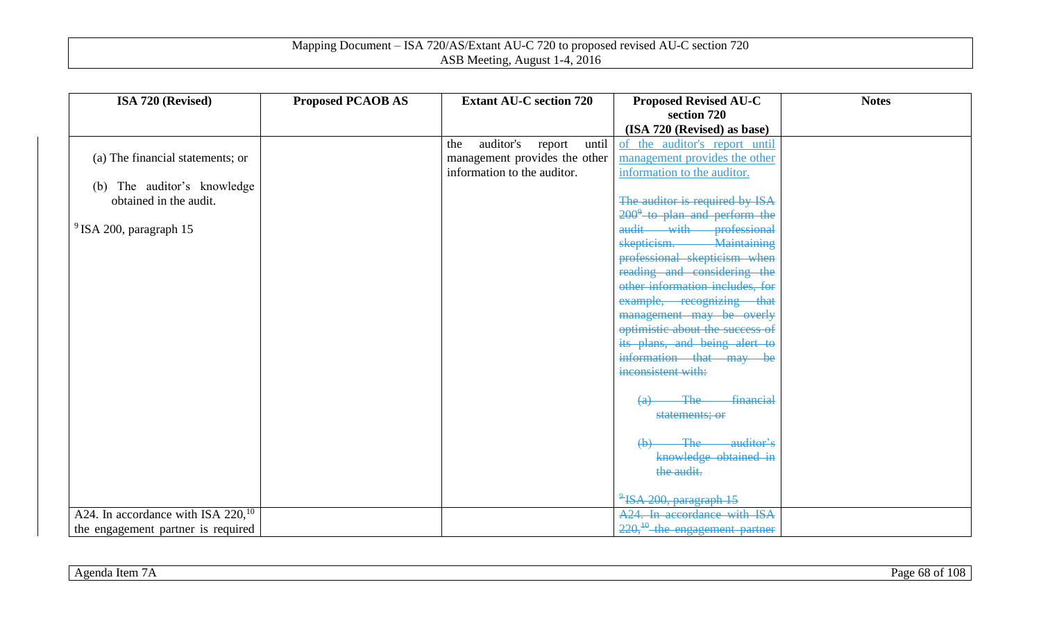| ISA 720 (Revised)                                                                    | <b>Proposed PCAOB AS</b> | <b>Extant AU-C section 720</b>                                                                      | <b>Proposed Revised AU-C</b><br>section 720<br>(ISA 720 (Revised) as base)                    | <b>Notes</b> |
|--------------------------------------------------------------------------------------|--------------------------|-----------------------------------------------------------------------------------------------------|-----------------------------------------------------------------------------------------------|--------------|
| (a) The financial statements; or                                                     |                          | auditor's<br>until<br>report<br>the<br>management provides the other<br>information to the auditor. | of the auditor's report until<br>management provides the other<br>information to the auditor. |              |
| (b) The auditor's knowledge<br>obtained in the audit.                                |                          |                                                                                                     | The auditor is required by ISA<br>$200^9$ to plan and perform the                             |              |
| $9$ ISA 200, paragraph 15                                                            |                          |                                                                                                     | audit with professional<br>skepticism. Maintaining<br>professional skepticism when            |              |
|                                                                                      |                          |                                                                                                     | reading and considering the<br>other information includes, for                                |              |
|                                                                                      |                          |                                                                                                     | example, recognizing that<br>management may be overly<br>optimistic about the success of      |              |
|                                                                                      |                          |                                                                                                     | its plans, and being alert to<br>information that may be<br>inconsistent with:                |              |
|                                                                                      |                          |                                                                                                     | financial<br>$The -$                                                                          |              |
|                                                                                      |                          |                                                                                                     | statements; or<br>The auditor's                                                               |              |
|                                                                                      |                          |                                                                                                     | knowledge obtained in<br>the audit.                                                           |              |
|                                                                                      |                          |                                                                                                     | $^{9}$ ISA 200, paragraph 15                                                                  |              |
| A24. In accordance with ISA 220, <sup>10</sup><br>the engagement partner is required |                          |                                                                                                     | A24. In accordance with ISA<br>220, <sup>10</sup> -the engagement partner                     |              |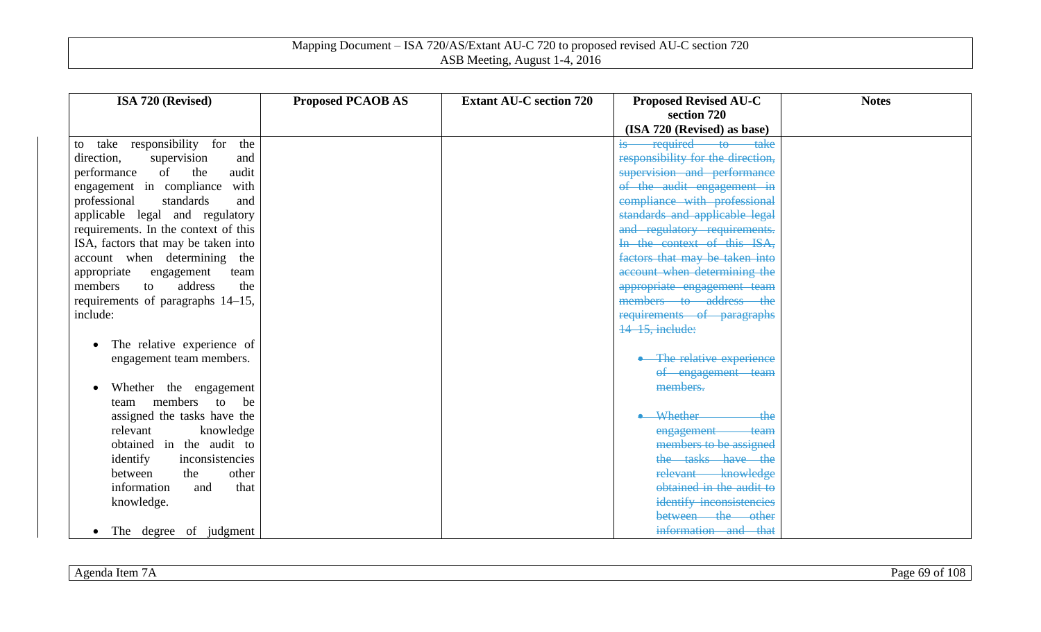| ISA 720 (Revised)                       | <b>Proposed PCAOB AS</b> | <b>Extant AU-C section 720</b> | <b>Proposed Revised AU-C</b>               | <b>Notes</b> |
|-----------------------------------------|--------------------------|--------------------------------|--------------------------------------------|--------------|
|                                         |                          |                                | section 720<br>(ISA 720 (Revised) as base) |              |
| take responsibility for the<br>to       |                          |                                | required to take                           |              |
| direction,<br>supervision<br>and        |                          |                                | responsibility for the direction,          |              |
| of<br>performance<br>the<br>audit       |                          |                                | supervision and performance                |              |
| engagement in compliance<br>with        |                          |                                | of the audit engagement in                 |              |
| professional<br>standards<br>and        |                          |                                | compliance with professional               |              |
| applicable legal and regulatory         |                          |                                | standards and applicable legal             |              |
| requirements. In the context of this    |                          |                                | and regulatory requirements.               |              |
| ISA, factors that may be taken into     |                          |                                | In the context of this ISA,                |              |
| account when determining<br>the         |                          |                                | factors that may be taken into             |              |
| appropriate<br>engagement<br>team       |                          |                                | account when determining the               |              |
| address<br>the<br>members<br>to         |                          |                                | appropriate engagement team                |              |
| requirements of paragraphs 14–15,       |                          |                                | members to address the                     |              |
| include:                                |                          |                                | requirements of paragraphs                 |              |
|                                         |                          |                                | 14–15, include:                            |              |
| The relative experience of<br>$\bullet$ |                          |                                |                                            |              |
| engagement team members.                |                          |                                | The relative experience                    |              |
|                                         |                          |                                | of engagement team                         |              |
| Whether the engagement                  |                          |                                | members.                                   |              |
| members<br>be<br>to<br>team             |                          |                                |                                            |              |
| assigned the tasks have the             |                          |                                | Whether<br>$-$ the                         |              |
| relevant<br>knowledge                   |                          |                                | engagement<br><del>-team</del>             |              |
| obtained in the audit to                |                          |                                | members to be assigned                     |              |
| identify<br>inconsistencies             |                          |                                | the tasks have the                         |              |
| other<br>between<br>the                 |                          |                                | relevant knowledge                         |              |
| information<br>that<br>and              |                          |                                | obtained in the audit to                   |              |
| knowledge.                              |                          |                                | identify inconsistencies                   |              |
|                                         |                          |                                | between the other                          |              |
| The<br>degree of judgment               |                          |                                | information and that                       |              |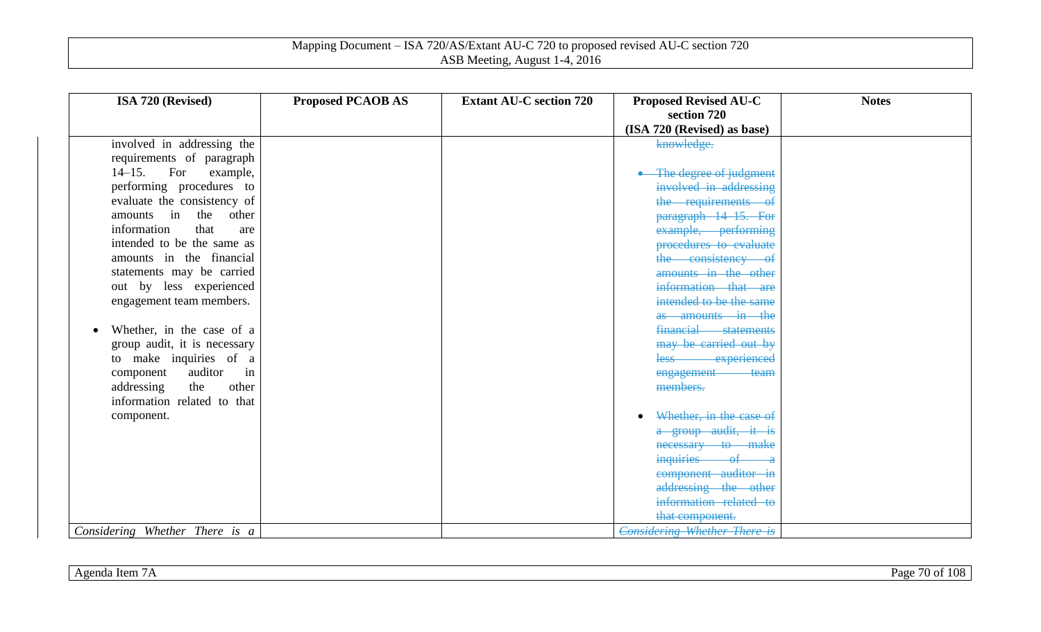| ISA 720 (Revised)              | <b>Proposed PCAOB AS</b> | <b>Extant AU-C section 720</b> | <b>Proposed Revised AU-C</b>        | <b>Notes</b> |
|--------------------------------|--------------------------|--------------------------------|-------------------------------------|--------------|
|                                |                          |                                | section 720                         |              |
|                                |                          |                                | (ISA 720 (Revised) as base)         |              |
| involved in addressing the     |                          |                                | knowledge.                          |              |
| requirements of paragraph      |                          |                                |                                     |              |
| $14 - 15$ .<br>For<br>example, |                          |                                | The degree of judgment              |              |
| performing procedures to       |                          |                                | involved in addressing              |              |
| evaluate the consistency of    |                          |                                | the requirements of                 |              |
| amounts in<br>the other        |                          |                                | paragraph 14-15. For                |              |
| information<br>that<br>are     |                          |                                | example, performing                 |              |
| intended to be the same as     |                          |                                | procedures to evaluate              |              |
| amounts in the financial       |                          |                                | the consistency of                  |              |
| statements may be carried      |                          |                                | amounts in the other                |              |
| out by less experienced        |                          |                                | information that are                |              |
| engagement team members.       |                          |                                | intended to be the same             |              |
|                                |                          |                                | as amounts in the                   |              |
| Whether, in the case of a      |                          |                                | financial statements                |              |
| group audit, it is necessary   |                          |                                | may be carried out by               |              |
| to make inquiries of a         |                          |                                | less experienced                    |              |
| auditor<br>in<br>component     |                          |                                | engagement team                     |              |
| addressing<br>the<br>other     |                          |                                | members.                            |              |
| information related to that    |                          |                                |                                     |              |
| component.                     |                          |                                | Whether, in the case of             |              |
|                                |                          |                                | a group audit, it is                |              |
|                                |                          |                                | necessary to make                   |              |
|                                |                          |                                | inquiries of a                      |              |
|                                |                          |                                | component auditor in                |              |
|                                |                          |                                | addressing the other                |              |
|                                |                          |                                | information related to              |              |
|                                |                          |                                | that component.                     |              |
| Considering Whether There is a |                          |                                | <b>Considering Whether There is</b> |              |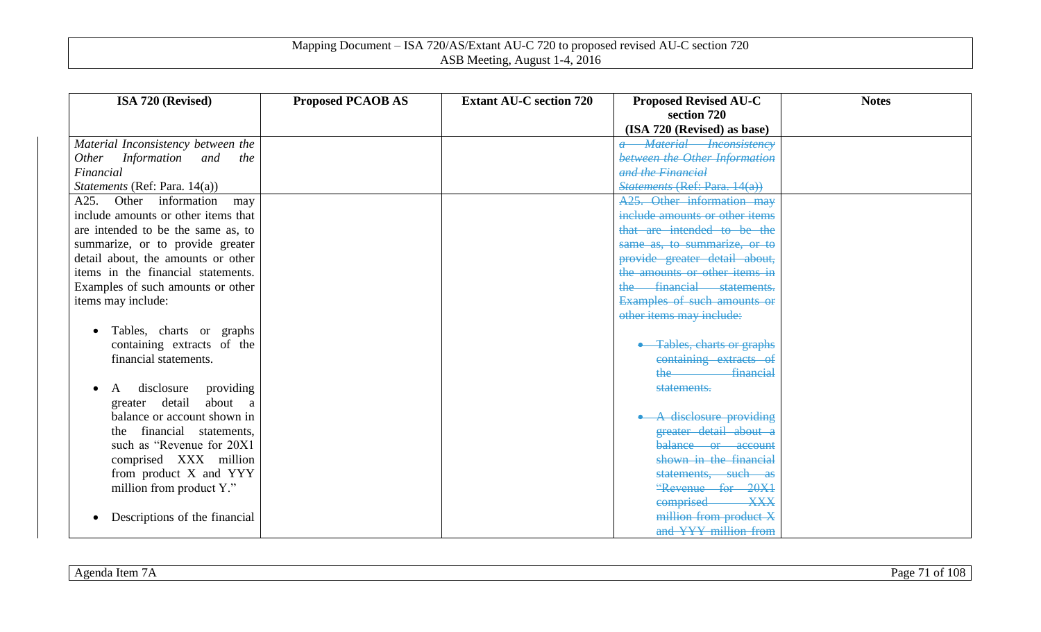| ISA 720 (Revised)                          | <b>Proposed PCAOB AS</b> | <b>Extant AU-C section 720</b> | <b>Proposed Revised AU-C</b>   | <b>Notes</b> |
|--------------------------------------------|--------------------------|--------------------------------|--------------------------------|--------------|
|                                            |                          |                                | section 720                    |              |
|                                            |                          |                                | (ISA 720 (Revised) as base)    |              |
| Material Inconsistency between the         |                          |                                | a Material Inconsistency       |              |
| Other Information and<br>the               |                          |                                | between the Other Information  |              |
| Financial                                  |                          |                                | and the Financial              |              |
| <i>Statements</i> (Ref: Para. 14(a))       |                          |                                | Statements (Ref: Para, 14(a))  |              |
| A25. Other information<br>may              |                          |                                | A25. Other information may     |              |
| include amounts or other items that        |                          |                                | include amounts or other items |              |
| are intended to be the same as, to         |                          |                                | that are intended to be the    |              |
| summarize, or to provide greater           |                          |                                | same as, to summarize, or to   |              |
| detail about, the amounts or other         |                          |                                | provide greater detail about,  |              |
| items in the financial statements.         |                          |                                | the amounts or other items in  |              |
| Examples of such amounts or other          |                          |                                | the financial statements.      |              |
| items may include:                         |                          |                                | Examples of such amounts or    |              |
|                                            |                          |                                | other items may include:       |              |
| Tables, charts or graphs                   |                          |                                |                                |              |
| containing extracts of the                 |                          |                                | Tables, charts or graphs       |              |
| financial statements.                      |                          |                                | containing extracts of         |              |
|                                            |                          |                                | the financial                  |              |
| providing<br>disclosure                    |                          |                                | statements.                    |              |
| greater detail<br>about a                  |                          |                                |                                |              |
| balance or account shown in                |                          |                                | A disclosure providing         |              |
| financial statements,                      |                          |                                | greater detail about a         |              |
| such as "Revenue for 20X1"                 |                          |                                | balance or account             |              |
| comprised XXX million                      |                          |                                | shown in the financial         |              |
| from product X and YYY                     |                          |                                | statements, such as            |              |
| million from product Y."                   |                          |                                | "Revenue for 20X1              |              |
|                                            |                          |                                | comprised XXX                  |              |
| Descriptions of the financial<br>$\bullet$ |                          |                                | million from product X         |              |
|                                            |                          |                                | and YYY million from           |              |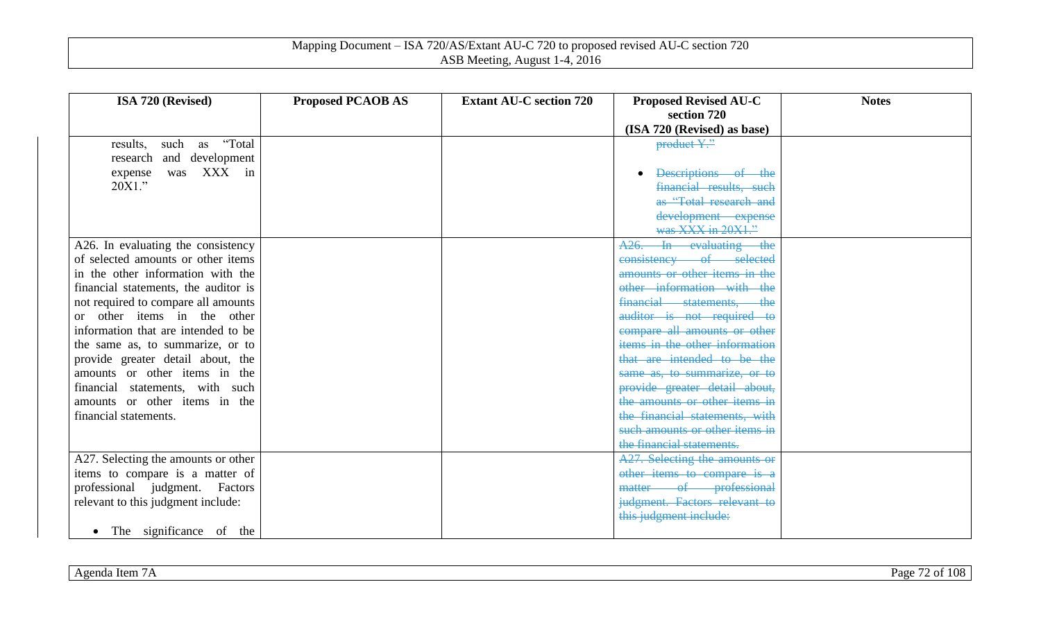| ISA 720 (Revised)                    | <b>Proposed PCAOB AS</b> | <b>Extant AU-C section 720</b> | <b>Proposed Revised AU-C</b><br>section 720 | <b>Notes</b> |
|--------------------------------------|--------------------------|--------------------------------|---------------------------------------------|--------------|
|                                      |                          |                                | (ISA 720 (Revised) as base)                 |              |
| "Total<br>such<br>results,<br>as     |                          |                                | product Y."                                 |              |
| and development<br>research          |                          |                                |                                             |              |
| XXX in<br>was<br>expense             |                          |                                | Descriptions of the                         |              |
| 20X1."                               |                          |                                | financial results, such                     |              |
|                                      |                          |                                | as "Total research and                      |              |
|                                      |                          |                                | development expense                         |              |
|                                      |                          |                                | was XXX in 20X1."                           |              |
| A26. In evaluating the consistency   |                          |                                | A26. In evaluating<br>$-$ the               |              |
| of selected amounts or other items   |                          |                                | consistency of selected                     |              |
| in the other information with the    |                          |                                | amounts or other items in the               |              |
| financial statements, the auditor is |                          |                                | other information with the                  |              |
| not required to compare all amounts  |                          |                                | financial statements, the                   |              |
| or other items in the other          |                          |                                | auditor is not required to                  |              |
| information that are intended to be  |                          |                                | compare all amounts or other                |              |
| the same as, to summarize, or to     |                          |                                | items in the other information              |              |
| provide greater detail about, the    |                          |                                | that are intended to be the                 |              |
| amounts or other items in the        |                          |                                | same as, to summarize, or to                |              |
| financial statements, with such      |                          |                                | provide greater detail about,               |              |
| amounts or other items in the        |                          |                                | the amounts or other items in               |              |
| financial statements.                |                          |                                | the financial statements, with              |              |
|                                      |                          |                                | such amounts or other items in              |              |
|                                      |                          |                                | the financial statements.                   |              |
| A27. Selecting the amounts or other  |                          |                                | A27. Selecting the amounts or               |              |
| items to compare is a matter of      |                          |                                | other items to compare is a                 |              |
| professional judgment.<br>Factors    |                          |                                | matter of professional                      |              |
| relevant to this judgment include:   |                          |                                | judgment. Factors relevant to               |              |
|                                      |                          |                                | this judgment include:                      |              |
| • The significance of the            |                          |                                |                                             |              |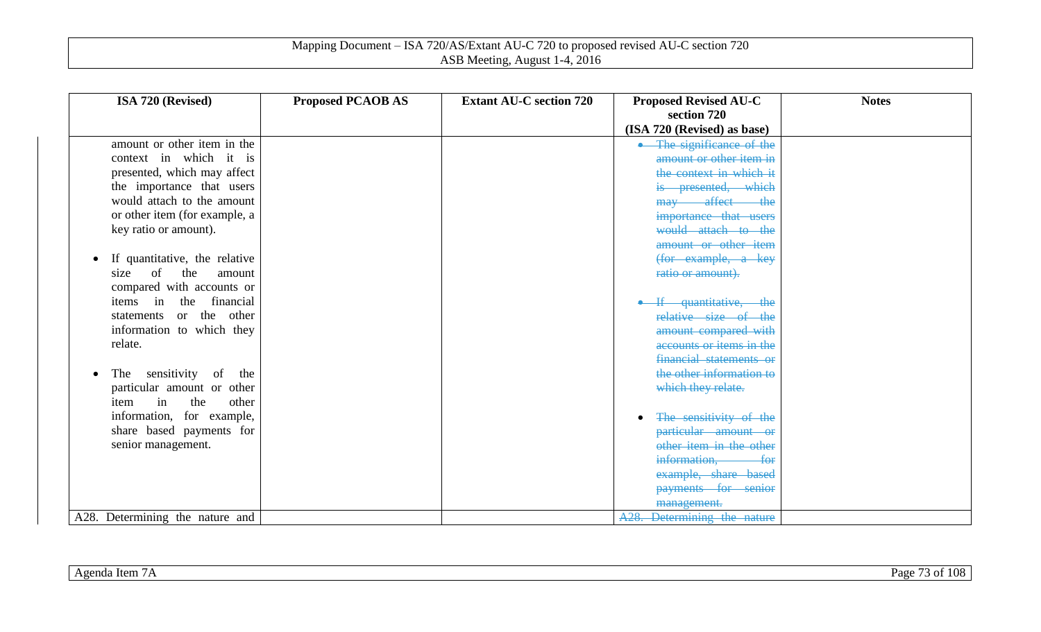| ISA 720 (Revised)                 | <b>Proposed PCAOB AS</b> | <b>Extant AU-C section 720</b> | <b>Proposed Revised AU-C</b><br>section 720<br>(ISA 720 (Revised) as base) | <b>Notes</b> |
|-----------------------------------|--------------------------|--------------------------------|----------------------------------------------------------------------------|--------------|
| amount or other item in the       |                          |                                | • The significance of the                                                  |              |
| context in which it is            |                          |                                | amount or other item in                                                    |              |
| presented, which may affect       |                          |                                | the context in which it                                                    |              |
| the importance that users         |                          |                                | is presented, which                                                        |              |
| would attach to the amount        |                          |                                | may affect the                                                             |              |
| or other item (for example, a     |                          |                                | importance that users                                                      |              |
| key ratio or amount).             |                          |                                | would attach to the                                                        |              |
|                                   |                          |                                | amount or other item                                                       |              |
| If quantitative, the relative     |                          |                                | (for example, a key                                                        |              |
| of<br>the<br>amount<br>size       |                          |                                | ratio or amount).                                                          |              |
| compared with accounts or         |                          |                                |                                                                            |              |
| financial<br>items in<br>the      |                          |                                | If quantitative, the                                                       |              |
| or the other<br>statements        |                          |                                | relative size of the                                                       |              |
| information to which they         |                          |                                | amount compared with                                                       |              |
| relate.                           |                          |                                | accounts or items in the                                                   |              |
|                                   |                          |                                | financial statements or                                                    |              |
| The sensitivity of the            |                          |                                | the other information to                                                   |              |
| particular amount or other        |                          |                                | which they relate.                                                         |              |
| $\dot{m}$<br>the<br>other<br>item |                          |                                |                                                                            |              |
| information, for example,         |                          |                                | The sensitivity of the                                                     |              |
| share based payments for          |                          |                                | particular amount or                                                       |              |
| senior management.                |                          |                                | other item in the other                                                    |              |
|                                   |                          |                                | information, for                                                           |              |
|                                   |                          |                                | example, share based                                                       |              |
|                                   |                          |                                | payments for senior                                                        |              |
|                                   |                          |                                | management.                                                                |              |
| A28. Determining the nature and   |                          |                                | Determining the nature<br>A <sub>28</sub> .                                |              |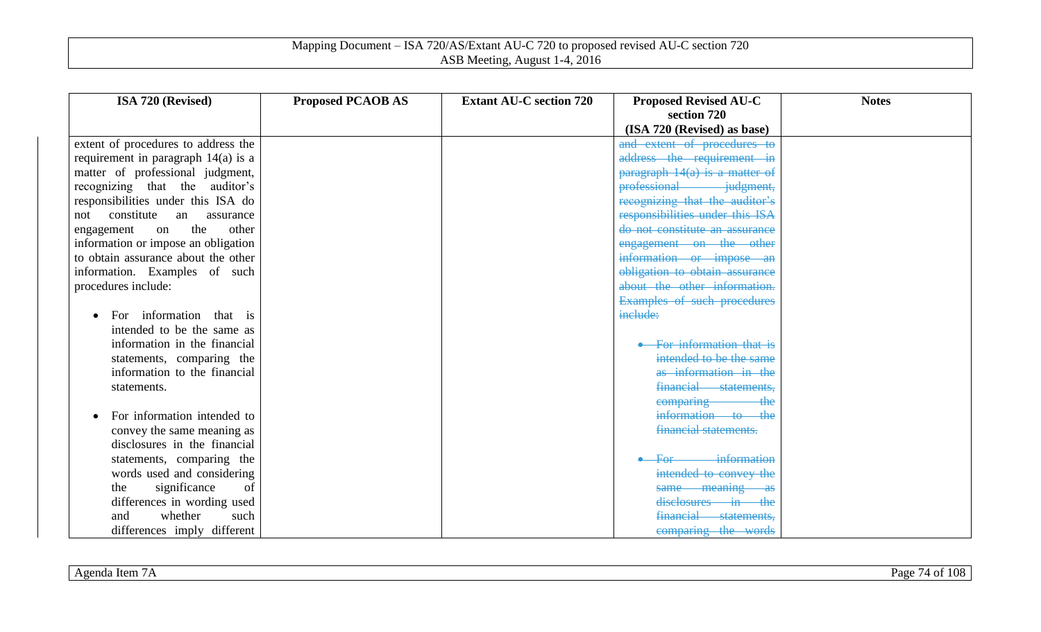| ISA 720 (Revised)                        | <b>Proposed PCAOB AS</b> | <b>Extant AU-C section 720</b> | <b>Proposed Revised AU-C</b>     | <b>Notes</b> |
|------------------------------------------|--------------------------|--------------------------------|----------------------------------|--------------|
|                                          |                          |                                | section 720                      |              |
|                                          |                          |                                | (ISA 720 (Revised) as base)      |              |
| extent of procedures to address the      |                          |                                | and extent of procedures to      |              |
| requirement in paragraph $14(a)$ is a    |                          |                                | address the requirement in       |              |
| matter of professional judgment,         |                          |                                | paragraph $14(a)$ is a matter of |              |
| recognizing that the auditor's           |                          |                                | professional judgment,           |              |
| responsibilities under this ISA do       |                          |                                | recognizing that the auditor's   |              |
| constitute<br>an<br>assurance<br>not     |                          |                                | responsibilities under this ISA  |              |
| the<br>other<br>engagement<br>on         |                          |                                | do not constitute an assurance   |              |
| information or impose an obligation      |                          |                                | engagement on the other          |              |
| to obtain assurance about the other      |                          |                                | information or impose an         |              |
| information. Examples of such            |                          |                                | obligation to obtain assurance   |              |
| procedures include:                      |                          |                                | about the other information.     |              |
|                                          |                          |                                | Examples of such procedures      |              |
| For information that is<br>$\bullet$     |                          |                                | include:                         |              |
| intended to be the same as               |                          |                                |                                  |              |
| information in the financial             |                          |                                | For information that is          |              |
| statements, comparing the                |                          |                                | intended to be the same          |              |
| information to the financial             |                          |                                | as information in the            |              |
| statements.                              |                          |                                | financial statements,            |              |
|                                          |                          |                                | the<br>comparing ——              |              |
| For information intended to<br>$\bullet$ |                          |                                | information to the               |              |
| convey the same meaning as               |                          |                                | financial statements.            |              |
| disclosures in the financial             |                          |                                |                                  |              |
| statements, comparing the                |                          |                                | For information                  |              |
| words used and considering               |                          |                                | intended to convey the           |              |
| significance<br>the<br>of                |                          |                                | same meaning as                  |              |
| differences in wording used              |                          |                                | disclosures in the               |              |
| whether<br>and<br>such                   |                          |                                | financial statements,            |              |
| differences imply different              |                          |                                | comparing the words              |              |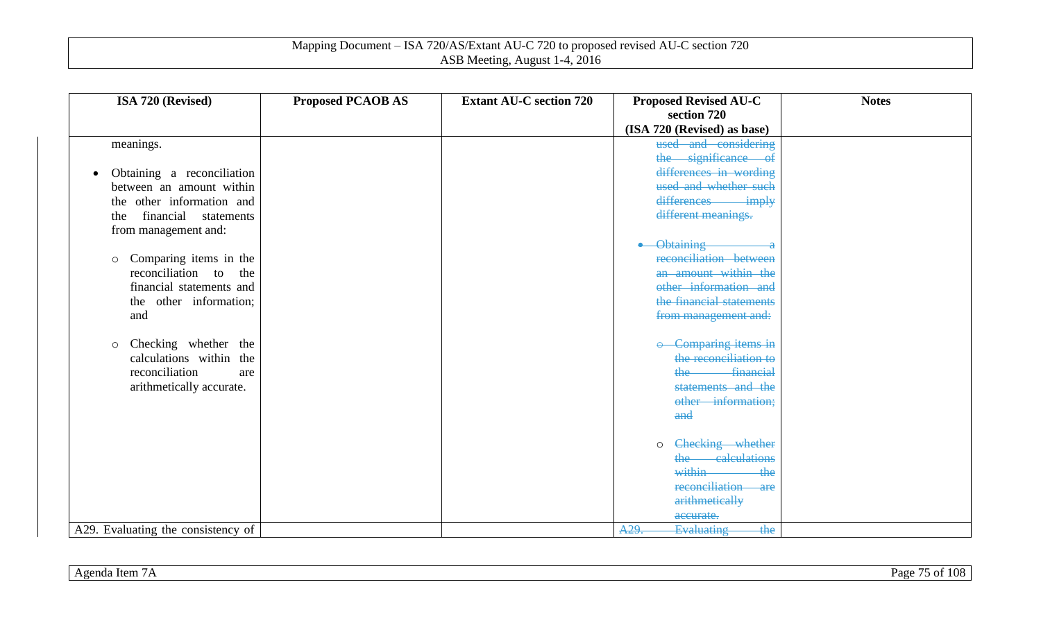| ISA 720 (Revised)                                                                                                                                                                                                                                    | <b>Proposed PCAOB AS</b> | <b>Extant AU-C section 720</b> | <b>Proposed Revised AU-C</b><br>section 720<br>(ISA 720 (Revised) as base)                                                                                                                                 | <b>Notes</b> |
|------------------------------------------------------------------------------------------------------------------------------------------------------------------------------------------------------------------------------------------------------|--------------------------|--------------------------------|------------------------------------------------------------------------------------------------------------------------------------------------------------------------------------------------------------|--------------|
| meanings.                                                                                                                                                                                                                                            |                          |                                | used and considering                                                                                                                                                                                       |              |
| Obtaining a reconciliation<br>$\bullet$<br>between an amount within<br>the other information and<br>financial statements<br>the<br>from management and:<br>Comparing items in the<br>$\circ$<br>reconciliation to<br>the<br>financial statements and |                          |                                | the significance of<br>differences in wording<br>used and whether such<br>differences imply<br>different meanings.<br>Obtaining<br>reconciliation between<br>an amount within the<br>other information and |              |
| the other information;<br>and                                                                                                                                                                                                                        |                          |                                | the financial statements<br>from management and:                                                                                                                                                           |              |
| Checking whether the<br>$\circ$<br>calculations within the<br>reconciliation<br>are<br>arithmetically accurate.                                                                                                                                      |                          |                                | Comparing items in<br>the reconciliation to<br>financial<br>the<br>statements and the<br>other information;<br>and                                                                                         |              |
|                                                                                                                                                                                                                                                      |                          |                                | Checking whether<br>O<br>the calculations<br>within<br>the<br>reconciliation are<br>arithmetically<br>accurate.                                                                                            |              |
| A29. Evaluating the consistency of                                                                                                                                                                                                                   |                          |                                | Evaluating<br>the<br>A <sub>29</sub>                                                                                                                                                                       |              |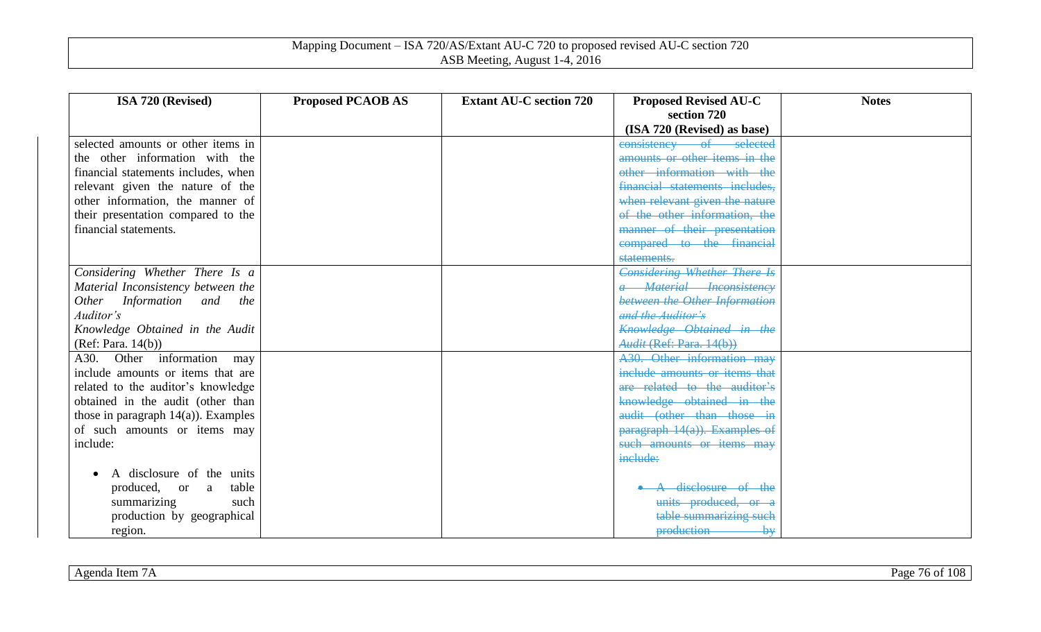| ISA 720 (Revised)                      | <b>Proposed PCAOB AS</b> | <b>Extant AU-C section 720</b> | <b>Proposed Revised AU-C</b>        | <b>Notes</b> |
|----------------------------------------|--------------------------|--------------------------------|-------------------------------------|--------------|
|                                        |                          |                                | section 720                         |              |
|                                        |                          |                                | (ISA 720 (Revised) as base)         |              |
| selected amounts or other items in     |                          |                                | consistency of selected             |              |
| the other information with the         |                          |                                | amounts or other items in the       |              |
| financial statements includes, when    |                          |                                | other information with the          |              |
| relevant given the nature of the       |                          |                                | financial statements includes,      |              |
| other information, the manner of       |                          |                                | when relevant given the nature      |              |
| their presentation compared to the     |                          |                                | of the other information, the       |              |
| financial statements.                  |                          |                                | manner of their presentation        |              |
|                                        |                          |                                | compared to the financial           |              |
|                                        |                          |                                | statements.                         |              |
| Considering Whether There Is a         |                          |                                | <b>Considering Whether There Is</b> |              |
| Material Inconsistency between the     |                          |                                | a Material Inconsistency            |              |
| Other Information and the              |                          |                                | between the Other Information       |              |
| Auditor's                              |                          |                                | and the Auditor's                   |              |
| Knowledge Obtained in the Audit        |                          |                                | Knowledge Obtained in the           |              |
| (Ref: Para. 14(b))                     |                          |                                | Audit (Ref: Para. 14(b))            |              |
| Other information<br>A30.<br>may       |                          |                                | A30. Other information may          |              |
| include amounts or items that are      |                          |                                | include amounts or items that       |              |
| related to the auditor's knowledge     |                          |                                | are related to the auditor's        |              |
| obtained in the audit (other than      |                          |                                | knowledge obtained in the           |              |
| those in paragraph $14(a)$ ). Examples |                          |                                | audit (other than those in          |              |
| of such amounts or items may           |                          |                                | paragraph $14(a)$ ). Examples of    |              |
| include:                               |                          |                                | such amounts or items may           |              |
|                                        |                          |                                | include:                            |              |
| A disclosure of the units              |                          |                                |                                     |              |
| produced, or a<br>table                |                          |                                | A disclosure of the                 |              |
| summarizing<br>such                    |                          |                                | units produced, or a                |              |
| production by geographical             |                          |                                | table summarizing such              |              |
| region.                                |                          |                                | production ——<br>$\rightarrow$      |              |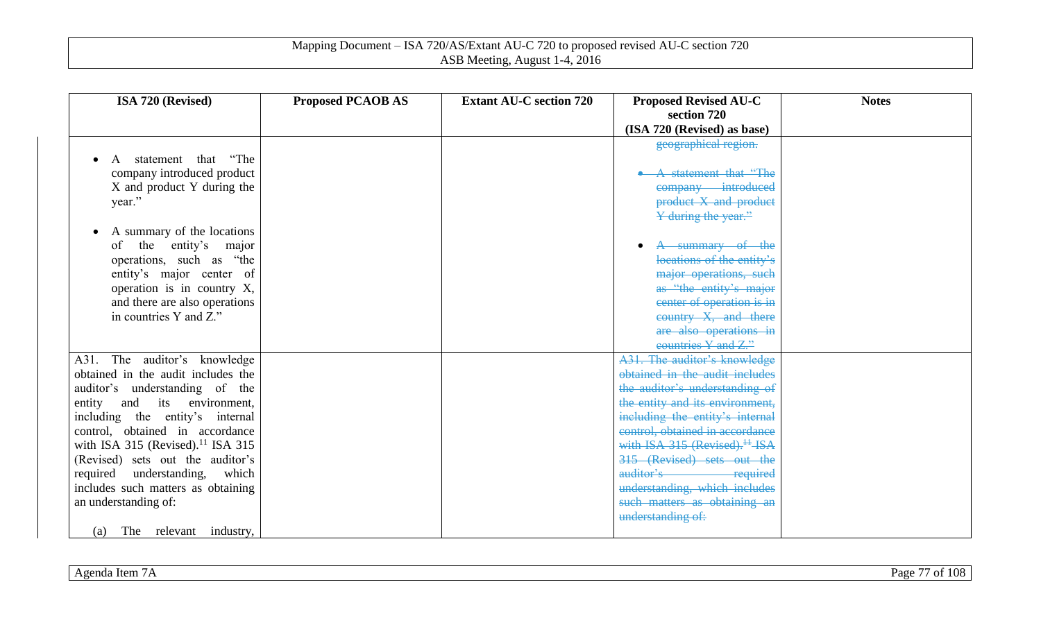| ISA 720 (Revised)                             | <b>Proposed PCAOB AS</b> | <b>Extant AU-C section 720</b> | <b>Proposed Revised AU-C</b>              | <b>Notes</b> |
|-----------------------------------------------|--------------------------|--------------------------------|-------------------------------------------|--------------|
|                                               |                          |                                | section 720                               |              |
|                                               |                          |                                | (ISA 720 (Revised) as base)               |              |
|                                               |                          |                                | geographical region.                      |              |
| "The<br>statement<br>that                     |                          |                                |                                           |              |
| company introduced product                    |                          |                                | A statement that "The                     |              |
| X and product Y during the                    |                          |                                | company introduced                        |              |
| year."                                        |                          |                                | product X and product                     |              |
|                                               |                          |                                | Y during the year."                       |              |
| A summary of the locations                    |                          |                                |                                           |              |
| of<br>the<br>entity's<br>major                |                          |                                | A summary of the                          |              |
| "the<br>operations, such as                   |                          |                                | locations of the entity's                 |              |
| entity's major center of                      |                          |                                | major operations, such                    |              |
| operation is in country X,                    |                          |                                | as "the entity's major                    |              |
| and there are also operations                 |                          |                                | center of operation is in                 |              |
| in countries Y and Z."                        |                          |                                | country X, and there                      |              |
|                                               |                          |                                | are also operations in                    |              |
|                                               |                          |                                | countries Y and Z."                       |              |
| A31. The auditor's knowledge                  |                          |                                | A31. The auditor's knowledge              |              |
| obtained in the audit includes the            |                          |                                | obtained in the audit includes            |              |
| auditor's understanding of the                |                          |                                | the auditor's understanding of            |              |
| its<br>environment,<br>entity<br>and          |                          |                                | the entity and its environment,           |              |
| including the entity's internal               |                          |                                | including the entity's internal           |              |
| control, obtained in accordance               |                          |                                | control, obtained in accordance           |              |
| with ISA 315 (Revised). <sup>11</sup> ISA 315 |                          |                                | with ISA 315 (Revised). <sup>11</sup> ISA |              |
| (Revised) sets out the auditor's              |                          |                                | 315 (Revised) sets out the                |              |
| which<br>understanding,<br>required           |                          |                                | auditor's required                        |              |
| includes such matters as obtaining            |                          |                                | understanding, which includes             |              |
| an understanding of:                          |                          |                                | such matters as obtaining an              |              |
|                                               |                          |                                | understanding of:                         |              |
| The relevant industry,<br>(a)                 |                          |                                |                                           |              |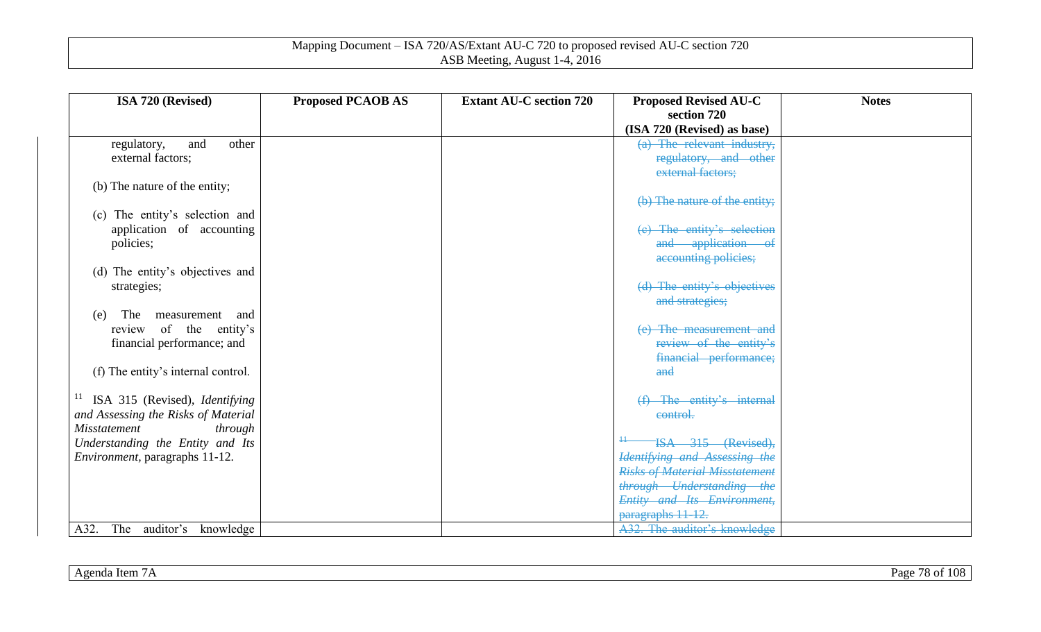| ISA 720 (Revised)                   | <b>Proposed PCAOB AS</b> | <b>Extant AU-C section 720</b> | <b>Proposed Revised AU-C</b><br>section 720 | <b>Notes</b> |
|-------------------------------------|--------------------------|--------------------------------|---------------------------------------------|--------------|
|                                     |                          |                                | (ISA 720 (Revised) as base)                 |              |
| other<br>regulatory,<br>and         |                          |                                | (a) The relevant industry,                  |              |
| external factors;                   |                          |                                | regulatory, and other                       |              |
|                                     |                          |                                | external factors:                           |              |
| (b) The nature of the entity;       |                          |                                |                                             |              |
|                                     |                          |                                | (b) The nature of the entity;               |              |
| (c) The entity's selection and      |                          |                                |                                             |              |
| application of accounting           |                          |                                | (e) The entity's selection                  |              |
| policies;                           |                          |                                | and application of                          |              |
|                                     |                          |                                | accounting policies;                        |              |
| (d) The entity's objectives and     |                          |                                |                                             |              |
| strategies;                         |                          |                                | (d) The entity's objectives                 |              |
|                                     |                          |                                | and strategies;                             |              |
| The<br>measurement and<br>(e)       |                          |                                |                                             |              |
| of the entity's<br>review           |                          |                                | (e) The measurement and                     |              |
| financial performance; and          |                          |                                | review of the entity's                      |              |
|                                     |                          |                                | financial performance;                      |              |
|                                     |                          |                                |                                             |              |
| (f) The entity's internal control.  |                          |                                | and                                         |              |
|                                     |                          |                                |                                             |              |
| ISA 315 (Revised), Identifying      |                          |                                | $(f)$ The entity's internal                 |              |
| and Assessing the Risks of Material |                          |                                | control.                                    |              |
| Misstatement<br>through             |                          |                                |                                             |              |
| Understanding the Entity and Its    |                          |                                | <b>ISA</b> 315 (Revised).                   |              |
| Environment, paragraphs 11-12.      |                          |                                | <b>Hantifying and Assessing the</b>         |              |
|                                     |                          |                                | <b>Risks of Material Misstatement</b>       |              |
|                                     |                          |                                | through Understanding the                   |              |
|                                     |                          |                                | Entity and Its Environment,                 |              |
|                                     |                          |                                | paragraphs 11-12.                           |              |
| A32. The auditor's knowledge        |                          |                                | A32. The auditor's knowledge                |              |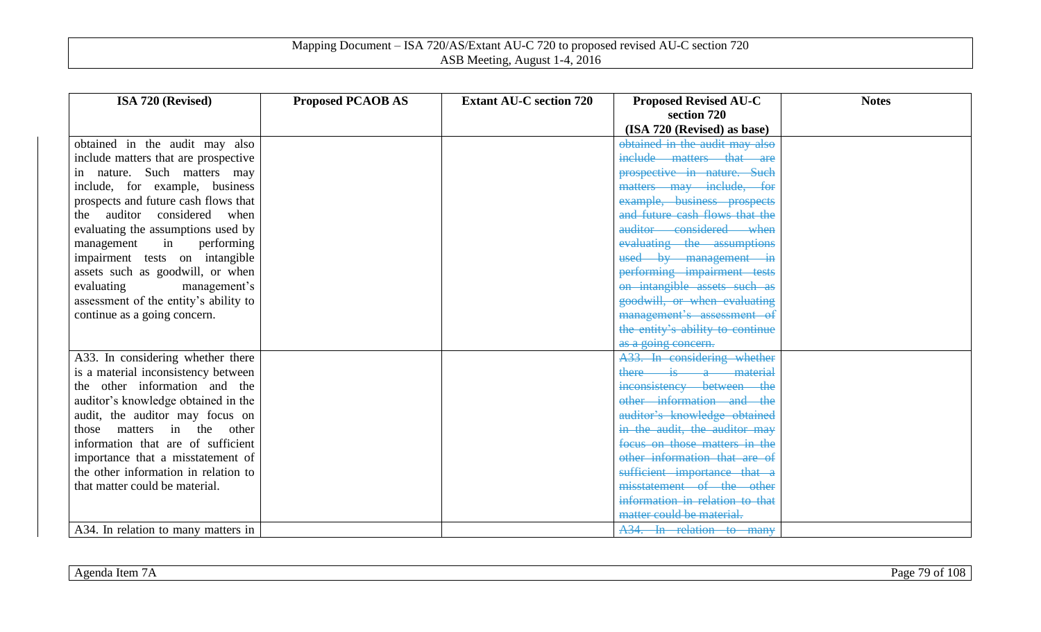| ISA 720 (Revised)                     | <b>Proposed PCAOB AS</b> | <b>Extant AU-C section 720</b> | <b>Proposed Revised AU-C</b>     | <b>Notes</b> |
|---------------------------------------|--------------------------|--------------------------------|----------------------------------|--------------|
|                                       |                          |                                | section 720                      |              |
|                                       |                          |                                | (ISA 720 (Revised) as base)      |              |
| obtained in the audit may also        |                          |                                | obtained in the audit may also   |              |
| include matters that are prospective  |                          |                                | include matters that are         |              |
| in nature. Such matters may           |                          |                                | prospective in nature. Such      |              |
| include, for example, business        |                          |                                | matters may include, for         |              |
| prospects and future cash flows that  |                          |                                | example, business prospects      |              |
| the auditor considered when           |                          |                                | and future cash flows that the   |              |
| evaluating the assumptions used by    |                          |                                | auditor considered when          |              |
| management in<br>performing           |                          |                                | evaluating the assumptions       |              |
| impairment tests on intangible        |                          |                                | used by management in            |              |
| assets such as goodwill, or when      |                          |                                | performing impairment tests      |              |
| evaluating<br>management's            |                          |                                | on intangible assets such as     |              |
| assessment of the entity's ability to |                          |                                | goodwill, or when evaluating     |              |
| continue as a going concern.          |                          |                                | management's assessment of       |              |
|                                       |                          |                                | the entity's ability to continue |              |
|                                       |                          |                                | as a going concern.              |              |
| A33. In considering whether there     |                          |                                | A33. In considering whether      |              |
| is a material inconsistency between   |                          |                                | there is a material              |              |
| the other information and the         |                          |                                | inconsistency between the        |              |
| auditor's knowledge obtained in the   |                          |                                | other information and the        |              |
| audit, the auditor may focus on       |                          |                                | auditor's knowledge obtained     |              |
| those matters in the other            |                          |                                | in the audit, the auditor may    |              |
| information that are of sufficient    |                          |                                | focus on those matters in the    |              |
| importance that a misstatement of     |                          |                                | other information that are of    |              |
| the other information in relation to  |                          |                                | sufficient importance that a     |              |
| that matter could be material.        |                          |                                | misstatement of the other        |              |
|                                       |                          |                                | information in relation to that  |              |
|                                       |                          |                                | matter could be material.        |              |
| A34. In relation to many matters in   |                          |                                | A34. In relation to many         |              |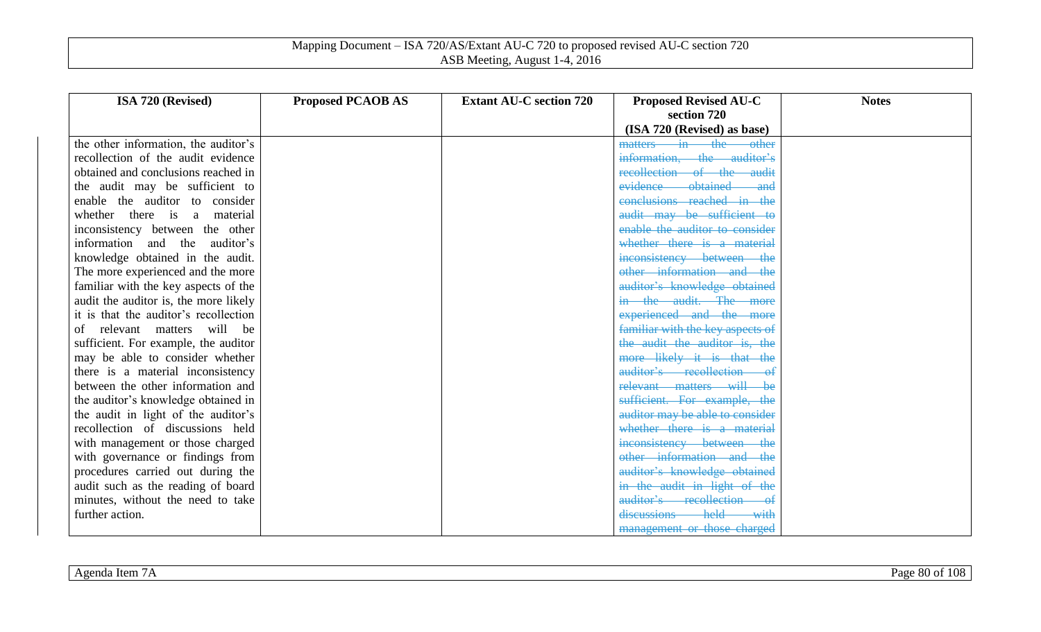| ISA 720 (Revised)                     | <b>Proposed PCAOB AS</b> | <b>Extant AU-C section 720</b> | <b>Proposed Revised AU-C</b>     | <b>Notes</b> |
|---------------------------------------|--------------------------|--------------------------------|----------------------------------|--------------|
|                                       |                          |                                | section 720                      |              |
|                                       |                          |                                | (ISA 720 (Revised) as base)      |              |
| the other information, the auditor's  |                          |                                | matters in the<br><b>other</b>   |              |
| recollection of the audit evidence    |                          |                                | information, the auditor's       |              |
| obtained and conclusions reached in   |                          |                                | recollection of the audit        |              |
| the audit may be sufficient to        |                          |                                | evidence obtained and            |              |
| enable the auditor to consider        |                          |                                | conclusions reached in the       |              |
| whether there is a material           |                          |                                | audit may be sufficient to       |              |
| inconsistency between the other       |                          |                                | enable the auditor to consider   |              |
| information and the auditor's         |                          |                                | whether there is a material      |              |
| knowledge obtained in the audit.      |                          |                                | inconsistency between the        |              |
| The more experienced and the more     |                          |                                | other information and the        |              |
| familiar with the key aspects of the  |                          |                                | auditor's knowledge obtained     |              |
| audit the auditor is, the more likely |                          |                                | in the audit. The more           |              |
| it is that the auditor's recollection |                          |                                | experienced and the more         |              |
| of relevant matters will be           |                          |                                | familiar with the key aspects of |              |
| sufficient. For example, the auditor  |                          |                                | the audit the auditor is, the    |              |
| may be able to consider whether       |                          |                                | more likely it is that the       |              |
| there is a material inconsistency     |                          |                                | auditor's recollection of        |              |
| between the other information and     |                          |                                | relevant matters will be         |              |
| the auditor's knowledge obtained in   |                          |                                | sufficient. For example, the     |              |
| the audit in light of the auditor's   |                          |                                | auditor may be able to consider  |              |
| recollection of discussions held      |                          |                                | whether there is a material      |              |
| with management or those charged      |                          |                                | inconsistency between the        |              |
| with governance or findings from      |                          |                                | other information and the        |              |
| procedures carried out during the     |                          |                                | auditor's knowledge obtained     |              |
| audit such as the reading of board    |                          |                                | in the audit in light of the     |              |
| minutes, without the need to take     |                          |                                | auditor's recollection of        |              |
| further action.                       |                          |                                | discussions held with            |              |
|                                       |                          |                                | management or those charged      |              |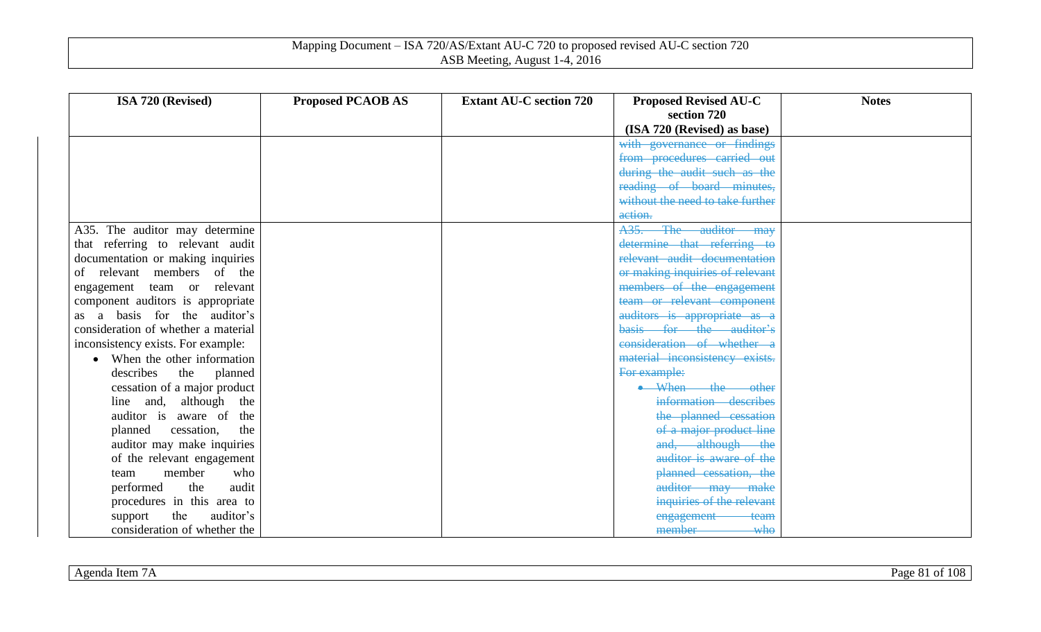| ISA 720 (Revised)                   | <b>Proposed PCAOB AS</b> | <b>Extant AU-C section 720</b> | <b>Proposed Revised AU-C</b>     | <b>Notes</b> |
|-------------------------------------|--------------------------|--------------------------------|----------------------------------|--------------|
|                                     |                          |                                | section 720                      |              |
|                                     |                          |                                | (ISA 720 (Revised) as base)      |              |
|                                     |                          |                                | with governance or findings      |              |
|                                     |                          |                                | from procedures carried out      |              |
|                                     |                          |                                | during the audit such as the     |              |
|                                     |                          |                                | reading of board minutes,        |              |
|                                     |                          |                                | without the need to take further |              |
|                                     |                          |                                | action.                          |              |
| A35. The auditor may determine      |                          |                                | A35. The auditor may             |              |
| that referring to relevant audit    |                          |                                | determine that referring to      |              |
| documentation or making inquiries   |                          |                                | relevant audit documentation     |              |
| of relevant members of the          |                          |                                | or making inquiries of relevant  |              |
| engagement team or relevant         |                          |                                | members of the engagement        |              |
| component auditors is appropriate   |                          |                                | team or relevant component       |              |
| a basis for the auditor's           |                          |                                | auditors is appropriate as a     |              |
| consideration of whether a material |                          |                                | basis for the auditor's          |              |
| inconsistency exists. For example:  |                          |                                | consideration of whether a       |              |
| When the other information          |                          |                                | material inconsistency exists.   |              |
| describes<br>the<br>planned         |                          |                                | For example:                     |              |
| cessation of a major product        |                          |                                | • When the other                 |              |
| although the<br>and,<br>line        |                          |                                | information describes            |              |
| auditor is aware of<br>the          |                          |                                | the planned cessation            |              |
| cessation,<br>the<br>planned        |                          |                                | of a major product line          |              |
| auditor may make inquiries          |                          |                                | and, although the                |              |
| of the relevant engagement          |                          |                                | auditor is aware of the          |              |
| member<br>who<br>team               |                          |                                | planned cessation, the           |              |
| audit<br>performed<br>the           |                          |                                | auditor may make                 |              |
| procedures in this area to          |                          |                                | inquiries of the relevant        |              |
| auditor's<br>the<br>support         |                          |                                | engagement<br>team               |              |
| consideration of whether the        |                          |                                | member<br>$-\mathbf{w}$ ho       |              |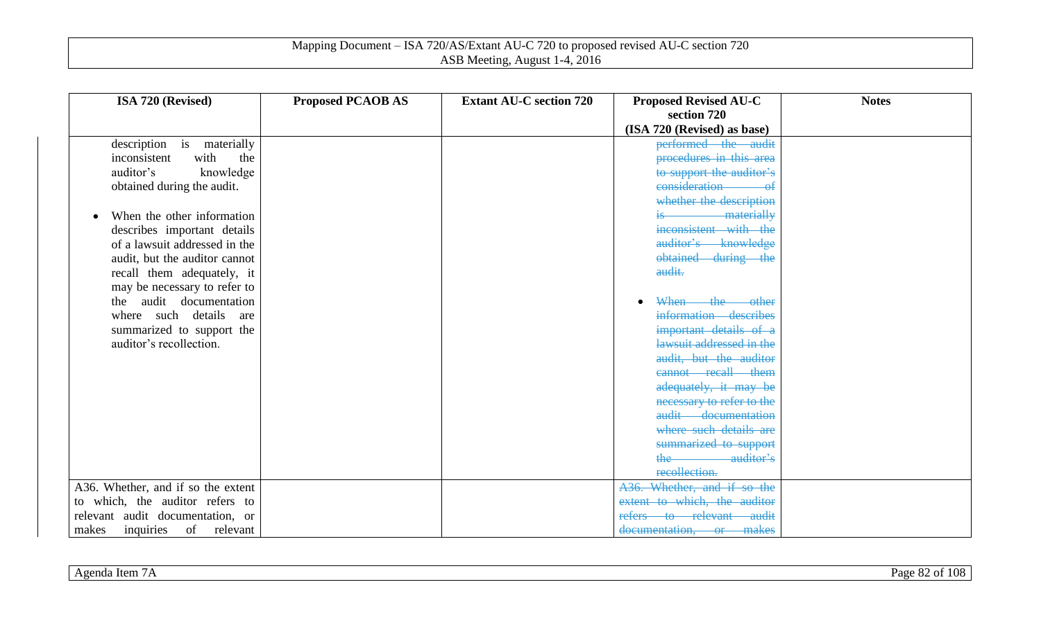| ISA 720 (Revised)                  | <b>Proposed PCAOB AS</b> | <b>Extant AU-C section 720</b> | <b>Proposed Revised AU-C</b><br>section 720<br>(ISA 720 (Revised) as base) | <b>Notes</b> |
|------------------------------------|--------------------------|--------------------------------|----------------------------------------------------------------------------|--------------|
| description is materially          |                          |                                | performed the audit                                                        |              |
|                                    |                          |                                |                                                                            |              |
| inconsistent<br>with<br>the        |                          |                                | procedures in this area                                                    |              |
| auditor's<br>knowledge             |                          |                                | to support the auditor's                                                   |              |
| obtained during the audit.         |                          |                                | consideration -<br>-e£                                                     |              |
|                                    |                          |                                | whether the description                                                    |              |
| When the other information         |                          |                                | is materially                                                              |              |
| describes important details        |                          |                                | inconsistent with the                                                      |              |
| of a lawsuit addressed in the      |                          |                                | auditor's knowledge                                                        |              |
| audit, but the auditor cannot      |                          |                                | obtained during the                                                        |              |
| recall them adequately, it         |                          |                                | audit.                                                                     |              |
| may be necessary to refer to       |                          |                                |                                                                            |              |
| audit documentation<br>the         |                          |                                | When the other                                                             |              |
| where such details are             |                          |                                | information describes                                                      |              |
| summarized to support the          |                          |                                | important details of a                                                     |              |
| auditor's recollection.            |                          |                                | lawsuit addressed in the                                                   |              |
|                                    |                          |                                | audit, but the auditor                                                     |              |
|                                    |                          |                                | cannot recall them                                                         |              |
|                                    |                          |                                | adequately, it may be                                                      |              |
|                                    |                          |                                | necessary to refer to the                                                  |              |
|                                    |                          |                                | audit documentation                                                        |              |
|                                    |                          |                                | where such details are                                                     |              |
|                                    |                          |                                | summarized to support                                                      |              |
|                                    |                          |                                | the auditor's                                                              |              |
|                                    |                          |                                | recollection.                                                              |              |
| A36. Whether, and if so the extent |                          |                                | A36. Whether, and if so the                                                |              |
| to which, the auditor refers to    |                          |                                | extent to which, the auditor                                               |              |
|                                    |                          |                                |                                                                            |              |
| relevant audit documentation, or   |                          |                                | refers to relevant audit                                                   |              |
| inquiries of relevant<br>makes     |                          |                                | documentation, or makes                                                    |              |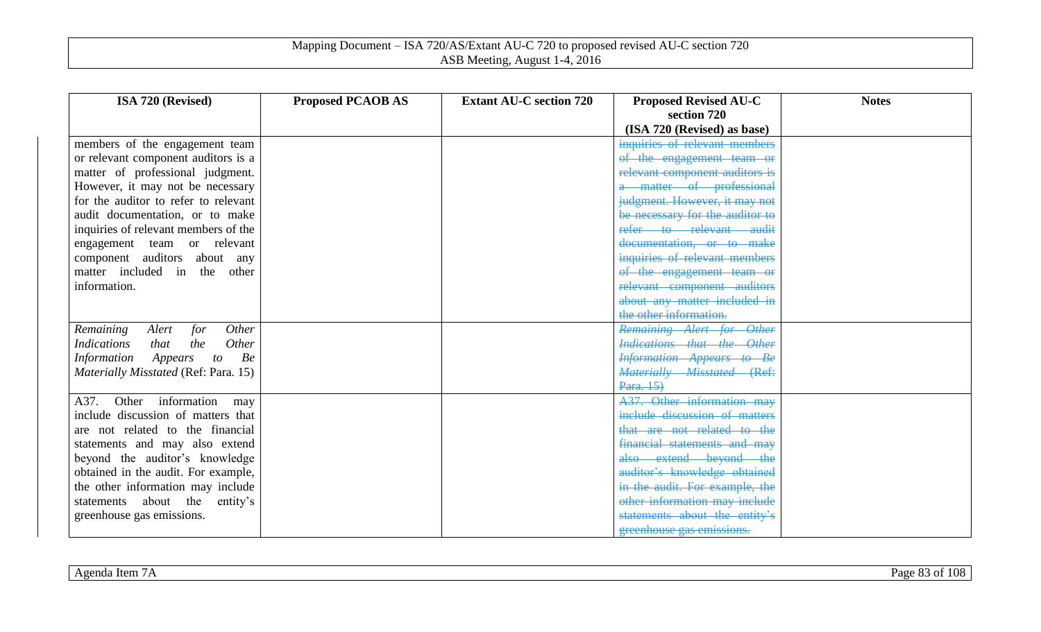| ISA 720 (Revised)                          | <b>Proposed PCAOB AS</b> | <b>Extant AU-C section 720</b> | <b>Proposed Revised AU-C</b>    | <b>Notes</b> |
|--------------------------------------------|--------------------------|--------------------------------|---------------------------------|--------------|
|                                            |                          |                                | section 720                     |              |
|                                            |                          |                                | (ISA 720 (Revised) as base)     |              |
| members of the engagement team             |                          |                                | inquiries of relevant members   |              |
| or relevant component auditors is a        |                          |                                | of the engagement team or       |              |
| matter of professional judgment.           |                          |                                | relevant component auditors is  |              |
| However, it may not be necessary           |                          |                                | a matter of professional        |              |
| for the auditor to refer to relevant       |                          |                                | judgment. However, it may not   |              |
| audit documentation, or to make            |                          |                                | be necessary for the auditor to |              |
| inquiries of relevant members of the       |                          |                                | refer to relevant audit         |              |
| engagement team or relevant                |                          |                                | documentation, or to make       |              |
| component auditors about any               |                          |                                | inquiries of relevant members   |              |
| matter included in the other               |                          |                                | of the engagement team or       |              |
| information.                               |                          |                                | relevant component auditors     |              |
|                                            |                          |                                | about any matter included in    |              |
|                                            |                          |                                | the other information.          |              |
| Remaining<br>Alert<br>for<br>Other         |                          |                                | Remaining Alert for Other       |              |
| <i>Indications</i><br>Other<br>that<br>the |                          |                                | Indications that the Other      |              |
| Be<br><i>Information</i><br>Appears<br>to  |                          |                                | Information Appears to Be       |              |
| Materially Misstated (Ref: Para. 15)       |                          |                                | Materially Misstated (Ref:      |              |
|                                            |                          |                                | Para. 15)                       |              |
| A37. Other information<br>may              |                          |                                | A37. Other information may      |              |
| include discussion of matters that         |                          |                                | include discussion of matters   |              |
| are not related to the financial           |                          |                                | that are not related to the     |              |
| statements and may also extend             |                          |                                | financial statements and may    |              |
| beyond the auditor's knowledge             |                          |                                | also extend beyond the          |              |
| obtained in the audit. For example,        |                          |                                | auditor's knowledge obtained    |              |
| the other information may include          |                          |                                | in the audit. For example, the  |              |
| statements about the entity's              |                          |                                | other information may include   |              |
| greenhouse gas emissions.                  |                          |                                | statements about the entity's   |              |
|                                            |                          |                                | greenhouse gas emissions.       |              |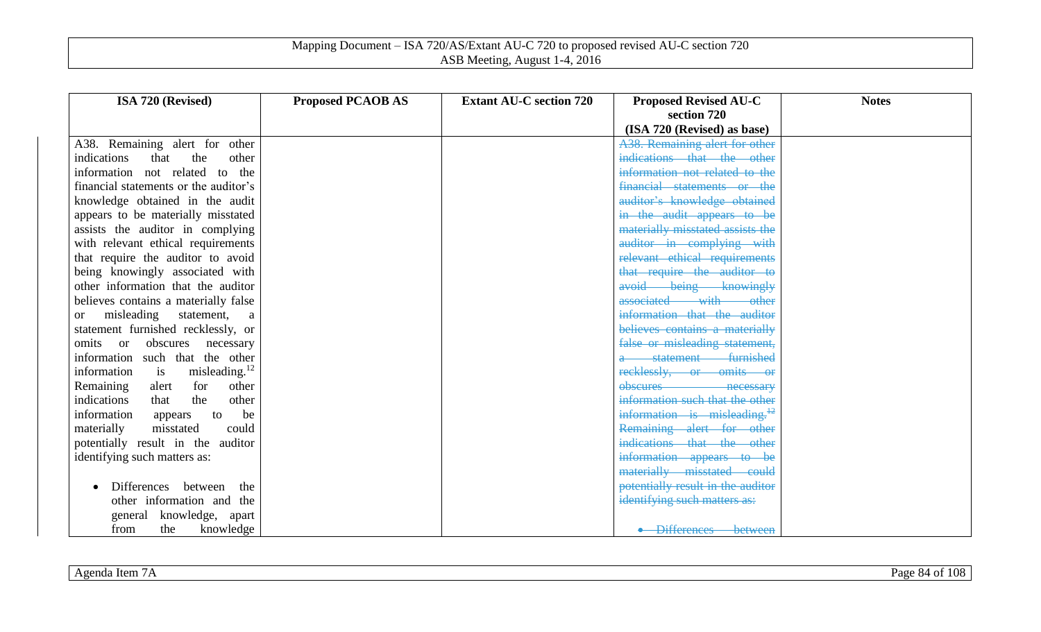| ISA 720 (Revised)                               | <b>Proposed PCAOB AS</b> | <b>Extant AU-C section 720</b> | <b>Proposed Revised AU-C</b>             | <b>Notes</b> |
|-------------------------------------------------|--------------------------|--------------------------------|------------------------------------------|--------------|
|                                                 |                          |                                | section 720                              |              |
|                                                 |                          |                                | (ISA 720 (Revised) as base)              |              |
| A38. Remaining alert for other                  |                          |                                | A38. Remaining alert for other           |              |
| indications<br>that<br>the<br>other             |                          |                                | indications that the other               |              |
| information not related to the                  |                          |                                | information not related to the           |              |
| financial statements or the auditor's           |                          |                                | financial statements or the              |              |
| knowledge obtained in the audit                 |                          |                                | auditor's knowledge obtained             |              |
| appears to be materially misstated              |                          |                                | in the audit appears to be               |              |
| assists the auditor in complying                |                          |                                | materially misstated assists the         |              |
| with relevant ethical requirements              |                          |                                | auditor in complying with                |              |
| that require the auditor to avoid               |                          |                                | relevant ethical requirements            |              |
| being knowingly associated with                 |                          |                                | that require the auditor to              |              |
| other information that the auditor              |                          |                                | avoid being knowingly                    |              |
| believes contains a materially false            |                          |                                | associated with<br><b>other</b>          |              |
| misleading statement, a<br><sub>or</sub>        |                          |                                | information that the auditor             |              |
| statement furnished recklessly, or              |                          |                                | believes contains a materially           |              |
| obscures<br>omits<br><sub>or</sub><br>necessary |                          |                                | false or misleading statement,           |              |
| such that the other<br>information              |                          |                                | statement furnished                      |              |
| misleading. $12$<br>information<br>is           |                          |                                | recklessly, or omits or                  |              |
| Remaining<br>alert<br>for<br>other              |                          |                                | obscures<br>necessary                    |              |
| indications<br>other<br>that<br>the             |                          |                                | information such that the other          |              |
| information<br>be<br>appears<br>to              |                          |                                | information is misleading. <sup>12</sup> |              |
| materially<br>could<br>misstated                |                          |                                | Remaining alert for other                |              |
| potentially result in the auditor               |                          |                                | indications that the other               |              |
| identifying such matters as:                    |                          |                                | information appears to be                |              |
|                                                 |                          |                                | materially misstated could               |              |
| Differences<br>between<br>the<br>$\bullet$      |                          |                                | potentially result in the auditor        |              |
| other information and the                       |                          |                                | identifying such matters as:             |              |
| general knowledge, apart                        |                          |                                |                                          |              |
| knowledge<br>from<br>the                        |                          |                                | • Differences between                    |              |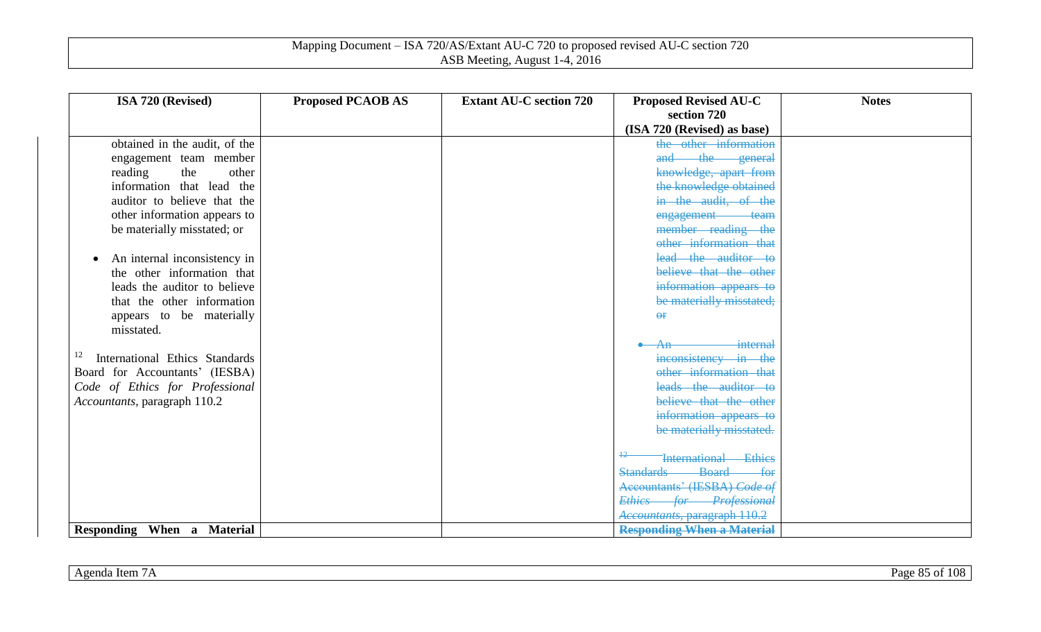| ISA 720 (Revised)                      | <b>Proposed PCAOB AS</b> | <b>Extant AU-C section 720</b> | <b>Proposed Revised AU-C</b><br>section 720<br>(ISA 720 (Revised) as base) | <b>Notes</b> |
|----------------------------------------|--------------------------|--------------------------------|----------------------------------------------------------------------------|--------------|
| obtained in the audit, of the          |                          |                                | the other information                                                      |              |
| engagement team member                 |                          |                                | and the general                                                            |              |
| reading<br>the<br>other                |                          |                                | knowledge, apart from                                                      |              |
| information that lead the              |                          |                                | the knowledge obtained                                                     |              |
| auditor to believe that the            |                          |                                | in the audit, of the                                                       |              |
| other information appears to           |                          |                                | engagement team                                                            |              |
| be materially misstated; or            |                          |                                | member reading the                                                         |              |
|                                        |                          |                                | other information that                                                     |              |
| An internal inconsistency in           |                          |                                | lead the auditor to                                                        |              |
| the other information that             |                          |                                | believe that the other                                                     |              |
| leads the auditor to believe           |                          |                                | information appears to                                                     |              |
| that the other information             |                          |                                | be materially misstated;                                                   |              |
| appears to be materially<br>misstated. |                          |                                | $\Theta$ <b>f</b>                                                          |              |
|                                        |                          |                                | <i>internal</i><br>An                                                      |              |
| International Ethics Standards         |                          |                                | inconsistency in the                                                       |              |
| Board for Accountants' (IESBA)         |                          |                                | other information that                                                     |              |
| Code of Ethics for Professional        |                          |                                | leads the auditor to                                                       |              |
| Accountants, paragraph 110.2           |                          |                                | believe that the other                                                     |              |
|                                        |                          |                                | information appears to                                                     |              |
|                                        |                          |                                | be materially misstated.                                                   |              |
|                                        |                          |                                | International Ethics                                                       |              |
|                                        |                          |                                | Standards Board<br>$f_{\theta}$                                            |              |
|                                        |                          |                                | Accountants' (IESBA) Code of                                               |              |
|                                        |                          |                                | Ethics for Professional                                                    |              |
|                                        |                          |                                | Accountants, paragraph 110.2                                               |              |
| Responding When a Material             |                          |                                | <b>Responding When a Material</b>                                          |              |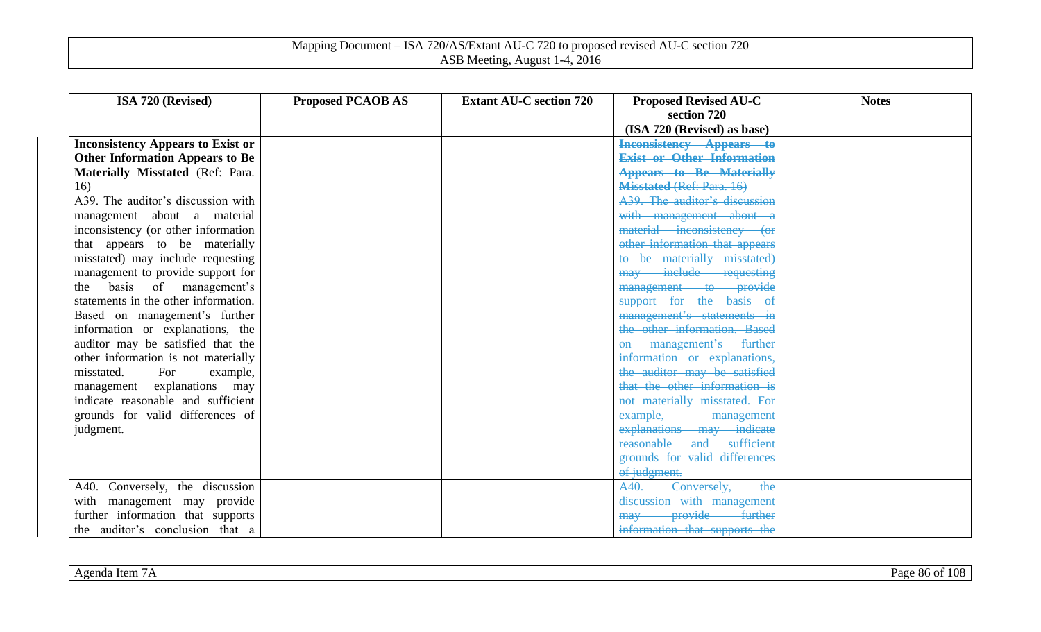| ISA 720 (Revised)                        | <b>Proposed PCAOB AS</b> | <b>Extant AU-C section 720</b> | <b>Proposed Revised AU-C</b><br>section 720 | <b>Notes</b> |
|------------------------------------------|--------------------------|--------------------------------|---------------------------------------------|--------------|
|                                          |                          |                                | (ISA 720 (Revised) as base)                 |              |
| <b>Inconsistency Appears to Exist or</b> |                          |                                | <b>Inconsistency Appears to</b>             |              |
| <b>Other Information Appears to Be</b>   |                          |                                | <b>Exist or Other Information</b>           |              |
| Materially Misstated (Ref: Para.         |                          |                                | <b>Appears to Be Materially</b>             |              |
| 16)                                      |                          |                                | <b>Misstated (Ref: Para, 16)</b>            |              |
| A39. The auditor's discussion with       |                          |                                | A39. The auditor's discussion               |              |
| management about a material              |                          |                                | with management about a                     |              |
| inconsistency (or other information      |                          |                                | material inconsistency (or                  |              |
| that appears to be materially            |                          |                                | other information that appears              |              |
| misstated) may include requesting        |                          |                                | to be materially misstated)                 |              |
| management to provide support for        |                          |                                | may include requesting                      |              |
| the basis of management's                |                          |                                | management to provide                       |              |
| statements in the other information.     |                          |                                | support for the basis of                    |              |
| Based on management's further            |                          |                                | management's statements in                  |              |
| information or explanations, the         |                          |                                | the other information. Based                |              |
| auditor may be satisfied that the        |                          |                                | on management's further                     |              |
| other information is not materially      |                          |                                | information or explanations,                |              |
| For<br>misstated.<br>example,            |                          |                                | the auditor may be satisfied                |              |
| management explanations may              |                          |                                | that the other information is               |              |
| indicate reasonable and sufficient       |                          |                                | not materially misstated. For               |              |
| grounds for valid differences of         |                          |                                | example, management                         |              |
| judgment.                                |                          |                                | explanations may indicate                   |              |
|                                          |                          |                                | reasonable and sufficient                   |              |
|                                          |                          |                                | grounds for valid differences               |              |
|                                          |                          |                                | of judgment.                                |              |
| A40. Conversely, the discussion          |                          |                                | Conversely,<br>the<br>A40.                  |              |
| with management may provide              |                          |                                | discussion with management                  |              |
| further information that supports        |                          |                                | may provide further                         |              |
| the auditor's conclusion that a          |                          |                                | information that supports the               |              |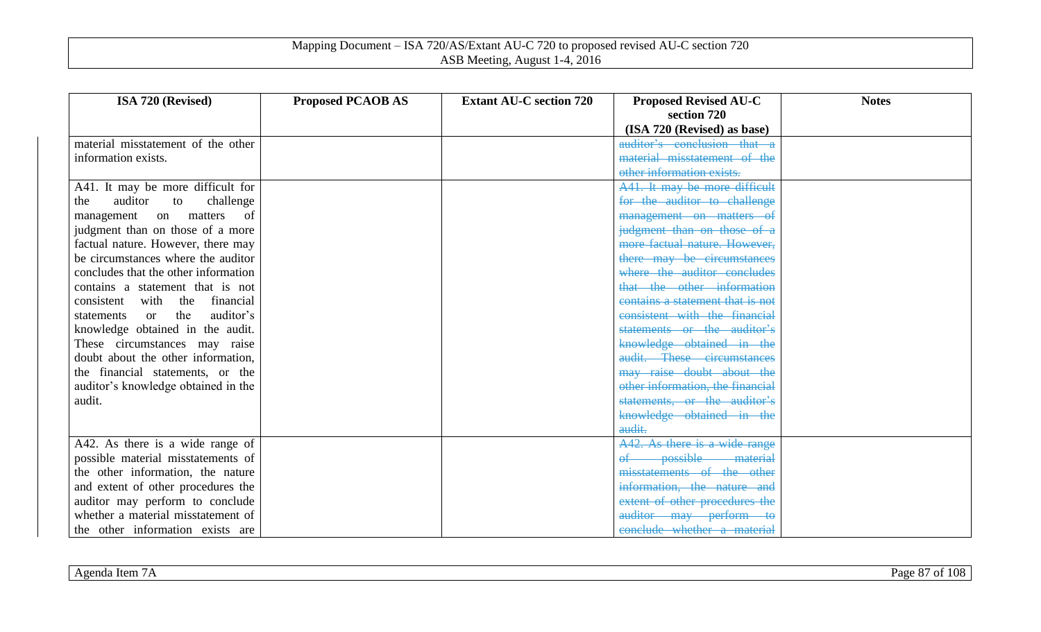| ISA 720 (Revised)                               | <b>Proposed PCAOB AS</b> | <b>Extant AU-C section 720</b> | <b>Proposed Revised AU-C</b><br>section 720 | <b>Notes</b> |
|-------------------------------------------------|--------------------------|--------------------------------|---------------------------------------------|--------------|
|                                                 |                          |                                | (ISA 720 (Revised) as base)                 |              |
| material misstatement of the other              |                          |                                | auditor's conclusion that a                 |              |
| information exists.                             |                          |                                | material misstatement of the                |              |
|                                                 |                          |                                | other information exists.                   |              |
| A41. It may be more difficult for               |                          |                                | A41. It may be more difficult               |              |
| challenge<br>auditor<br>the<br>to               |                          |                                | for the auditor to challenge                |              |
| of<br>management on matters                     |                          |                                | management on matters of                    |              |
| judgment than on those of a more                |                          |                                | judgment than on those of a                 |              |
| factual nature. However, there may              |                          |                                | more factual nature. However,               |              |
| be circumstances where the auditor              |                          |                                | there may be circumstances                  |              |
| concludes that the other information            |                          |                                | where the auditor concludes                 |              |
| contains a statement that is not                |                          |                                | that the other information                  |              |
| consistent with the<br>financial                |                          |                                | contains a statement that is not            |              |
| auditor's<br>the<br>statements<br><sub>or</sub> |                          |                                | consistent with the financial               |              |
| knowledge obtained in the audit.                |                          |                                | statements or the auditor's                 |              |
| These circumstances may raise                   |                          |                                | knowledge obtained in the                   |              |
| doubt about the other information,              |                          |                                | audit. These circumstances                  |              |
| the financial statements, or the                |                          |                                | may raise doubt about the                   |              |
| auditor's knowledge obtained in the             |                          |                                | other information, the financial            |              |
| audit.                                          |                          |                                | statements, or the auditor's                |              |
|                                                 |                          |                                | knowledge obtained in the                   |              |
|                                                 |                          |                                | audit.                                      |              |
| A42. As there is a wide range of                |                          |                                | A42. As there is a wide range               |              |
| possible material misstatements of              |                          |                                | of possible material                        |              |
| the other information, the nature               |                          |                                | misstatements of the other                  |              |
| and extent of other procedures the              |                          |                                | information, the nature and                 |              |
| auditor may perform to conclude                 |                          |                                | extent of other procedures the              |              |
| whether a material misstatement of              |                          |                                | auditor may perform to                      |              |
| the other information exists are                |                          |                                | conclude whether a material                 |              |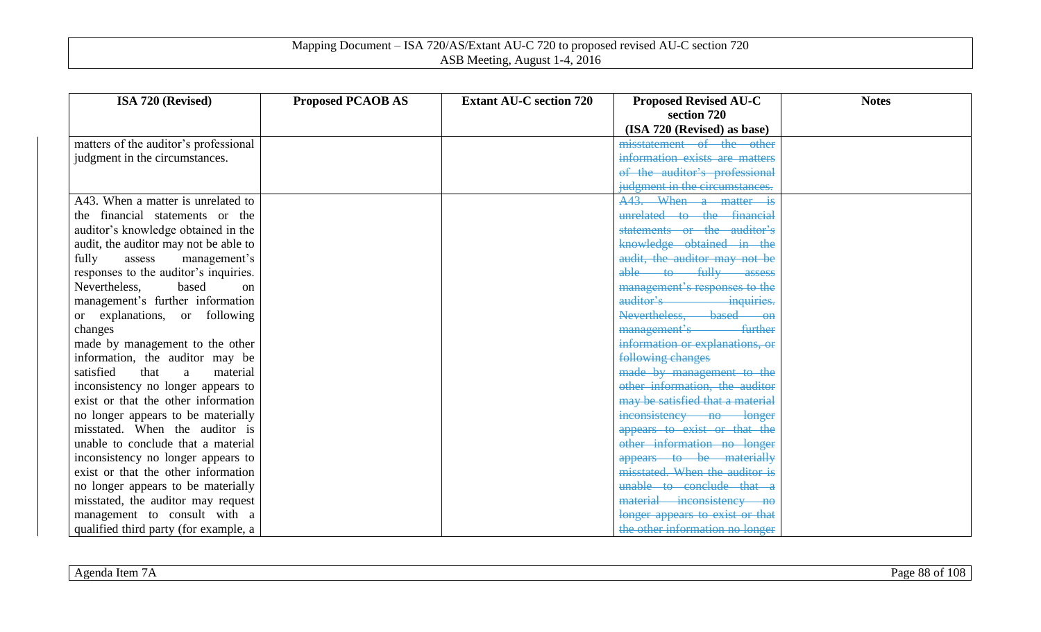| ISA 720 (Revised)                     | <b>Proposed PCAOB AS</b> | <b>Extant AU-C section 720</b> | <b>Proposed Revised AU-C</b><br>section 720 | <b>Notes</b> |
|---------------------------------------|--------------------------|--------------------------------|---------------------------------------------|--------------|
|                                       |                          |                                | (ISA 720 (Revised) as base)                 |              |
| matters of the auditor's professional |                          |                                | misstatement of the other                   |              |
| judgment in the circumstances.        |                          |                                | information exists are matters              |              |
|                                       |                          |                                | of the auditor's professional               |              |
|                                       |                          |                                | judgment in the circumstances.              |              |
| A43. When a matter is unrelated to    |                          |                                | A43. When a matter is                       |              |
| the financial statements or the       |                          |                                | unrelated to the financial                  |              |
| auditor's knowledge obtained in the   |                          |                                | statements or the auditor's                 |              |
| audit, the auditor may not be able to |                          |                                | knowledge obtained in the                   |              |
| fully<br>management's<br>assess       |                          |                                | audit, the auditor may not be               |              |
| responses to the auditor's inquiries. |                          |                                | able to fully assess                        |              |
| Nevertheless,<br>based<br>$\alpha$    |                          |                                | management's responses to the               |              |
| management's further information      |                          |                                | auditor's inquiries.                        |              |
| or explanations, or following         |                          |                                | Nevertheless, based on                      |              |
| changes                               |                          |                                | further<br>management's                     |              |
| made by management to the other       |                          |                                | information or explanations, or             |              |
| information, the auditor may be       |                          |                                | following changes                           |              |
| satisfied<br>that<br>material<br>a    |                          |                                | made by management to the                   |              |
| inconsistency no longer appears to    |                          |                                | other information, the auditor              |              |
| exist or that the other information   |                          |                                | may be satisfied that a material            |              |
| no longer appears to be materially    |                          |                                | inconsistency no longer                     |              |
| misstated. When the auditor is        |                          |                                | appears to exist or that the                |              |
| unable to conclude that a material    |                          |                                | other information no longer                 |              |
| inconsistency no longer appears to    |                          |                                | appears to be materially                    |              |
| exist or that the other information   |                          |                                | misstated. When the auditor is              |              |
| no longer appears to be materially    |                          |                                | unable to conclude that a                   |              |
| misstated, the auditor may request    |                          |                                | material inconsistency no                   |              |
| management to consult with a          |                          |                                | longer appears to exist or that             |              |
| qualified third party (for example, a |                          |                                | the other information no longer             |              |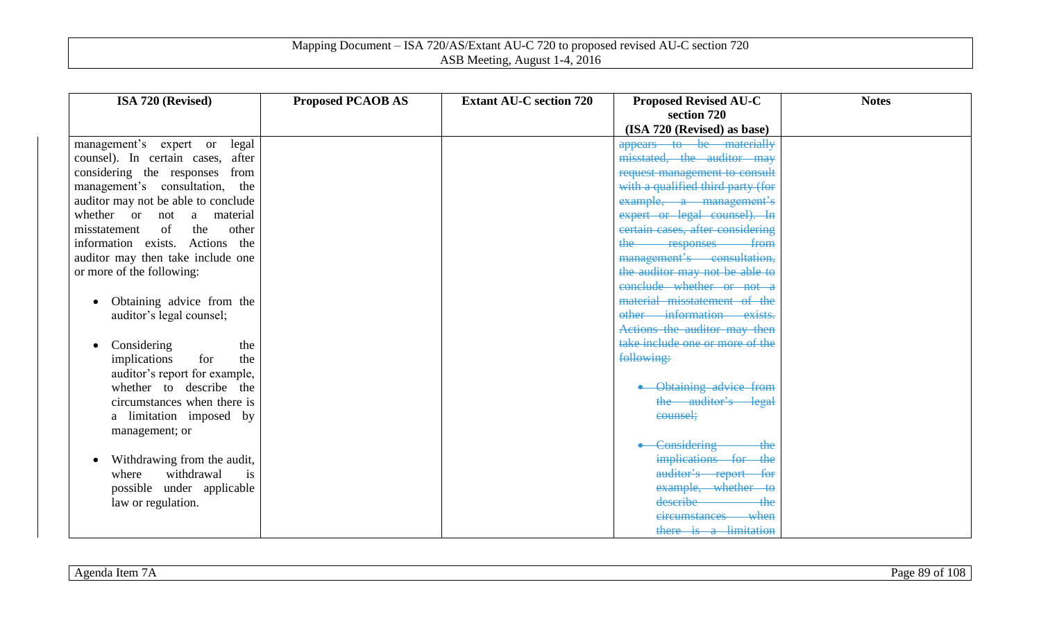| ISA 720 (Revised)                      | <b>Proposed PCAOB AS</b> | <b>Extant AU-C section 720</b> | <b>Proposed Revised AU-C</b>      | <b>Notes</b> |
|----------------------------------------|--------------------------|--------------------------------|-----------------------------------|--------------|
|                                        |                          |                                | section 720                       |              |
|                                        |                          |                                | (ISA 720 (Revised) as base)       |              |
| management's expert or<br>legal        |                          |                                | appears to be materially          |              |
| counsel). In certain cases, after      |                          |                                | misstated, the auditor may        |              |
| considering the responses<br>from      |                          |                                | request management to consult     |              |
| management's consultation,<br>the      |                          |                                | with a qualified third party (for |              |
| auditor may not be able to conclude    |                          |                                | example, a management's           |              |
| whether or<br>material<br>not a        |                          |                                | expert or legal counsel). In      |              |
| other<br>of<br>the<br>misstatement     |                          |                                | certain cases, after considering  |              |
| information exists. Actions<br>the     |                          |                                | the responses from                |              |
| auditor may then take include one      |                          |                                | management's consultation,        |              |
| or more of the following:              |                          |                                | the auditor may not be able to    |              |
|                                        |                          |                                | conclude whether or not a         |              |
| Obtaining advice from the<br>$\bullet$ |                          |                                | material misstatement of the      |              |
| auditor's legal counsel;               |                          |                                | other information exists.         |              |
|                                        |                          |                                | Actions the auditor may then      |              |
| Considering<br>the                     |                          |                                | take include one or more of the   |              |
| the<br>implications<br>for             |                          |                                | following:                        |              |
| auditor's report for example,          |                          |                                |                                   |              |
| whether to describe the                |                          |                                | Obtaining advice from             |              |
| circumstances when there is            |                          |                                | the auditor's legal               |              |
| a limitation imposed by                |                          |                                | counsel;                          |              |
| management; or                         |                          |                                |                                   |              |
|                                        |                          |                                | Considering the                   |              |
| Withdrawing from the audit,            |                          |                                | implications for the              |              |
| withdrawal<br>where<br><i>is</i>       |                          |                                | auditor's report for              |              |
| possible under applicable              |                          |                                | example, whether to               |              |
| law or regulation.                     |                          |                                | describe<br>the                   |              |
|                                        |                          |                                | circumstances when                |              |
|                                        |                          |                                | there is a limitation             |              |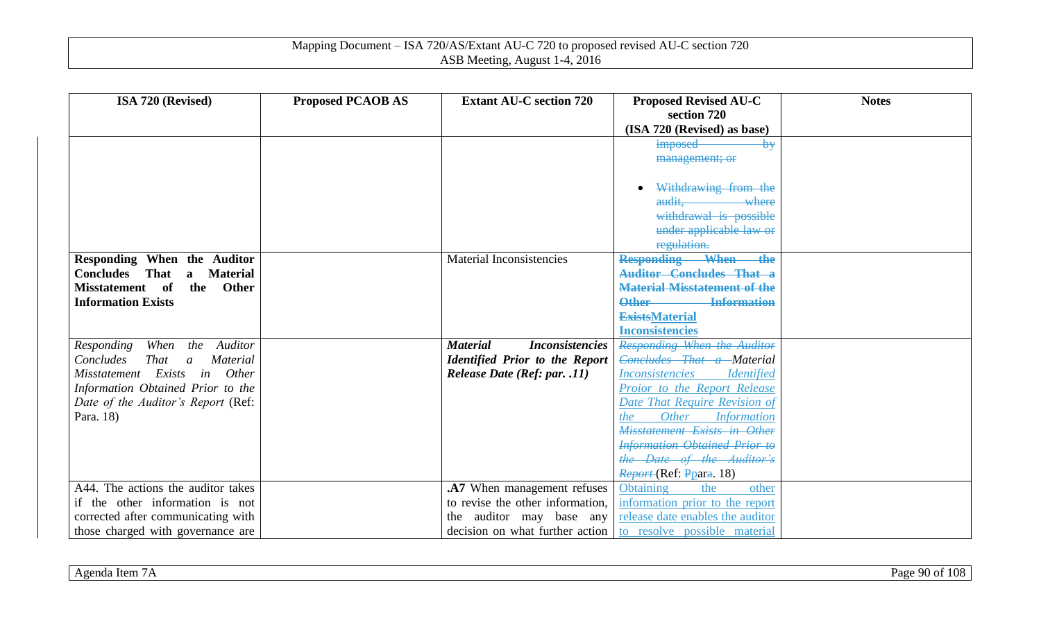| ISA 720 (Revised)                                                  | <b>Proposed PCAOB AS</b> | <b>Extant AU-C section 720</b>                                 | <b>Proposed Revised AU-C</b>                | <b>Notes</b> |
|--------------------------------------------------------------------|--------------------------|----------------------------------------------------------------|---------------------------------------------|--------------|
|                                                                    |                          |                                                                | section 720                                 |              |
|                                                                    |                          |                                                                | (ISA 720 (Revised) as base)                 |              |
|                                                                    |                          |                                                                | imposed<br>₩                                |              |
|                                                                    |                          |                                                                | management; or                              |              |
|                                                                    |                          |                                                                |                                             |              |
|                                                                    |                          |                                                                | Withdrawing from the                        |              |
|                                                                    |                          |                                                                | audit,<br><b>where</b>                      |              |
|                                                                    |                          |                                                                | withdrawal is possible                      |              |
|                                                                    |                          |                                                                | under applicable law or                     |              |
|                                                                    |                          |                                                                | regulation.                                 |              |
| Responding When the Auditor                                        |                          | <b>Material Inconsistencies</b>                                | <b>Responding When the</b>                  |              |
| <b>Concludes</b><br><b>That</b><br><b>Material</b><br>$\mathbf{a}$ |                          |                                                                | <b>Auditor Concludes That a</b>             |              |
| Other<br>Misstatement of<br>the                                    |                          |                                                                | <b>Material Misstatement of the</b>         |              |
| <b>Information Exists</b>                                          |                          |                                                                | Other Information                           |              |
|                                                                    |                          |                                                                | <b>ExistsMaterial</b>                       |              |
|                                                                    |                          |                                                                | <b>Inconsistencies</b>                      |              |
| When the<br>Auditor<br>Responding                                  |                          | <b>Material</b><br><i>Inconsistencies</i>                      | Responding When the Auditor                 |              |
| Concludes<br><b>Material</b><br>That<br>$\mathfrak{a}$             |                          | <b>Identified Prior to the Report</b>                          | Concludes That a Material                   |              |
| <i>Other</i><br>Misstatement Exists in                             |                          | Release Date (Ref: par. .11)                                   | <i>Identified</i><br><i>Inconsistencies</i> |              |
| Information Obtained Prior to the                                  |                          |                                                                | Proior to the Report Release                |              |
| Date of the Auditor's Report (Ref:                                 |                          |                                                                | Date That Require Revision of               |              |
| Para. 18)                                                          |                          |                                                                | Other<br><b>Information</b><br>the          |              |
|                                                                    |                          |                                                                | Misstatement Exists in Other                |              |
|                                                                    |                          |                                                                | <b>Information Obtained Prior to</b>        |              |
|                                                                    |                          |                                                                | the Date of the Auditor's                   |              |
|                                                                    |                          |                                                                | Report (Ref: Ppara. 18)                     |              |
| A44. The actions the auditor takes                                 |                          | A7 When management refuses                                     | Obtaining<br>the<br>other                   |              |
| if the other information is not                                    |                          | to revise the other information,                               | information prior to the report             |              |
| corrected after communicating with                                 |                          | auditor may base any<br>the                                    | release date enables the auditor            |              |
| those charged with governance are                                  |                          | decision on what further action   to resolve possible material |                                             |              |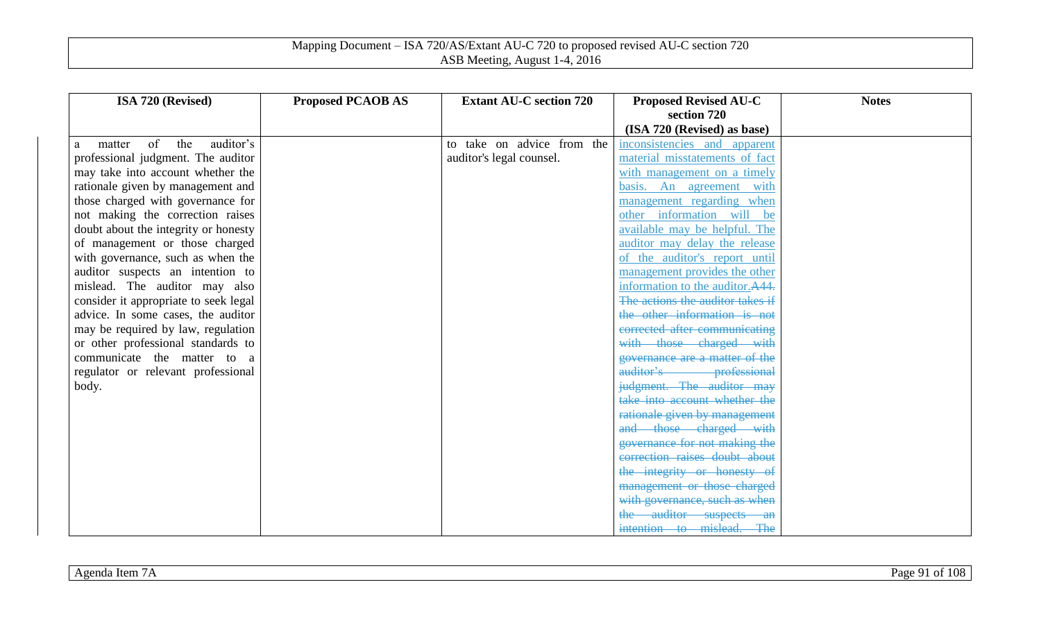| ISA 720 (Revised)                     | <b>Proposed PCAOB AS</b> | <b>Extant AU-C section 720</b> | <b>Proposed Revised AU-C</b><br>section 720<br>(ISA 720 (Revised) as base) | <b>Notes</b> |
|---------------------------------------|--------------------------|--------------------------------|----------------------------------------------------------------------------|--------------|
| auditor's<br>of<br>the<br>matter<br>a |                          | to take on advice from the     | inconsistencies and apparent                                               |              |
| professional judgment. The auditor    |                          | auditor's legal counsel.       | material misstatements of fact                                             |              |
| may take into account whether the     |                          |                                | with management on a timely                                                |              |
| rationale given by management and     |                          |                                | basis. An agreement with                                                   |              |
| those charged with governance for     |                          |                                | management regarding when                                                  |              |
| not making the correction raises      |                          |                                | other information will be                                                  |              |
| doubt about the integrity or honesty  |                          |                                | available may be helpful. The                                              |              |
| of management or those charged        |                          |                                | auditor may delay the release                                              |              |
| with governance, such as when the     |                          |                                | of the auditor's report until                                              |              |
| auditor suspects an intention to      |                          |                                | management provides the other                                              |              |
| mislead. The auditor may also         |                          |                                | information to the auditor. A44.                                           |              |
| consider it appropriate to seek legal |                          |                                | The actions the auditor takes if                                           |              |
| advice. In some cases, the auditor    |                          |                                | the other information is not                                               |              |
| may be required by law, regulation    |                          |                                | corrected after communicating                                              |              |
| or other professional standards to    |                          |                                | with those charged with                                                    |              |
| communicate the matter to a           |                          |                                | governance are a matter of the                                             |              |
| regulator or relevant professional    |                          |                                | auditor's professional                                                     |              |
| body.                                 |                          |                                | judgment. The auditor may                                                  |              |
|                                       |                          |                                | take into account whether the                                              |              |
|                                       |                          |                                | rationale given by management                                              |              |
|                                       |                          |                                | and those charged with                                                     |              |
|                                       |                          |                                | governance for not making the                                              |              |
|                                       |                          |                                | correction raises doubt about                                              |              |
|                                       |                          |                                | the integrity or honesty of                                                |              |
|                                       |                          |                                | management or those charged                                                |              |
|                                       |                          |                                | with governance, such as when                                              |              |
|                                       |                          |                                | the auditor suspects an                                                    |              |
|                                       |                          |                                | intention to mislead. The                                                  |              |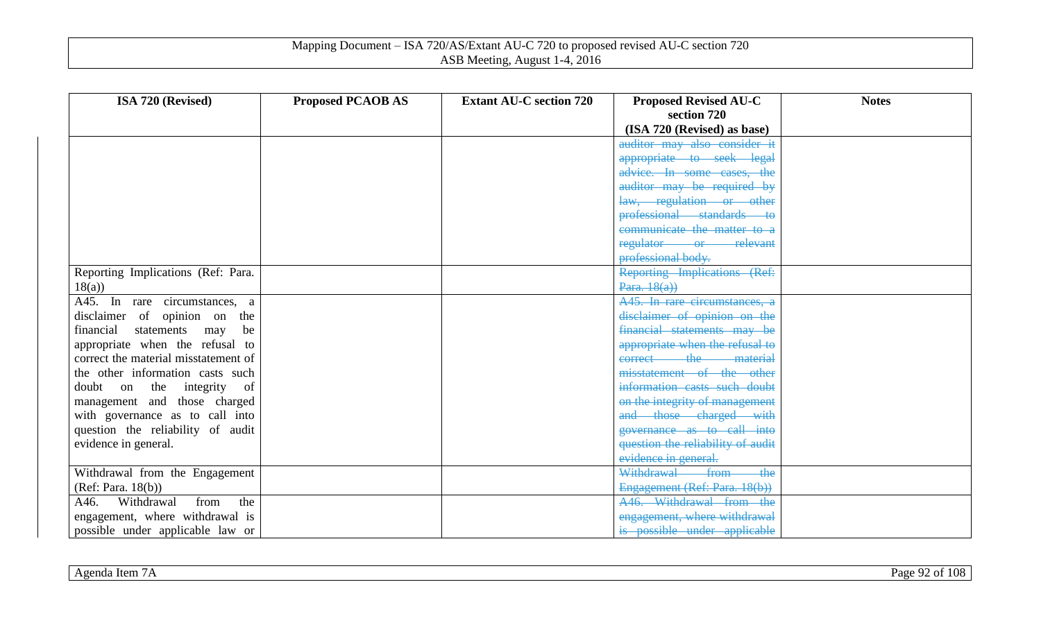| ISA 720 (Revised)                    | <b>Proposed PCAOB AS</b> | <b>Extant AU-C section 720</b> | <b>Proposed Revised AU-C</b>         | <b>Notes</b> |
|--------------------------------------|--------------------------|--------------------------------|--------------------------------------|--------------|
|                                      |                          |                                | section 720                          |              |
|                                      |                          |                                | (ISA 720 (Revised) as base)          |              |
|                                      |                          |                                | auditor may also consider it         |              |
|                                      |                          |                                | appropriate to seek legal            |              |
|                                      |                          |                                | advice. In some cases, the           |              |
|                                      |                          |                                | auditor may be required by           |              |
|                                      |                          |                                | law, regulation or other             |              |
|                                      |                          |                                | professional standards to            |              |
|                                      |                          |                                | communicate the matter to a          |              |
|                                      |                          |                                | regulator or relevant                |              |
|                                      |                          |                                | professional body.                   |              |
| Reporting Implications (Ref: Para.   |                          |                                | Reporting Implications (Ref:         |              |
| 18(a)                                |                          |                                | Para. $18(a)$                        |              |
| A45. In rare circumstances, a        |                          |                                | A45. In rare circumstances, a        |              |
| disclaimer of opinion on the         |                          |                                | disclaimer of opinion on the         |              |
| financial<br>statements<br>be<br>may |                          |                                | financial statements may be          |              |
| appropriate when the refusal to      |                          |                                | appropriate when the refusal to      |              |
| correct the material misstatement of |                          |                                | correct the material                 |              |
| the other information casts such     |                          |                                | misstatement of the other            |              |
| doubt on the integrity of            |                          |                                | information casts such doubt         |              |
| management and those charged         |                          |                                | on the integrity of management       |              |
| with governance as to call into      |                          |                                | and those charged with               |              |
| question the reliability of audit    |                          |                                | governance as to call into           |              |
| evidence in general.                 |                          |                                | question the reliability of audit    |              |
|                                      |                          |                                | evidence in general.                 |              |
| Withdrawal from the Engagement       |                          |                                | Withdrawal<br>$-$ from<br><b>the</b> |              |
| (Ref: Para. 18(b))                   |                          |                                | Engagement (Ref: Para. 18(b))        |              |
| A46.<br>Withdrawal<br>the<br>from    |                          |                                | A46. Withdrawal from the             |              |
| engagement, where withdrawal is      |                          |                                | engagement, where withdrawal         |              |
| possible under applicable law or     |                          |                                | is possible under applicable         |              |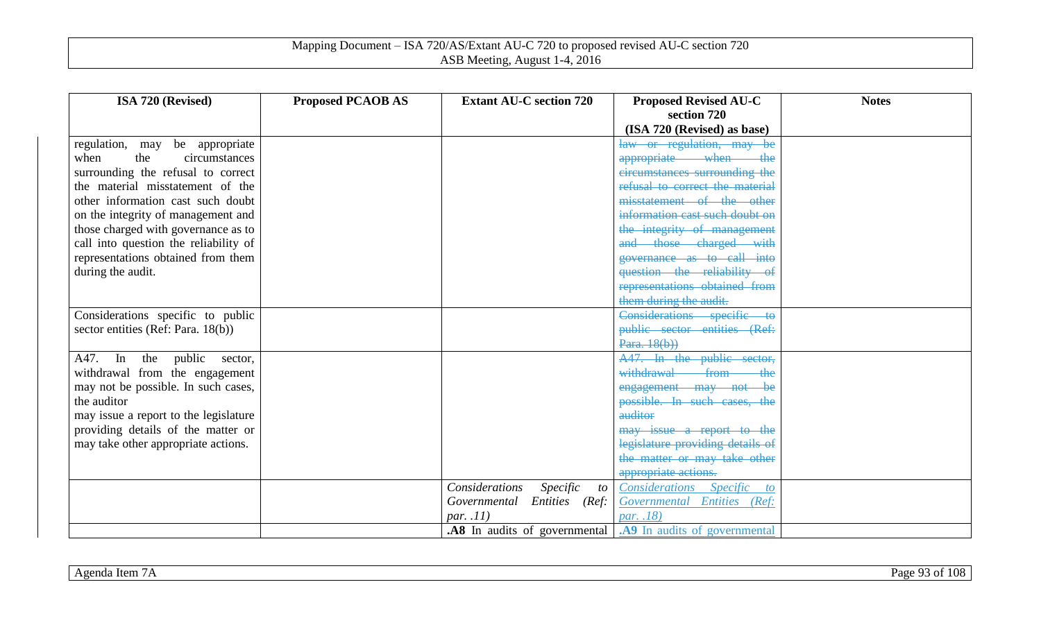| ISA 720 (Revised)                     | <b>Proposed PCAOB AS</b> | <b>Extant AU-C section 720</b>          | <b>Proposed Revised AU-C</b>                                            | <b>Notes</b> |
|---------------------------------------|--------------------------|-----------------------------------------|-------------------------------------------------------------------------|--------------|
|                                       |                          |                                         | section 720                                                             |              |
|                                       |                          |                                         | (ISA 720 (Revised) as base)                                             |              |
| regulation, may<br>be appropriate     |                          |                                         | law or regulation, may be                                               |              |
| when<br>circumstances<br>the          |                          |                                         | appropriate when the                                                    |              |
| surrounding the refusal to correct    |                          |                                         | circumstances surrounding the                                           |              |
| the material misstatement of the      |                          |                                         | refusal to correct the material                                         |              |
| other information cast such doubt     |                          |                                         | misstatement of the other                                               |              |
| on the integrity of management and    |                          |                                         | information cast such doubt on                                          |              |
| those charged with governance as to   |                          |                                         | the integrity of management                                             |              |
| call into question the reliability of |                          |                                         | and those charged with                                                  |              |
| representations obtained from them    |                          |                                         | governance as to call into                                              |              |
| during the audit.                     |                          |                                         | question the reliability of                                             |              |
|                                       |                          |                                         | representations obtained from                                           |              |
|                                       |                          |                                         | them during the audit.                                                  |              |
| Considerations specific to public     |                          |                                         | Considerations specific to                                              |              |
| sector entities (Ref: Para. 18(b))    |                          |                                         | public sector entities (Ref:                                            |              |
|                                       |                          |                                         | Para. $18(b)$                                                           |              |
| A47. In<br>the<br>public<br>sector,   |                          |                                         | A47. In the public sector,                                              |              |
| withdrawal from the engagement        |                          |                                         | withdrawal from<br>–the                                                 |              |
| may not be possible. In such cases,   |                          |                                         | engagement may not be                                                   |              |
| the auditor                           |                          |                                         | possible. In such cases, the                                            |              |
| may issue a report to the legislature |                          |                                         | auditor                                                                 |              |
| providing details of the matter or    |                          |                                         | may issue a report to the                                               |              |
| may take other appropriate actions.   |                          |                                         | legislature providing details of                                        |              |
|                                       |                          |                                         | the matter or may take other                                            |              |
|                                       |                          |                                         | appropriate actions.                                                    |              |
|                                       |                          | Considerations<br><i>Specific</i><br>to | Considerations<br><i>Specific</i><br>$\mathit{to}$                      |              |
|                                       |                          | Entities (Ref:<br>Governmental          | Governmental Entities (Ref:                                             |              |
|                                       |                          | <i>par. .11)</i>                        | <i>par.</i> .18)                                                        |              |
|                                       |                          |                                         | <b>A8</b> In audits of governmental <b>A9</b> In audits of governmental |              |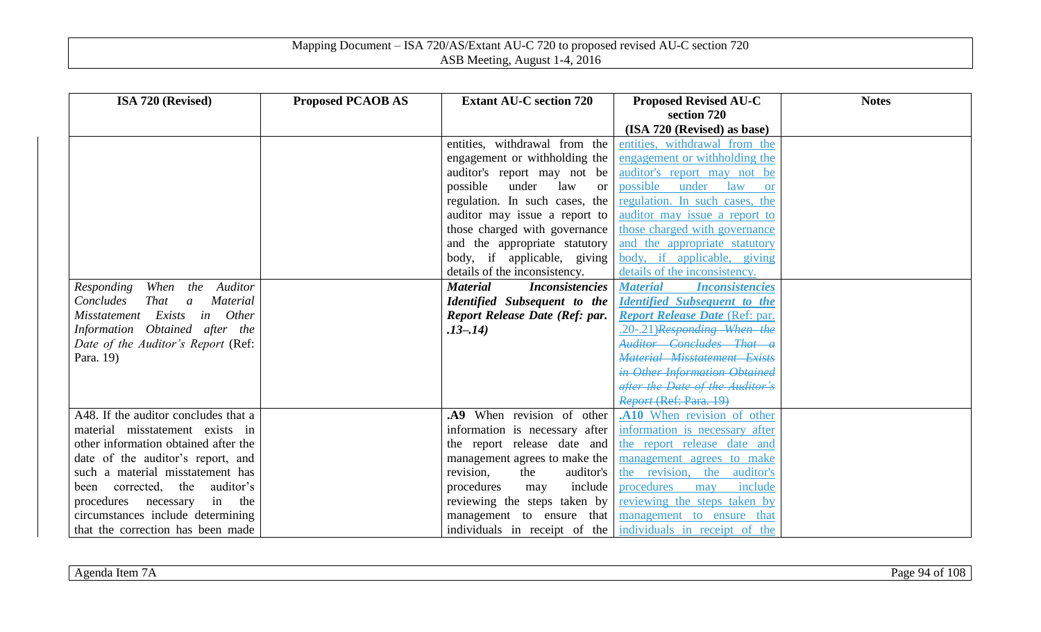| ISA 720 (Revised)                                             | <b>Proposed PCAOB AS</b> | <b>Extant AU-C section 720</b>                              | <b>Proposed Revised AU-C</b>              | <b>Notes</b> |
|---------------------------------------------------------------|--------------------------|-------------------------------------------------------------|-------------------------------------------|--------------|
|                                                               |                          |                                                             | section 720                               |              |
|                                                               |                          |                                                             | (ISA 720 (Revised) as base)               |              |
|                                                               |                          | entities, withdrawal from the                               | entities, withdrawal from the             |              |
|                                                               |                          | engagement or withholding the                               | engagement or withholding the             |              |
|                                                               |                          | auditor's report may not be                                 | auditor's report may not be               |              |
|                                                               |                          | under<br>possible<br>law<br><sub>or</sub>                   | possible<br>under<br>law<br><b>or</b>     |              |
|                                                               |                          | regulation. In such cases, the                              | regulation. In such cases, the            |              |
|                                                               |                          | auditor may issue a report to                               | auditor may issue a report to             |              |
|                                                               |                          | those charged with governance                               | those charged with governance             |              |
|                                                               |                          | and the appropriate statutory                               | and the appropriate statutory             |              |
|                                                               |                          | body, if applicable, giving                                 | body, if applicable, giving               |              |
|                                                               |                          | details of the inconsistency.                               | details of the inconsistency.             |              |
| Auditor<br>When<br>the<br>Responding                          |                          | <b>Material</b><br><b>Inconsistencies</b>                   | <b>Material</b><br><i>Inconsistencies</i> |              |
| <b>Material</b><br>Concludes<br><b>That</b><br>$\mathfrak{a}$ |                          | Identified Subsequent to the                                | <b>Identified Subsequent to the</b>       |              |
| Exists<br>in<br><i>Other</i><br><i>Misstatement</i>           |                          | Report Release Date (Ref: par.                              | <b>Report Release Date</b> (Ref: par.     |              |
| Information Obtained after the                                |                          | $.13 - .14)$                                                | 20-.21)Responding When the                |              |
| Date of the Auditor's Report (Ref:                            |                          |                                                             | Auditor Concludes That a                  |              |
| Para. 19)                                                     |                          |                                                             | Material Misstatement Exists              |              |
|                                                               |                          |                                                             | in Other Information Obtained             |              |
|                                                               |                          |                                                             | after the Date of the Auditor's           |              |
|                                                               |                          |                                                             | Report (Ref: Para. 19)                    |              |
| A48. If the auditor concludes that a                          |                          | .A9 When revision of other                                  | .A10 When revision of other               |              |
| material misstatement exists in                               |                          | information is necessary after                              | information is necessary after            |              |
| other information obtained after the                          |                          | the report release date and                                 | the report release date and               |              |
| date of the auditor's report, and                             |                          | management agrees to make the                               | management agrees to make                 |              |
| such a material misstatement has                              |                          | revision,<br>the<br>auditor's                               | the revision,<br>the<br>auditor's         |              |
| been corrected, the<br>auditor's                              |                          | include<br>procedures<br>may                                | procedures<br>include<br>may              |              |
| in the<br>procedures necessary                                |                          | reviewing the steps taken by                                | reviewing the steps taken by              |              |
| circumstances include determining                             |                          | management to ensure that                                   | management to ensure that                 |              |
| that the correction has been made                             |                          | individuals in receipt of the individuals in receipt of the |                                           |              |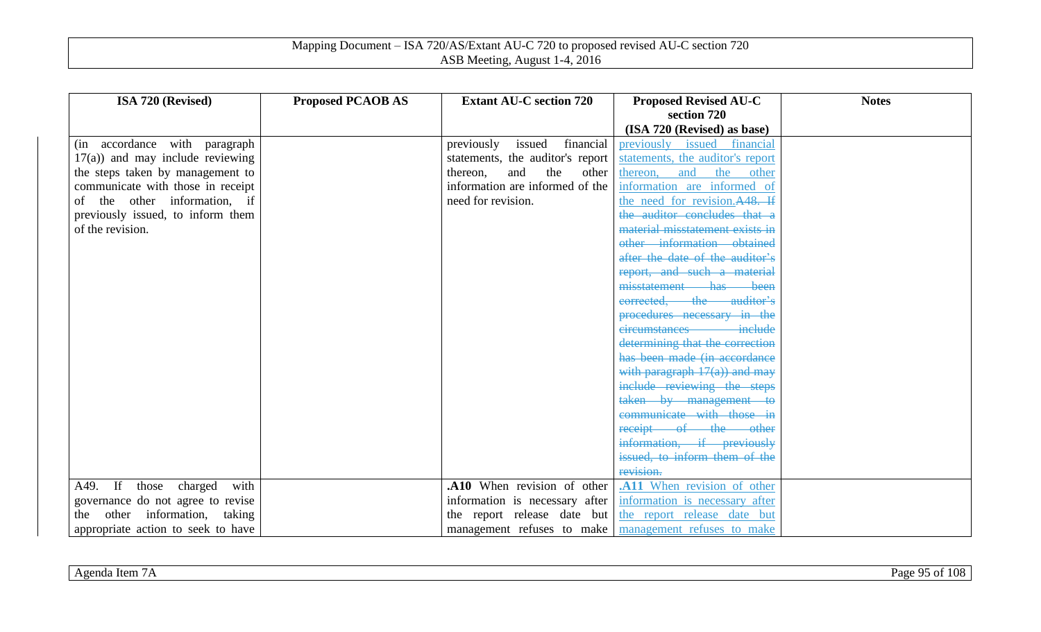| <b>Proposed PCAOB AS</b> | <b>Extant AU-C section 720</b> | <b>Proposed Revised AU-C</b><br>section 720                                                                                                                                                      | <b>Notes</b>                                                                                                                                                                                                                                                                                                                                                                                                                                                                                                                                                                                                                                                                                                                                                                                                                                           |
|--------------------------|--------------------------------|--------------------------------------------------------------------------------------------------------------------------------------------------------------------------------------------------|--------------------------------------------------------------------------------------------------------------------------------------------------------------------------------------------------------------------------------------------------------------------------------------------------------------------------------------------------------------------------------------------------------------------------------------------------------------------------------------------------------------------------------------------------------------------------------------------------------------------------------------------------------------------------------------------------------------------------------------------------------------------------------------------------------------------------------------------------------|
|                          |                                |                                                                                                                                                                                                  |                                                                                                                                                                                                                                                                                                                                                                                                                                                                                                                                                                                                                                                                                                                                                                                                                                                        |
|                          |                                |                                                                                                                                                                                                  |                                                                                                                                                                                                                                                                                                                                                                                                                                                                                                                                                                                                                                                                                                                                                                                                                                                        |
|                          |                                |                                                                                                                                                                                                  |                                                                                                                                                                                                                                                                                                                                                                                                                                                                                                                                                                                                                                                                                                                                                                                                                                                        |
|                          |                                |                                                                                                                                                                                                  |                                                                                                                                                                                                                                                                                                                                                                                                                                                                                                                                                                                                                                                                                                                                                                                                                                                        |
|                          |                                |                                                                                                                                                                                                  |                                                                                                                                                                                                                                                                                                                                                                                                                                                                                                                                                                                                                                                                                                                                                                                                                                                        |
|                          |                                |                                                                                                                                                                                                  |                                                                                                                                                                                                                                                                                                                                                                                                                                                                                                                                                                                                                                                                                                                                                                                                                                                        |
|                          |                                |                                                                                                                                                                                                  |                                                                                                                                                                                                                                                                                                                                                                                                                                                                                                                                                                                                                                                                                                                                                                                                                                                        |
|                          |                                |                                                                                                                                                                                                  |                                                                                                                                                                                                                                                                                                                                                                                                                                                                                                                                                                                                                                                                                                                                                                                                                                                        |
|                          |                                |                                                                                                                                                                                                  |                                                                                                                                                                                                                                                                                                                                                                                                                                                                                                                                                                                                                                                                                                                                                                                                                                                        |
|                          |                                |                                                                                                                                                                                                  |                                                                                                                                                                                                                                                                                                                                                                                                                                                                                                                                                                                                                                                                                                                                                                                                                                                        |
|                          |                                |                                                                                                                                                                                                  |                                                                                                                                                                                                                                                                                                                                                                                                                                                                                                                                                                                                                                                                                                                                                                                                                                                        |
|                          |                                |                                                                                                                                                                                                  |                                                                                                                                                                                                                                                                                                                                                                                                                                                                                                                                                                                                                                                                                                                                                                                                                                                        |
|                          |                                | corrected, the auditor's                                                                                                                                                                         |                                                                                                                                                                                                                                                                                                                                                                                                                                                                                                                                                                                                                                                                                                                                                                                                                                                        |
|                          |                                | procedures necessary in the                                                                                                                                                                      |                                                                                                                                                                                                                                                                                                                                                                                                                                                                                                                                                                                                                                                                                                                                                                                                                                                        |
|                          |                                | circumstances include                                                                                                                                                                            |                                                                                                                                                                                                                                                                                                                                                                                                                                                                                                                                                                                                                                                                                                                                                                                                                                                        |
|                          |                                |                                                                                                                                                                                                  |                                                                                                                                                                                                                                                                                                                                                                                                                                                                                                                                                                                                                                                                                                                                                                                                                                                        |
|                          |                                | has been made (in accordance                                                                                                                                                                     |                                                                                                                                                                                                                                                                                                                                                                                                                                                                                                                                                                                                                                                                                                                                                                                                                                                        |
|                          |                                |                                                                                                                                                                                                  |                                                                                                                                                                                                                                                                                                                                                                                                                                                                                                                                                                                                                                                                                                                                                                                                                                                        |
|                          |                                |                                                                                                                                                                                                  |                                                                                                                                                                                                                                                                                                                                                                                                                                                                                                                                                                                                                                                                                                                                                                                                                                                        |
|                          |                                |                                                                                                                                                                                                  |                                                                                                                                                                                                                                                                                                                                                                                                                                                                                                                                                                                                                                                                                                                                                                                                                                                        |
|                          |                                | communicate with those in                                                                                                                                                                        |                                                                                                                                                                                                                                                                                                                                                                                                                                                                                                                                                                                                                                                                                                                                                                                                                                                        |
|                          |                                |                                                                                                                                                                                                  |                                                                                                                                                                                                                                                                                                                                                                                                                                                                                                                                                                                                                                                                                                                                                                                                                                                        |
|                          |                                |                                                                                                                                                                                                  |                                                                                                                                                                                                                                                                                                                                                                                                                                                                                                                                                                                                                                                                                                                                                                                                                                                        |
|                          |                                |                                                                                                                                                                                                  |                                                                                                                                                                                                                                                                                                                                                                                                                                                                                                                                                                                                                                                                                                                                                                                                                                                        |
|                          |                                |                                                                                                                                                                                                  |                                                                                                                                                                                                                                                                                                                                                                                                                                                                                                                                                                                                                                                                                                                                                                                                                                                        |
|                          |                                |                                                                                                                                                                                                  |                                                                                                                                                                                                                                                                                                                                                                                                                                                                                                                                                                                                                                                                                                                                                                                                                                                        |
|                          |                                |                                                                                                                                                                                                  |                                                                                                                                                                                                                                                                                                                                                                                                                                                                                                                                                                                                                                                                                                                                                                                                                                                        |
|                          |                                |                                                                                                                                                                                                  |                                                                                                                                                                                                                                                                                                                                                                                                                                                                                                                                                                                                                                                                                                                                                                                                                                                        |
|                          |                                |                                                                                                                                                                                                  |                                                                                                                                                                                                                                                                                                                                                                                                                                                                                                                                                                                                                                                                                                                                                                                                                                                        |
|                          |                                | financial<br>issued<br>previously<br>statements, the auditor's report<br>and<br>the<br>thereon,<br>other<br>information are informed of the<br>need for revision.<br>.A10 When revision of other | (ISA 720 (Revised) as base)<br>previously issued financial<br>statements, the auditor's report<br>thereon, and<br>the other<br>information are informed of<br>the need for revision. A48. If<br>the auditor concludes that a<br>material misstatement exists in<br>other information obtained<br>after the date of the auditor's<br>report, and such a material<br>misstatement has been<br>determining that the correction<br>with paragraph $17(a)$ ) and may<br>include reviewing the steps<br>taken by management to<br>receipt of the other<br>information, if previously<br>issued, to inform them of the<br>revision.<br>.A11 When revision of other<br>information is necessary after<br>information is necessary after<br>the report release date but<br>the report release date but<br>management refuses to make management refuses to make |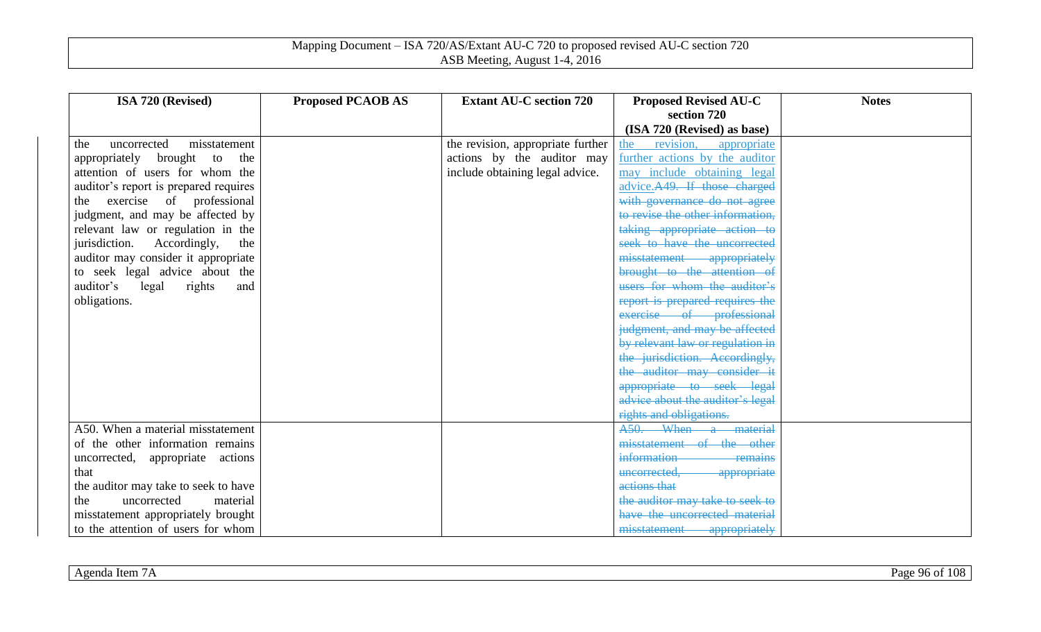| ISA 720 (Revised)                     | <b>Proposed PCAOB AS</b> | <b>Extant AU-C section 720</b>    | <b>Proposed Revised AU-C</b><br>section 720 | <b>Notes</b> |
|---------------------------------------|--------------------------|-----------------------------------|---------------------------------------------|--------------|
|                                       |                          |                                   | (ISA 720 (Revised) as base)                 |              |
| uncorrected<br>misstatement<br>the    |                          | the revision, appropriate further | revision.<br>the<br>appropriate             |              |
| appropriately<br>brought to<br>the    |                          | actions by the auditor may        | further actions by the auditor              |              |
| attention of users for whom the       |                          | include obtaining legal advice.   | may include obtaining legal                 |              |
| auditor's report is prepared requires |                          |                                   | advice.A49. If those charged                |              |
| the exercise of professional          |                          |                                   | with governance do not agree                |              |
| judgment, and may be affected by      |                          |                                   | to revise the other information.            |              |
| relevant law or regulation in the     |                          |                                   | taking appropriate action to                |              |
| jurisdiction. Accordingly,<br>the     |                          |                                   | seek to have the uncorrected                |              |
| auditor may consider it appropriate   |                          |                                   | misstatement appropriately                  |              |
| to seek legal advice about the        |                          |                                   | brought to the attention of                 |              |
| auditor's<br>legal<br>rights<br>and   |                          |                                   | users for whom the auditor's                |              |
| obligations.                          |                          |                                   | report is prepared requires the             |              |
|                                       |                          |                                   | exercise of professional                    |              |
|                                       |                          |                                   | judgment, and may be affected               |              |
|                                       |                          |                                   | by relevant law or regulation in            |              |
|                                       |                          |                                   | the jurisdiction. Accordingly,              |              |
|                                       |                          |                                   | the auditor may consider it                 |              |
|                                       |                          |                                   | appropriate to seek legal                   |              |
|                                       |                          |                                   | advice about the auditor's legal            |              |
|                                       |                          |                                   | rights and obligations.                     |              |
| A50. When a material misstatement     |                          |                                   | A50. When a material                        |              |
| of the other information remains      |                          |                                   | misstatement of the other                   |              |
| uncorrected, appropriate<br>actions   |                          |                                   | information –<br>remains                    |              |
| that                                  |                          |                                   | uncorrected,<br>appropriate                 |              |
| the auditor may take to seek to have  |                          |                                   | actions that                                |              |
| the<br>uncorrected<br>material        |                          |                                   | the auditor may take to seek to             |              |
| misstatement appropriately brought    |                          |                                   | have the uncorrected material               |              |
| to the attention of users for whom    |                          |                                   | misstatement appropriately                  |              |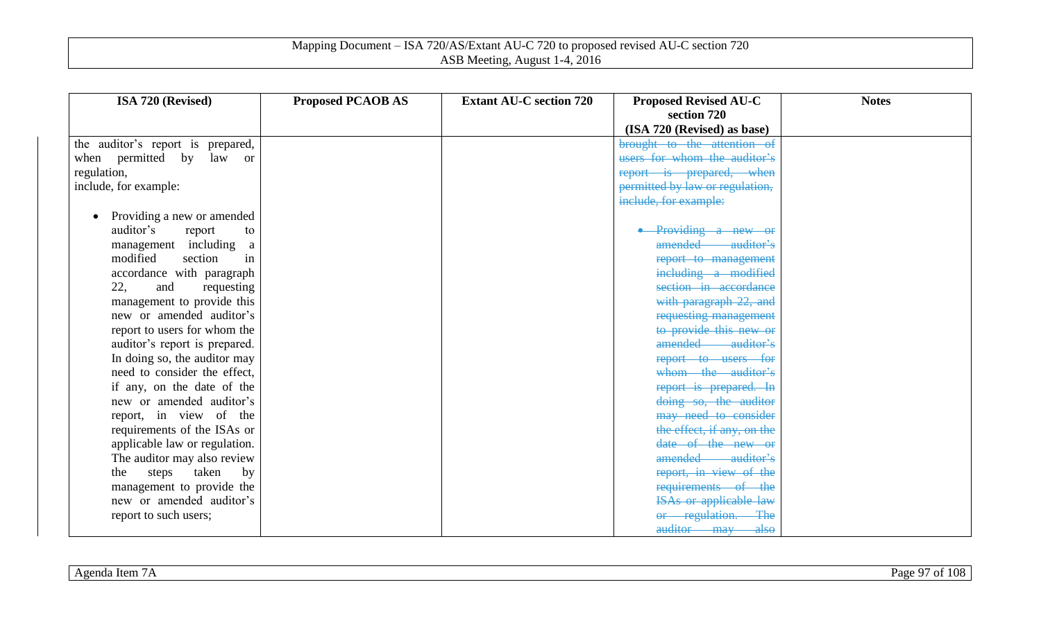| ISA 720 (Revised)                       | <b>Proposed PCAOB AS</b> | <b>Extant AU-C section 720</b> | <b>Proposed Revised AU-C</b>    | <b>Notes</b> |
|-----------------------------------------|--------------------------|--------------------------------|---------------------------------|--------------|
|                                         |                          |                                | section 720                     |              |
|                                         |                          |                                | (ISA 720 (Revised) as base)     |              |
| the auditor's report is prepared,       |                          |                                | brought to the attention of     |              |
| when permitted by law or                |                          |                                | users for whom the auditor's    |              |
| regulation,                             |                          |                                | report is prepared, when        |              |
| include, for example:                   |                          |                                | permitted by law or regulation, |              |
|                                         |                          |                                | include, for example:           |              |
| Providing a new or amended<br>$\bullet$ |                          |                                |                                 |              |
| auditor's<br>report<br>to               |                          |                                | Providing a new or              |              |
| management including<br>a               |                          |                                | amended auditor's               |              |
| modified<br>section<br>in               |                          |                                | report to management            |              |
| accordance with paragraph               |                          |                                | including a modified            |              |
| 22,<br>requesting<br>and                |                          |                                | section in accordance           |              |
| management to provide this              |                          |                                | with paragraph 22, and          |              |
| new or amended auditor's                |                          |                                | requesting management           |              |
| report to users for whom the            |                          |                                | to provide this new or          |              |
| auditor's report is prepared.           |                          |                                | amended auditor's               |              |
| In doing so, the auditor may            |                          |                                | report to users for             |              |
| need to consider the effect,            |                          |                                | whom the auditor's              |              |
| if any, on the date of the              |                          |                                | report is prepared. In          |              |
| new or amended auditor's                |                          |                                | doing so, the auditor           |              |
| report, in view of the                  |                          |                                | may need to consider            |              |
| requirements of the ISAs or             |                          |                                | the effect, if any, on the      |              |
| applicable law or regulation.           |                          |                                | date of the new or              |              |
| The auditor may also review             |                          |                                | amended auditor's               |              |
| the<br>steps<br>taken<br>by             |                          |                                | report, in view of the          |              |
| management to provide the               |                          |                                | requirements of the             |              |
| new or amended auditor's                |                          |                                | <b>ISAs or applicable law</b>   |              |
| report to such users;                   |                          |                                | or regulation. The              |              |
|                                         |                          |                                | auditor may<br><del>also</del>  |              |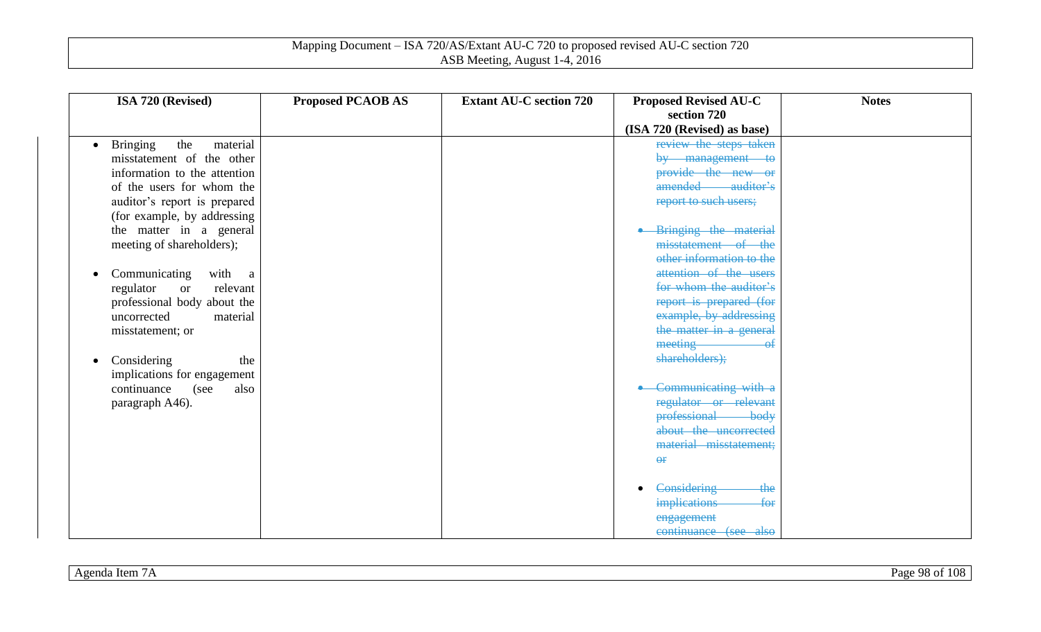| ISA 720 (Revised)                               | <b>Proposed PCAOB AS</b> | <b>Extant AU-C section 720</b> | <b>Proposed Revised AU-C</b>           | <b>Notes</b> |
|-------------------------------------------------|--------------------------|--------------------------------|----------------------------------------|--------------|
|                                                 |                          |                                | section 720                            |              |
|                                                 |                          |                                | (ISA 720 (Revised) as base)            |              |
| <b>Bringing</b><br>material<br>the<br>$\bullet$ |                          |                                | review the steps taken                 |              |
| misstatement of the other                       |                          |                                | by management to                       |              |
| information to the attention                    |                          |                                | provide the new or                     |              |
| of the users for whom the                       |                          |                                | amended auditor's                      |              |
| auditor's report is prepared                    |                          |                                | report to such users;                  |              |
| (for example, by addressing                     |                          |                                |                                        |              |
| the matter in a general                         |                          |                                | Bringing the material                  |              |
| meeting of shareholders);                       |                          |                                | misstatement of the                    |              |
|                                                 |                          |                                | other information to the               |              |
| Communicating<br>with a                         |                          |                                | attention of the users                 |              |
| regulator<br>relevant<br><b>or</b>              |                          |                                | for whom the auditor's                 |              |
| professional body about the                     |                          |                                | report is prepared (for                |              |
| uncorrected<br>material                         |                          |                                | example, by addressing                 |              |
| misstatement; or                                |                          |                                | the matter in a general                |              |
|                                                 |                          |                                | meeting<br>ə£                          |              |
| Considering<br>the<br>$\bullet$                 |                          |                                | shareholders);                         |              |
| implications for engagement                     |                          |                                |                                        |              |
| continuance<br>(see<br>also                     |                          |                                | Communicating with a                   |              |
| paragraph A46).                                 |                          |                                | regulator or relevant                  |              |
|                                                 |                          |                                | professional<br>$\longrightarrow$ body |              |
|                                                 |                          |                                | about the uncorrected                  |              |
|                                                 |                          |                                | material misstatement;                 |              |
|                                                 |                          |                                | $\Theta$ <b>F</b>                      |              |
|                                                 |                          |                                |                                        |              |
|                                                 |                          |                                | Considering<br>the                     |              |
|                                                 |                          |                                | implications<br>$f_{\theta}$           |              |
|                                                 |                          |                                | engagement                             |              |
|                                                 |                          |                                | continuance (see also                  |              |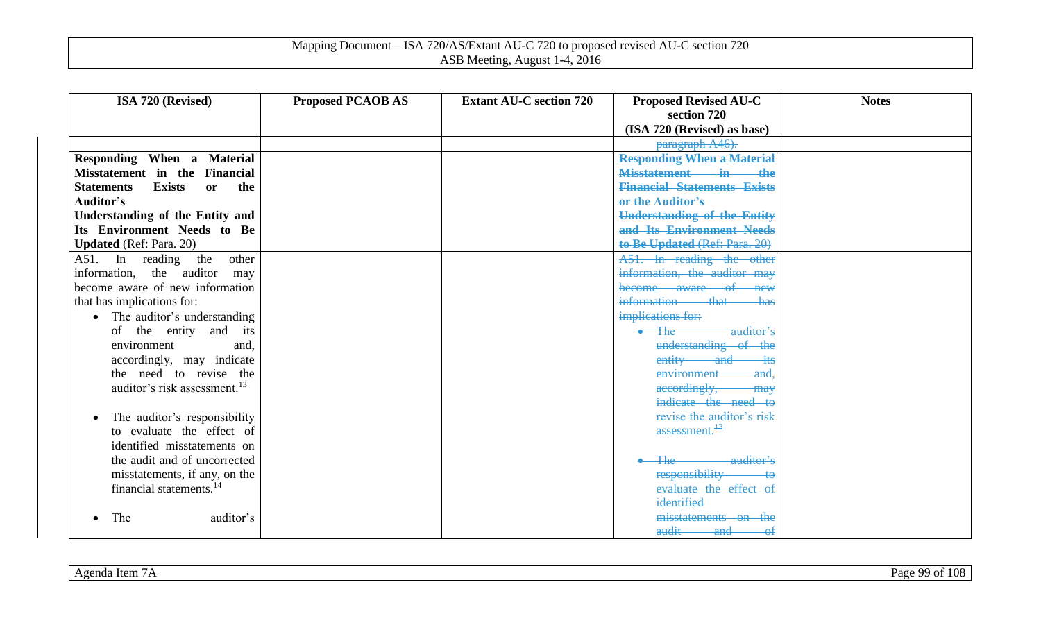| ISA 720 (Revised)                               | <b>Proposed PCAOB AS</b> | <b>Extant AU-C section 720</b> | <b>Proposed Revised AU-C</b><br>section 720 | <b>Notes</b> |
|-------------------------------------------------|--------------------------|--------------------------------|---------------------------------------------|--------------|
|                                                 |                          |                                | (ISA 720 (Revised) as base)                 |              |
|                                                 |                          |                                | paragraph A46).                             |              |
| Responding When a Material                      |                          |                                | <b>Responding When a Material</b>           |              |
| Misstatement in the Financial                   |                          |                                | Misstatement in the                         |              |
| <b>Exists</b><br><b>Statements</b><br>the<br>or |                          |                                | <b>Financial Statements Exists</b>          |              |
| Auditor's                                       |                          |                                | or the Auditor's                            |              |
| Understanding of the Entity and                 |                          |                                | Understanding of the Entity                 |              |
| Its Environment Needs to Be                     |                          |                                | and Its Environment Needs                   |              |
| <b>Updated</b> (Ref: Para. 20)                  |                          |                                | to Be Updated (Ref: Para. 20)               |              |
| A51. In reading<br>other<br>the                 |                          |                                | A51. In reading the other                   |              |
| information, the auditor<br>may                 |                          |                                | information, the auditor may                |              |
| become aware of new information                 |                          |                                | become aware of new                         |              |
| that has implications for:                      |                          |                                | information that has                        |              |
| The auditor's understanding                     |                          |                                | implications for:                           |              |
| of the entity and its                           |                          |                                | • The auditor's                             |              |
| environment<br>and,                             |                          |                                | understanding of the                        |              |
| accordingly, may indicate                       |                          |                                | entity and<br>$-$ its                       |              |
| the need to revise the                          |                          |                                | environment and.                            |              |
| auditor's risk assessment. <sup>13</sup>        |                          |                                | accordingly,<br>$-may$                      |              |
|                                                 |                          |                                | indicate the need to                        |              |
| The auditor's responsibility                    |                          |                                | revise the auditor's risk                   |              |
| to evaluate the effect of                       |                          |                                | assessment. <sup>13</sup>                   |              |
| identified misstatements on                     |                          |                                |                                             |              |
| the audit and of uncorrected                    |                          |                                | The auditor's                               |              |
| misstatements, if any, on the                   |                          |                                | responsibility                              |              |
| financial statements. <sup>14</sup>             |                          |                                | evaluate the effect of                      |              |
|                                                 |                          |                                | identified                                  |              |
| auditor's<br>The                                |                          |                                | misstatements on the                        |              |
|                                                 |                          |                                | audit and<br>$-\theta f$                    |              |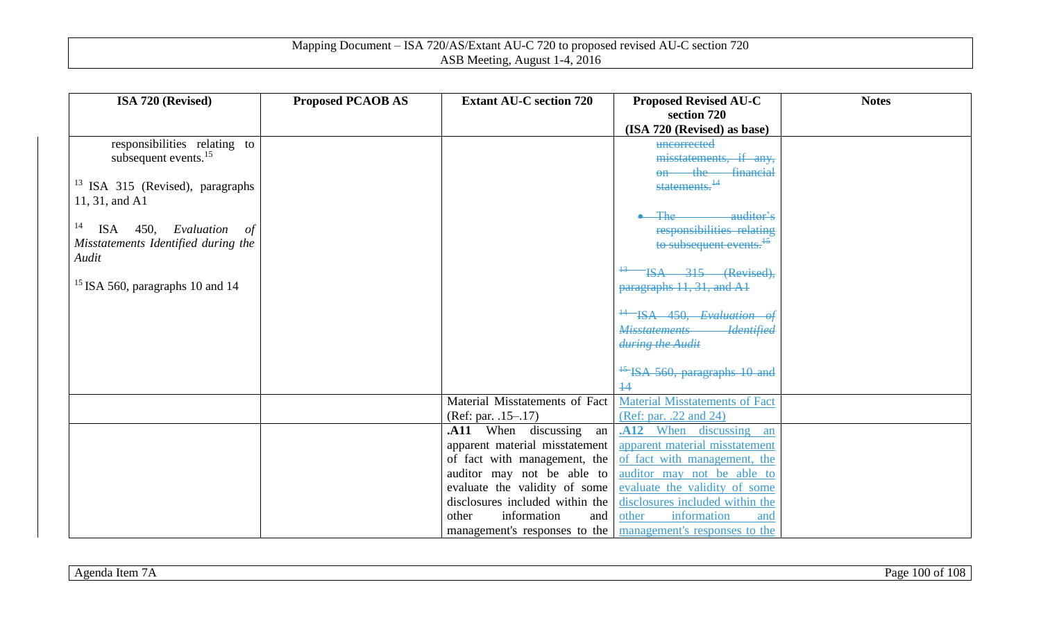| ISA 720 (Revised)                                                            | <b>Proposed PCAOB AS</b> | <b>Extant AU-C section 720</b>                                   | <b>Proposed Revised AU-C</b><br>section 720<br>(ISA 720 (Revised) as base)             | <b>Notes</b> |
|------------------------------------------------------------------------------|--------------------------|------------------------------------------------------------------|----------------------------------------------------------------------------------------|--------------|
| responsibilities relating to<br>subsequent events. <sup>15</sup>             |                          |                                                                  | uncorrected<br>misstatements, if any,<br>on the financial                              |              |
| <sup>13</sup> ISA 315 (Revised), paragraphs<br>11, 31, and A1                |                          |                                                                  | statements. <sup>44</sup>                                                              |              |
| 14<br>ISA 450, Evaluation of<br>Misstatements Identified during the<br>Audit |                          |                                                                  | The auditor's<br>responsibilities relating<br>to subsequent events. <sup>15</sup>      |              |
| <sup>15</sup> ISA 560, paragraphs 10 and 14                                  |                          |                                                                  | $^{13-}$<br>$\overline{\text{FSA}}$ 315 (Revised).<br>paragraphs 11, 31, and A1        |              |
|                                                                              |                          |                                                                  | $\frac{14}{15}$ ISA 450, Evaluation of<br>Misstatements Identified<br>during the Audit |              |
|                                                                              |                          |                                                                  | $^{15}$ ISA 560, paragraphs 10 and<br>$\overline{14}$                                  |              |
|                                                                              |                          | Material Misstatements of Fact<br>(Ref: par. .15–.17)            | <b>Material Misstatements of Fact</b><br>(Ref: par. .22 and 24)                        |              |
|                                                                              |                          | .A11 When discussing an                                          | .A12 When discussing an                                                                |              |
|                                                                              |                          | apparent material misstatement<br>of fact with management, the   | apparent material misstatement<br>of fact with management, the                         |              |
|                                                                              |                          | auditor may not be able to                                       | auditor may not be able to                                                             |              |
|                                                                              |                          | evaluate the validity of some<br>disclosures included within the | evaluate the validity of some<br>disclosures included within the                       |              |
|                                                                              |                          | information<br>other<br>and                                      | information<br>other<br>and                                                            |              |
|                                                                              |                          | management's responses to the management's responses to the      |                                                                                        |              |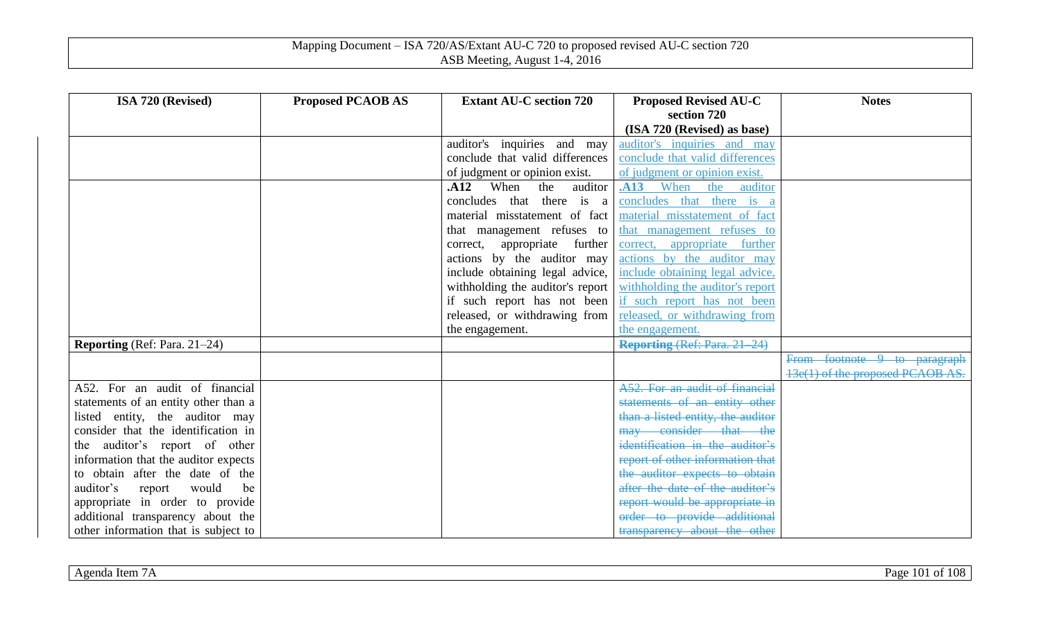| ISA 720 (Revised)                    | <b>Proposed PCAOB AS</b> | <b>Extant AU-C section 720</b>   | <b>Proposed Revised AU-C</b>      | <b>Notes</b>                     |
|--------------------------------------|--------------------------|----------------------------------|-----------------------------------|----------------------------------|
|                                      |                          |                                  | section 720                       |                                  |
|                                      |                          |                                  | (ISA 720 (Revised) as base)       |                                  |
|                                      |                          | auditor's inquiries<br>and may   | auditor's inquiries and may       |                                  |
|                                      |                          | conclude that valid differences  | conclude that valid differences   |                                  |
|                                      |                          | of judgment or opinion exist.    | of judgment or opinion exist.     |                                  |
|                                      |                          | When<br>.A12<br>auditor<br>the   | A13 When<br>the<br>auditor        |                                  |
|                                      |                          | concludes that there is a        | concludes that there is a         |                                  |
|                                      |                          | material misstatement of fact    | material misstatement of fact     |                                  |
|                                      |                          | that management refuses to       | that management refuses to        |                                  |
|                                      |                          | correct, appropriate further     | correct, appropriate further      |                                  |
|                                      |                          | actions by the auditor may       | actions by the auditor may        |                                  |
|                                      |                          | include obtaining legal advice,  | include obtaining legal advice,   |                                  |
|                                      |                          | withholding the auditor's report | withholding the auditor's report  |                                  |
|                                      |                          | if such report has not been      | if such report has not been       |                                  |
|                                      |                          | released, or withdrawing from    | released, or withdrawing from     |                                  |
|                                      |                          | the engagement.                  | the engagement.                   |                                  |
| <b>Reporting</b> (Ref: Para. 21–24)  |                          |                                  | Reporting (Ref: Para. 21-24)      |                                  |
|                                      |                          |                                  |                                   | From footnote 9 to paragraph     |
|                                      |                          |                                  |                                   | 13e(1) of the proposed PCAOB AS. |
| A52. For an audit of financial       |                          |                                  | A52. For an audit of financial    |                                  |
| statements of an entity other than a |                          |                                  | statements of an entity other     |                                  |
| listed entity, the auditor may       |                          |                                  | than a listed entity, the auditor |                                  |
| consider that the identification in  |                          |                                  | may consider that the             |                                  |
| the auditor's report of other        |                          |                                  | identification in the auditor's   |                                  |
| information that the auditor expects |                          |                                  | report of other information that  |                                  |
| to obtain after the date of the      |                          |                                  | the auditor expects to obtain     |                                  |
| auditor's<br>would<br>be<br>report   |                          |                                  | after the date of the auditor's   |                                  |
| appropriate in order to provide      |                          |                                  | report would be appropriate in    |                                  |
| additional transparency about the    |                          |                                  | order to provide additional       |                                  |
| other information that is subject to |                          |                                  | transparency about the other      |                                  |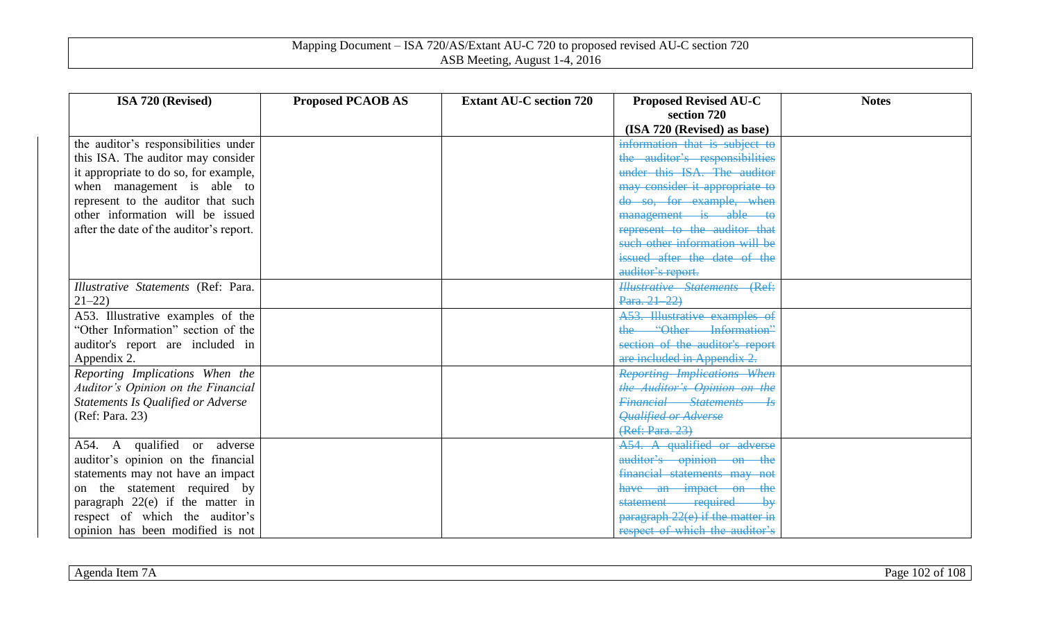| ISA 720 (Revised)                       | <b>Proposed PCAOB AS</b> | <b>Extant AU-C section 720</b> | <b>Proposed Revised AU-C</b><br>section 720 | <b>Notes</b> |
|-----------------------------------------|--------------------------|--------------------------------|---------------------------------------------|--------------|
|                                         |                          |                                | (ISA 720 (Revised) as base)                 |              |
| the auditor's responsibilities under    |                          |                                | information that is subject to              |              |
| this ISA. The auditor may consider      |                          |                                | the auditor's responsibilities              |              |
| it appropriate to do so, for example,   |                          |                                | under this ISA. The auditor                 |              |
| when management is able to              |                          |                                | may consider it appropriate to              |              |
| represent to the auditor that such      |                          |                                | do so, for example, when                    |              |
| other information will be issued        |                          |                                | management is able to                       |              |
| after the date of the auditor's report. |                          |                                | represent to the auditor that               |              |
|                                         |                          |                                | such other information will be              |              |
|                                         |                          |                                | issued after the date of the                |              |
|                                         |                          |                                | auditor's report.                           |              |
| Illustrative Statements (Ref: Para.     |                          |                                | <b>Illustrative Statements (Ref:</b>        |              |
| $21 - 22$                               |                          |                                | Para. 21 22)                                |              |
| A53. Illustrative examples of the       |                          |                                | A53. Illustrative examples of               |              |
| "Other Information" section of the      |                          |                                | the "Other Information"                     |              |
| auditor's report are included in        |                          |                                | section of the auditor's report             |              |
| Appendix 2.                             |                          |                                | are included in Appendix 2.                 |              |
| Reporting Implications When the         |                          |                                | <b>Reporting Implications When</b>          |              |
| Auditor's Opinion on the Financial      |                          |                                | the Auditor's Opinion on the                |              |
| Statements Is Qualified or Adverse      |                          |                                | <b>Financial</b> Statements                 |              |
| (Ref: Para. 23)                         |                          |                                | Qualified or Adverse                        |              |
|                                         |                          |                                | (Ref: Para. 23)                             |              |
| A54. A qualified or adverse             |                          |                                | A54. A qualified or adverse                 |              |
| auditor's opinion on the financial      |                          |                                | auditor's opinion on the                    |              |
| statements may not have an impact       |                          |                                | financial statements may not                |              |
| on the statement required by            |                          |                                | have an impact on the                       |              |
| paragraph $22(e)$ if the matter in      |                          |                                | statement required<br>$\rightarrow$         |              |
| respect of which the auditor's          |                          |                                | paragraph 22(e) if the matter in            |              |
| opinion has been modified is not        |                          |                                | respect of which the auditor's              |              |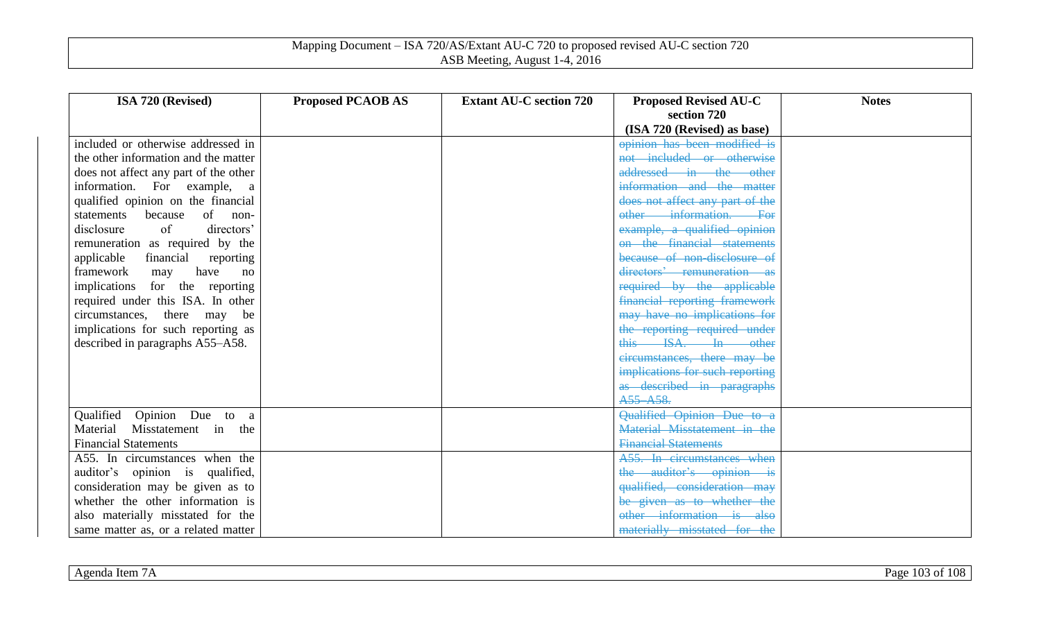| ISA 720 (Revised)                     | <b>Proposed PCAOB AS</b> | <b>Extant AU-C section 720</b> | <b>Proposed Revised AU-C</b>    | <b>Notes</b> |
|---------------------------------------|--------------------------|--------------------------------|---------------------------------|--------------|
|                                       |                          |                                | section 720                     |              |
|                                       |                          |                                | (ISA 720 (Revised) as base)     |              |
| included or otherwise addressed in    |                          |                                | opinion has been modified is    |              |
| the other information and the matter  |                          |                                | not included or otherwise       |              |
| does not affect any part of the other |                          |                                | addressed in the other          |              |
| information. For example,<br>a        |                          |                                | information and the matter      |              |
| qualified opinion on the financial    |                          |                                | does not affect any part of the |              |
| because<br>of non-<br>statements      |                          |                                | other information. For          |              |
| of<br>directors'<br>disclosure        |                          |                                | example, a qualified opinion    |              |
| remuneration as required by the       |                          |                                | on the financial statements     |              |
| applicable<br>financial<br>reporting  |                          |                                | because of non-disclosure of    |              |
| framework<br>have<br>may<br>no        |                          |                                | directors' remuneration as      |              |
| implications for the reporting        |                          |                                | required by the applicable      |              |
| required under this ISA. In other     |                          |                                | financial reporting framework   |              |
| circumstances, there may be           |                          |                                | may have no implications for    |              |
| implications for such reporting as    |                          |                                | the reporting required under    |              |
| described in paragraphs A55–A58.      |                          |                                | this ISA. In other              |              |
|                                       |                          |                                | circumstances, there may be     |              |
|                                       |                          |                                | implications for such reporting |              |
|                                       |                          |                                | as described in paragraphs      |              |
|                                       |                          |                                | A55-A58.                        |              |
| Opinion Due<br>Qualified<br>to a      |                          |                                | Qualified Opinion Due to a      |              |
| Material Misstatement in the          |                          |                                | Material Misstatement in the    |              |
| <b>Financial Statements</b>           |                          |                                | <b>Financial Statements</b>     |              |
| A55. In circumstances when the        |                          |                                | A55. In circumstances when      |              |
| auditor's opinion is qualified,       |                          |                                | the auditor's opinion is        |              |
| consideration may be given as to      |                          |                                | qualified, consideration may    |              |
| whether the other information is      |                          |                                | be given as to whether the      |              |
| also materially misstated for the     |                          |                                | other information is also       |              |
| same matter as, or a related matter   |                          |                                | materially misstated for the    |              |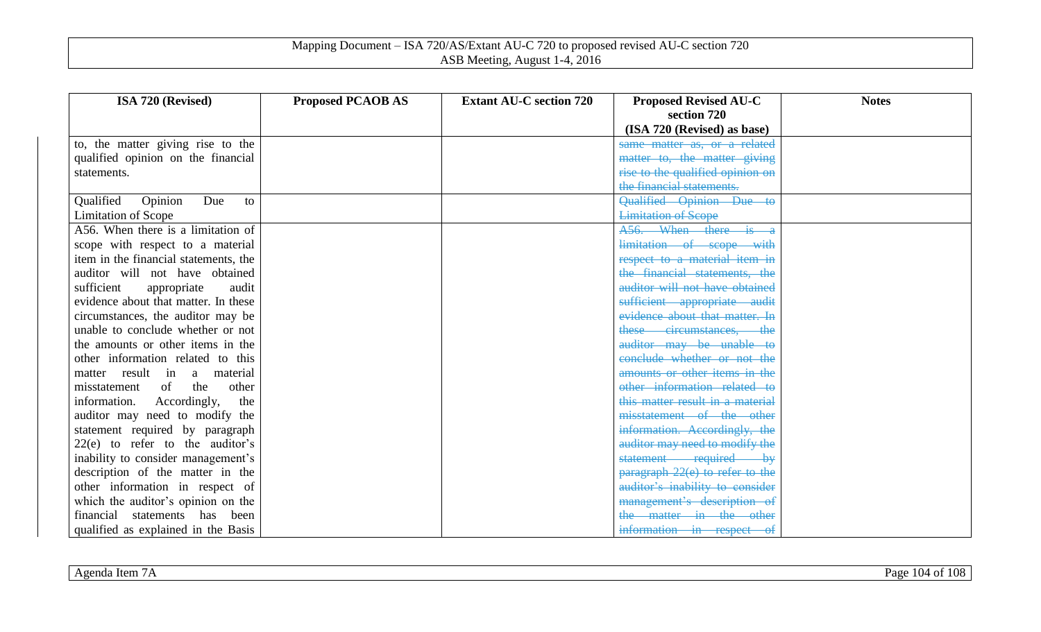| ISA 720 (Revised)                     | <b>Proposed PCAOB AS</b> | <b>Extant AU-C section 720</b> | <b>Proposed Revised AU-C</b><br>section 720 | <b>Notes</b> |
|---------------------------------------|--------------------------|--------------------------------|---------------------------------------------|--------------|
|                                       |                          |                                | (ISA 720 (Revised) as base)                 |              |
| to, the matter giving rise to the     |                          |                                | same matter as, or a related                |              |
| qualified opinion on the financial    |                          |                                | matter to, the matter giving                |              |
| statements.                           |                          |                                | rise to the qualified opinion on            |              |
|                                       |                          |                                | the financial statements.                   |              |
| Opinion<br>Qualified<br>Due<br>to     |                          |                                | Qualified Opinion Due to                    |              |
| <b>Limitation of Scope</b>            |                          |                                | <b>Limitation of Scope</b>                  |              |
| A56. When there is a limitation of    |                          |                                | A56. When there is a                        |              |
| scope with respect to a material      |                          |                                | limitation of scope with                    |              |
| item in the financial statements, the |                          |                                | respect to a material item in               |              |
| auditor will not have obtained        |                          |                                | the financial statements, the               |              |
| sufficient<br>appropriate<br>audit    |                          |                                | auditor will not have obtained              |              |
| evidence about that matter. In these  |                          |                                | sufficient appropriate audit                |              |
| circumstances, the auditor may be     |                          |                                | evidence about that matter. In              |              |
| unable to conclude whether or not     |                          |                                | these circumstances, the                    |              |
| the amounts or other items in the     |                          |                                | auditor may be unable to                    |              |
| other information related to this     |                          |                                | conclude whether or not the                 |              |
| matter result in a material           |                          |                                | amounts or other items in the               |              |
| misstatement of<br>the<br>other       |                          |                                | other information related to                |              |
| information. Accordingly,<br>the      |                          |                                | this matter result in a material            |              |
| auditor may need to modify the        |                          |                                | misstatement of the other                   |              |
| statement required by paragraph       |                          |                                | information. Accordingly, the               |              |
| $22(e)$ to refer to the auditor's     |                          |                                | auditor may need to modify the              |              |
| inability to consider management's    |                          |                                | statement required by                       |              |
| description of the matter in the      |                          |                                | paragraph 22(e) to refer to the             |              |
| other information in respect of       |                          |                                | auditor's inability to consider             |              |
| which the auditor's opinion on the    |                          |                                | management's description of                 |              |
| financial statements has been         |                          |                                | the matter in the other                     |              |
| qualified as explained in the Basis   |                          |                                | information in respect of                   |              |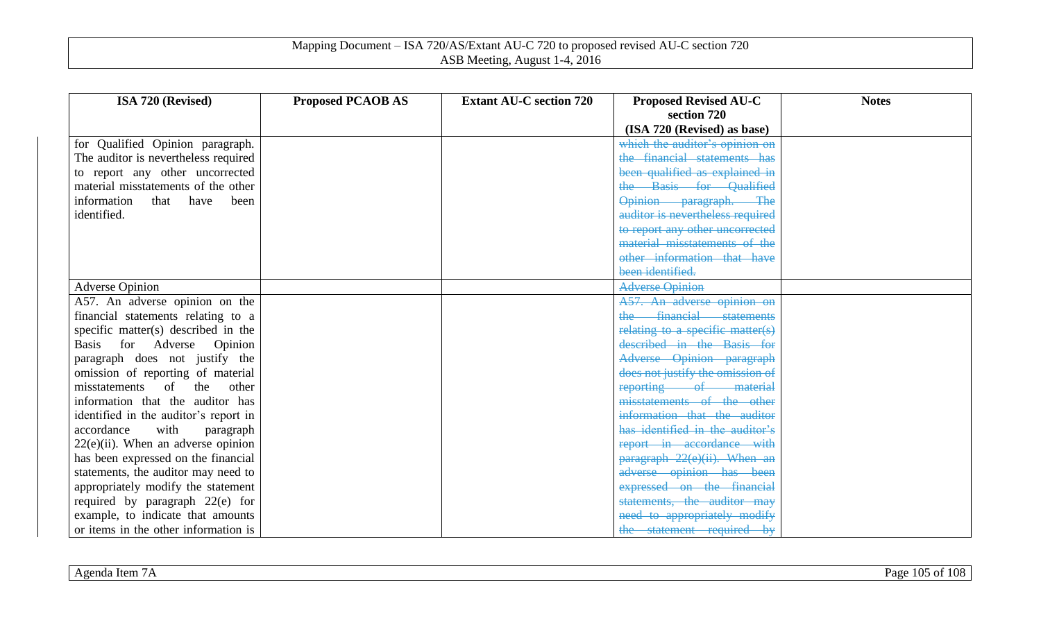| ISA 720 (Revised)                     | <b>Proposed PCAOB AS</b> | <b>Extant AU-C section 720</b> | <b>Proposed Revised AU-C</b>     | <b>Notes</b> |
|---------------------------------------|--------------------------|--------------------------------|----------------------------------|--------------|
|                                       |                          |                                | section 720                      |              |
|                                       |                          |                                | (ISA 720 (Revised) as base)      |              |
| for Qualified Opinion paragraph.      |                          |                                | which the auditor's opinion on   |              |
| The auditor is nevertheless required  |                          |                                | the financial statements has     |              |
| to report any other uncorrected       |                          |                                | been qualified as explained in   |              |
| material misstatements of the other   |                          |                                | the Basis for Qualified          |              |
| information<br>that<br>have<br>been   |                          |                                | Opinion paragraph. The           |              |
| identified.                           |                          |                                | auditor is nevertheless required |              |
|                                       |                          |                                | to report any other uncorrected  |              |
|                                       |                          |                                | material misstatements of the    |              |
|                                       |                          |                                | other information that have      |              |
|                                       |                          |                                | been identified.                 |              |
| <b>Adverse Opinion</b>                |                          |                                | <b>Adverse Opinion</b>           |              |
| A57. An adverse opinion on the        |                          |                                | A57. An adverse opinion on       |              |
| financial statements relating to a    |                          |                                | the financial statements         |              |
| specific matter(s) described in the   |                          |                                | relating to a specific matter(s) |              |
| Basis for Adverse Opinion             |                          |                                | described in the Basis for       |              |
| paragraph does not justify the        |                          |                                | Adverse Opinion paragraph        |              |
| omission of reporting of material     |                          |                                | does not justify the omission of |              |
| misstatements<br>of the<br>other      |                          |                                | reporting of material            |              |
| information that the auditor has      |                          |                                | misstatements of the other       |              |
| identified in the auditor's report in |                          |                                | information that the auditor     |              |
| accordance<br>with<br>paragraph       |                          |                                | has identified in the auditor's  |              |
| $22(e)(ii)$ . When an adverse opinion |                          |                                | report in accordance with        |              |
| has been expressed on the financial   |                          |                                | paragraph 22(e)(ii). When an     |              |
| statements, the auditor may need to   |                          |                                | adverse opinion has been         |              |
| appropriately modify the statement    |                          |                                | expressed on the financial       |              |
| required by paragraph $22(e)$ for     |                          |                                | statements, the auditor may      |              |
| example, to indicate that amounts     |                          |                                | need to appropriately modify     |              |
| or items in the other information is  |                          |                                | the statement required by        |              |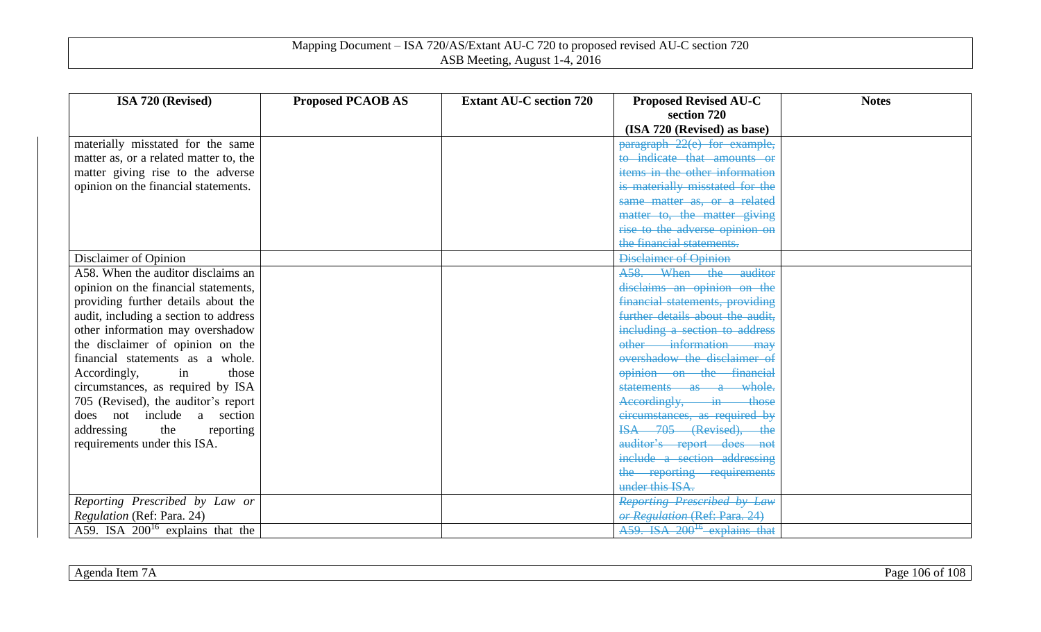| ISA 720 (Revised)                                   | <b>Proposed PCAOB AS</b> | <b>Extant AU-C section 720</b> | <b>Proposed Revised AU-C</b>             | <b>Notes</b> |
|-----------------------------------------------------|--------------------------|--------------------------------|------------------------------------------|--------------|
|                                                     |                          |                                | section 720                              |              |
|                                                     |                          |                                | (ISA 720 (Revised) as base)              |              |
| materially misstated for the same                   |                          |                                | paragraph 22(e) for example,             |              |
| matter as, or a related matter to, the              |                          |                                | to indicate that amounts or              |              |
| matter giving rise to the adverse                   |                          |                                | items in the other information           |              |
| opinion on the financial statements.                |                          |                                | is materially misstated for the          |              |
|                                                     |                          |                                | same matter as, or a related             |              |
|                                                     |                          |                                | matter to, the matter giving             |              |
|                                                     |                          |                                | rise to the adverse opinion on           |              |
|                                                     |                          |                                | the financial statements.                |              |
| Disclaimer of Opinion                               |                          |                                | <b>Disclaimer of Opinion</b>             |              |
| A58. When the auditor disclaims an                  |                          |                                | A58. When the auditor                    |              |
| opinion on the financial statements,                |                          |                                | disclaims an opinion on the              |              |
| providing further details about the                 |                          |                                | financial statements, providing          |              |
| audit, including a section to address               |                          |                                | further details about the audit.         |              |
| other information may overshadow                    |                          |                                | including a section to address           |              |
| the disclaimer of opinion on the                    |                          |                                | other information may                    |              |
| financial statements as a whole.                    |                          |                                | overshadow the disclaimer of             |              |
| Accordingly,<br>those<br>in                         |                          |                                | opinion on the financial                 |              |
| circumstances, as required by ISA                   |                          |                                | statements as a whole.                   |              |
| 705 (Revised), the auditor's report                 |                          |                                | Accordingly, in those                    |              |
| does not include a section                          |                          |                                | circumstances, as required by            |              |
| addressing<br>the<br>reporting                      |                          |                                | ISA 705 (Revised), the                   |              |
| requirements under this ISA.                        |                          |                                | auditor's report does not                |              |
|                                                     |                          |                                | include a section addressing             |              |
|                                                     |                          |                                | the reporting requirements               |              |
|                                                     |                          |                                | under this ISA.                          |              |
| Reporting Prescribed by Law or                      |                          |                                | Reporting Prescribed by Law              |              |
| Regulation (Ref: Para. 24)                          |                          |                                | or Regulation (Ref: Para. 24)            |              |
| $\overline{A59}$ . ISA $200^{16}$ explains that the |                          |                                | A59. ISA 200 <sup>16</sup> explains that |              |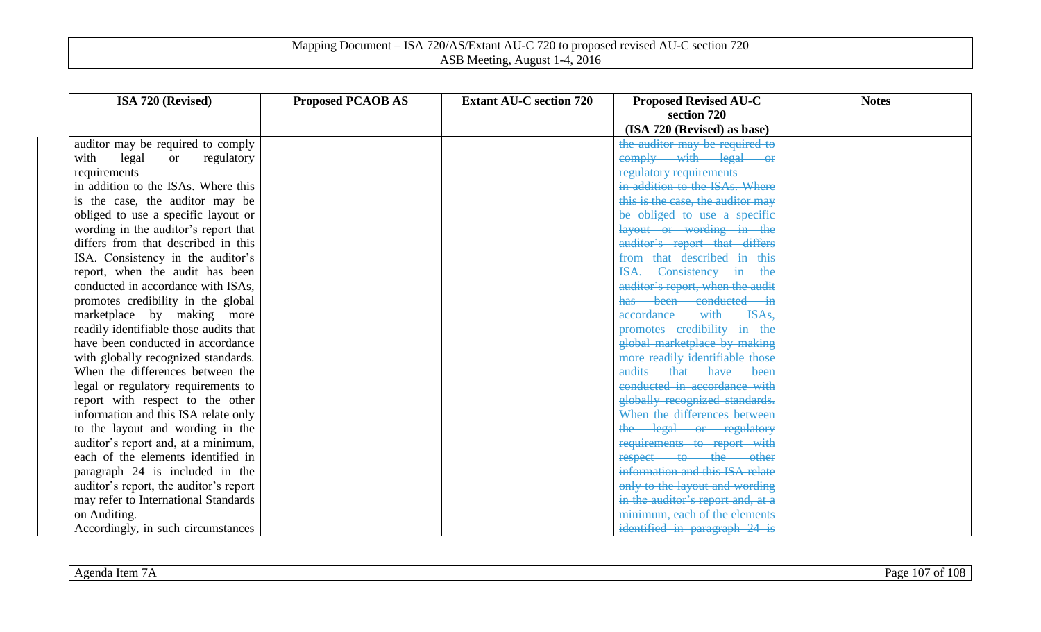| ISA 720 (Revised)                            | <b>Proposed PCAOB AS</b> | <b>Extant AU-C section 720</b> | <b>Proposed Revised AU-C</b><br>section 720 | <b>Notes</b> |
|----------------------------------------------|--------------------------|--------------------------------|---------------------------------------------|--------------|
|                                              |                          |                                | (ISA 720 (Revised) as base)                 |              |
| auditor may be required to comply            |                          |                                | the auditor may be required to              |              |
| with<br>legal<br>regulatory<br><sub>or</sub> |                          |                                | comply with legal<br>$-\Theta$ $\mathbf{f}$ |              |
| requirements                                 |                          |                                | regulatory requirements                     |              |
| in addition to the ISAs. Where this          |                          |                                | in addition to the ISAs. Where              |              |
| is the case, the auditor may be              |                          |                                | this is the case, the auditor may           |              |
| obliged to use a specific layout or          |                          |                                | be obliged to use a specific                |              |
| wording in the auditor's report that         |                          |                                | layout or wording in the                    |              |
| differs from that described in this          |                          |                                | auditor's report that differs               |              |
| ISA. Consistency in the auditor's            |                          |                                | from that described in this                 |              |
| report, when the audit has been              |                          |                                | ISA. Consistency in the                     |              |
| conducted in accordance with ISAs,           |                          |                                | auditor's report, when the audit            |              |
| promotes credibility in the global           |                          |                                | has been conducted in                       |              |
| marketplace by making more                   |                          |                                | accordance with ISAs,                       |              |
| readily identifiable those audits that       |                          |                                | promotes credibility in the                 |              |
| have been conducted in accordance            |                          |                                | global marketplace by making                |              |
| with globally recognized standards.          |                          |                                | more readily identifiable those             |              |
| When the differences between the             |                          |                                | audits that have been                       |              |
| legal or regulatory requirements to          |                          |                                | conducted in accordance with                |              |
| report with respect to the other             |                          |                                | globally recognized standards.              |              |
| information and this ISA relate only         |                          |                                | When the differences between                |              |
| to the layout and wording in the             |                          |                                | the legal or regulatory                     |              |
| auditor's report and, at a minimum,          |                          |                                | requirements to report with                 |              |
| each of the elements identified in           |                          |                                | respect to the other                        |              |
| paragraph 24 is included in the              |                          |                                | information and this ISA relate             |              |
| auditor's report, the auditor's report       |                          |                                | only to the layout and wording              |              |
| may refer to International Standards         |                          |                                | in the auditor's report and, at a           |              |
| on Auditing.                                 |                          |                                | minimum, each of the elements               |              |
| Accordingly, in such circumstances           |                          |                                | identified in paragraph 24 is               |              |